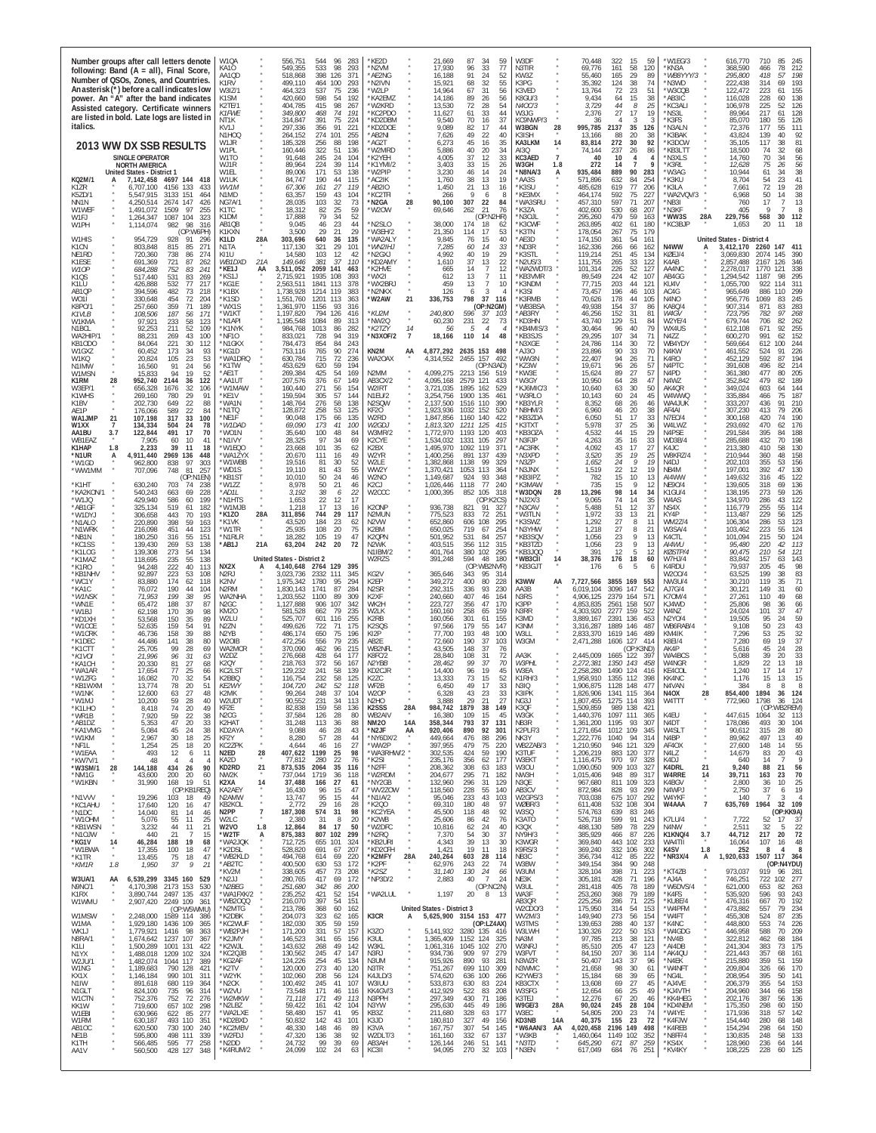| Number groups after call letters denote<br>following: Band $(A = all)$ , Final Score<br>Number of QSOs, Zones, and Countries.<br>An asterisk (*) before a call indicates low<br>power. An "A" after the band indicates<br>Assisted category. Certificate winners<br>are listed in bold. Late logs are listed in<br>italics.                                                                                                                                                                                                                                                                                                                                                                                                                                                                                                                                                                                                                                                                                                                                                                                                                                                                                                                                                                                                                                                                                                                                                                                                                                                                                                                                                                                                                                                                                                                                                                                                                                                                                                                                                                                                                                                                                                                                                                                                                                                                                                                                                                                                                                                                                                                                                                                                                                                                                                                                                                                                                                                                                                                                                                                                                                                                                                                                                                                                                                                                                                                                                                                                                                                                                  | W10A<br>KA10<br>AA1OD<br>K1RV<br>W317/1<br>K1SM<br>K2TE/1<br>K1FWE<br>NT1K<br>KV1J<br>N1HOQ                                                                                                                                                                                                                                                                                                                                                                                                                                                                                                                                                                                                                                                                                                                                                                                                                                                                                                         | 283<br>556.751<br>544<br>96<br>549,355<br>533<br>98<br>293<br>398<br>518,868<br>371<br>126<br>499,110<br>464<br>100<br>293<br>537<br>75<br>236<br>464.323<br>598<br>54<br>192<br>420.660<br>415<br>98<br>404,785<br>267<br>349,800<br>468<br>74<br>191<br>391<br>75<br>314,847<br>224<br>356<br>297,336<br>91<br>221<br>274<br>101<br>264,152<br>255                                                                                                                                                                                                                                                                                                                                                                                                                                                                                                                                                                                                                                                                                                                                                                                                                                                                                                                                                                                                                                                                                                                                                                                                                                                                                                                                                                                                                                                                                                                                                                                                                                                                                                                                                                                                                                                                                                                                                                                                                                                                                                                                                                                                                                                                                                                                                      | KE2D<br>'N2VM<br>*AE2NG<br>'N2IVN<br>'W2LP<br>'KA2EMZ<br>W2KRD<br>'KC2PDO<br>*KD2DBM<br>'KD2DOE<br>AB2NI                                                                                                                                                                                                                                                                                                                                                                                                                                                                                                                                                                                                                                                                                                                                                                                                                                                                                            | 21.669<br>87<br>34<br>59<br>17,930<br>96<br>33<br>77<br>91<br>24<br>16,188<br>52<br>15,921<br>68<br>32<br>55<br>67<br>31<br>14,964<br>56<br>14,186<br>89<br>26<br>56<br>72<br>13,530<br>28<br>54<br>11,627<br>61<br>33<br>44<br>70<br>9,540<br>16<br>37<br>9,089<br>82<br>17<br>44<br>49<br>22<br>7,626<br>40                                                                                                                                                                                                                                                                                                                                                                                                                                                                                                                                                                                                                                                                                                                                                                                                                                                                                                                                                                                                                                                                                                                                                                                                                                                                                                                                                                                                                                                                                                                                                                                                                                                                                                                                                                                                                                                                                                                                                                                                                                                                                                                                                                                                                                                                                                                                             | W3DF<br>N3TIR<br>KW3Z<br>K3PG<br>K3VED<br>K8GU/3<br>N4OC/3<br>W3JG<br>KC9NWP/3<br>28<br>W3BGN<br>K3ISH                                                                                                                                                                                                                                                                                                                                                                                                                                                                                                                                                                                                                                                                                                                                                   | 70.448<br>322<br>15<br>59<br>69,776<br>161<br>58<br>120<br>29<br>55,460<br>165<br>89<br>35,392<br>124<br>38<br>74<br>72<br>23<br>13.764<br>51<br>9,434<br>64<br>15<br>38<br>44<br>8<br>3,729<br>25<br>27<br>2,376<br>17<br>19<br>$\mathcal{R}$<br>36<br>995,785<br>2137<br>35<br>126<br>13,166<br>88<br>20<br>38                                                                                                                                                                                                                                                                                                                                                                                                                                                                                                                                                                                                                                                                                                                                                                                                                                                                                                                                                                                                                                                                                                                                                                                                                                                                                                                                                                                                                                                                                                                                                                                                                                                                                                                                                                                                                                                                                                                                                                                                                                                                                                                                                                                                                                                                                                                                                                | W1EG/3<br>*KN3A<br>*WB8YYY/3<br>*N3WD<br>*W3CQB<br>*AB3IC<br>KC3ALI<br>'NS3L<br>*K3FS<br>'N3ALN<br>K3BAK                                                                                                                                                                                                                                                                                                                                                                                                                                                                                                                                                                                                                                                                                                                                                                                                                                                         | 616,770<br>710<br>245<br>368,590<br>78<br>212<br>466<br>295,800<br>418<br>57<br>198<br>222,438<br>314<br>193<br>69<br>155<br>122,472<br>223<br>61<br>116,028<br>228<br>138<br>60<br>106,978<br>225<br>52<br>126<br>89,964<br>217<br>128<br>61<br>85,070<br>180<br>55<br>126<br>72,376<br>177<br>55<br>111<br>43,824<br>139<br>40<br>92                                                                                                                                                                                                                                                                                                                                                                                                                                                                                                                                                                                                                                                                                                                                                                                                                                                                                                                                                                                                                                                                                                                                                                                                                                                                                                                                                                                                                                                                                                                                                                                                                                                                                                                                                                                                                                                                                                                                                                                                                                                                                                                                                                                                                                                                                                                                 |
|--------------------------------------------------------------------------------------------------------------------------------------------------------------------------------------------------------------------------------------------------------------------------------------------------------------------------------------------------------------------------------------------------------------------------------------------------------------------------------------------------------------------------------------------------------------------------------------------------------------------------------------------------------------------------------------------------------------------------------------------------------------------------------------------------------------------------------------------------------------------------------------------------------------------------------------------------------------------------------------------------------------------------------------------------------------------------------------------------------------------------------------------------------------------------------------------------------------------------------------------------------------------------------------------------------------------------------------------------------------------------------------------------------------------------------------------------------------------------------------------------------------------------------------------------------------------------------------------------------------------------------------------------------------------------------------------------------------------------------------------------------------------------------------------------------------------------------------------------------------------------------------------------------------------------------------------------------------------------------------------------------------------------------------------------------------------------------------------------------------------------------------------------------------------------------------------------------------------------------------------------------------------------------------------------------------------------------------------------------------------------------------------------------------------------------------------------------------------------------------------------------------------------------------------------------------------------------------------------------------------------------------------------------------------------------------------------------------------------------------------------------------------------------------------------------------------------------------------------------------------------------------------------------------------------------------------------------------------------------------------------------------------------------------------------------------------------------------------------------------------------------------------------------------------------------------------------------------------------------------------------------------------------------------------------------------------------------------------------------------------------------------------------------------------------------------------------------------------------------------------------------------------------------------------------------------------------------------------------------------|-----------------------------------------------------------------------------------------------------------------------------------------------------------------------------------------------------------------------------------------------------------------------------------------------------------------------------------------------------------------------------------------------------------------------------------------------------------------------------------------------------------------------------------------------------------------------------------------------------------------------------------------------------------------------------------------------------------------------------------------------------------------------------------------------------------------------------------------------------------------------------------------------------------------------------------------------------------------------------------------------------|-----------------------------------------------------------------------------------------------------------------------------------------------------------------------------------------------------------------------------------------------------------------------------------------------------------------------------------------------------------------------------------------------------------------------------------------------------------------------------------------------------------------------------------------------------------------------------------------------------------------------------------------------------------------------------------------------------------------------------------------------------------------------------------------------------------------------------------------------------------------------------------------------------------------------------------------------------------------------------------------------------------------------------------------------------------------------------------------------------------------------------------------------------------------------------------------------------------------------------------------------------------------------------------------------------------------------------------------------------------------------------------------------------------------------------------------------------------------------------------------------------------------------------------------------------------------------------------------------------------------------------------------------------------------------------------------------------------------------------------------------------------------------------------------------------------------------------------------------------------------------------------------------------------------------------------------------------------------------------------------------------------------------------------------------------------------------------------------------------------------------------------------------------------------------------------------------------------------------------------------------------------------------------------------------------------------------------------------------------------------------------------------------------------------------------------------------------------------------------------------------------------------------------------------------------------------------------------------------------------------------------------------------------------------------------------------------------------|-----------------------------------------------------------------------------------------------------------------------------------------------------------------------------------------------------------------------------------------------------------------------------------------------------------------------------------------------------------------------------------------------------------------------------------------------------------------------------------------------------------------------------------------------------------------------------------------------------------------------------------------------------------------------------------------------------------------------------------------------------------------------------------------------------------------------------------------------------------------------------------------------------------------------------------------------------------------------------------------------------|-----------------------------------------------------------------------------------------------------------------------------------------------------------------------------------------------------------------------------------------------------------------------------------------------------------------------------------------------------------------------------------------------------------------------------------------------------------------------------------------------------------------------------------------------------------------------------------------------------------------------------------------------------------------------------------------------------------------------------------------------------------------------------------------------------------------------------------------------------------------------------------------------------------------------------------------------------------------------------------------------------------------------------------------------------------------------------------------------------------------------------------------------------------------------------------------------------------------------------------------------------------------------------------------------------------------------------------------------------------------------------------------------------------------------------------------------------------------------------------------------------------------------------------------------------------------------------------------------------------------------------------------------------------------------------------------------------------------------------------------------------------------------------------------------------------------------------------------------------------------------------------------------------------------------------------------------------------------------------------------------------------------------------------------------------------------------------------------------------------------------------------------------------------------------------------------------------------------------------------------------------------------------------------------------------------------------------------------------------------------------------------------------------------------------------------------------------------------------------------------------------------------------------------------------------------------------------------------------------------------------------------------------------------|----------------------------------------------------------------------------------------------------------------------------------------------------------------------------------------------------------------------------------------------------------------------------------------------------------------------------------------------------------------------------------------------------------------------------------------------------------------------------------------------------------------------------------------------------------------------------------------------------------------------------------------------------------------------------------------------------------------------------------------------------------------------------------------------------------------------------------------------------------|---------------------------------------------------------------------------------------------------------------------------------------------------------------------------------------------------------------------------------------------------------------------------------------------------------------------------------------------------------------------------------------------------------------------------------------------------------------------------------------------------------------------------------------------------------------------------------------------------------------------------------------------------------------------------------------------------------------------------------------------------------------------------------------------------------------------------------------------------------------------------------------------------------------------------------------------------------------------------------------------------------------------------------------------------------------------------------------------------------------------------------------------------------------------------------------------------------------------------------------------------------------------------------------------------------------------------------------------------------------------------------------------------------------------------------------------------------------------------------------------------------------------------------------------------------------------------------------------------------------------------------------------------------------------------------------------------------------------------------------------------------------------------------------------------------------------------------------------------------------------------------------------------------------------------------------------------------------------------------------------------------------------------------------------------------------------------------------------------------------------------------------------------------------------------------------------------------------------------------------------------------------------------------------------------------------------------------------------------------------------------------------------------------------------------------------------------------------------------------------------------------------------------------------------------------------------------------------------------------------------------------------------------------------------------------|------------------------------------------------------------------------------------------------------------------------------------------------------------------------------------------------------------------------------------------------------------------------------------------------------------------------------------------------------------------------------------------------------------------------------------------------------------------------------------------------------------------------------------------------------------------------------------------------------------------------------------------------------------------------------------------------------------------------------------------------------------------------------------------------------------------------------------------------------------------------------------------------------------------------------------------------------------------|------------------------------------------------------------------------------------------------------------------------------------------------------------------------------------------------------------------------------------------------------------------------------------------------------------------------------------------------------------------------------------------------------------------------------------------------------------------------------------------------------------------------------------------------------------------------------------------------------------------------------------------------------------------------------------------------------------------------------------------------------------------------------------------------------------------------------------------------------------------------------------------------------------------------------------------------------------------------------------------------------------------------------------------------------------------------------------------------------------------------------------------------------------------------------------------------------------------------------------------------------------------------------------------------------------------------------------------------------------------------------------------------------------------------------------------------------------------------------------------------------------------------------------------------------------------------------------------------------------------------------------------------------------------------------------------------------------------------------------------------------------------------------------------------------------------------------------------------------------------------------------------------------------------------------------------------------------------------------------------------------------------------------------------------------------------------------------------------------------------------------------------------------------------------------------------------------------------------------------------------------------------------------------------------------------------------------------------------------------------------------------------------------------------------------------------------------------------------------------------------------------------------------------------------------------------------------------------------------------------------------------------------------------------------|
| 2013 WW DX SSB RESULTS<br><b>SINGLE OPERATOR</b><br><b>NORTH AMERICA</b><br>United States - District 1<br>KQ2M/1<br>7,142,458 4697 144 418<br>K1ZR<br>6,707,100<br>4156 133<br>433<br>K5ZD/1<br>3133<br>5.547.915<br>151<br>464<br>NN1N<br>2674 147<br>4.250.514<br>426<br>W1WEF<br>1.491.072<br>1509<br>97<br>255<br>104<br>W1F.J<br>1087<br>323                                                                                                                                                                                                                                                                                                                                                                                                                                                                                                                                                                                                                                                                                                                                                                                                                                                                                                                                                                                                                                                                                                                                                                                                                                                                                                                                                                                                                                                                                                                                                                                                                                                                                                                                                                                                                                                                                                                                                                                                                                                                                                                                                                                                                                                                                                                                                                                                                                                                                                                                                                                                                                                                                                                                                                                                                                                                                                                                                                                                                                                                                                                                                                                                                                                            | W1.JR<br>W1PI<br>W1TO<br>WJ1R<br>W1FI<br>W1UK<br>WV <sub>1M</sub><br>N1MD<br>NG7A/1<br>K1TC                                                                                                                                                                                                                                                                                                                                                                                                                                                                                                                                                                                                                                                                                                                                                                                                                                                                                                         | 256<br>88<br>198<br>185.328<br>322<br>160,446<br>51<br>136<br>91,648<br>245<br>24<br>104<br>224<br>39<br>89,964<br>114<br>171<br>53<br>138<br>89,006<br>84,747<br>190<br>44<br>115<br>161<br>67,306<br>27<br>119<br>63,357<br>159<br>43<br>104<br>103<br>32<br>28,035<br>73<br>18,312<br>82<br>25<br>59                                                                                                                                                                                                                                                                                                                                                                                                                                                                                                                                                                                                                                                                                                                                                                                                                                                                                                                                                                                                                                                                                                                                                                                                                                                                                                                                                                                                                                                                                                                                                                                                                                                                                                                                                                                                                                                                                                                                                                                                                                                                                                                                                                                                                                                                                                                                                                                                   | 'AG2T<br>W2MRD<br>K2YEH<br>K1YMI/2<br>'W2PIP<br>*AC2IK<br>AB2IO<br>KC2TFI<br>'N2GA<br>28<br>'W2OW                                                                                                                                                                                                                                                                                                                                                                                                                                                                                                                                                                                                                                                                                                                                                                                                                                                                                                   | 45<br>16<br>6,273<br>35<br>5,886<br>40<br>20<br>34<br>4,005<br>37<br>33<br>12<br>33<br>3,403<br>15<br>26<br>46<br>14<br>24<br>3.230<br>1,760<br>38<br>13<br>19<br>21<br>13<br>1,450<br>16<br>266<br>Q<br>6<br>8<br>90,100<br>307<br>22<br>84<br>262<br>21<br>69,646<br>76                                                                                                                                                                                                                                                                                                                                                                                                                                                                                                                                                                                                                                                                                                                                                                                                                                                                                                                                                                                                                                                                                                                                                                                                                                                                                                                                                                                                                                                                                                                                                                                                                                                                                                                                                                                                                                                                                                                                                                                                                                                                                                                                                                                                                                                                                                                                                                                 | KA3LKM<br>14<br>AI3Q<br>KC3AED<br>$\overline{7}$<br>W3GH<br>1.8<br>N8NA/3*<br>A<br>*AA3S<br>K3SU <sup>*</sup><br>'KE3MX<br>WA3SRU<br>K3ZA                                                                                                                                                                                                                                                                                                                                                                                                                                                                                                                                                                                                                                                                                                                | 272<br>30<br>92<br>83,814<br>74,144<br>237<br>26<br>86<br>40<br>10<br>4<br>272<br>14<br>935,484<br>889<br>90<br>283<br>571,896<br>632<br>84<br>254<br>77<br>619<br>206<br>485,628<br>464,174<br>592<br>75<br>227<br>457.310<br>597<br>71<br>207<br>402,600<br>530<br>68<br>207                                                                                                                                                                                                                                                                                                                                                                                                                                                                                                                                                                                                                                                                                                                                                                                                                                                                                                                                                                                                                                                                                                                                                                                                                                                                                                                                                                                                                                                                                                                                                                                                                                                                                                                                                                                                                                                                                                                                                                                                                                                                                                                                                                                                                                                                                                                                                                                                  | *K3DCW<br>*KB3LTT<br>'N3XLS<br>*K3RL<br>W3AG<br>*K3KU<br>*K3LA<br>*WA2VQV/3<br>*NB3I<br>*N3KF<br>28A                                                                                                                                                                                                                                                                                                                                                                                                                                                                                                                                                                                                                                                                                                                                                                                                                                                             | 81<br>35.105<br>117<br>38<br>18,500<br>74<br>32<br>68<br>56<br>14,760<br>70<br>34<br>$\frac{56}{38}$<br>12,628<br>75<br>26<br>10,944<br>61<br>34<br>8,704<br>54<br>41<br>23<br>72<br>28<br>19<br>7.661<br>50<br>38<br>6.968<br>14<br>17<br>13<br>760<br>405<br>9<br>30                                                                                                                                                                                                                                                                                                                                                                                                                                                                                                                                                                                                                                                                                                                                                                                                                                                                                                                                                                                                                                                                                                                                                                                                                                                                                                                                                                                                                                                                                                                                                                                                                                                                                                                                                                                                                                                                                                                                                                                                                                                                                                                                                                                                                                                                                                                                                                                                 |
| 1,264,347<br>W1PH<br>1,114,074<br>982<br>98<br>316<br>(OP:W6PH)<br>W1HIS<br>954,729<br>928<br>91<br>-296<br>803.848<br>K <sub>1</sub> C <sub>N</sub><br>815<br>85<br>271<br>738<br>274<br>NE1RD<br>720.360<br>86<br>K1ESE<br>691,369<br>721<br>87<br>262<br>83<br>W1OF<br>684,288<br>752<br>241<br>531<br>K <sub>1</sub> QS<br>517,440<br>83<br>269<br>532<br>77<br>217<br>K1LU<br>426,888<br>73<br>AB1QP<br>394,596<br>482<br>218<br>WO11<br>330,648<br>454<br>72<br>204<br>71<br>K8PO/1<br>257,660<br>359<br>189<br>187<br>K <sub>1</sub> V <sub>1</sub> B<br>108,506<br>56<br>171<br>W1KMA<br>97,921<br>233<br>58<br>123<br>211<br>N1BCL<br>92.253<br>52<br>109<br>WA2HIP/<br>88,231<br>269<br>43<br>100<br>221<br>30<br>KB10DO<br>84.064<br>112<br>60,452<br>173<br>34<br>93<br>W1GXZ<br>20,824<br>W <sub>1</sub> KO<br>105<br>23<br>53<br>24<br>56<br>N <sub>1</sub> IM <sub>W</sub><br>16,560<br>91<br>W1MSN<br>15,833<br>94<br>19<br>52<br>28<br>952,740<br>122<br>K1RM<br>2144<br>36<br>W3EP/1<br>656,328<br>1676<br>32<br>106<br>29<br>K1WHS<br>269,160<br>780<br>91<br>K1BV<br>202,730<br>649<br>22<br>88<br>AE1P<br>176,066<br>589<br>22<br>84<br>33<br>WA1JMP<br>21<br>107,198<br>317<br>100<br>W1XX<br>134,334<br>504<br>24<br>78<br>7<br>AA1BU<br>122,844<br>491<br>17<br>70<br>3.7<br>WB1FA7<br>7.905<br>60<br>10<br>41<br>K1HAP<br>1.8<br>2,233<br>39<br>11<br>18<br>2969 136<br>*N1UR<br>4,911,440<br>448<br>A<br>*W1GD<br>962,800<br>838<br>97<br>303<br>*WW1MM<br>707,096<br>748<br>81<br>257<br>(OP:N1EN)<br>630,240<br>703<br>*K1HT<br>74<br>238<br>540,243<br>69<br>*KA2KON/1<br>663<br>228<br>429,940<br>"W1JQ<br>586<br>60<br>199<br>*AB1GF<br>519<br>182<br>325,134<br>61<br>*W1DYJ<br>306,658<br>443<br>70<br>193<br>*N1ALO<br>220,890<br>398<br>59<br>163<br>216,098<br>451<br>44<br>123<br>*N1WR⊧<br>*NB1N<br>180.250<br>316<br>55<br>151<br>*KC1SS<br>139,430<br>269<br>53<br>138<br>139,308<br>*K1I OG<br>273<br>54<br>134<br>*K1MAZ<br>118,695<br>235<br>55<br>138<br>94,248<br>222<br>40<br>*K1RO<br>113<br>*KB1NHV<br>92,897<br>223<br>53<br>108<br>174<br>*WC1Y<br>83.880<br>118<br>62<br>190<br>*KA1C<br>76.072<br>44<br>104<br>*W1NSK<br>71,953<br>199<br>38<br>95<br>*WN1E<br>65,472<br>188<br>37<br>87<br>*W1BJ<br>62,198<br>170<br>39<br>98<br>35<br>*KD1XH<br>150<br>89<br>53,568<br>*W1CCE<br>52,635<br>159<br>54<br>91<br>*W1CRK<br>39<br>88<br>46,736<br>158<br>*K1DEC<br>141<br>38<br>80<br>44.486<br>25.705<br>28<br>99<br>69<br>*K1CTT<br>*K1VOI<br>21,996<br>96<br>31<br>63<br>20.330<br>81<br>27<br>*KA1CF<br>68<br>*WA1AR<br>77<br>25<br>66<br>17.654<br>70<br>32<br>*W17FG<br>16,082<br>54<br>*KB1WXM<br>13,774<br>78<br>20<br>51<br>48<br>*W1NK<br>12,600<br>63<br>27<br>'W1MJ<br>10,200<br>59<br>28<br>40<br>74<br>*K1LHO<br>8,418<br>20<br>49<br>59<br>22<br>*WR1B<br>7,920<br>38<br>47<br>20<br>33<br>*AB1DZ<br>5,353<br>*KA1VMG<br>45<br>24<br>38<br>5,084<br>*W1KM<br>2,967<br>30<br>18<br>25<br>1,254<br>25<br>*NF1L<br>18<br>20<br>*W1EAA<br>493<br>12<br>6<br>11<br>*KW7V/1<br>48<br>$\overline{4}$<br>4<br>$\Delta$<br>*W3SM/1<br>28<br>144,188<br>434<br>26<br>90<br>*NM1G<br>43,600<br>200<br>20<br>60<br>*W1KBN<br>31,990<br>168<br>19<br>51<br>(OP:KB1REQ)<br>*N1VVV<br>19,296<br>103<br>18<br>49<br>*KC1AHU<br>17,640<br>120<br>47<br>16<br>14,040<br>*N1DC<br>81<br>14<br>46<br>*W10HM<br>5,076<br>55<br>11<br>25<br>*KB1WSN<br>3,232<br>44<br>11<br>21<br>*N1OJW<br>440<br>21<br>15<br>7<br>*KG1V<br>188<br>19<br>14<br>46,284<br>68<br>*W1BWA<br>17,355<br>100<br>18<br>47<br>$\boldsymbol{\kappa}$<br>13,455<br>*K1TR<br>75<br>18<br>47 | K1DM<br>AB1QB<br>K1KXN<br>28A<br>K1LD<br>N1TA<br>KI1U<br>21A<br>WB1DXD<br>*KE1J<br>AA<br>*KS1J<br>*KG1E<br>*K1BX<br>'K1SD<br>*WX1S<br>'W1KT<br>*N1API<br>'K1NYK<br>*NF1O<br>*N1GKX<br>*KG1D<br>*WA1DRQ<br>*K1TW<br>*AE1T<br>*AA1UT<br>'W1MAW<br>'KF1V<br>*WA1N<br>'N1TO<br>'NE1F<br>*W1DAD<br>*WO1N<br>'N1IVY<br>*W1EQO<br>*WA1ZYX<br>'W1WBB<br>'WD1S<br>'KB1ST<br>'W1ZZ<br>*AD1L<br>'N1HTS<br>'W1MJB<br>*K1ZO<br>28A<br>'K1VK<br>*W1TR<br>*N1RLR<br>*AB1J<br>21A<br>NX2X<br>A<br>N <sub>2</sub> RJ<br>K2NV<br>N2RM<br>WA2NHA<br>N2GC<br><b>KM20</b><br>W2LU<br>N <sub>2</sub> ZN<br>N <sub>2</sub> Y <sub>B</sub><br>W2OIB<br>WA2MCR<br>W2DZ<br>K2OY<br>KC2LST<br>K2BBQ<br>KE2WY<br>K2MK<br>W2UDT<br>KF2E<br>N <sub>2</sub> CG<br>K2HAT<br>KD2AYA<br>KF2Y<br>KC2ZPK<br>28<br>N2ED<br>KA <sub>2</sub> D<br>21<br>KD2RD<br>NW2K<br>K2XA<br>14<br>KA2AEY<br>$\boldsymbol{\theta}$<br>N2AMW<br>KB2KOL<br>$\boldsymbol{7}$<br>N2PP<br>W2LC<br>1.8<br>W2VO<br>*W2TF<br>А<br>*WA2JQK<br>*K2DSL<br>*WB2KLD | 34<br>79<br>52<br>17,888<br>23<br>9,045<br>46<br>44<br>29<br>21<br>29<br>3,500<br>303,696<br>640<br>135<br>36<br>321<br>117,130<br>29<br>101<br>103<br>14.580<br>12<br>42<br>149,646<br>381<br>37<br>110<br>3,511,052<br>2059 141<br>463<br>2,715,921<br>1935<br>108<br>393<br>1841<br>378<br>2.563.511<br>-113<br>1,738,928<br>1214 119<br>383<br>1,551,760<br>1201 113<br>363<br>1,361,970<br>1156<br>93<br>316<br>1.197.820<br>794<br>416<br>126<br>1,195,548<br>1084<br>313<br>89<br>1013<br>984.768<br>86<br>282<br>833,021<br>728<br>94<br>319<br>854<br>243<br>784,473<br>84<br>765<br>90<br>753,116<br>274<br>715<br>72<br>630,784<br>236<br>620<br>59<br>194<br>453,629<br>269,384<br>425<br>54<br>169<br>67<br>207,576<br>376<br>149<br>271<br>160,440<br>56<br>154<br>57<br>159.594<br>305<br>144<br>148,764<br>276<br>58<br>138<br>53<br>128,872<br>258<br>125<br>90,048<br>175<br>66<br>135<br>173<br>69,090<br>41<br>100<br>35,640<br>100<br>48<br>84<br>97<br>69<br>28,325<br>34<br>23,668<br>101<br>35<br>62<br>20,670<br>111<br>16<br>49<br>52<br>19,516<br>-81<br>30<br>43<br>19,110<br>81<br>55<br>10,010<br>50<br>24<br>46<br>21<br>8,978<br>50<br>46<br>3,192<br>38<br>22<br>6<br>1,653<br>$^{22}_{17}$<br>17<br>12<br>13<br>1.218<br>16<br>311,856<br>744<br>29<br>117<br>184<br>43,520<br>23<br>62<br>25,935<br>108<br>20<br>75<br>105<br>47<br>19<br>18.282<br>63,204<br>242<br>20<br>72<br>United States - District 2<br>4,140,648 2764 129 395<br>3.023.736<br>2332<br>111<br>345<br>1,975,342<br>1780<br>95<br>294<br>284<br>1.830.143<br>1741<br>87<br>1,203,552<br>1100<br>89<br>309<br>1,127,888<br>906<br>107<br>342<br>581,528<br>662<br>79<br>235<br>525.707<br>116<br>255<br>601<br>499,626<br>722<br>71<br>175<br>486,174<br>650<br>75<br>196<br>472,256<br>556<br>79<br>235<br>370,090<br>462<br>96<br>215<br>428<br>177<br>276.668<br>64<br>372<br>218,763<br>56<br>167<br>129,232<br>241<br>58<br>139<br>116,754<br>232<br>58<br>125<br>104,720<br>242<br>52<br>118<br>99,264<br>248<br>37<br>104<br>90,552<br>231<br>34<br>113<br>159<br>82,838<br>58<br>136<br>28<br>37,584<br>126<br>80<br>31,248<br>113<br>36<br>88<br>28<br>9,088<br>46<br>43<br>8,280<br>57<br>28<br>44<br>27<br>4,644<br>46<br>16<br>407,622<br>1199<br>25<br>98<br>280<br>22<br>76<br>77.812<br>873,535<br>2064<br>35<br>116<br>737,044<br>1719<br>36<br>118<br>37,488<br>166<br>27<br>61<br>15<br>16,430<br>96<br>47<br>95<br>15<br>13,747<br>44<br>29<br>28<br>2,772<br>16<br>574<br>187,308<br>98<br>31<br>2,380<br>31<br>8<br>20<br>84<br>12,864<br>17<br>50<br>807<br>875,383<br>102<br>299<br>712,725<br>655 101<br>324<br>528,820<br>691<br>67<br>207<br>494,768<br>614<br>220<br>69 | N2SLO <sup>*</sup><br>NV3EH/2<br>*WA2ALY<br>*WN2IHJ<br>'N2GXJ<br>KD2AMY<br>K2HVE<br>WX2I<br>'WX2BRJ<br>*N2NKX<br>*W2AW<br>21<br>KU2M<br>'NW2Q<br>K2TZY<br>14<br>N3XOF/2<br>$\overline{7}$<br>KN2M<br>AA<br>WA2OAX<br>N2MM<br>AB3CX/2<br>W2IRT<br>N1EU/2<br>N2SQW<br>KF20<br>W2RD<br>W2GDJ<br>W3MR/2<br>K2CYE<br>K2BX<br>W2YR<br>W2LE<br>WW2Y<br>W2NO<br>K <sub>2</sub> CJ<br>W2CCC<br>K2ONP<br>N2MUN<br>N <sub>2</sub> VW<br>K2BM<br>K2QPN<br>N2WK<br>N1IBM/2<br>W2RZS<br>KG2V<br>K2EP<br>N <sub>2</sub> SR<br>K2XF<br>WK2H<br>W2LK<br>K2RB<br>K2SQS<br>KI2P<br>AB2E<br>WB2NFL<br>K8FC/2<br>N <sub>2</sub> Y <sub>BB</sub><br>KD2CJR<br>K <sub>2</sub> ZC<br>WF <sub>2</sub> B<br>W2OP<br>N <sub>2</sub> H <sub>O</sub><br>K <sub>2</sub> SSS<br>28A<br>WB2AIV<br><b>NM20</b><br>14A<br>*N2JF<br>AA<br>*NY6DX/2<br>*WW2P<br>*WA3RHW/2<br>*K2SI<br>*N2FF<br>*W2RDM<br>*NY2GB<br>*WV2ZOW<br>*N1IA/2<br>*K2Q0<br>*KC2YEA<br>*K2WB<br>*W2DFC<br>N2RQ<br>*KB2URI<br>$\alpha$<br>*KD2CFH<br>*K2MFY<br>28A | (OP: N2HR)<br>38,000<br>174<br>18<br>62<br>21,350<br>114<br>17<br>53<br>9,845<br>76<br>40<br>15<br>7,285<br>60<br>14<br>33<br>40<br>4,992<br>19<br>29<br>37<br>1,610<br>13<br>22<br>14<br>12<br>665<br>7<br>13<br>612<br>7<br>11<br>13<br>$\overline{7}$<br>459<br>10<br>126<br>6<br>3<br>798<br>37<br>336,753<br>- 116<br>(OP:N2GM)<br>240,800<br>596<br>37<br>103<br>60,230<br>231<br>22<br>73<br>56<br>$\overline{4}$<br>$\overline{a}$<br>5<br>18,166<br>110<br>14<br>48<br>4,877,292 2635 153 498<br>4,314,552<br>2455 157<br>492<br>(OP:N3AD)<br>4,099,275<br>2213 156<br>519<br>4,095,168<br>2579<br>121<br>433<br>3,721,035<br>1895<br>162<br>529<br>461<br>1900<br>135<br>3.254.756<br>2,137,500<br>110<br>390<br>1516<br>1,923,936<br>1032<br>152<br>520<br>1,847,856<br>1160<br>140<br>422<br>1,813,320<br>1211 125<br>415<br>1,772,970<br>1193<br>120<br>403<br>297<br>,534,032<br>1331<br>105<br>1,495,970<br>1092<br>119<br>371<br>1,400,256<br>891<br>137<br>439<br>1,382,868<br>1138<br>-99<br>329<br>1,370,421<br>1053<br>113<br>364<br>1,149,687<br>924<br>-93<br>348<br>1,026,446<br>1118<br>77<br>240<br>1,000,395<br>105<br>852<br>318<br>(OP:K2CS)<br>936,738<br>91<br>327<br>821<br>775,523<br>833<br>72<br>251<br>295<br>652,860<br>606<br>108<br>650,025<br>719<br>67<br>254<br>501.952<br>84<br>257<br>531<br>403,515<br>356<br>112<br>315<br>380<br>102<br>295<br>401.764<br>391,248<br>594<br>48<br>180<br>(OP:WB2NVR)<br>365,646<br>343<br>95<br>- 314<br>349,272<br>400<br>80<br>228<br>292,315<br>93<br>230<br>336<br>240,660<br>407<br>46<br>164<br>170<br>223,727<br>356<br>47<br>160,160<br>258<br>65<br>159<br>155<br>301<br>61<br>160.056<br>97,566<br>179<br>55<br>147<br>77,700<br>48<br>193<br>100<br>72,660<br>190<br>37<br>103<br>43,505<br>148<br>37<br>76<br>28,840<br>108<br>31<br>72<br>99<br>70<br>28,462<br>37<br>14,400<br>96<br>19<br>45<br>13,333<br>73<br>15<br>52<br>17<br>33<br>6,450<br>49<br>43<br>6,328<br>23<br>33<br>3,888<br>29<br>21<br>27<br>984,742<br>1879<br>38<br>149<br>45<br>16,380<br>109<br>15<br>793<br>37<br>358,344<br>131<br>92<br>301<br>920,406<br>890<br>449,664<br>88<br>296<br>476<br>479<br>220<br>397,955<br>75<br>302,535<br>424<br>59<br>190<br>177<br>235,176<br>356<br>62<br>208,362<br>308<br>63<br>183<br>204,677<br>295<br>71<br>182<br>132,960<br>296<br>31<br>129<br>118,560<br>55<br>228<br>140<br>43<br>95,046<br>233<br>103<br>69,310<br>180<br>48<br>97<br>48<br>92<br>45,500<br>118<br>25,606<br>86<br>42<br>76<br>24<br>40<br>10,816<br>62<br>54<br>30<br>37<br>7,370<br>39<br>13<br>30<br>4,343<br>1,421<br>19<br>11<br>18<br>240,264<br>603<br>28<br>114 | 'N3OJL<br>K3CWF<br>'K3TN<br>*AE3D<br>'ND3R<br>'K3STL<br>N2US/3<br>'WA2WDT/3<br>KB3VMR<br>'K3NDM<br>K3SI<br>K3RMB<br>WB3BSA<br>AB3RY<br>KD3HN<br>KB4MIS/3<br>KB3SJS<br>'N3XGE<br>`AJ30<br>'WW3N<br>'KZ3W<br>KW3E<br>'W3GY<br>KJ6MIC/3<br>W3RLO<br>'KB3YLR<br>N8HM/3<br>'KB3ZDA<br>'K3TXT<br>KB30ZA<br>'N3FJP<br>*AC3RK<br>*N3XPD<br>*N3ZP<br>'N3JNX<br>*KB3IPZ<br>'K3MAW<br>*W3DQN<br>28<br>NJ2X/3<br>'N3CAV<br>'W3TLN<br>K3SW7<br>*N3YHW<br>*KB3SOV<br>*KB3TZD<br>KB3J00<br>*WB3CII<br>14<br>*KB3GJT<br>K3WW<br>AA<br>AA3B<br>N3RS<br>K3PP<br>N3RR<br>K3MD<br>K3NM<br>W3LL<br>W3GM<br>AA3K<br>W3PHL<br>W3EA<br>K1RH/3<br>N3IQ<br>K3IPK<br>NG3J<br>K3QF<br>W3GK<br>NB3R<br>K2PLF/3<br>NK3Y<br>WB2ZAB/3<br>K3TUF<br>W3EKT<br>W3OU<br>NW3H<br>N3QE<br>AB3CV<br>W2GPS/3<br>WØBR/3<br>W3SQ<br>K3ATO<br>K3QX<br>NY9H/3<br>K3WGR<br>K9RS/3<br>NB <sub>3</sub> C | 479<br>59<br>295,260<br>163<br>263,895<br>402<br>61<br>180<br>178,054<br>267<br>75<br>179<br>174,150<br>361<br>54<br>161<br>162,336<br>266<br>66<br>162<br>119,214<br>251<br>45<br>134<br>111,755<br>265<br>33<br>122<br>52<br>101,314<br>226<br>127<br>89,549<br>224<br>42<br>107<br>77.715<br>203<br>44<br>121<br>73,457<br>196<br>46<br>103<br>178<br>105<br>70.626<br>44<br>49,938<br>154<br>37<br>86<br>152<br>46,256<br>31<br>$8^{\circ}$<br>43,740<br>129<br>51<br>84<br>30,464<br>96<br>40<br>79<br>29,295<br>107<br>34<br>71<br>24,786<br>114<br>30<br>72<br>90<br>33<br>70<br>23,896<br>94<br>22,407<br>26<br>71<br>96<br>57<br>19,671<br>26<br>15,624<br>89<br>27<br>57<br>28<br>47<br>10,950<br>64<br>63<br>10,640<br>30<br>50<br>60<br>24<br>10, 143<br>45<br>8,352<br>68<br>26<br>46<br>6,960<br>$46\,$<br>20<br>38<br>6,050<br>51<br>17<br>33<br>5,978<br>37<br>25<br>36<br>4,532<br>44<br>15<br>29<br>4,263<br>35<br>33<br>16<br>4,092<br>43<br>17<br>27<br>35<br>19<br>3,520<br>25<br>$24\,$<br>9<br>19<br>1,652<br>1,519<br>$\begin{array}{c} 22 \\ 15 \end{array}$<br>12<br>19<br>782<br>10<br>13<br>15<br>735<br>9<br>12<br>98<br>14<br>13,296<br>34<br>74<br>9,065<br>14<br>35<br>51<br>12<br>37<br>5,488<br>1,972<br>33<br>13<br>21<br>1,292<br>27<br>8<br>11<br>27<br>1,218<br>8<br>21<br>23<br>9<br>1,056<br>13<br>9<br>1,056<br>23<br>13<br>12<br>5<br>391<br>12<br>38,376<br>176<br>18<br>60<br>176<br>6<br>7,727,566<br>3855 169<br>553<br>3096 147<br>6.019.104<br>542<br>4,906,125<br>2379<br>164<br>57'<br>4,853,835<br>2561<br>158<br>50<br>4,303,920<br>2277<br>159<br>522<br>2391<br>453<br>3.889.167<br>136<br>1889 146<br>3,316,287<br>48<br>2,833,370<br>1619 146<br>489<br>2,471,288<br>1606 127<br>414<br>(OP:K3ND)<br>2,445,009<br>1665 122<br>39<br>2.272.381<br>1350 143<br>458<br>2,258,280<br>1490<br>124<br>416<br>1,958,910<br>1355<br>112<br>398<br>1,906,875<br>1128 148<br>477<br>1,826,906<br>1341 115<br>364<br>1,807,455<br>1275 114<br>393<br>1,509,859<br>989 138<br>421<br>1,440,376<br>1097 111<br>365<br>1,361,200<br>1195<br>93<br>307<br>1,271,654<br>1012 109<br>345<br>1,222,776<br>1040<br>94<br>314<br>1,210,950<br>946 121<br>329<br>1,206,219<br>883 120<br>377<br>1,116,475<br>970<br>97<br>328<br>1,090,050<br>909 103<br>327<br>1,015,406<br>948<br>89<br>317<br>967,680<br>811 109<br>323<br>872,984<br>828<br>299<br>93<br>703,038<br>675 107<br>292<br>611,408<br>532 108<br>304<br>574,763<br>639<br>-83<br>246<br>526,718<br>599<br>91<br>243<br>589<br>78<br>229<br>488,130<br>385,929<br>466<br>87<br>226<br>369,840<br>443 102<br>233<br>369,240<br>332 106<br>302<br>356,734<br>412<br>- 85<br>-222 | *WW3S<br>*KC3BJP<br>N4WW<br>A<br>KØEJ/4<br>K4AB<br>AA4NC<br>AB4GG<br>KU4V<br>AC4G<br>N4NO<br>KA8Q/4<br>W4GV<br>W2YE/4<br>WX4US<br>N4ZZ<br>WB4YDY<br>N4KW<br>K4RO<br>N4PTC<br>N4PD<br>N4WZ<br>AK4QR<br>W4WWQ<br>WA4JUK<br>AF4AI<br><b>N7EO/4</b><br>W4LWZ<br>N4PSE<br>WD3B/4<br>K4JC<br>W8KRZ/4<br>N4DJ<br>NB4M<br>AI4WW<br>NE90/4<br>K1GU/4<br>W4AS<br>NS <sub>4</sub> X<br>KY4P<br><b>WM2Z/4</b><br>W3SA/4<br>K4CTI<br>AI4WU<br>KØSTP/4<br>W7HJ/4<br>K4RDU<br>W200/4<br>NW3U/4<br>AJ7G/4<br>K70M/4<br>KJ4WD<br>W4NZ<br>N2Y0/4<br>WB6RAB/4<br>KM4IK<br>K8EI/4<br>AK4P<br>WA4BCS<br>W4NGR<br>KE4COL<br>KK4NC<br>N4VAN<br>N4OX<br>28<br>W4TT1<br>K4EU<br>N4DT<br>W4SLT<br>N4BP<br>AF4OX<br>N4LZ<br>$\alpha$<br>K4DJ<br>K4DRL<br>21<br><b>W4RRE</b><br>14<br>K4BGV<br>$\alpha$<br>N4WPJ<br>$\boldsymbol{\pi}$<br>W4YKF<br>$\overline{7}$<br>W4AAA<br>K7LU/4<br>$\alpha$<br>$\boldsymbol{\alpha}$<br>N4NW<br>K1KNQ/4<br>3.7<br>WA4TII<br>K4SV<br>1.8<br>*NR3X/4<br>A | 112<br>229,756<br>568<br>1.653<br>20<br>11<br>18<br>United States - District 4<br>3,412,170<br>411<br>2260<br>147<br>3.069.830<br>2074<br>145<br>390<br>2,857,488<br>2167<br>346<br>126<br>2,278,017<br>1770<br>121<br>338<br>1,294,542<br>1187<br>98<br>295<br>1,055,700<br>311<br>922<br>114<br>965,649<br>299<br>886<br>110<br>956,776<br>245<br>1069<br>83<br>907,314<br>283<br>871<br>83<br>723,795<br>782<br>97<br>268<br>679,744<br>262<br>706<br>82<br>92<br>612,108<br>671<br>255<br>600,270<br>991<br>152<br>62<br>569,664<br>612<br>100<br>244<br>461,552<br>524<br>91<br>226<br>452,129<br>592<br>194<br>214<br>391,608<br>496<br>82<br>361,380<br>477<br>80<br>205<br>189<br>352,842<br>479<br>82<br>349,024<br>603<br>64<br>144<br>187<br>335,884<br>75<br>466<br>333,207<br>210<br>436<br>91<br>307,230<br>413<br>79<br>206<br>300,168<br>190<br>420<br>74<br>293,692<br>470<br>176<br>62<br>291,584<br>395<br>188<br>84<br>285,688<br>70<br>198<br>432<br>213,380<br>58<br>130<br>410<br>210,944<br>360<br>48<br>158<br>202,103<br>355<br>53<br>156<br>197,001<br>392<br>47<br>130<br>122<br>149,632<br>316<br>45<br>139,605<br>318<br>69<br>136<br>138,195<br>273<br>59<br>126<br>134,970<br>286<br>43<br>122<br>255<br>114<br>116,779<br>55<br>113,487<br>229<br>56<br>125<br>123<br>106,304<br>286<br>53<br>103,462<br>223<br>55<br>124<br>101,094<br>124<br>215<br>50<br>95,480<br>220<br>42<br>113<br>90,475<br>210<br>54<br>121<br>83,842<br>157<br>63<br>143<br>79,937<br>205<br>45<br>98<br>83<br>63,525<br>199<br>38<br>71<br>30,210<br>119<br>35<br>60<br>30,121<br>149<br>31<br>68<br>27,261<br>110<br>49<br>25,806<br>98<br>36<br>66<br>47<br>24,024<br>101<br>37<br>59<br>95<br>24<br>19,505<br>9,108<br>50<br>23<br>43<br>53<br>25<br>$\frac{32}{37}$<br>7,296<br>7,280<br>69<br>19<br>28<br>45<br>24<br>5.616<br>39<br>33<br>5.088<br>20<br>22<br>13<br>$18\,$<br>1,829<br>17<br>17<br>14<br>1.240<br>15<br>15<br>1,176<br>13<br>-8<br>384<br>8<br>-8<br>854,400<br>1894<br>36<br>124<br>772,960<br>1798<br>36<br>124<br>(OP:WB2REM)<br>447,615<br>1064<br>32<br>113<br>178,086<br>493<br>30<br>104<br>315<br>28<br>80<br>90,612<br>89,962<br>497<br>49<br>13<br>148<br>55<br>27.600<br>14<br>14,679<br>83<br>20<br>43<br>9<br>640<br>14<br>- 7<br>9,240<br>88<br>21<br>56<br>70<br>163<br>39,711<br>23<br>2,800<br>36<br>10<br>25<br>19<br>2,750<br>37<br>-6<br>140<br>$\mathcal{I}$<br>$\overline{4}$<br>-3<br>1964 32<br>635,769<br>109<br>(OP:KK9A)<br>7,722<br>52<br>17<br>37<br>32<br>2,511<br>-5<br>22<br>217<br>72<br>44,712<br>20<br>48<br>107<br>16<br>16,064<br>252<br>8<br>8<br>$\overline{4}$<br>1507 117 364<br>1,920,633 |
| *KM1R<br>7.8<br>1,950<br>37<br>9<br>21<br><b>W3UA/1</b><br>6,539,299<br>3345 160<br>529<br>AA<br>N9NC/1<br>4,170,398<br>2173 153<br>530<br>K1RX<br>3,890,744<br>2497 135<br>437<br>W1WMU<br>2249 109 361<br>2,907,420<br>(OP:W5WMU)<br>W1MSW<br>2,248,000<br>1589 114 386<br>1436 109<br>W1MA<br>1,929,180<br>365<br>WK1J<br>1,779,921<br>1416<br>98<br>363<br>N8RA/1<br>1,674,642<br>1237 107<br>367<br>1,500,289<br>K1LI<br>1001 131<br>422<br>1209 102<br>N1YX<br>1,488,018<br>324<br>1044 117<br>W2JU/1<br>1,482,074<br>389<br>1,189,683<br>W1NG<br>790 128<br>421<br>KX1X<br>,146,184<br>990<br>101<br>311<br>680 119<br>N <sub>1</sub> IW<br>891,618<br>364<br>824,100<br>735<br>96<br>314<br>N1GLT<br>W1CTN<br>752,376<br>752<br>72<br>276<br>KK1W<br>719,600<br>657<br>102<br>298<br>W1EBI<br>630,966<br>622 85<br>277<br>W1RM<br>630,187<br>493 110<br>351<br>AB10C<br>620,500<br>730 100<br>240<br>NE1B<br>595,800<br>498 111<br>339<br>K1TH<br>566,485<br>595 77<br>258<br>AA1V<br>560,500<br>428 127 348                                                                                                                                                                                                                                                                                                                                                                                                                                                                                                                                                                                                                                                                                                                                                                                                                                                                                                                                                                                                                                                                                                                                                                                                                                                                                                                                                                                                                                                                                                                                                                                                                                                                                                                                                                                                                                                                                                                                                                                                                                                                                                                                                                                                                                                                                                                                                                                                                                                                                                                                                                                         | *AB2TC<br>*KV2M<br>*N2JJ<br>*N2BEG<br>*WA1FXK/2<br>*WB2000<br>*N2MTG<br>*K2DBK<br>*KC2WUF<br>*WB2PJH<br>*K2JMY<br>*K2WJL<br>*KC2QJB<br>*KG2AF<br>*K2TV<br>*W2YK<br>*N2CK<br>*W2VU<br>*W2MKW<br>*N2LBZ<br>*WA2LXE<br>*KD2BXD<br>*KC2MBV<br>*W2FDJ<br>*N2DD<br>*K4RUM/2                                                                                                                                                                                                                                                                                                                                                                                                                                                                                                                                                                                                                                                                                                                               | 400,500<br>630<br>53<br>172<br>457<br>73<br>338,605<br>208<br>280,765<br>417<br>69<br>172<br>342<br>251,680<br>86<br>200<br>235,252<br>421<br>52<br>154<br>216,070<br>397<br>54<br>151<br>213,786<br>368<br>60<br>162<br>323<br>204,073<br>62<br>165<br>182,030<br>305<br>59<br>159<br>171,200<br>331<br>57<br>157<br>341<br>146,523<br>65<br>156<br>143,632<br>268<br>142<br>49<br>245<br>47<br>130,562<br>147<br>124,226<br>254<br>45<br>134<br>273<br>120,000<br>40<br>120<br>102,060<br>208<br>56<br>124<br>100,492<br>245<br>41<br>107<br>73,548<br>171<br>46<br>116<br>71,118<br>171<br>49<br>113<br>59,422<br>161<br>42<br>104<br>157<br>58,480<br>41<br>95<br>50,832<br>142<br>43<br>101<br>48,330<br>148<br>46<br>89<br>136<br>38<br>92<br>47,320<br>24,732<br>99<br>39<br>69<br>102<br>24<br>63<br>24,099                                                                                                                                                                                                                                                                                                                                                                                                                                                                                                                                                                                                                                                                                                                                                                                                                                                                                                                                                                                                                                                                                                                                                                                                                                                                                                                                                                                                                                                                                                                                                                                                                                                                                                                                                                                                                                                                                       | *K2PF<br>*K2S7<br>$\alpha$<br>*NP3D/2<br>*WA2LUL<br>K3CR<br>A<br>K3ZO<br>$\boldsymbol{\sigma}$<br>K3UL<br>W3KL<br>N3R<br>$\bar{a}$<br>N3UM<br>N3TR<br>K4JLD/3<br>W3IUU<br>KK4GV/3<br>N3PPH<br>N3YW<br>KB3Z<br>K3JD<br>K3VA<br>W2DLT/3<br>$\alpha$<br>AB3AH<br>$\alpha$<br>KC3II                                                                                                                                                                                                                                                                                                                                                                                                                                                                                                                                                                                                                                                                                                                     | 243<br>22<br>74<br>62,976<br>24<br>31,140<br>130<br>66<br>2,883<br>40<br>7<br>24<br>(OP:NC2N)<br>1,197<br>20<br>8<br>-13<br>United States - District 3<br>5,625,900 3154 153 477<br>(OP: LZ4AX)<br>5,141,932<br>3280 135 416<br>1,365,409<br>1152 124 325<br>270<br>1,061,316<br>1045<br>102<br>279<br>97<br>934,736<br>909<br>915,926<br>890<br>93<br>281<br>751,267<br>699 110<br>309<br>574,620<br>636<br>100<br>266<br>533,873<br>224<br>630<br>83<br>412,929<br>522<br>83<br>208<br>297,349<br>430<br>71<br>186<br>295,630<br>445<br>49<br>186<br>211,680<br>328<br>63<br>177<br>180,810<br>327<br>49<br>156<br>54<br>167,757<br>307<br>145<br>67<br>161,160<br>332<br>137<br>126,144<br>246<br>51<br>141<br>32<br>94,095<br>270<br>103                                                                                                                                                                                                                                                                                                                                                                                                                                                                                                                                                                                                                                                                                                                                                                                                                                                                                                                                                                                                                                                                                                                                                                                                                                                                                                                                                                                                                                                                                                                                                                                                                                                                                                                                                                                                                                                                                                              | W3BW<br>W3UM<br>NE3K<br>W3UL<br>WA3F<br>AB3QR<br>W2CDO/3<br>WV2M/3<br>W3TMS<br>W3LWH<br>NA3M<br>W3NRJ<br>W3FVT<br>N3WZR<br>N3WMC<br>K2YWE/3<br>KB3CTX<br>W3SFG<br>K3TEJ<br>W9GE/3<br>28A<br>W3EC<br>14A<br>KD3NB<br>*W6AAN/3<br>AA<br>*W3KB<br>*N3TD<br>*N3EN                                                                                                                                                                                                                                                                                                                                                                                                                                                                                                                                                                                            | 349,154<br>384<br>90<br>248<br>328,104<br>398<br>71<br>223<br>305,181<br>428<br>71<br>196<br>281,418<br>405<br>78<br>189<br>253,260<br>368<br>79<br>189<br>225,256<br>71<br>286<br>225<br>175,950<br>314<br>54<br>153<br>149,940<br>273<br>56<br>154<br>139,653<br>288<br>40<br>137<br>130,326<br>222<br>50<br>153<br>38<br>97,785<br>213<br>121<br>47<br>85,510<br>205<br>123<br>207<br>84,150<br>36<br>114<br>50,407<br>143<br>37<br>96<br>21,658<br>98<br>30<br>61<br>15,184<br>68<br>39<br>65<br>69<br>27<br>13,608<br>45<br>12,654<br>25<br>49<br>66<br>20<br>12,276<br>67<br>46<br>90,024<br>245<br>28<br>104<br>23<br>54,805<br>200<br>74<br>40,375<br>155<br>- 23<br>-72<br>4,020,458<br>2196 149<br>498<br>1,460,064<br>1149 102<br>352<br>645,290<br>671<br>87<br>259<br>617,049<br>76<br>684<br>251                                                                                                                                                                                                                                                                                                                                                                                                                                                                                                                                                                                                                                                                                                                                                                                                                                                                                                                                                                                                                                                                                                                                                                                                                                                                                                                                                                                                                                                                                                                                                                                                                                                                                                                                                                                                                                                                  | $\alpha$<br>*KT4ZB<br>*AJ4A<br>*W6DVS/4<br>*K4FS<br>*KU8E/4<br>*W4PFM<br>*W4FT<br>*K4NC<br>*W4GDG<br>*NV4B<br>*AI4DB<br>*AK4QU<br>*N4EK<br>*W4NFT<br>*NG4L<br>*AJ4VE<br>*KJ4VTH<br>*KK4HEG<br>*KD4NEM<br>*W4YE<br>*K4FJW<br>*K4REB<br>*N8FF/4<br>$\boldsymbol{\alpha}$<br>*KS4X<br>*KV4KY                                                                                                                                                                                                                                                                                                                                                                                                                                                                                                                                                                                                                                                                        | (OP:N4YDU)<br>973,037<br>919 96<br>-281<br>746,251<br>722 102<br>277<br>621,000<br>653<br>82<br>-263<br>535,920<br>596<br>93<br>243<br>476,316<br>667<br>70<br>192<br>557<br>473,882<br>79<br>234<br>524<br>455,308<br>87<br>235<br>553<br>448,800<br>74<br>226<br>446,958<br>588<br>70<br>209<br>322,812<br>462<br>68<br>184<br>241,304<br>383<br>73<br>175<br>221,443<br>357<br>161<br>68<br>215,880<br>359<br>51<br>159<br>209,804<br>170<br>326<br>66<br>208,954<br>395<br>50<br>141<br>355<br>206,379<br>54<br>153<br>204,960<br>344<br>158<br>66<br>202,176<br>387<br>136<br>56<br>175,350<br>298<br>60<br>150<br>171,936<br>318<br>57<br>142<br>154,440<br>280<br>68<br>148<br>154,294<br>298<br>64<br>150<br>248<br>133<br>130,835<br>58<br>128,960<br>236<br>64 144<br>228<br>60 125<br>108,225                                                                                                                                                                                                                                                                                                                                                                                                                                                                                                                                                                                                                                                                                                                                                                                                                                                                                                                                                                                                                                                                                                                                                                                                                                                                                                                                                                                                                                                                                                                                                                                                                                                                                                                                                                                                                                                               |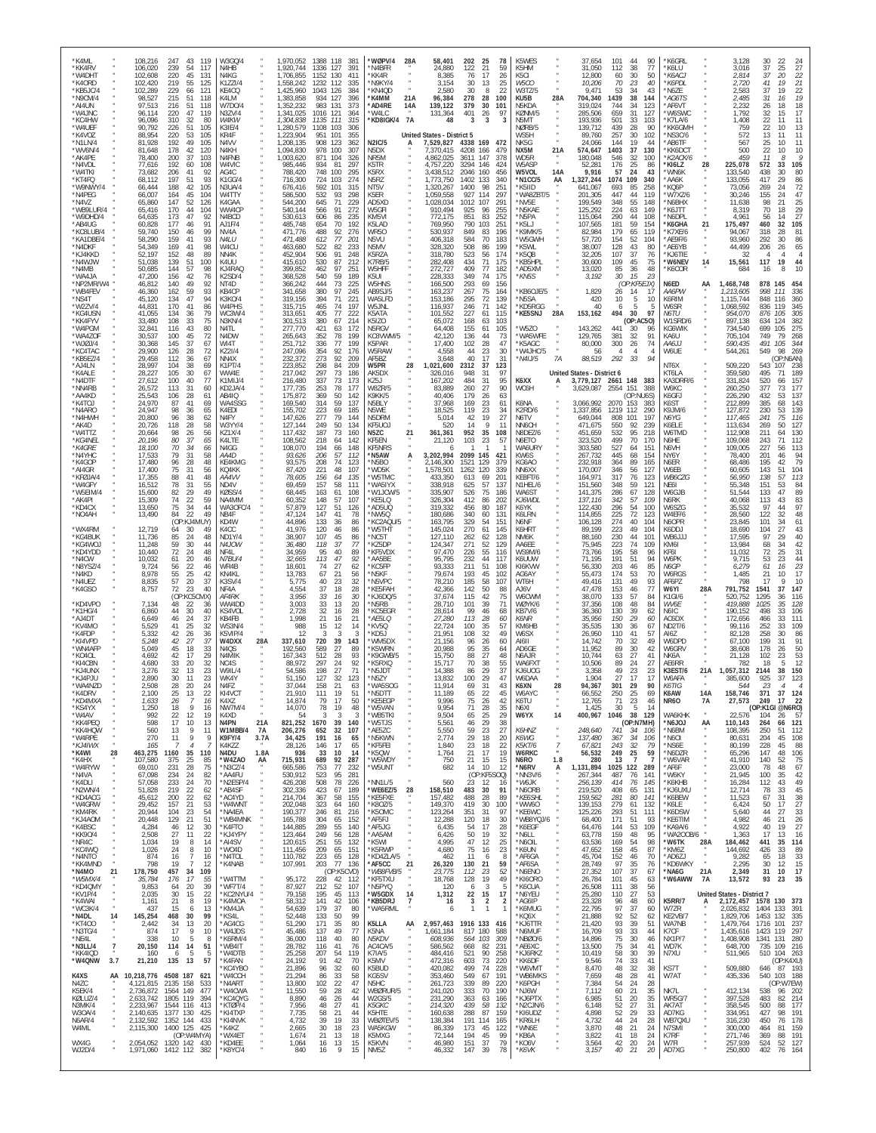| *K4ML<br>*KK4RV<br>*W4DHT                                      | 108,216<br>106,020<br>102,608          | 247<br>43<br>119<br>239<br>54<br>117<br>220<br>45<br>131                     | W3GQ/4<br>N4HB<br>N4KG                               | 1,920,744<br>1,706,855                           | 1,970,052 1388 118<br>381<br>1336 127<br>391<br>1152 130<br>41'                         | *WØPV/4<br>28A<br>*N4BFR<br>*KK4R                        | 58,401<br>24,880<br>8.385                            | 202<br>122<br>76              | 25<br>78<br>21<br>59<br>17<br>26                                                         | K5WES<br>K5HM<br>K5CI                       | 37,654<br>31,050<br>12.800                                                    | 90<br>101<br>44<br>112<br>38<br>77<br>30<br>60<br>50                         | K6GRL<br>*K6LU<br>*К6АСЈ                  | 3,128<br>3,016<br>2,814                                              | 22<br>30<br>$\frac{24}{27}$<br>25<br>37<br>37<br>20<br>22                                    |
|----------------------------------------------------------------|----------------------------------------|------------------------------------------------------------------------------|------------------------------------------------------|--------------------------------------------------|-----------------------------------------------------------------------------------------|----------------------------------------------------------|------------------------------------------------------|-------------------------------|------------------------------------------------------------------------------------------|---------------------------------------------|-------------------------------------------------------------------------------|------------------------------------------------------------------------------|-------------------------------------------|----------------------------------------------------------------------|----------------------------------------------------------------------------------------------|
| *K4ORD<br>*KB5JC/4<br>*N9CM/4<br>*AI4UN                        | 102,420<br>102,289<br>98,527<br>97,513 | 219<br>55<br>125<br>229<br>121<br>66<br>215<br>51<br>118<br>216<br>51<br>118 | K1ZZI/4<br>KF4CO<br>K4LM<br>W7D0/4                   | 1,558,242<br>1,425,960<br>1,383,858<br>1,352,232 | 1232 112<br>335<br>1043 126<br>384<br>934<br>127<br>396<br>983 131<br>373               | N9KY/4<br>KN4QD<br>*K4MM<br>21A<br>*AD4RE<br>14A         | 3,154<br>2.580<br>96,384<br>139,122                  | 30<br>30<br>278<br>379        | 13<br>25<br>8<br>22<br>28<br>100<br>$30^{\circ}$<br>101                                  | W5CO<br>W3TZ/5<br>KU5B<br>N5KDA             | 10,206<br>9.471<br>28A<br>704,340<br>319,024                                  | 70<br>23<br>40<br>34<br>53<br>43<br>1439<br>38<br>144<br>744<br>34<br>123    | *K6PDL<br>'N6ZE<br>*AG6TS<br>*AF6VT       | 2,720<br>2.583<br>2,485<br>2.232                                     | 21<br>41<br>19<br>37<br>22<br>19<br>19<br>31<br>16<br>18<br>26<br>18                         |
| *W4JNC<br>*KC4HW<br>*W4UEF                                     | 96.114<br>96,096<br>90,792             | 47<br>119<br>220<br>310<br>32<br>80<br>51<br>226<br>105                      | N3ZV/4<br>W4KW<br>K3IE/4                             | 1,341,025<br>1,304,838<br>1,280,579              | 1016 121<br>364<br>1135<br>111<br>315<br>1108<br>103<br>306                             | *W4LC<br><b>7A</b><br>*KD8IGK/4                          | 131,364<br>48                                        | 401<br>3                      | 26<br>97<br>3<br>3                                                                       | KØNM/5<br>N5MT<br>NØRB/5                    | 285,506<br>193,936<br>139,712                                                 | 659<br>31<br>127<br>33<br>501<br>103<br>439<br>28<br>90                      | 'W6SWC<br>*K7LA/6<br>*KK6GMH              | 1,792<br>1,408<br>759                                                | 32<br>17<br>15<br>22<br>11<br>11<br>22<br>13<br>10                                           |
| *K4VOZ<br>*N1LN/4<br>*WV6N/4<br>*AK4PE                         | 88,954<br>81,928<br>81,648             | 220<br>53<br>105<br>192<br>49<br>105<br>178<br>42<br>120<br>200<br>103       | KR4F<br>N4VV<br>N4KH<br>N4FNB                        | 1,223,904<br>1,208,135<br>1,094,830              | 951<br>101<br>355<br>908<br>123<br>362<br>978<br>100<br>307<br>871<br>104               | N2IC/5<br>N5DX                                           | United States - District 5<br>7,529,827<br>7,370,415 | 4338<br>4208                  | 169<br>472<br>166<br>479<br>147<br>378                                                   | WS5H<br>NK5G<br>NX5M                        | 89,760<br>24,066<br>21A<br>574,647                                            | 257<br>30<br>102<br>19<br>144<br>44<br>37<br>1403<br>130<br>546<br>100       | NS3C/6<br>*AB6TF<br>*KK6DCT               | 572<br>567<br>500<br>459                                             | 13<br>11<br>11<br>25<br>10<br>11<br>22<br>10<br>10<br>11<br>Я                                |
| *N4VDL<br>*W4TKI<br>*KT4FQ                                     | 78,400<br>77,616<br>73,682<br>68,112   | 37<br>192<br>60<br>108<br>92<br>41<br>206<br>197<br>51<br>93                 | W4VIC<br>AG4C<br>K1GG/4                              | 1,003,620<br>985,446<br>788.420<br>716,300       | 326<br>934<br>81<br>297<br>748<br>295<br>100<br>724<br>103<br>274                       | NR5M<br>K5TR<br>K5RX<br>N5RZ                             | 4,862,025<br>4,757,220<br>3.438.512<br>1,773,750     | 3611<br>3294<br>2046<br>1402  | 146<br>424<br>456<br>160<br>133<br>340                                                   | WD5R<br>W5ASP<br>W5VOL<br>*N1CC/5           | 180,048<br>52,281<br>14A<br>9,916<br>AA<br>1,327,244                          | 32<br>176<br>$\frac{25}{24}$<br>86<br>43<br>57<br>1074<br>109<br>340         | *K2ACK/6<br>*KI6LZ<br>'WN6K<br>*AA6K      | 28<br>225,078<br>133.540<br>133,055                                  | 572<br>33<br>105<br>80<br>438<br>30<br>417<br>29<br>86                                       |
| *W9NWY/4<br>*N4PEG<br>$*$ N4V7                                 | 66,444<br>66,007<br>65,860             | 188<br>42<br>105<br>164<br>45<br>104<br>147<br>52<br>126                     | N3UA/4<br>W4TTY<br>K4GAA                             | 676,416<br>586,500<br>544,200                    | 592<br>101<br>315<br>532<br>93<br>298<br>645<br>71<br>225                               | NT5V<br>K5ER<br>AD5XD                                    | 1,320,267<br>1,059,558<br>,028,034                   | 1400<br>927<br>1012           | 98<br>251<br>297<br>114<br>291<br>107                                                    | *K5IID<br>*WA8ZBT/5<br>*NV5F                | 641.067<br>201,305<br>199.549                                                 | 693<br>85<br>258<br>447<br>44<br>119<br>55<br>348<br>148                     | *KQ6P<br>*W7XZ/6<br>*N6BHX                | 73,056<br>30,246<br>11,638                                           | 72<br>269<br>-24<br>155<br>47<br>24<br>98<br>25<br>21                                        |
| *WB9LUR/4<br>*W9DHD/4<br>*AB4UG                                | 65,416<br>64,635<br>60.828             | 170<br>44<br>104<br>47<br>173<br>92<br>177<br>91<br>46                       | WW4CP<br>N4BCD<br>AJ1F/4                             | 540,144<br>530,613<br>485,748                    | 566<br>91<br>272<br>606<br>86<br>235<br>654<br>70<br>192                                | W5GFI<br>KM5VI<br>K5LAD                                  | 910,494<br>772,175<br>769,950                        | 925<br>851<br>790             | 96<br>255<br>83<br>252<br>103<br>251                                                     | *N5KAE<br>*N5PA<br>*K5LJ                    | 125,292<br>115,064<br>107,565                                                 | 224<br>63<br>149<br>290<br>44<br>108<br>181<br>59<br>154<br>65               | *K6JTT<br>*N6DPL<br>*K6GHA                | 8,319<br>4,961<br>21<br>175,497                                      | 29<br>70<br>18<br>27<br>56<br>14<br>460<br>32<br>105                                         |
| *KC8LUB/4<br>*KA1DBE/4<br>*N4DKF<br>*KJ4KKD                    | 59,740<br>58,290<br>54,349<br>52,197   | 150<br>46<br>99<br>159<br>93<br>41<br>169<br>41<br>98<br>152<br>48<br>89     | NV4A<br>N4LU<br>W4CU<br>NN4K                         | 471,776<br>471.488<br>463,680<br>452,904         | 488<br>92<br>276<br>77<br>612<br>-201<br>522<br>82<br>233<br>506<br>91<br>248           | WR50<br>N5VU<br>N5MV<br>K5RZA                            | 530,937<br>406,318<br>328,320<br>318,780             | 849<br>584<br>508<br>523      | 83<br>196<br>70<br>183<br>86<br>199<br>174<br>56                                         | K9MK/5<br>'W5GWH<br>*K5WL<br>*K5QB          | 82,984<br>57,720<br>38,007<br>32,205                                          | 179<br>119<br>154<br>52<br>104<br>128<br>43<br>80<br>37<br>107<br>76         | K7XE/6<br>*AE9F/6<br>*AE6YB<br>*KJ6TIE    | 94,067<br>93,960<br>44,499<br>-32                                    | 318<br>81<br>28<br>292<br>86<br>30<br>206<br>26<br>65<br>$\overline{4}$<br>4<br>4            |
| *N4WJW<br>*N4MB<br>*WA4JA                                      | 51,038<br>50,685<br>47,200             | 139<br>51<br>100<br>144<br>57<br>98<br>156<br>42<br>76                       | K4UU<br>KJ4RAQ<br>K2SD/4                             | 415,610<br>399,852<br>368,528                    | 530<br>87<br>212<br>97<br>462<br>251<br>540<br>59<br>189                                | K7RB/5<br>W5HFF<br>K5UI                                  | 282,408<br>272,727<br>228,333                        | 434<br>409<br>349             | 71<br>175<br>77<br>182<br>74<br>175                                                      | 'KB5HPL<br>`AD5XM<br>*KN5S                  | 30,600<br>13,020<br>3,192                                                     | 109<br>45<br>75<br>85<br>36<br>48<br>30<br>15<br>23                          | *W6NEV<br>*K6COR                          | 14<br>15,561<br>684                                                  | 117<br>19<br>44<br>10<br>16<br>8                                                             |
| *NP2MR/W4<br>*WB4FEV<br>*NS4T                                  | 46,812<br>46,360<br>45,120<br>44,831   | 140<br>92<br>49<br>162<br>59<br>93<br>134<br>47<br>94<br>170<br>41<br>86     | NT <sub>4</sub> D<br>KB4CP<br><b>K3K0/4</b><br>W4PHS | 366,242<br>341,658<br>319,156                    | 444<br>73<br>225<br>380<br>97<br>245<br>394<br>71<br>221<br>465<br>74<br>197            | W5HNS<br>AB9SJ/5<br>WA5LFD                               | 166,500<br>163,237<br>153,186                        | 293<br>267<br>295<br>246      | 69<br>156<br>75<br>164<br>72<br>139<br>71                                                | KB6OJE/5<br>*N5SA<br>*KD5RGG                | 1,829<br>420<br>40                                                            | (OP:KF5EJX)<br>26<br>14<br>-17<br>5<br>10<br>10<br>5<br>6                    | N6ED<br>AA6PW<br>K6RIM<br>W6SR            | AA<br>1,468,748<br>1,213,605<br>1,115,744                            | 878 145<br>454<br>998<br>111<br>336<br>848<br>116<br>360<br>836<br>119<br>345                |
| *W2ZV/4<br>*KG4USN<br>*KK4FYV<br>*W4PGM                        | 41,055<br>33,480<br>32,841             | 134<br>79<br>-36<br>108<br>33<br>75<br>43<br>116<br>80                       | WC3W/4<br>N3KN/4<br>N <sub>4</sub> TI                | 315,715<br>313,651<br>301,513<br>277.770         | 405<br>77<br>222<br>380<br>67<br>214<br>421<br>63<br>172                                | W5JNL<br>K5ATA<br>K5IZO<br>N5RGV                         | 116,937<br>101,552<br>65,072<br>64,408               | 227<br>168<br>155             | 142<br>115<br>61<br>63<br>103<br>61<br>105                                               | *KE5SNJ<br>'W5ZO                            | 28A<br>153,162<br>143,262                                                     | 30<br>494<br>97<br>(OP:AC50)<br>441<br>30<br>96                              | N6TU<br>W1SRD/6<br>KG6WIK                 | 1,068,592<br>954,070<br>897,138<br>734,540                           | 305<br>876<br>105<br>634<br>124<br>382<br>699<br>275<br>105                                  |
| *WA4ZOF<br>*WJØJ/4<br>*KC4TAC                                  | 30,537<br>30,368<br>29,900             | 100<br>45<br>72<br>37<br>145<br>67<br>126<br>28<br>72                        | N4DW<br>WI4T<br>KZ2I/4                               | 265,643<br>251,712<br>247,096                    | 352<br>78<br>199<br>336<br>77<br>199<br>354<br>92<br>176                                | KC8VWM/5<br>K5PAR<br>W5RAW                               | 42,120<br>17,400<br>4,558                            | 136<br>102<br>44              | 73<br>44<br>28<br>47<br>23<br>30                                                         | 'WA5WFE<br>K5AGC*<br>W4JHC/5                | $\boldsymbol{\kappa}$<br>129,765<br>80,000<br>56                              | 381<br>32<br>91<br>26<br>300<br>74<br>$\overline{4}$<br>$\overline{4}$<br>Δ  | KA6U<br>AA6JJ<br>W6UE                     | 705,104<br>590,435<br>544,261                                        | 749<br>79<br>268<br>344<br>491<br>105<br>549<br>98<br>269                                    |
| *KB5EZ/4<br>*AJ4LN<br>*K4ALE<br>*N4DTF                         | 29,458<br>28,997<br>28,227<br>27,612   | 112<br>36<br>67<br>38<br>104<br>69<br>105<br>30<br>67<br>100<br>40<br>77     | NN4X<br>K1PT/4<br>WW4E<br>K1MIJ/4                    | 232,372<br>223,852<br>217,042<br>216,480         | 273<br>92<br>209<br>298<br>84<br>209<br>297<br>73<br>186<br>337<br>73<br>173            | AF5BZ<br>W5PR<br>28<br>AK5DX<br>KZ5J                     | 3,648<br>1,021,600<br>326,016<br>167,202             | 40<br>2312<br>948<br>484      | 17<br>31<br>123<br>37<br>31<br>97<br>31<br>95                                            | *N4IJ/5<br>K6XX                             | 7A<br>88,519<br>United States - District 6<br>А                               | 292<br>33<br>3,779,127 2661 148 383                                          | NT6X<br>KT6LA<br>KA3DRR/6                 | 509,220<br>359,580<br>331,824                                        | (OP:NAAN)<br>543<br>238<br>107<br>495<br>71<br>189<br>520<br>157<br>66                       |
| *NN4RB<br>*AA4KD<br>*K4TOJ                                     | 26,572<br>25,543<br>24,970             | 113<br>31<br>60<br>28<br>106<br>61<br>87<br>41<br>69                         | KD2JA/4<br>AB4IQ<br>WA4SSG                           | 177,735<br>175,872<br>169,540                    | 253<br>78<br>177<br>369<br>50<br>142<br>314<br>59<br>137                                | W8ZR/5<br>K9KK/5<br>N5BLY                                | 83,889<br>40,406<br>37,968                           | 260<br>179<br>169             | 27<br>90<br>26<br>63<br>23<br>61                                                         | WC6H<br>K6NA                                | 3,629,087<br>3,066,992                                                        | 2554 151<br>388<br>(OP:NU6S)<br>2070<br>153<br>383                           | W6KC<br>K6GFJ<br>K6ST                     | 260,250<br>226,290<br>212,899                                        | 377<br>73<br>177<br>432<br>53<br>137<br>385<br>143<br>68                                     |
| *N4ARO<br>*N4HWH<br>*AK4D                                      | 24,947<br>20,800<br>20,726             | 98<br>36<br>65<br>96<br>38<br>62<br>58<br>118<br>28                          | K4EDI<br>N4FY<br>W3YY/4                              | 155,702<br>147,626<br>127,144                    | 223<br>69<br>185<br>277<br>79<br>144<br>249<br>50<br>134                                | N5WE<br>N5DRM<br>KF5UOJ                                  | 18,525<br>5.014<br>520                               | 119<br>42<br>14               | 23<br>34<br>19<br>27<br>Q<br>11                                                          | K2RD/6<br>N6TV<br>NN6CH                     | 1,337,856<br>649,044<br>471,675                                               | 1219<br>112<br>290<br>101<br>197<br>808<br>550<br>92<br>239                  | K9JM/6<br>N6YG<br>K6ELE                   | 127,872<br>117,465<br>113,634                                        | 139<br>230<br>53<br>241<br>75<br>116<br>269<br>50<br>127                                     |
| *W4TTZ<br>*KG4NEL<br>*K4GRE<br>*N4YHC                          | 20,664<br>20,196<br>18,100<br>17,533   | 98<br>26<br>56<br>80<br>37<br>65<br>70<br>34<br>66<br>79<br>31<br>58         | <b>KZ1X/4</b><br>K4LTE<br>N4GG<br>AA4D               | 117,432<br>108,562<br>108,070<br>93,626          | 187<br>73<br>160<br>218<br>142<br>64<br>194<br>148<br>66<br>206<br>57<br>112            | N5ZC<br>21<br>KF5EN<br>KF5NRS<br>N5AW*<br>А              | 361,361<br>21,120<br>3,202,994                       | 952<br>103<br>2099            | 35<br>108<br>23<br>-57<br>145<br>421                                                     | N8DEZ/6<br>N6ETO<br>WA6URY<br>KW6S          | 451,659<br>323,520<br>303,580<br>267,732                                      | 532<br>95<br>218<br>499<br>70<br>170<br>527<br>151<br>64<br>445<br>68<br>154 | W6TMD<br>N6HE<br>N6VH<br>NY6Y             | 112,908<br>109,068<br>109,005<br>78,400                              | 211<br>130<br>64<br>243<br>71<br>112<br>227<br>56<br>113<br>94<br>201<br>46                  |
| *K4GOP<br>*AI4GR<br>*KFØJA/4                                   | 17,480<br>17,400<br>17,355             | 96<br>28<br>48<br>75<br>31<br>56<br>88<br>41<br>48                           | KE4KMG<br>KQ4KK<br>AA4VV                             | 93,575<br>87,420<br>78,605                       | 74<br>208<br>123<br>221<br>48<br>107<br>156<br>64<br>135                                | *N5BO<br>*WD5K<br>*W5TMC                                 | 2,146,300<br>1,578,501<br>433,350                    | 1521<br>1262<br>613           | 129<br>379<br>120<br>339<br>69<br>201                                                    | KG6AO<br>NN6XX<br>KE8FT/6                   | 232.918<br>170,007<br>164,971                                                 | 364<br>89<br>165<br>346<br>56<br>127<br>317<br>76<br>123                     | N6ER<br>W6EB<br>WB6CZG                    | 68,486<br>60,605<br>56,950                                           | 79<br>195<br>42<br>143<br>51<br>104<br>138<br>113<br>57                                      |
| *W4GFY<br>*W5EIM/4<br>*AK4PI<br>*KD4CX                         | 16,512<br>15,600<br>15,309             | 78<br>31<br>55<br>49<br>82<br>29<br>74<br>22<br>59<br>75<br>34<br>44         | ND4V<br>KØSS/4<br>NA4MM<br>WA3OFC/4                  | 69,459<br>68,445<br>60,352<br>57,879             | 157<br>58<br>111<br>163<br>61<br>108<br>148<br>57<br>107<br>127<br>51<br>126            | *WA5IYX<br>W1JCW/5<br>*KE5LQ<br>AD5UQ                    | 338,918<br>335,907<br>326,304<br>319,332             | 625<br>526<br>412<br>456      | 57<br>137<br>75<br>186<br>86<br>202<br>80<br>187                                         | N1HEL/6<br>WA6ST<br>KJ6WDL<br>K6YK.         | 151,560<br>141,375<br>137,116<br>122,430                                      | 348<br>59<br>121<br>286<br>67<br>128<br>342<br>57<br>109<br>54<br>296<br>100 | NE61<br>W6GJB<br>N6RK<br>W6SZG            | 55,348<br>51,544<br>40,068<br>35.532                                 | 151<br>53<br>84<br>89<br>133<br>47<br>113<br>83<br>43<br>97<br>97<br>44                      |
| *NO4AH<br>*WX4RM                                               | 13,650<br>13,490<br>12,719             | 22<br>84<br>49<br>(OP:KJ4)<br>VIUY)<br>64<br>30<br>49                        | NB4F<br>KD4W<br>K4CC                                 | 47,124<br>44,896<br>41,976                       | 147<br>41<br>78<br>133<br>36<br>86<br>120<br>46<br>86                                   | *NW5Q<br>*KC2AQU/5<br>*W5THT                             | 180,686<br>163,795<br>145,024                        | 340<br>329<br>270             | 60<br>131<br>151<br>54<br>61<br>145                                                      | K6LRN<br>N6NF<br>K6HRT                      | 114,855<br>106,128<br>89,199                                                  | 72<br>225<br>123<br>274<br>40<br>104<br>223<br>49<br>104                     | W4EF/6<br>N6OPR<br>K6DDJ                  | 28,560<br>23,845<br>18,690                                           | 122<br>32<br>48<br>101<br>61<br>34<br>104<br>27<br>43                                        |
| *KG4BUK<br>*KG4WO.<br>*KD4YDD                                  | 11,736<br>11,248<br>10,440             | 85<br>24<br>48<br>59<br>30<br>44<br>72<br>24<br>48                           | ND1Y/4<br>N4JOW<br>NF41                              | 38,907<br>36,480<br>34,959                       | 107<br>45<br>86<br>118<br>37<br>77<br>40<br>95<br>89                                    | *NC5T<br>*KZ5DP<br>KF5VDX                                | 127,110<br>124,347<br>97,470                         | 262<br>271<br>226             | 128<br>62<br>52<br>129<br>55<br>116                                                      | NM <sub>6</sub> K<br>AA6EE<br><b>WS9M/6</b> | 88.160<br>75,945<br>73,766                                                    | 230<br>44<br>101<br>223<br>74<br>109<br>195<br>58<br>96                      | WB6JJJ<br>KM6I<br>KF6I                    | 17,595<br>13,984<br>11,032                                           | 97<br>40<br>29<br>68<br>42<br>34<br>72<br>31<br>25                                           |
| *N4CW<br>*N8YSZ/4<br>*N4KD<br>*N4UEZ                           | 10,032<br>9,724<br>8,978<br>8,835      | 20<br>46<br>61<br>56<br>22<br>46<br>55<br>25<br>42<br>57<br>20<br>37         | <b>N7BU/4</b><br>WR4B<br>KN4KL<br>K3SV/4             | 32,665<br>18,601<br>13,783<br>5,775              | 113<br>47<br>92<br>27<br>74<br>62<br>21<br>67<br>56<br>32<br>40<br>23                   | *AA5BE<br>*KC5FP<br>*N5KF<br>*N5VPC                      | 95,795<br>93,333<br>79,674<br>78,210                 | 232<br>211<br>193<br>185      | 44<br>117<br>51<br>108<br>45<br>102<br>58<br>107                                         | K6UUW<br>KI6KVW<br>AG6AY<br>WT6H            | 71.195<br>56,330<br>55.473<br>49,416                                          | 191<br>51<br>94<br>203<br>46<br>85<br>174<br>53<br>70<br>131<br>49<br>93     | W6PK<br>N6GP<br>W6RGS<br>AF6PZ            | 9,715<br>6,279<br>1,485<br>798                                       | 53<br>23<br>44<br>23<br>61<br>16<br>17<br>21<br>10<br>17<br>9<br>10                          |
| *K4GSO<br>*KD4VPO                                              | 8,757<br>7,134                         | 72<br>23<br>40<br>(OP:KC5<br>MX)<br>48<br>22<br>36                           | NF4A<br>AF4RK<br>WW4DD                               | 4,554<br>3,956<br>3,003                          | 37<br>18<br>28<br>33<br>16<br>30<br>33<br>13<br>20                                      | *KE5FAH<br>*KJ6DQ/5<br>*N5RB                             | 42,366<br>37,674<br>28,710                           | 142<br>115<br>101             | 50<br>88<br>42<br>75<br>39<br>71                                                         | AJ6V<br>W6CWM<br>WØYK/6                     | 47,478<br>38,070<br>37,356                                                    | 77<br>153<br>46<br>133<br>57<br>84<br>48<br>108<br>84                        | W6YI<br>K1GI/6<br>WV6E                    | 28A<br>791,752<br>520,752<br>419.888                                 | 147<br>1541<br>37<br>1295<br>116<br>36<br>1025<br>128<br>35                                  |
| *K1HG/4<br>*AJ4DT<br>*KV4MO                                    | 6,860<br>6,649<br>5,529                | 44<br>30<br>40<br>46<br>24<br>37<br>41<br>25<br>32                           | KS4VOL<br>KB4FB<br>WS3N/4<br>K5VIP/4                 | 2,728<br>1,998                                   | 32<br>16<br>28<br>21<br>21<br>16<br>988<br>15<br>12<br>14<br>-12<br>$\mathcal{R}$<br>-3 | KC5EGR*<br>*AE5LQ<br>*KV5Q                               | 28,614<br>27,280<br>22,724<br>21,951                 | 99<br>113<br>100              | 46<br>68<br>28<br>60<br>35<br>57<br>32<br>49                                             | KB7V/6<br>K6NR<br>KM6HB                     | 36,360<br>35,956<br>35,535                                                    | 130<br>39<br>-62<br>29<br>150<br>60<br>130<br>36<br>67<br>110<br>41<br>57    | N6IC<br>AC6DX<br>ND2T/6                   | 190,152<br>172,656<br>99,116                                         | 498<br>33<br>106<br>111<br>33<br>466<br>252<br>33<br>109<br>30                               |
| *K4FDP<br>*KI4VPD<br>*WN4AFF<br>*KO4OL                         | 5,332<br>5,248<br>5,049<br>4,692       | 42<br>26<br>36<br>42<br>27<br>37<br>45<br>18<br>33<br>42<br>17<br>29         | W4DXX<br>N <sub>4</sub> O <sub>S</sub><br>N4MIK      | 28A<br>337,610<br>192.560<br>167,343             | 720<br>39<br>143<br>589<br>89<br>27<br>512<br>28<br>93                                  | *KD5J<br>*WM5DX<br>*K5WRN<br>K9GWB/5                     | 21,156<br>20,988<br>15,750                           | 108<br>96<br>95<br>88         | 26<br>60<br>35<br>64<br>27<br>48                                                         | W6SX<br>AI6II<br>AD6GE<br>N6AJR             | 26,950<br>14,742<br>11.952<br>10.744                                          | 70<br>32<br>49<br>30<br>89<br>42<br>63<br>27<br>41                           | AI6Z<br>W6DPD<br>W6GRV<br>NK6A            | 82,128<br>67.100<br>38,608<br>21,128                                 | 258<br>86<br>199<br>91<br>31<br>178<br>50<br>26<br>102<br>53<br>23                           |
| *KI4CBN<br>*KJ4UNX<br>*KJ4PJU                                  | 4.680<br>3.276<br>2,890                | 33<br>20<br>32<br>32<br>23<br>13<br>30<br>23<br>11                           | NC <sub>4</sub> S<br>W9IL/4<br>WK4Y                  | 88,972<br>54.586<br>51,150                       | 297<br>24<br>92<br>198<br>27<br>71<br>32<br>127<br>123                                  | K5RXQ<br>*N5JDT<br>*N5ZY                                 | 15,717<br>14,388<br>13,832                           | 70<br>86<br>100               | 38<br>55<br>37<br>29<br>29<br>47                                                         | WA6FX1<br>KJ6UOG<br>W6DAA                   | 10,506<br>3,358<br>1,904                                                      | 89<br>24<br>27<br>49<br>$^{23}_{17}$<br>23<br>27<br>17                       | AE6RR<br>K3EST/6<br>W6AFA                 | 782<br>21A<br>1,057,312<br>385.600                                   | 12<br>18<br>2144<br>150<br>38<br>925<br>37<br>123                                            |
| *WA4NZD<br>*K4DRV<br>*KD4MXA<br>*KS4YX                         | 2,508<br>2.100<br>1,633<br>1,250       | 28<br>20<br>24<br>25<br>13<br>26<br>$\overline{7}$<br>16<br>18<br>9<br>16    | N4FZ<br>KI4VCT<br>K4XZ<br><b>NW7M/4</b>              | 37,044<br>21.910<br>14,874<br>14,070             | 158<br>21<br>63<br>111<br>19<br>51<br>79<br>50<br>17<br>78<br>19<br>48                  | *WA5SOG<br>*N5DTT<br>*KE5EGP<br>*W5VAN                   | 11.914<br>11.189<br>9,996<br>9,954                   | 69<br>65<br>75<br>71          | 31<br>43<br>22<br>45<br>26<br>42<br>35<br>28                                             | K6XN<br>W6AYC<br>K6TU<br>N6XI               | 28<br>94,367<br>hf<br>12,765<br>1,425                                         | 29<br>301<br>90<br>25<br>69<br>250<br>71<br>23<br>46<br>30<br>5<br>14        | K6TIG<br>K6AW<br><b>NR60</b>              | 544<br>14A<br>158.746<br>27,573<br>7A                                | 23<br>$\mathcal{A}$<br>$\overline{4}$<br>371<br>37<br>124<br>249 17<br>22<br>(OP:K1GI @N6RO) |
| *W4AV<br>*KK4PEQ<br>*KK4HQW                                    | 992<br>598<br>560                      | 22<br>19<br>12<br>17<br>10<br>13<br>9<br>-13<br>11                           | K4XD<br>N4PN<br>W1MBB/4                              | 21A<br>821,252<br>7A<br>206,276                  | 3<br>54<br>3<br>$\mathcal{R}$<br>1670<br>39<br>140<br>32<br>107<br>652                  | *WB5TKI<br>*W5TJS<br>*AE5ZC                              | 9,504<br>5,561<br>5,550                              | 65<br>46<br>59                | 25<br>29<br>29<br>38<br>23<br>27                                                         | W6YX<br>K6HNZ                               | 14<br>400,967<br>248,640                                                      | 1046<br>38<br>129<br>(OP:N7MH)<br>741<br>-34<br>106                          | WA6KHK<br>*N6JOJ<br>*N6BM                 | 22,576<br>AA<br>110,143<br>108,395                                   | 104<br>26<br>57<br>264<br>121<br>66<br>250<br>112<br>-51                                     |
| *W4RPE<br>$^{\star}{KJ4IWX}$<br>*K4WI<br>28<br>*K4HX           | 270<br>165<br>463,275                  | 11<br>9<br>9<br>$\overline{7}$<br>1160<br>35<br>110                          | K9FY/4<br>K4K77<br>N4DU                              | 3.7A<br>34,425<br>28,126<br>1.8A                 | 191<br>16<br>65<br>17<br>146<br>65<br>936<br>33<br>10<br>-14                            | *N5KWN<br>*KF5FEI<br>*K5QW<br>*W5WDY                     | 2,774<br>1,840<br>1,764                              | 29<br>23<br>21                | 18<br>20<br>22<br>18<br>17<br>19                                                         | K6WG<br><b>K5KT/6</b><br>W6RKC<br>N6RO      | $\boldsymbol{\theta}$<br>137,480<br>$\overline{7}$<br>67,821<br>56,532<br>280 | 367<br>34<br>106<br>243<br>32<br>- 79<br>249<br>25<br>59<br>$\overline{7}$   | *N6OI<br>*NS6E<br>*N6DZR                  | 80,631<br>$\boldsymbol{\alpha}$<br>80,199<br>$\alpha$<br>65,296      | 204<br>45<br>108<br>228<br>88<br>45<br>147<br>48<br>106                                      |
| *W4RYW<br>*N4VA<br>*K4DLI                                      | 107,580<br>69,010<br>67,098<br>57,058  | 25<br>85<br>375<br>231<br>28<br>75<br>234<br>24<br>82<br>233<br>24<br>70     | *W4ZAO<br>*N3CZ/4<br>*AA4FU<br>*N2ESP/4              | 715,931<br>AA<br>665,586<br>530,912<br>426,208   | 689<br>92<br>287<br>753<br>77<br>232<br>523<br>95<br>281<br>508<br>78<br>226            | *W5UNT<br>NN1L/5                                         | 750<br>682<br>560                                    | 21<br>14<br>23                | 15<br>15<br>10<br>12<br>(OP:KF5SOQ)<br>-12<br>16                                         | *N6RV<br>*NN3V/6<br>*W6JK                   | 1.8<br>1,131,894<br>Α<br>267,344<br>256,139                                   | 13<br>-7<br>1025<br>122<br>289<br>487<br>76<br>141<br>414<br>76<br>145       | *W6VAR<br>*AF6F<br>*W6KY<br>*K6KHB        | 41,910<br>23,000<br>21,945<br>16,284                                 | 140<br>75<br>52<br>78<br>48<br>67<br>100<br>42<br>35<br>112<br>49<br>43                      |
| *N2WN/4<br>*KD4ACG<br>*W4GRW                                   | 51,828<br>45,612<br>29,452             | 219<br>22<br>62<br>200<br>22<br>62<br>21<br>157<br>53                        | *AB4SF<br>*AC4YD<br>*W4WNT                           | 302,336<br>214,704<br>202,048                    | 423<br>189<br>67<br>58<br>367<br>155<br>323<br>64<br>160                                | WE6EZ/5<br>28<br>*KE5FXE<br>*K80Z/5                      | 158,510<br>157,482<br>149,370                        | 483<br>488<br>419             | 30<br>91<br>28<br>89<br>30<br>100                                                        | 'N6ORB<br>*KE6SHL<br>*WW6O                  | 219,520<br>159,562<br>139,153                                                 | 65<br>408<br>131<br>80<br>281<br>141<br>279<br>61<br>132                     | *KJ6UXU<br>*K6BEW<br>*K6LE                | 12,714<br>11,523<br>6,424                                            | 45<br>78<br>33<br>38<br>67<br>-31<br>27<br>50<br>17                                          |
| *KM4RK<br>*KJ4AOM<br>*K4BSC<br>*KK90/4                         | 20,944<br>20,448<br>4,284<br>2,508     | 54<br>104<br>23<br>129<br>21<br>51<br>46<br>12<br>30<br>27<br>11<br>22       | *NA4EA<br>*WB4MNK<br>*K4FTO<br>*KJ4YPY               | 190,377<br>165,788<br>144,885<br>123,464         | 246<br>81<br>216<br>304<br>65<br>152<br>289<br>55<br>140<br>249<br>56<br>128            | *K5OMC<br>*AF5FJ<br>*AF5JG<br>*AA5AM                     | 123,264<br>12,288<br>6,435<br>6,426                  | 351<br>120<br>54<br>50        | 31<br>97<br>18<br>30<br>17<br>28<br>19<br>32                                             | *KE6WC<br>WB8YQJ/6<br>*K6EGF<br>*N6LL       | 125,226<br>68,400<br>64,476<br>63,778                                         | 293<br>51<br>111<br>171<br>51<br>93<br>53<br>144<br>109<br>159<br>48<br>95   | *K6DSW<br>*KE6TIM<br>*KA9A/6<br>*WA200B/6 | 5,640<br>4,982<br>4,922<br>1,363                                     | 33<br>44<br>-27<br>26<br>46<br>21<br>27<br>40<br>19<br>17<br>13<br>16                        |
| *NR4C<br>*KC4WQ<br>*N4NTO                                      | 1.034<br>1,026<br>874                  | 19<br>-8<br>14<br>24<br>8<br>10<br>16<br>$\overline{7}$<br>16                | *AI4SV<br>*WO4D<br>*N4TOI                            | 120,615<br>111,456<br>110,782                    | 251<br>55<br>132<br>209<br>65<br>151<br>223<br>128<br>-65                               | *K5WI<br>*K5RWP<br>*KD4ZLA/5                             | 4,995<br>4,680<br>462                                | 47<br>75<br>11                | 25<br>12<br>16<br>23<br>-8<br>-6                                                         | *N6OIL<br>*K6UN<br>*AF6GA                   | 63,536<br>47,652<br>45,704                                                    | 98<br>169<br>54<br>158<br>45<br>87<br>152<br>46<br>70                        | *W6TK<br>*KM6Z<br>*AD6ZJ                  | 28A<br>184,462<br>144,692<br>9,282                                   | 441<br>114<br>-35<br>426<br>33<br>89<br>33<br>18<br>65                                       |
| *KK4MND<br>*N4MO<br>21<br>*W5MX/4                              | 798<br>178,750<br>35,784               | 19<br>$\overline{7}$<br>-12<br>457<br>109<br>34<br>176<br>17<br>55           | *K4NAB<br>*W4TTM                                     | 107,991<br>95,172                                | 203<br>77 136<br>(OP:K5CVD)<br>228<br>42 112                                            | 21<br>*AF5CC<br>*WB8FVB/5<br>*KF5TXU                     | 26,320<br>23,775<br>18,768                           | 130<br>112<br>128             | 21<br>59<br>23<br>52<br>19<br>49                                                         | *AF6SA<br>*N6ENO<br>*KI6ORO                 | 28,749<br>27,352<br>26,784                                                    | 97<br>35<br>76<br>107<br>37<br>67<br>101<br>45<br>63                         | *KD6WKY<br>*NA6G<br>*W6AWW                | $\boldsymbol{\pi}$<br>2,295<br>21A<br>2,349<br>7A<br>13,572          | 30<br>12<br>15<br>10<br>17<br>31<br>93<br>23<br>35                                           |
| *KD4QMY<br>*KV1P/4<br>*K4WAI<br>*WC3K/4                        | 9,853<br>2.035<br>1,161<br>437         | 39<br>20<br>64<br>30<br>15<br>22<br>21<br>19<br>8<br>13<br>15<br>6           | *WF7T/4<br>*KC2NYU/4<br>*K4MOA<br>*KM4JA             | 87,927<br>79,158<br>58,312<br>54,639             | 212<br>52<br>107<br>195<br>45<br>113<br>141<br>42<br>106<br>179<br>-37<br>80            | *N5PYQ<br>*W5GDX<br>$\frac{14}{7}$<br>*KB5DRJ<br>*WA5RML | 120<br>1,312<br>16<br>6                              | -6<br>22<br>3<br>$\mathbf{1}$ | -5<br>-3<br>15<br>17<br>$\overline{2}$<br>$\overline{2}$<br>$\mathbf{1}$<br>$\mathbf{1}$ | 'K6CUA<br>*N6YEU<br>*AG6IP<br>*K6MUG        | 26,508<br>25,280<br>23,328<br>22,795                                          | 111<br>38<br>56<br>110<br>27<br>53<br>48<br>96<br>60<br>97<br>37<br>60       | <b>K5RR/7</b><br>W7ZR                     | United States - District 7<br>A<br>2,026,832                         | 2,172,457 1578 130<br>373<br>1404 133<br>391                                                 |
| *N4DL<br>14<br>*KT400<br>*N3TG/4                               | 145,254<br>2,442<br>874                | 468<br>30<br>99<br>34<br>13<br>20<br>17<br>9<br>10                           | *KS4L<br>*AG4CG<br>*W4JDS                            | 52,448<br>51,290<br>45,486                       | 133<br>50<br>99<br>171<br>35<br>80<br>137<br>49<br>77                                   | K5LLA<br>AA<br>K5NA                                      | 2,957,463<br>,661,184                                | 1916 133<br>817 180           | 416<br>588                                                                               | *KQ6X<br>*KJ6TTR<br>'N6MUF                  | 21,888<br>21,420<br>16,709                                                    | 92<br>52<br>62<br>39<br>93<br>51<br>93<br>33<br>44                           | KE2VB/7<br>WA7NB<br>K7CF                  | 1,829,706<br>1,479,764<br>1,435,616                                  | 1453 132<br>335<br>1716 101<br>237<br>1423<br>119<br>297                                     |
| *NE4L<br>$\overline{7}$<br>*N3LL/4<br>*KK4IOD<br>*W4QNW<br>3.7 | 338<br>20,150<br>160<br>21,210         | 10<br>-5<br>8<br>114 14<br>51<br>-5<br>-6<br>-5<br>135<br>13<br>57           | "K6RM/4<br>*WB4IT<br>*W4DTR<br>*K4FAN                | 36,000<br>28,782<br>25,258<br>24,192             | 40<br>118<br>80<br>116<br>41<br>76<br>54<br>207<br>119<br>91<br>42<br>70                | N5KDV<br>AC4CA/5<br>K71A/5<br>K5MV                       | 608,936<br>586,562<br>484,416<br>472,316             | 564<br>668<br>521<br>603      | 103<br>309<br>82<br>231<br>90<br>258<br>73<br>220                                        | *NBØO/6<br>*AE6XC<br>*KJ6RKZ<br>*KK6DF      | 14,896<br>13,500<br>10,419<br>9,546                                           | 75<br>30<br>46<br>75<br>34<br>41<br>58<br>30<br>39<br>74<br>33<br>41         | NX1P/7<br>WD7K<br>N7XU                    | 1,408,908<br>$\alpha$<br>648,700<br>$\boldsymbol{\alpha}$<br>511,965 | 1341 131<br>280<br>735 109<br>216<br>510 104 263<br>(OP:K4XU)                                |
| K4XS<br>AA<br>N47C                                             | 4,121,815                              | 10,218,776 4508 187 621<br>2135 158<br>533                                   | KC4YBO*<br>*W4CCH<br>N4ART*                          | 21,896<br>21,294<br>13,800                       | 32<br>96<br>60<br>86<br>33<br>58<br>102<br>22<br>47                                     | K5BUD<br>KG5SV<br>N5HC                                   | 420,082<br>353,460<br>261,723                        | 499<br>549<br>339             | 74<br>228<br>67<br>191<br>89<br>220                                                      | *W6VMT<br>*WB6MKS<br>*K6PGH                 | 8,470<br>7,659<br>7,384                                                       | 48<br>32<br>38<br>48<br>28<br>41<br>24<br>54<br>28                           | KS7T<br>W7AT                              | $\boldsymbol{\alpha}$<br>509,880<br>435,336                          | 646 87 193<br>540 103 188<br>(OP:W7EW)                                                       |
| K5EK/4<br>KØLUZ/4<br>N3MK/4                                    | 2,736,872<br>2,633,742<br>2,233,967    | 1564 149<br>477<br>1805 119<br>394<br>1544 116<br>413                        | *W4CWA<br>*KC4QYG<br>*KTØP/4                         | 11,550<br>8,890<br>7,956                         | 59<br>28<br>42<br>46<br>-26<br>44<br>48<br>27<br>41                                     | WBØRUR/5<br><b>W2GS/5</b><br>K5GKC                       | 241,020<br>231,290<br>214,320                        | 333<br>363<br>439             | 70<br>190<br>63<br>166<br>58<br>132                                                      | 'NJ6W<br>*KJ6PTX<br>N2CJN/6                 | 7,112<br>6,985<br>6,148                                                       | 60<br>21<br>35<br>51<br>20<br>35<br>52<br>27<br>31                           | NK7L<br><b>WR5G/7</b><br>AK7AT            | 412,134<br>397,528<br>358,545                                        | 538 96 202<br>214<br>483<br>82<br>177<br>500<br>88                                           |
| W30A/4<br>N6AR/4<br>W4ML                                       | 2,140,635<br>2,132,592<br>2,115,300    | 1377 130<br>425<br>1352 144<br>433<br>1400 125 425                           | *KI4TXP<br>*KI4NVK<br>*K4KZ                          | 7,735<br>4,732<br>2,665                          | 21<br>58<br>44<br>19<br>39<br>33<br>18<br>30<br>23<br>21                                | K5HTE<br>WBØTEV/5<br>WA5KGW                              | 160,638<br>138,384<br>86,339                         | 288<br>191<br>173             | 87<br>159<br>165<br>114<br>45<br>122                                                     | 'KI6UDZ<br>*KR6LH<br>*WN6E                  | 4,898<br>4,732<br>3,870                                                       | 52<br>29<br>33<br>24<br>44<br>28<br>21<br>48<br>24                           | AD7KG<br>WB7QXU<br>N7SMI                  | 334,951<br>316,230<br>300,000                                        | 427<br>98<br>191<br>178<br>450<br>76<br>464<br>81 159<br>88                                  |
| WX4G<br>WJ2D/4                                                 |                                        | (OP:W4MYA)<br>2,054,052 1320 142 430<br>1,971,060 1412 112<br>382            | *WX4ET<br>*KD4EE<br>*K8YC/4                          | 1,674<br>1,064                                   | 13<br>18<br>16<br>13<br>15<br>9<br>840<br>16<br>15                                      | K5MXG<br>K5KVN<br>NM5Z                                   | 72,144<br>46,980<br>46,332                           | 194<br>151<br>147             | 45<br>99<br>79<br>37<br>39<br>78                                                         | *KB6A<br>*KO6V<br>*K6VK                     | 3,822<br>3,564<br>3,157                                                       | 41<br>18<br>24<br>20<br>24<br>42<br>21<br>40<br>20                           | K7RF<br>W7FI<br>AD7XG                     | 271,746<br>257,939<br>250,800                                        | 369<br>191<br>524<br>52 127<br>402<br>76 164                                                 |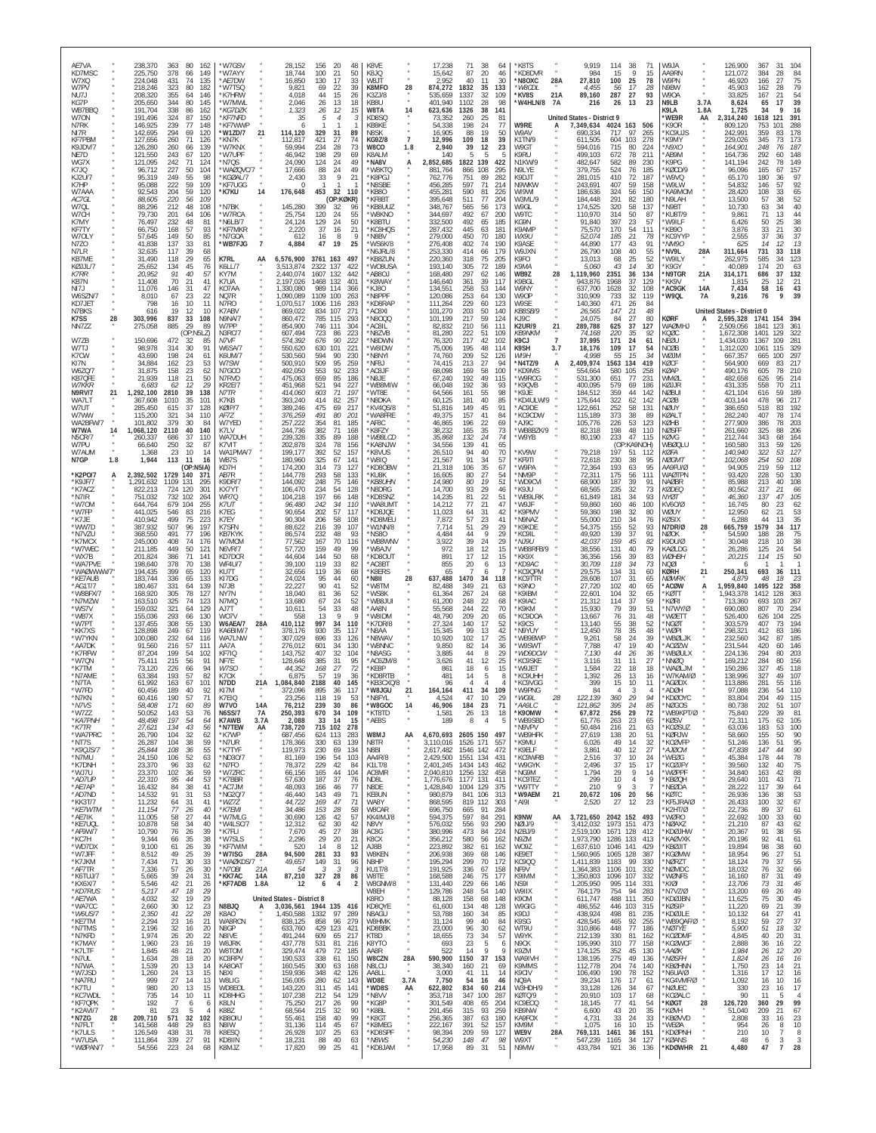| AE7VA<br>KD7MSC<br>W7XQ<br>W7PV<br>NU7J<br>KG7P<br>WB7BBQ<br>W70N<br>N7RK<br>NI7R<br><b>KF7PBM</b><br>K9JDV/7<br>NE7D<br>WG7X<br>K7JQ<br>KJ2U/7<br>K7HP<br>W7AAA<br>AC7GL<br>W7QL<br>W7CH<br>K7MY<br>KF7TY<br>W7OLY<br>N7ZO<br>N7LR<br>KB7ME<br>KØJJL/7<br><b>K7RR</b><br>KB7N<br>NI7J<br>W6SZN/7<br>KD7JET<br>N7BKS                                                                                                                                                                                                                                                                                                                                                                                                                                                                                                                                                                                                                                                                                                                       | 238,370<br>363<br>80<br>162<br>225,750<br>378<br>149<br>66<br>224,048<br>431<br>74<br>135<br>218,246<br>323<br>80<br>182<br>208,320<br>355<br>64<br>146<br>205,650<br>344<br>80<br>145<br>191,704<br>338<br>86<br>162<br>324<br>87<br>191,496<br>150<br>146,925<br>239<br>77<br>148<br>294<br>142,695<br>69<br>120<br>127,656<br>260<br>71<br>126<br>260<br>126,280<br>139<br>66<br>121,550<br>243<br>67<br>120<br>121,095<br>$\frac{242}{227}$<br>71<br>124<br>50<br>96,712<br>104<br>95,319<br>249<br>55<br>98<br>222<br>59<br>109<br>95,088<br>204<br>92,543<br>59<br>120<br>220<br>56<br>109<br>88,605<br>88,296<br>212<br>48<br>108<br>79,730<br>201<br>64<br>106<br>76,497<br>232<br>48<br>81<br>168<br>57<br>93<br>66,750<br>57,645<br>149<br>50<br>85<br>41,838<br>137<br>33<br>81<br>32,635<br>117<br>39<br>68<br>31,490<br>118<br>29<br>65<br>25,652<br>134<br>45<br>76<br>91<br>20,952<br>40<br>57<br>70<br>11,408<br>21<br>41<br>11,076<br>146<br>31<br>47<br>8,010<br>67<br>23<br>22<br>798<br>16<br>10<br>11<br>19<br>12<br>616<br>10                                                                                                                                                                                                                                                                                                                                                                                                                                                                                                                                                                                                                                                                                                                                                                                                                                                                                                                                                                                                                                                                                                                                                                                                                                                                                                                                                                                                                                                                                                                                                                                                                                                                                                                                                                                                                                                                                              | 'W7GSV<br>ʻW7AYY<br>AE7DW<br>'W7TSO<br>*K7HRW<br>'W7MWL<br>*KG7DZK<br>*KF7NFD<br>*KF7WWP<br>21<br>*W1ZD/7<br>*KN7K<br>*W7KNX<br>*W7UPF<br>*N7QS<br>*WAØQVC/7<br>*KGØAL/7<br>*KF7UGG<br>*K7KU<br>14<br>*N7BK<br>*W7RCA<br>N6LB/7<br>*KF7MKR<br>*N7GOA<br>$\overline{7}$<br>*WB7FJG<br>K7RI<br>AA<br>K6LL/7<br>KY7M<br>K7UA<br>KO7AA<br>NQ7R<br>N7RO<br>K7ABV                                                                                                                                                                                                                                                                                                                                                                                                                                                                                                                                                                                                                                                                             | 28,152<br>156<br>-20<br>48<br>18,744<br>50<br>100<br>21<br>17<br>33<br>16,850<br>130<br>9,821<br>69<br>22<br>39<br>4,018<br>44<br>15<br>26<br>2,046<br>26<br>13<br>18<br>1,323<br>26<br>12<br>15<br>-35<br>114,120<br>329<br>31<br>89<br>112,817<br>421<br>27<br>74<br>59,994<br>234<br>28<br>73<br>46,942<br>198<br>29<br>69<br>24,090<br>$^{24}_{24}$<br>124<br>49<br>88<br>17,666<br>49<br>33<br>2,430<br>9<br>21<br>-C<br>32<br>176,648<br>453<br>110<br>(OP:KØKR)<br>145,280<br>399<br>32<br>96<br>25,754<br>24<br>55<br>120<br>24<br>24,124<br>129<br>50<br>37<br>16<br>21<br>2.220<br>612<br>16<br>8<br>47<br>19<br>4,884<br>25<br>6,576,900<br>3761 163<br>497<br>3,513,874<br>2322<br>137<br>422<br>2.440.074<br>1607<br>132<br>442<br>2.197.026<br>1468<br>132<br>401<br>1,330,080<br>989<br>114<br>366<br>100<br>,090,089<br>1109<br>263<br>,070,517<br>1006<br>116<br>283<br>869,022<br>834<br>107<br>271                                                                                                                                                                                                                                                                                                                                                                                                                                                                                                                                                                                                                                                                                                                                                                                                                                                                                                                                                                                                                                                                                                                                                                                                                                                                                                                                                                                                                                                                                                                                                                                                                                                                                                                                                                                                                                                                                                                                                                                                                                                                                                                                                           | K8VE<br>K8JQ<br>TL8W<br>K8MFO<br>28<br>K3ZJ/8<br>KB8U<br>W8TA<br>14<br>KD8SC<br>KB8KE<br><b>N8SK</b><br>KG9Z/8<br>$\overline{7}$<br>W8CO<br>1.8<br>K8ALM<br>'NA8V<br>A<br>'W8KTQ<br>*K8PGJ<br>'N8SBE<br>KB80<br>*KF8BT<br>*KB8UUZ<br>*W8KNO<br>'K8BTU<br>'KC8HQS<br>'N8BV<br>'WS6K/8<br>N6JRL/8<br>KB8ZUN<br>*WO8USA<br>ABSOL<br>'K8WAY<br>KJ80<br>'N8PPF<br>KD8RAP<br>'AC8XI                                                                                                                                                                                                                                                                                                                                                                                                                                                                                                                                                                                                                                                                                        | 17,238<br>15,642<br>2,952<br>874,272<br>535,659<br>401,940<br>623,636<br>73.352<br>54,338<br>16,905<br>12,996<br>2,940<br>140<br>2,852,685<br>881,764<br>762,776<br>456,285<br>455,281<br>395,648<br>348,767<br>344,697<br>332,500<br>287,432<br>279,000<br>276,408<br>253,330<br>220,360<br>193,140<br>168,480<br>146,640<br>134,551<br>120,086<br>111,264<br>101,270                                                                                                                                                                                                                                                                                                                                                                                                                                                                                                                                                                                                                                                | 71<br>38<br>20<br>87<br>11<br>40<br>1832<br>35<br>1337<br>32<br>1102<br>28<br>1326<br>38<br>25<br>260<br>198<br>24<br>19<br>88<br>109<br>18<br>39<br>12<br>5<br>1822<br>139<br>866<br>108<br>751<br>89<br>71<br>597<br>590<br>81<br>511<br>77<br>565<br>56<br>492<br>67<br>492<br>65<br>445<br>63<br>450<br>70<br>402<br>74<br>414<br>66<br>318<br>75<br>305<br>72<br>297<br>62<br>39<br>361<br>258<br>53<br>253<br>64<br>229<br>60<br>50<br>203                                                                                                                                                                                                                                                                                                                                                                                                                                                                                                                                                                                                                                                                                                                                                                                                                                                                | 64<br>46<br>30<br>133<br>109<br>-98<br>141<br>81<br>77<br>50<br>39<br>23<br>422<br>295<br>282<br>214<br>226<br>204<br>173<br>200<br>185<br>181<br>180<br>190<br>179<br>205<br>189<br>146<br>117<br>144<br>130<br>123<br>140                                                                                                                                                                                                                                                                                                                                                                                                         | *K8TS<br>*KD8DVR<br>'N8OXC<br>28A<br>*W8CDL<br>21A<br>*KV8S<br>*W4HLN/8 7A<br>W9RE<br>A<br>W9AV<br>K1TN/9<br>W9GT<br>K9RU<br>N1KW/9<br>N9LYE<br>K9DJT<br>N9WKW<br>WI9WI<br>W3ML/9<br>W9GL<br>W9TC<br>KG9N<br>K9AMF<br>WX9U<br><b>K9ASF</b><br>W9JXN<br>K9FO<br>К9МА<br>WB9Z<br>28<br>K <sub>9</sub> BGL<br>W9NY<br>W9OP<br>W9SE<br>KB8SB/9                                                                                                                                                                                                                                                                                                                                                                                                                                                                                                                                                                                                                                                                                                      | 9,919<br>984<br>27,810<br>4.455<br>89,160<br>216<br><b>United States - District 9</b><br>7,349,634<br>690,334<br>611,505<br>594.016<br>499,103<br>482,647<br>379,755<br>281,015<br>243,691<br>186,636<br>184,448<br>174,525<br>110,970<br>91,840<br>75.570<br>52,074<br>44,890<br>26,790<br>13,013<br>5.060<br>1,119,960<br>943,876<br>637,700<br>310,909<br>140,360<br>26,565                                                                                                                                                                                                                                                                                                                                                                                                                                                                                                                                                                                                                                                       | 114 38<br>71<br>9<br>15<br>15<br>100<br>25<br>78<br>-17<br>56<br>28<br>27<br>287<br>93<br>23<br>26<br>13<br>4024 163<br>506<br>717<br>97<br>265<br>604<br>103<br>278<br>715<br>80<br>224<br>672<br>78<br>211<br>582<br>89<br>230<br>524<br>76<br>185<br>410<br>72<br>187<br>59<br>407<br>158<br>324<br>56<br>150<br>291<br>82<br>180<br>320<br>58<br>137<br>50<br>314<br>87<br>23<br>397<br>57<br>170<br>54<br>111<br>185<br>21<br>-78<br>177<br>43<br>91<br>108<br>40<br>55<br>25<br>52<br>68<br>43<br>14<br>30<br>2351<br>36<br>134<br>1968<br>37<br>129<br>1628<br>32<br>108<br>32<br>733<br>119<br>471<br>26<br>84<br>21<br>147<br>48                                                                                                                                                                                                                                                                                                                                                                                                                                                                                                                                                                                                                                                                                                                                                                                                                                                                                                                                                                                                                                                                                                                                                                                                                                                                                                           | W9JA<br>AA9RN<br><b>W9PN</b><br>N9BW<br>W9OA<br>3.7A<br>N9LB<br>K9LA<br>1.8A<br>*WE9R<br>AA<br>*K9OR<br>KC9UJS<br>*K9MY<br>*N9XO<br>AB9M<br>K9PG<br>KØCD/9<br>W9VQ<br>'W9LW<br>KA9MOM<br>*N9LAH<br>*N9BT<br>'KU8T/9<br>*W9ILF<br>*KB90<br>'KC9YYP<br>*NM90<br>*NV9L<br>28A<br>*W9ILY<br>$\alpha$<br>*K9GY<br>'N9TGR<br>21A<br>*KK9V<br>*AC9GK<br><b>14A</b><br>*W9QL<br>7A                                                                                                                                                                                                                                                                                                                                                                                                                                                                                                                                                                                                                                                                                                                                                                                                                    | 126,900<br>367<br>31<br>121,072<br>384<br>28<br>46,920<br>166<br>27<br>45.903<br>162<br>28<br>33,825<br>167<br>21<br>8,624<br>65<br>17<br>1,725<br>34<br>2,314,240<br>1618<br>121<br>809.120<br>753<br>242,991<br>359<br>229,026<br>345<br>73<br>248<br>164,901<br>76<br>164,736<br>292<br>141.194<br>242<br>78<br>96,096<br>165<br>67<br>65,170<br>180<br>54,832<br>146<br>57<br>28,420<br>108<br>33<br>57<br>13,500<br>38<br>10,730<br>63<br>34<br>9,861<br>71<br>-13<br>6,426<br>50<br>33<br>3,876<br>21<br>2,555<br>37<br>14<br>625<br>311,664<br>731<br>33<br>585<br>262,975<br>34<br>40,089<br>174<br>314,171<br>686<br>37<br>1,815<br>25<br>7,434<br>58<br>16<br>76<br>9<br>9,216<br>United States - District 0                                                                                                                                                                                                                                                                                                                                                                                                                                                                                                                                                                                                                                                                                                                                                                                                                                                                                                                                                                                                                                                                                                                                                                                                                                                                                                                                                                                                                                                                                                                       | 84<br>75<br>79<br>54<br>39<br>16<br>391<br>288<br>178<br>173<br>187<br>148<br>149<br>157<br>97<br>92<br>$65$<br>$52$<br>40<br>44<br>38<br>30<br>37<br>13<br>118<br>123<br>63<br>132<br>-21<br>43<br>39                                                                                                                                                                                                                                                                                                                                                                                                                                                                |
|--------------------------------------------------------------------------------------------------------------------------------------------------------------------------------------------------------------------------------------------------------------------------------------------------------------------------------------------------------------------------------------------------------------------------------------------------------------------------------------------------------------------------------------------------------------------------------------------------------------------------------------------------------------------------------------------------------------------------------------------------------------------------------------------------------------------------------------------------------------------------------------------------------------------------------------------------------------------------------------------------------------------------------------------|--------------------------------------------------------------------------------------------------------------------------------------------------------------------------------------------------------------------------------------------------------------------------------------------------------------------------------------------------------------------------------------------------------------------------------------------------------------------------------------------------------------------------------------------------------------------------------------------------------------------------------------------------------------------------------------------------------------------------------------------------------------------------------------------------------------------------------------------------------------------------------------------------------------------------------------------------------------------------------------------------------------------------------------------------------------------------------------------------------------------------------------------------------------------------------------------------------------------------------------------------------------------------------------------------------------------------------------------------------------------------------------------------------------------------------------------------------------------------------------------------------------------------------------------------------------------------------------------------------------------------------------------------------------------------------------------------------------------------------------------------------------------------------------------------------------------------------------------------------------------------------------------------------------------------------------------------------------------------------------------------------------------------------------------------------------------------------------------------------------------------------------------------------------------------------------------------------------------------------------------------------------------------------------------------------------------------------------------------------------------------------------------------------------------------------------------------------------------------------------------------------------------------------------------------------------------------------------------------------------------------------------------------------------------------------------------------------------------------------------------------------------------------------------------------------------------------------------------------------------------------------------------------------------------------------------------------|-----------------------------------------------------------------------------------------------------------------------------------------------------------------------------------------------------------------------------------------------------------------------------------------------------------------------------------------------------------------------------------------------------------------------------------------------------------------------------------------------------------------------------------------------------------------------------------------------------------------------------------------------------------------------------------------------------------------------------------------------------------------------------------------------------------------------------------------------------------------------------------------------------------------------------------------------------------------------------------------------------------------------------------------|---------------------------------------------------------------------------------------------------------------------------------------------------------------------------------------------------------------------------------------------------------------------------------------------------------------------------------------------------------------------------------------------------------------------------------------------------------------------------------------------------------------------------------------------------------------------------------------------------------------------------------------------------------------------------------------------------------------------------------------------------------------------------------------------------------------------------------------------------------------------------------------------------------------------------------------------------------------------------------------------------------------------------------------------------------------------------------------------------------------------------------------------------------------------------------------------------------------------------------------------------------------------------------------------------------------------------------------------------------------------------------------------------------------------------------------------------------------------------------------------------------------------------------------------------------------------------------------------------------------------------------------------------------------------------------------------------------------------------------------------------------------------------------------------------------------------------------------------------------------------------------------------------------------------------------------------------------------------------------------------------------------------------------------------------------------------------------------------------------------------------------------------------------------------------------------------------------------------------------------------------------------------------------------------------------------------------------------------------------------------------------------------------------------------------------------------------------------------------------------------------------------------------------------------------------------------------------------------------------------------------------------------------------------------------------------------------------------------------------------------------------------------------------------------------------------------------------------------------------------------------------------------------------------------------------------------------------------------------------------------------------------------------------------------------------------------------------|----------------------------------------------------------------------------------------------------------------------------------------------------------------------------------------------------------------------------------------------------------------------------------------------------------------------------------------------------------------------------------------------------------------------------------------------------------------------------------------------------------------------------------------------------------------------------------------------------------------------------------------------------------------------------------------------------------------------------------------------------------------------------------------------------------------------------------------------------------------------------------------------------------------------------------------------------------------------------------------------------------------------------------------------------------------------|-----------------------------------------------------------------------------------------------------------------------------------------------------------------------------------------------------------------------------------------------------------------------------------------------------------------------------------------------------------------------------------------------------------------------------------------------------------------------------------------------------------------------------------------------------------------------------------------------------------------------------------------------------------------------------------------------------------------------------------------------------------------------------------------------------------------------------------------------------------------------------------------------------------------------------------------------------------------------------------------------------------------------|-----------------------------------------------------------------------------------------------------------------------------------------------------------------------------------------------------------------------------------------------------------------------------------------------------------------------------------------------------------------------------------------------------------------------------------------------------------------------------------------------------------------------------------------------------------------------------------------------------------------------------------------------------------------------------------------------------------------------------------------------------------------------------------------------------------------------------------------------------------------------------------------------------------------------------------------------------------------------------------------------------------------------------------------------------------------------------------------------------------------------------------------------------------------------------------------------------------------------------------------------------------------------------------------------------------------|-------------------------------------------------------------------------------------------------------------------------------------------------------------------------------------------------------------------------------------------------------------------------------------------------------------------------------------------------------------------------------------------------------------------------------------------------------------------------------------------------------------------------------------------------------------------------------------------------------------------------------------|-------------------------------------------------------------------------------------------------------------------------------------------------------------------------------------------------------------------------------------------------------------------------------------------------------------------------------------------------------------------------------------------------------------------------------------------------------------------------------------------------------------------------------------------------------------------------------------------------------------------------------------------------------------------------------------------------------------------------------------------------------------------------------------------------------------------------------------------------------------------------------------------------------------------------------------------------------------------------------------------------------------------------------------------------|--------------------------------------------------------------------------------------------------------------------------------------------------------------------------------------------------------------------------------------------------------------------------------------------------------------------------------------------------------------------------------------------------------------------------------------------------------------------------------------------------------------------------------------------------------------------------------------------------------------------------------------------------------------------------------------------------------------------------------------------------------------------------------------------------------------------------------------------------------------------------------------------------------------------------------------------------------------------------------------------------------------------------------------|-----------------------------------------------------------------------------------------------------------------------------------------------------------------------------------------------------------------------------------------------------------------------------------------------------------------------------------------------------------------------------------------------------------------------------------------------------------------------------------------------------------------------------------------------------------------------------------------------------------------------------------------------------------------------------------------------------------------------------------------------------------------------------------------------------------------------------------------------------------------------------------------------------------------------------------------------------------------------------------------------------------------------------------------------------------------------------------------------------------------------------------------------------------------------------------------------------------------------------------------------------------------------------------------------------------------------------------------------------------------------------------------------------------------------------------------------------------------------------------------------------------------------------------------------------------------------------------------------------------------------------------------------------------------------------------------------------------------------------------------------------------------------------------------------------------------------------------------------------------------------------------------------------------------------------------------------------|-----------------------------------------------------------------------------------------------------------------------------------------------------------------------------------------------------------------------------------------------------------------------------------------------------------------------------------------------------------------------------------------------------------------------------------------------------------------------------------------------------------------------------------------------------------------------------------------------------------------------------------------------------------------------------------------------------------------------------------------------------------------------------------------------------------------------------------------------------------------------------------------------------------------------------------------------------------------------------------------------------------------------------------------------------------------------------------------------------------------------------------------------------------------------------------------------|----------------------------------------------------------------------------------------------------------------------------------------------------------------------------------------------------------------------------------------------------------------------------------------------------------------------------------------------------------------------------------------------------------------------------------------------------------------------------------------------------------------------------------------------------------------------------------------------------------------------------------------------------------------------------------------------------------------------------------------------------------------------------------------------------------------------------------------------------------------------------------------------------------------------------------------------------------------------------------------------------------------------------------------------------------------------------------------------------------------------------------------------------------------------------------------------------------------------------------------------------------------------------------------------------------------------------------------------------------------------------------------------------------------------------------------------------------------------------------------------------------------------------------------------------------------------------------------------------------------------------------------------------------------------------------------------------------------------------------------------------------------------------------------------------------------------------------------------------------------------------------------------------------------------------------------------------------------------------------------------------------------------------------------------------------------------------------------------------------------------------------------------------------------------------------------------------------------------------------------------|-----------------------------------------------------------------------------------------------------------------------------------------------------------------------------------------------------------------------------------------------------------------------------------------------------------------------------------------------------------------------------------------------------------------------------------------------------------------------------------------------------------------------------------------------------------------------------------------------------------------------------------------------------------------------|
| K7SS<br>28<br>NN7ZZ<br>W7ZB<br>W7TJ<br>K7CW<br>KI7N<br>W6ZQ/7<br>KB7QFE<br><b>W7KKR</b><br>21<br>N9RV/7<br>WA7LT<br>W7UT<br>W7WW<br>WA2BFW/7<br>W7WA<br>14<br><b>N5CR/7</b><br>W7PU<br>W7AUM<br>N7GP<br>1.8<br>*K2PO/7<br>A<br>*K9JF/7<br>*K7ACZ<br>*N7IR<br>*W7OM<br>*W7FP<br>*K7JE<br>*WW7D<br>*N7VZU<br>*K7MCX<br>*W7WEC<br>*WX7B<br>*WA7PVE<br>*WAØWWW/7*<br>*KE7AUB<br>*AG1T/7<br>*W8BFX/7<br>*N7MZW<br>'WS7V<br>*WB7X<br>*W7PT<br>*KK7XS<br>*W7YKN<br>*AA7DK<br>*K7RFW<br>*W7QN<br>*K7TM<br>*N7AMF<br>*N7TA<br>*W7FD<br>'N7KN<br>*N7VS<br>*W7ZZ<br>*KA7PNH<br>$*$ K7TR<br>*WA7PRC<br>*NT7S<br>*K9QJS/7<br>*N7MU<br>*K7DNH<br>*WJ7U<br>*AD7UP<br>*AE7AP<br>*AD7ND<br>*KK3T/7<br>*KE7WTM<br>*AE7IK<br>*KE7UQL<br>*AF9W/7<br>*KC7H<br>*WD7DX<br>*W7JFF<br>*K7JKM<br>*AF7TR<br>*K6TUJ/7<br>*KX6X/7<br>*KD7RUS<br>*AE7WA<br>*WA7CC<br>*W6US/7<br>*KE7TM<br>*N7TMS<br>*N7KFD<br>*K7MAY<br>*K7LTF<br>*N7UL<br>*N7WA<br>*W7JSD<br>*NA7RU<br>*K7TU<br>*KC7WDL<br>*KF7QPK<br>*K2AVI/7<br>*N7ZG<br>28<br>*N7FLT<br>*K7ULS<br>*W7USA<br>*WØPAN/7 | 303,996<br>837<br>33<br>108<br>885<br>275,058<br>29<br>89<br>(OP:N5LZ)<br>150,696<br>472<br>32<br>85<br>98,978<br>314<br>30<br>91<br>198<br>43,690<br>24<br>61<br>34,884<br>162<br>23<br>53<br>31,875<br>158<br>23<br>62<br>21,939<br>21<br>118<br>50<br>6.683<br>62<br>29<br>$\frac{12}{39}$<br>1,292,100<br>2810<br>138<br>367,608<br>1010<br>35<br>101<br>285,450<br>615<br>37<br>128<br>115,200<br>321<br>34<br>110<br>379<br>30<br>101,802<br>-84<br>1,068,120<br>2110<br>40<br>140<br>260,337<br>686<br>37<br>110<br>66,640<br>250<br>32<br>87<br>23<br>10<br>1.368<br>14<br>1,944<br>113<br>11<br>16<br>(OP:N5IA)<br>2,392,502<br>1729<br>140<br>37'<br>1,291,632<br>1109<br>131<br>295<br>822,213<br>724<br>120<br>301<br>732<br>679<br>751,032<br>102<br>264<br>255<br>644,764<br>104<br>441,025<br>546<br>83<br>216<br>410,942<br>499<br>75<br>223<br>387,932<br>507<br>96<br>197<br>368,550<br>491<br>77<br>196<br>245,000<br>408<br>74<br>176<br>211,185<br>449<br>50<br>121<br>201,824<br>386<br>71<br>141<br>378<br>198,640<br>70<br>138<br>194,435<br>399<br>65<br>120<br>183,744<br>336<br>65<br>133<br>180,467<br>331<br>139<br>64<br>305<br>168,920<br>78<br>127<br>163,510<br>325<br>74<br>123<br>321<br>293<br>159.032<br>129<br>64<br>155,036<br>66<br>130<br>137,455<br>308<br>55<br>130<br>249<br>128,898<br>67<br>119<br>232<br>100,080<br>64<br>116<br>216<br>91,560<br>57<br>111<br>87,204<br>199<br>54<br>102<br>75,411<br>215<br>56<br>91<br>73,120<br>226<br>94<br>66<br>193<br>63.384<br>57<br>82<br>61,992<br>163<br>67<br>101<br>189<br>92<br>60.456<br>40<br>190<br>OU.410<br>171<br>58,408<br>60<br>89<br>50,052<br>143<br>53<br>76<br>48,498<br>197<br>54<br>64<br>43<br>27,621<br>134<br>56<br>32<br>26,790<br>104<br>62<br>26,287<br>104<br>38<br>59<br>55<br>25,844<br>108<br>36<br>52<br>24,150<br>106<br>63<br>33<br>23,370<br>96<br>62<br>102<br>59<br>23,370<br>36<br>53<br>22,310<br>95<br>44<br>84<br>38<br>41<br>16,432<br>14,532<br>91<br>31<br>53<br>11,232<br>41<br>64<br>31<br>11,154<br>77<br>26<br>40<br>11,005<br>27<br>58<br>44<br>10,878<br>58<br>34<br>40<br>10,790<br>76<br>39<br>26<br>38<br>9,344<br>66<br>35<br>9,100<br>61<br>26<br>39<br>49<br>39<br>8,512<br>25<br>71<br>30<br>33<br>7,434<br>57<br>30<br>7,336<br>26<br>39<br>5,665<br>24<br>31<br>5,546<br>42<br>21<br>26<br>5,217<br>47<br>18<br>29<br>29<br>32<br>19<br>4,032<br>2,660<br>30<br>12<br>23<br>41<br>28<br>2,350<br>22<br>2,294<br>23<br>16<br>21<br>32<br>2,196<br>16<br>20<br>1,974<br>26<br>20<br>22<br>19<br>1,960<br>23<br>16<br>48<br>21<br>1,845<br>20<br>1,634<br>28<br>18<br>20<br>1,539<br>20<br>13<br>14<br>1,260<br>24<br>13<br>15<br>27<br>13<br>999<br>14<br>980<br>20<br>13<br>15<br>735<br>14<br>10<br>11<br>192<br>6<br>6<br>23<br>81<br>5<br>209,710<br>571<br>32<br>102<br>448<br>141,568<br>29<br>83<br>126,549<br>438<br>31<br>78<br>339<br>27<br>91<br>111,864<br>54,556<br>223<br>24<br>68 | N9NA/7<br>W7PP<br>N3RC/7<br>N7VF<br>W6SA/7<br>K6UM/7<br>W7SW<br>N7GCO<br>N7RVD<br>KR2E/7<br>N7TR<br>K7KB<br>KØIP/7<br>AF7Z<br>W7YED<br>K7LV<br>WA7DUH<br>K7VIT<br>WA1PMA/7<br>WB7S<br>KD7H<br>AB7R<br>K9DR/7<br>KX7YT<br>WR70<br>K7UT<br>K7EG<br>K7EY<br>K7SFN<br>KB7KYK<br>W7MCM<br><b>N6VR/7</b><br>KD7DCR<br><b>WF4U/7</b><br>KU7T<br>KI7DG<br>N7JB<br>NY7N<br>N7MQ<br>A <sub>17</sub> T<br>WO7V<br>28A<br>W6AEA/7<br>KA6BIM/7<br>WA7LNW<br>AA7A<br>KF7IQ<br>NF7E<br>W7SC<br>K70X<br>N7DD<br>21A<br>K17M<br>W7VO<br>14A<br><b>N6SS/7</b><br>7A<br>K7AWB<br>3.7A<br>*N7TEW<br>AA<br>*K7WP<br>*N7UR<br>*K7TYF<br>*ND30/7<br>*N7FO<br>*W7ZRC<br>*K7BBR<br>*AC7JM<br>*NG2Q/7<br>*WZ7Z<br>*K7EMI<br>*W7MLG<br>*W4LSC/7<br>*K7FLI<br>*W7SLS<br>*KF7WIM<br>28A<br>*W7ISG<br>*WAØKDS/7<br>21A<br>*N7OBI<br>*KK7AC<br>14A<br>*KF7ADB<br>1.8A<br>N8BJQ<br>A<br>K8AO<br>WA8RCN<br>N8GP<br>N8IVE<br>W8JRK<br>W8TOM<br><b>KC8RPV</b><br>KA80AT<br>N8XI<br>W8LIG<br>WD8EOL<br>KD8HHG<br>K8LN<br>K8BZ<br>KB80IU<br>N8IW<br>K8ESQ<br>KD8IIN<br>K8MJZ | 860,472<br>785<br>115<br>293<br>854,900<br>746 111<br>304<br>723<br>607,494<br>86<br>223<br>222<br>676<br>90<br>574,392<br>550,620<br>630<br>101<br>221<br>230<br>530,560<br>594<br>90<br>500,910<br>509<br>95<br>259<br>492,050<br>553<br>92<br>233<br>475,063<br>659<br>85<br>186<br>451,968<br>521<br>94<br>71<br>227<br>603<br>414,060<br>197<br>393,240<br>414<br>82<br>257<br>475<br>69<br>217<br>389,246<br>376,259<br>491<br>80<br>201<br>257,222<br>354<br>81<br>185<br>244,736<br>382<br>71<br>168<br>335<br>89<br>239,328<br>188<br>324<br>202,878<br>78<br>156<br>392<br>52<br>199.177<br>157<br>180,960<br>325<br>67<br>$14^{\circ}$<br>314<br>73<br>174,200<br>127<br>144,778<br>293<br>58<br>133<br>75<br>144,092<br>248<br>146<br>106,470<br>234<br>54<br>128<br>104.218<br>197<br>66<br>148<br>242<br>34<br>96,480<br>110<br>57<br>90,654<br>202<br>117<br>58<br>90,304<br>206<br>108<br>39<br>88,622<br>216<br>107<br>232<br>48<br>86,574<br>93<br>77,562<br>167<br>70<br>116<br>159<br>57,720<br>49<br>99<br>144<br>50<br>44,604<br>68<br>119<br>33<br>39,100<br>82<br>32,656<br>119<br>36<br>68<br>95<br>24,024<br>44<br>60<br>22,227<br>90<br>41<br>52<br>18,040<br>81<br>36<br>52<br>13,680<br>67<br>24<br>52<br>54<br>33<br>10,611<br>48<br>13<br>q<br>558<br>997<br>410,112<br>34<br>110<br>930<br>35<br>378,176<br>117<br>307,029<br>696<br>33<br>126<br>601<br>34<br>276,012<br>130<br>143,752<br>407<br>32<br>104<br>128,646<br>385<br>-31<br>95<br>44,352<br>168<br>27<br>72<br>57<br>19<br>6.875<br>36<br>1,084,840<br>2188<br>40<br>145<br>36<br>372.096<br>895<br>117<br>76,212<br>239<br>30<br>86<br>250,393<br>670<br>34<br>109<br>2,088<br>33 14<br>715 102<br>15<br>738,720<br>278<br>687,456<br>624 113<br>283<br>330<br>178,366<br>63<br>139<br>119,973<br>230<br>69<br>134<br>81,169<br>196<br>54<br>103<br>78,372<br>229<br>42<br>84<br>66,156<br>165<br>44<br>104<br>187<br>37<br>57,630<br>76<br>77<br>46<br>48,093<br>166<br>46,440<br>143<br>49<br>71<br>44,722<br>169<br>47<br>71<br>34,486<br>153<br>28<br>58<br>30,690<br>126<br>42<br>57<br>12,312<br>62<br>30<br>42<br>$\frac{45}{29}$<br>$\substack{27 \\ 20}$<br>$\begin{array}{c} 38 \\ 21 \end{array}$<br>7,670<br>2,296<br>520<br>14<br>8<br>12<br>94,500<br>281<br>33<br>93<br>31<br>49,657<br>149<br>96<br>-54<br>-3<br>-3<br>-3<br>87,210<br>327<br>28<br>86<br>12<br>6<br>$\overline{4}$<br>$\overline{2}$<br>United States - District 8<br>3,036,561<br>1944 135<br>416<br>1332<br>97<br>289<br>1,450,588<br>838,125<br>858<br>96<br>279<br>633,760<br>429 123<br>421<br>491,244<br>609<br>65<br>217<br>437,778<br>531<br>81<br>216<br>479<br>72<br>329,474<br>185<br>190,533<br>338<br>61<br>150<br>160,545<br>300<br>63<br>168<br>159,936<br>348<br>42<br>126<br>156,005<br>280<br>62<br>143<br>143,220<br>311<br>45<br>141<br>54<br>107,238<br>212<br>129<br>217<br>75,250<br>26<br>99<br>215<br>32<br>90<br>68,564<br>55,461<br>158<br>40<br>99<br>45<br>31,136<br>114<br>67<br>26,928<br>107<br>25<br>63<br>40<br>18,231<br>88<br>63<br>17,820<br>99<br>25<br>41 | N8000<br>'AC8IL<br>N8ZVB<br><b>N8DWN</b><br>WOIDW<br>N8NYI'<br>'NF8J<br>*AC8JF<br>*N8JE<br>'WB8MIW<br>*WT8E<br>'N8DKA<br>'KV4QS/8<br>WA8FRE<br>'AF8C<br>'K8FZY<br>*WB8LCD<br>'KA8NJW<br>'K8VUS<br>'W8IQ<br>KD80BW<br>*KU8K<br>*KB8UHN<br>*N8DRG<br>KD8SNZ<br>'WA8UMT<br>KD8JQE<br>'KD8MEU<br>W1NN/8<br>'NS80<br>'WB8WNV<br>'W8AJV<br>KD80UT<br>'AC8BT<br>K8ERS<br>'N8II<br>28<br>W8TM<br>'WS8K<br>'WB8JUI<br>AA8N'<br>W8IDM<br>K7DR/8<br>'N8AA<br>N8WAV<br>'W8NNC<br>'N8ASG<br>'AC6ZM/8<br>'KF8P<br><b>KD8RTB</b><br>*KB3CXQ/8<br>*W8JGU<br>21<br>INOF Y L<br>'W8GOC<br>14<br>*KT8TD<br>*AE8S<br>LM8W<br>AA<br>N8TR<br>N8BI<br>AA4R/8<br>$\overline{a}$<br>K1LT/8<br>AC8MR<br>ND8L<br>N8DF<br>KE8UN<br>WA8Y<br>W8CAR<br>KK4IMJ/8<br>N8VY<br>AC8G<br>K8CX<br>AJ8B<br>W8KEN<br>N8HP<br><b>KU1T/8</b><br>W8TE<br>W8GNM/8<br>W8EH<br>K8RO<br>KD8QYE<br>N8AGU<br>W8HMK<br>KD8BBK<br>KT8D<br>K8YTO<br>AA8R<br>W8CZN<br>28A<br>N8LCU<br>$\overline{u}$<br>AA8LL<br>3.7A<br>WD8E<br>*WD8S<br>AA<br>*N8VV<br>*KG8P<br>*K8BL<br>*K8GT<br>*K8MEG<br>*KD8SPF<br>*N8WS<br>*KD8JAM | 101,199<br>82,832<br>81,280<br>76,320<br>75,006<br>74,760<br>74,415<br>68,098<br>67,240<br>66,048<br>64,566<br>60,125<br>51,816<br>49,375<br>46,865<br>38,232<br>35,868<br>34,556<br>26,510<br>21,567<br>21,318<br>16,605<br>14,980<br>14,700<br>14,235<br>14,212<br>11,023<br>7,872<br>7,714<br>4.484<br>3,922<br>972<br>891<br>855<br>65<br>637,488<br>82,488<br>61.364<br>61,200<br>55,568<br>48,790<br>27,324<br>15,345<br>10,920<br>9.850<br>3,885<br>3,626<br>861<br>481<br>96<br>164,164<br>4.324<br>46,906<br>1,581<br>189<br>4,670,693<br>3,110,016<br>2,617,482<br>2,429,500<br>2,401,245<br>2,040,810<br>1,776,676<br>1,428,840<br>980,879<br>868,595<br>696,750<br>594,375<br>576,032<br>380,996<br>356,212<br>223,892<br>206,938<br>195,294<br>191,925<br>168,588<br>131,440<br>129,786<br>88,128<br>61,600<br>53.788<br>31,124<br>23,000<br>18,655<br>693<br>522<br>590,900<br>38,340<br>3,000<br>7,750<br>622,802<br>353,718<br>301,549<br>291,456<br>256,365<br>222,167<br>98,394<br>54,230<br>17,958 | 217<br>59<br>56<br>210<br>222<br>51<br>217<br>42<br>195<br>48<br>209<br>52<br>213<br>27<br>58<br>169<br>192<br>49<br>192<br>$\frac{36}{55}$<br>161<br>181<br>40<br>45<br>149<br>157<br>41<br>196<br>22<br>35<br>165<br>24<br>132<br>139<br>41<br>94<br>40<br>91<br>34<br>35<br>106<br>80<br>27<br>19<br>80<br>93<br>29<br>$\frac{81}{77}$<br>$\frac{22}{21}$<br>64<br>31<br>57<br>23<br>51<br>29<br>44<br>$\mathsf{Q}$<br>39<br>24<br>18<br>12<br>17<br>12<br>20<br>6<br>6<br>1470<br>34<br>349<br>21<br>267<br>24<br>248<br>22<br>$^{22}_{20}$<br>244<br>209<br>140<br>17<br>99<br>13<br>102<br>17<br>82<br>14<br>44<br>8<br>41<br>12<br>18<br>6<br>14<br>5<br>411<br>34<br>ТU<br>23<br>184<br>26<br>13<br>$\overline{4}$<br>8<br>2605 150<br>1526 171<br>1546 142<br>1551<br>134<br>1434 143<br>1256 132<br>1177<br>131<br>129<br>1004<br>841 106<br>819 112<br>665<br>91<br>597<br>84<br>556<br>93<br>473<br>84<br>56<br>580<br>382<br>61<br>369<br>68<br>299<br>70<br>67<br>336<br>246<br>75<br>229<br>66<br>248<br>54<br>68<br>158<br>134<br>48<br>160<br>34<br>99<br>40<br>96<br>30<br>73<br>34<br>23<br>-5<br>$\mathsf{Q}$<br>14<br>37<br>1150<br>160<br>21<br>11<br>41<br>54<br>16<br>834<br>60<br>347<br>100<br>408<br>65<br>315<br>93<br>387<br>63<br>391<br>52<br>209<br>59<br>47<br>148<br>89<br>31 | 124<br>111<br>109<br>102<br>114<br>126<br>94<br>100<br>115<br>93<br>98<br>85<br>91<br>84<br>69<br>73<br>74<br>65<br>70<br>57<br>67<br>54<br>51<br>46<br>51<br>47<br>42<br>41<br>29<br>29<br>29<br>15<br>15<br>13<br>118<br>63<br>68<br>68<br>70<br>65<br>52<br>42<br>25<br>36<br>29<br>25<br>15<br>8<br>109<br>71<br>18<br>$\,$ 5<br>497<br>557<br>472<br>431<br>462<br>458<br>411<br>375<br>313<br>- 303<br>284<br>291<br>290<br>224<br>162<br>162<br>146<br>172<br>158<br>177<br>146<br>140<br>148<br>128<br>85<br>84<br>62<br>57<br>6<br>q<br>153<br>69<br>14<br>46<br>214<br>287<br>204<br>259<br>180<br>157<br>127<br>98<br>51 | KJ9C<br><b>K2UR/9</b><br>21<br><b>KB9NKM</b><br>K9CJ<br>$\overline{7}$<br>K9SH<br>3.7<br>WI9H<br>*N4TZ/9<br>A<br>KD9MS<br>*W9ROG<br>K9QVB<br>*K9JE<br>*KD4ULW/9<br>*AC9DE<br>KC9CDW<br>*AJ9C<br>*WB8BZK/9<br>*W9YB<br>*KV9W<br>*KF9TI<br>*W9PA<br>*NM9P<br>'WD9CVI<br>*K9JU<br>'WB9LRK<br>*W9JF<br>*K9PMV<br>'N9NAZ<br>'K9KDE<br>*KC9IL<br>*NJ9U<br>'WB8RFB/9<br>*KK9X<br>*KD9AC<br>KC9QPM<br>KC9TTR*<br>*K9NO<br>*K9IBM<br>*K9IAC<br><b>K9KM</b><br>*KC9DOA<br>*K9CS<br>'N9YUY<br>'WB9BWP<br>*W9SWT<br>*WD9DCW<br>*KC9SKE<br>'W9JET<br><b>KC9UHF</b><br><b>KC9VGG</b><br>*W9PNG<br>WG9L<br>*AA9LC<br>*K9OMW<br>*WB9SBD<br>'N9VPV<br>*WB9HFK<br>*K9MU<br>*K9ELF<br>*KC9WRB<br>*W9GYK<br>*NG9M<br>*KC9TEZ<br>*W9TTY<br>21<br>*W9AEM<br>*AI9I<br>K9NW<br>AA<br>NØIJ/9<br>N2BJ/9<br>N9ZM<br>WO9Z<br>KE9ET<br>KC900<br>NF9V<br>K9IMM<br>NS9I<br>W9IIX<br>K90M<br>W9GIG<br>K9DJ<br>K9SG<br>WT9U<br>W9YK<br>N9CK<br>K9ZM<br>WA9IVH<br>K9MMS<br>K9CIV<br>NQ9A<br>W3HDH/9<br>KØTQ/9<br>KC9EOQ<br>KB9NW<br>KA9FOX<br>KM9M<br>WE9V<br>28A<br>W9XT<br>N9MW | 24,075<br>289,788<br>74,168<br>37.995<br>18,176<br>4.998<br>2,409,974<br>554,664<br>531,300<br>400,095<br>184,512<br>175,644<br>122,661<br>115,189<br>105,776<br>82,318<br>80,190<br>79,218<br>72,618<br>72.364<br>72,311<br>68,900<br>68.565<br>61.849<br>59,860<br>59,360<br>55,000<br>54,375<br>49,920<br>42,037<br>38,556<br>36,356<br>30,709<br>29,575<br>28,608<br>27,720<br>22.601<br>21,312<br>15,930<br>13,667<br>13,140<br>12,450<br>9,261<br>7,788<br>7,130<br>3,116<br>1,584<br>1.392<br>399<br>84<br>122.139<br>121.862<br>67,872<br>61,776<br>50,484<br>27,619<br>6,026<br>3,861<br>2,516<br>2,496<br>1,794<br>299<br>210<br>20,672<br>2,520<br>3,721,650<br>3,412,032<br>2,519,100<br>1,973,790<br>1,637,610<br>1,560,965<br>1,411,839<br>1,364,383<br>1,350,803<br>1,205,950<br>764,179<br>611,747<br>486,552<br>438,924<br>428,545<br>310,866<br>212,139<br>195,990<br>174,125<br>138,195<br>112,778<br>106,490<br>39,234<br>33,128<br>20.910<br>18,145<br>6,600<br>4,731<br>1,075<br>769,131<br>547.239<br>433,784 | 84<br>27<br>80<br>625<br>37<br>127<br>220<br>35<br>92<br>24<br>171<br>61<br>109<br>17<br>54<br>55<br>15<br>.34<br>1563<br>134<br>419<br>580<br>105<br>258<br>77<br>231<br>651<br>579<br>69<br>186<br>359<br>44<br>142<br>322<br>62<br>142<br>252<br>58<br>131<br>373<br>38<br>89<br>53<br>226<br>123<br>198<br>48<br>110<br>233<br>47<br>115<br>(OP<br>KA9NOH)<br>197<br>112<br>51<br>230<br>38<br>95<br>193<br>95<br>63<br>175<br>56<br>111<br>187<br>39<br>91<br>235<br>32<br>73<br>181<br>34<br>93<br>46<br>100<br>160<br>198<br>32<br>80<br>210<br>34<br>76<br>155<br>52<br>93<br>37<br>139<br>91<br>159<br>45<br>82<br>40<br>79<br>131<br>39<br>156<br>83<br>118<br>34<br>73<br>134<br>31<br>60<br>107<br>31<br>65<br>102<br>40<br>65<br>104<br>32<br>65<br>114<br>37<br>59<br>51<br>79<br>39<br>76<br>31<br>48<br>55<br>38<br>52<br>78<br>35<br>48<br>58<br>24<br>39<br>47<br>19<br>40<br>44<br>26<br>36<br>31<br>11<br>27<br>22<br>18<br>18<br>13<br>26<br>16<br>15<br>10<br>11<br>$\mathcal{R}$<br>4<br>360<br>29<br>24<br>395<br>85<br>256<br>29<br>72<br>$^{23}_{21}$<br>263<br>65<br>63<br>216<br>138<br>20<br>51<br>32<br>49<br>14<br>40<br>27<br>12<br>37<br>10<br>24<br>37<br>15<br>17<br>9<br>29<br>14<br>10<br>4<br>$\mathsf Q$<br>$\mathcal{R}$<br>-7<br>106<br>20<br>56<br>27<br>12<br>23<br>2042 152 493<br>1973 151<br>473<br>1671 128<br>412<br>1286 133<br>413<br>1046 141<br>429<br>1065 128<br>387<br>1183<br>99<br>330<br>1106 101<br>332<br>1096 107<br>332<br>995 114<br>331<br>754<br>94<br>283<br>350<br>488 111<br>446 103<br>315<br>498<br>235<br>81<br>465<br>92<br>255<br>448<br>77<br>186<br>330<br>81<br>162<br>310<br>77<br>158<br>45<br>352<br>130<br>275<br>49<br>136<br>204<br>74<br>140<br>190<br>78<br>152<br>176<br>17<br>61<br>126<br>34<br>67<br>17<br>68<br>103<br>77<br>41<br>54<br>20<br>35<br>43<br>33<br>24<br>33<br>10<br>16<br>-15<br>1461<br>36<br>151<br>127<br>34<br>1165<br>921<br>36<br>136 | <b>KØRF</b><br>A<br>WAØMHJ<br>KOØC<br>NEØU<br><b>NCØB</b><br><b>WØJM</b><br>KØCF<br><b>KØAP</b><br>WMØL<br>KØLIR<br><b>NØBUI</b><br>ACØB<br>NØUY<br>KØALT<br>KØHB<br><b>NØSFF</b><br>KØVG<br>WBØQLU<br>KØFA<br>NØ GMT<br>AA9FU/Ø<br><b>WAØTPN</b><br><b>NAØBR</b><br><b>KØDEO</b><br><b>NYØT</b><br>KV60/Ø<br>WØUY<br>KØSIX<br>N7DR/Ø<br>28<br>NØOK<br>K9DU/Ø<br>KAØLDG<br><b>WOHBH</b><br><b>NOØI</b><br>KØRH<br>21<br>NØ WRK<br>*ACØW<br>А<br>*KØTT<br>*KØRI<br>'N7WY/Ø<br>*WØETT<br>*NGØT<br>*WØPI<br><b>WBØLJK</b><br>*ACØZW<br>*WBØULX<br>*NNØQ<br><b>WAØLJM</b><br>*W7KAM/Ø<br>*AGØDX<br>ADØH*<br>KDØOYC<br>*NØGOS<br>*WB9KPT/Ø<br>*KØSV<br>*KCØSUZ<br>*KØRJW<br>*KCØVFP<br>*AJØCM<br>*WEØG<br>*KCØJFY<br>*WØPPF<br>*KBØQH<br>*NEØDA<br>*KØTC<br>KF5JRA/Ø<br>*K2HT/Ø<br>*WØRO<br>*NØAXZ<br><b>KDØJHW</b><br>*KAØVXK<br>*KBØJIT<br>*KGØMW<br>*NØRZT<br>*NØMDC<br>*WØNFS<br>*KIØI<br>N7VZ/Ø<br>*KDØJBN<br>*KØSIP<br><b>KDØJLE</b><br>*WB9QAF/Ø<br>*NØTYE<br>*KCØDMF<br>*KCØWCF<br>*AAØK<br>*NØSFH<br>*KBØHNN<br>N6UA/Ø<br>*KG4VMF/Ø<br>*NØUEC<br>$\boldsymbol{\sigma}$<br>*KCØALC<br>28<br>*KØGT<br>*KØVH<br>$\boldsymbol{\sigma}$<br>*KBØVVD<br>*WFØA<br>*KDØPNH<br>*KØANS<br>*KDØWHR 21 | 2,595,328<br>1741<br>154<br>2,509,056<br>1841<br>123<br>1,672,308<br>1401<br>129<br>1.434.030<br>1367<br>1,312,020<br>1061<br>667,357<br>665<br>100<br>564,900<br>669<br>490,176<br>605<br>78<br>482,658<br>626<br>431,335<br>558<br>70<br>421,104<br>616<br>403,144<br>478<br>386,650<br>518<br>83<br>282,240<br>407<br>78<br>277,909<br>386<br>78<br>261,660<br>325<br>212,744<br>343<br>68<br>160,580<br>313<br>140,940<br>322<br>102,068<br>254<br>50<br>94,905<br>219<br>59<br>93,420<br>228<br>50<br>85,988<br>213<br>40<br>80,562<br>317<br>21<br>46,360<br>137<br>16,745<br>80<br>12,950<br>62<br>6,288<br>44<br>13<br>665,759<br>1579<br>34<br>54,590<br>188<br>28<br>30,048<br>218<br>10<br>26,286<br>125<br>24<br>20,215<br>114<br>15<br>250,341<br>693<br>36<br>4.879<br>48<br>18<br>1,959,840<br>1495<br>122<br>1.943.378<br>1412<br>128<br>713.360<br>693<br>690,080<br>807<br>70<br>526,400<br>626<br>104<br>303,579<br>407<br>298,321<br>412<br>83<br>232,560<br>342<br>231,544<br>420<br>60<br>224,136<br>294<br>80<br>169,212<br>284<br>80.<br>150,286<br>327<br>138,996<br>327<br>113,886<br>281<br>55<br>97,088<br>236<br>54<br>83.804<br>204<br>80,738<br>51<br>202<br>75,840<br>229<br>39<br>175<br>72,311<br>62<br>183<br>63,036<br>53<br>58,660<br>155<br>50<br>51,246<br>136<br>51<br>47,838<br>147<br>44<br>178<br>45,384<br>44<br>39,560<br>132<br>40<br>34,840<br>163<br>42<br>29,640<br>101<br>43<br>117<br>39<br>28.222<br>26,936<br>136<br>38<br>100<br>26,433<br>32<br>22,736<br>89<br>37<br>100<br>22,692<br>33<br>21,210<br>87<br>43<br>91<br>20,367<br>38<br>92<br>20,196<br>41<br>19,894<br>98<br>38<br>96<br>18,954<br>27<br>79<br>18,124<br>37<br>76<br>18,032<br>32<br>16,160<br>87<br>31<br>13,706<br>73<br>-31<br>13,200<br>69<br>26<br>75<br>30<br>11,625<br>11,220<br>69<br>21<br>64<br>10,132<br>27<br>8,192<br>59<br>27<br>51<br>5,900<br>18<br>4,845<br>40<br>20<br>2,888<br>36<br>16<br>1,984<br>26<br>12<br>1,824<br>26<br>16<br>1,750<br>23<br>14<br>1,316<br>17<br>12<br>1,092<br>16<br>10<br>330<br>23<br>16<br>90<br>11<br>- 5<br>126,720<br>360<br>29<br>209<br>21<br>51.040<br>2,808<br>33<br>16<br>954<br>26<br>8<br>210<br>10<br>7<br>3<br>48<br>-6<br>47<br>$\overline{7}$<br>4,480 | 361<br>322<br>281<br>329<br>297<br>217<br>210<br>214<br>211<br>189<br>217<br>-192<br>174<br>203<br>206<br>164<br>126<br>127<br>108<br>112<br>130<br>108<br>66<br>105<br>62<br>53<br>35<br>117<br>75<br>38<br>54<br>50<br>111<br>-23<br>358<br>363<br>267<br>234<br>225<br>194<br>186<br>185<br>146<br>203<br>156<br>118<br>107<br>116<br>110<br>107<br>81<br>105<br>100<br>90<br>95<br>90<br>78<br>75<br>88<br>71<br>64<br>53<br>67<br>61<br>60<br>62<br>$\frac{55}{61}$<br>60<br>51<br>55<br>66<br>49<br>$46\,$<br>49<br>45<br>39<br>41<br>37<br>32<br>31<br>$\frac{22}{20}$<br>16<br>21<br>16<br>16<br>17<br>$\overline{4}$<br>99<br>67<br>23<br>10<br>8<br>3<br>28 |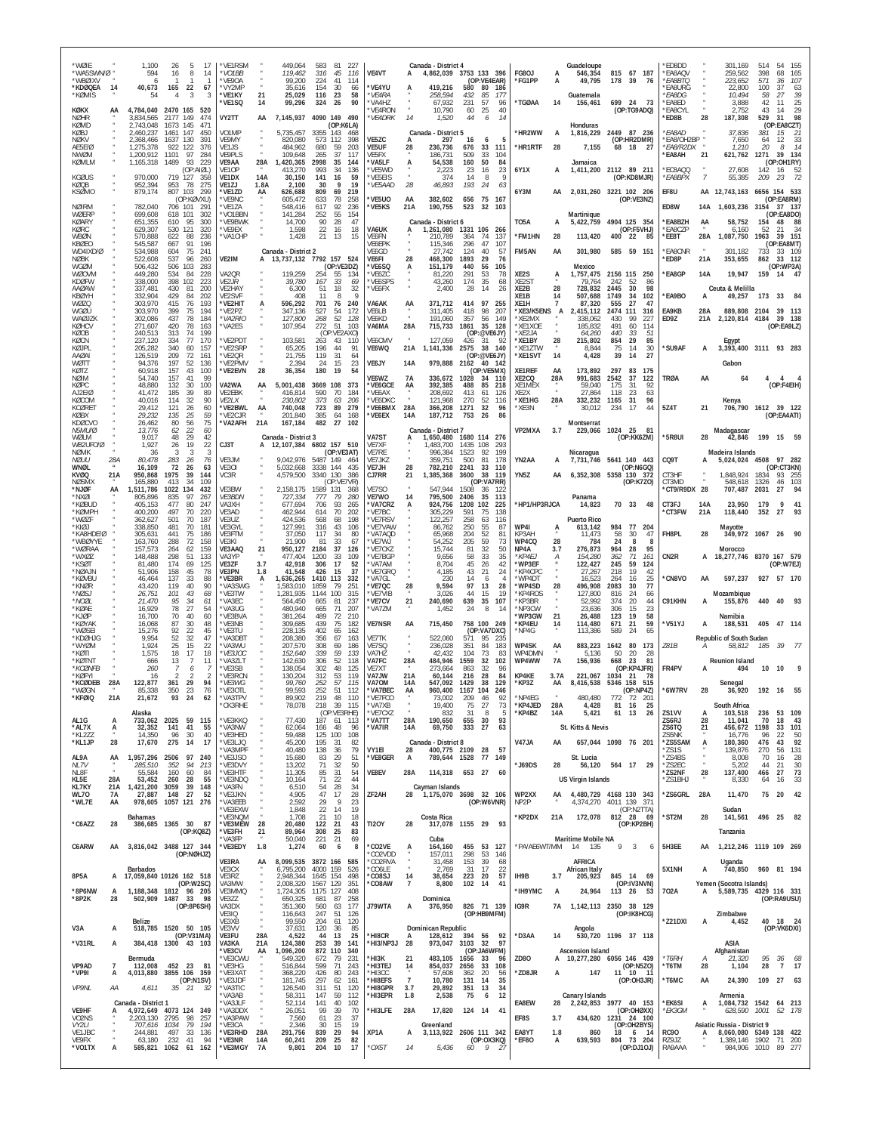| *WØIE<br>WA5SWN/Ø<br>*WBØIXV<br>*KDØQEA      | 14               | 1.100<br>594<br>6<br>40,673                      | 26<br>5<br>-17<br>8<br>16<br>-14<br>165<br>22<br>67                                  | *VE1RSM<br>*VO1BB<br>*VE9OA<br>*VY2MP           |                  | 449,064<br>119,462<br>99,200<br>35,616        | 583<br>-81<br>227<br>316<br>45<br>116<br>224<br>41<br>114<br>154<br>-30<br>66       | VE4VT<br><b>VE4YU</b>                        | А                            | Canada - District 4<br>419.216                   | 4,862,039 3753 133 396<br>(OP:VE4EAR)<br>580<br>80        | 186                      | FG8OJ<br>*FG1PP                        | A<br>A     | Guadeloupe<br>546.354<br>49,795        | 815 67 187<br>178<br>39<br>76                                              | ED8DD<br><b>EA8AQV</b><br><i>*EA8BTQ</i><br><b>EA8URG</b>             |                                    | 301,169<br>259.562<br>223,652<br>22,800       | 54<br>514<br>155<br>398<br>68<br>165<br>571<br>36<br>107<br>100<br>37<br>63          |
|----------------------------------------------|------------------|--------------------------------------------------|--------------------------------------------------------------------------------------|-------------------------------------------------|------------------|-----------------------------------------------|-------------------------------------------------------------------------------------|----------------------------------------------|------------------------------|--------------------------------------------------|-----------------------------------------------------------|--------------------------|----------------------------------------|------------|----------------------------------------|----------------------------------------------------------------------------|-----------------------------------------------------------------------|------------------------------------|-----------------------------------------------|--------------------------------------------------------------------------------------|
| *KØMIS<br>KØKX<br><b>NØHR</b><br>KØMD        | AA               | 54<br>4,784,040<br>3,834,565<br>2,743,048        | 3<br>2470 165<br>520<br>2177<br>149<br>474<br>1673 145<br>471                        | *VE1KY<br>*VE1SQ<br>VY2TT                       | 21<br>14<br>AA   | 25,029<br>99,296<br>7,145,937                 | 116<br>23<br>58<br>90<br>324 26<br>4090 149<br>490<br>(OP:K6LA)                     | *VE4RA<br><b>VA4HZ</b><br>'VE4RON<br>*VE4DRK | 14                           | 258,594<br>67,932<br>10,790<br>1,520             | 85<br>432<br>231<br>57<br>60<br>25<br>44<br>6             | 177<br>96<br>40<br>14    | *TGØAA                                 | 14         | Guatemala<br>156,461<br>Honduras       | 699 24 73<br>(OP:TG9ADQ)                                                   | <i><b>EA8DG</b></i><br>EA8ED<br><b>EA8CYL</b><br>'ED8B                | 28                                 | 10,494<br>3,888<br>2,752<br>187,308           | 58<br>27<br>39<br>25<br>42<br>11<br>43<br>29<br>14<br>98<br>529<br>31<br>(OP:EA8CZT) |
| KØBJ<br><b>NØKV</b><br>AE5E/Ø<br>NWØM        |                  | 2,460,237<br>2,368,466<br>1,275,378<br>1.200.912 | 1461<br>147<br>450<br>1637<br>130<br>391<br>922<br>122<br>376<br>1101<br>97<br>284   | VO <sub>1</sub> MP<br>VE9MY<br>VE1JS<br>VE9PLS  |                  | 5,735,457<br>820,080<br>484,962<br>109,648    | 3355<br>143<br>468<br>573<br>112<br>398<br>680<br>59<br>203<br>37<br>265<br>117     | VE5ZC<br><b>VE5UF</b><br>VF5FX               | 28                           | Canada - District 5<br>297<br>236,736<br>186,731 | 16<br>6<br>33<br>676<br>509<br>33                         | 5<br>111<br>104          | *HR2WW<br>*HR1RTF                      | А<br>28    | 1,816,229<br>7,155                     | 2449 87 236<br>(OP:HR2DMR)<br>68<br>18<br>-27                              | <i><b>EA8AD</b></i><br>EA8/OH2BP<br><i><b>*EA8/R2DX</b></i><br>*EA8AH | 21                                 | 37,836<br>7,650<br>1,210<br>621,762           | 381<br>15<br>-21<br>64<br>-12<br>33<br>20<br>14<br>8<br>1271<br>39<br>- 134          |
| KØMLM<br><b>KGØUS</b>                        |                  | 1,165,318<br>970,000                             | 1489<br>93<br>229<br>(OP:AIØL)<br>719<br>127<br>358                                  | VE9AA<br>VF <sub>10</sub> P<br><b>VE1DX</b>     | 28A<br>14A       | 1,420,365<br>413.270<br>30,150                | 2998<br>35<br>144<br>993<br>34<br>136<br>141<br>59<br>16                            | 'VA5LF<br>'VF5WD<br>'VE5EIS                  | А                            | 54,538<br>2.223<br>374                           | 160<br>50<br>16<br>-23<br>8<br>14                         | 84<br>23<br>- g          | 6Y1X                                   | A          | Jamaica<br>1,411,200                   | 2112 89 211<br>(OP:KD8MJR)                                                 | EC8AOO<br><i>*EA8BPX</i>                                              | 7                                  | 27.608<br>55,385                              | (OP:OH1RY)<br>142<br>-16<br>52<br>209<br>23                                          |
| KØQB<br>KSØMO<br><b>NØIRM</b>                |                  | 952,394<br>879,174<br>782,040                    | 275<br>953<br>78<br>807<br>103<br>299<br>(OP:KØVXU)<br>706 101<br>29'                | <b>VF17J</b><br>*VE1ZD<br>*VF9NC<br>*VE1ZA      | 1.8A<br>AA       | 2.100<br>626,688<br>605.472<br>548,416        | 9<br>19<br>30<br>809<br>69<br>219<br>78<br>258<br>633<br>617<br>92<br>236           | *VE5AAD<br>'VE5UO<br>'VE5KS                  | 28<br>AA<br>21A              | 46,893<br>382,602                                | 193<br>24<br>656<br>75<br>523<br>32                       | 63<br>167<br>103         | 6Y3M                                   |            |                                        | 2,031,260 3221 102 206<br>(OP:VF3NZ)                                       | EF8U<br>ED8W                                                          | 14A                                | AA 12,743,163                                 | 6656 154 533<br>(OP:EA8RM)<br>37 137<br>3154                                         |
| WØFRP<br>KØARY<br>KØRC                       |                  | 699,608<br>651,355<br>629,307                    | 618<br>302<br>101<br>95<br>300<br>610<br>530<br>121<br>320                           | *VO1BBN<br>*VE9BWK<br>*VE9EX                    |                  | 141,284<br>14,700<br>1,598                    | 252<br>55<br>154<br>28<br>47<br>90<br>22<br>16<br>18                                | VA6UK                                        | A                            | 190,755<br>Canada - District 6<br>1,261,080      | 1331 106                                                  | 266                      | TO5A                                   | A          | Martinique<br>5,422,759                | 4904 125 354<br>(OP:F5VHJ)                                                 | *EA8BZH<br><b>EA8CZP</b>                                              | AA                                 | 1,603,236<br>58,752<br>6,160                  | (OP:FA8DO)<br>154<br>48<br>52<br>21<br>-34                                           |
| WBØN<br>KBØEO<br>WD4IXD/Ø                    |                  | 570,888<br>545,587<br>534.988                    | 622<br>88<br>236<br>667<br>91<br>196<br>75<br>604<br>241                             | *VA1CHP                                         |                  | 1,428<br>Canada - District 2                  | 21<br>13<br>15                                                                      | VE6FN<br>VE6EPK<br>VE6GD                     |                              | 210.789<br>115,346<br>27.742                     | 364<br>74<br>296<br>47<br>124<br>40                       | 137<br>107<br>57         | *FM1HN<br>FM5AN                        | 28<br>AA   | 113,420<br>301,980                     | 400<br>- 22<br>85<br>585 59 151                                            | *EE8T<br><b>EA8CNR</b>                                                | 28A                                | 1,087,750<br>301,182                          | 1963<br>39 151<br>(OP:EA8MT)<br>733<br>33 109                                        |
| <b>NØBK</b><br>WGØM<br>WØOVM<br><b>KDØFW</b> |                  | 522,608<br>506,432<br>449,280<br>338,000         | 537<br>96<br>260<br>506<br>103<br>-283<br>534<br>84<br>228<br>398<br>102<br>223      | VE2IM<br>VA20R<br>VF2IR                         | А                | 13,737,132<br>119,259<br>39,780               | 7792 157 524<br>(OP:VE3DZ)<br>254<br>55<br>134<br>33<br>167<br>69                   | VE6FI<br>'VE6SQ<br>'VE6ZC<br><b>VF6SPS</b>   | 28                           | 468,300<br>151.179<br>81,220<br>43.260           | 1893<br>29<br>440<br>56<br>291<br>53<br>35<br>174         | 76<br>105<br>78<br>68    | XE2S<br>XF <sub>2S</sub> T             | А          | Mexico<br>1,757,475<br>79.764          | 2156 115<br>250<br>242<br>-52<br>-86                                       | *ED8P<br><b>EA8GP</b>                                                 | 21A<br>14A                         | 353,655<br>19,947                             | 862<br>33 112<br>(OP:WP3A)<br>159 14 47                                              |
| AAØAW<br>KBØYH<br>WØZQ                       |                  | 337,481<br>332,904<br>303,970                    | 200<br>430<br>81<br>429<br>84<br>202<br>415<br>76<br>193                             | VE2HAY<br>VF2SVF<br>*VE2HIT                     |                  | 6,300<br>408<br>596,292                       | 18<br>32<br>51<br>11<br>-8<br>701<br>76<br>240                                      | 'VE6FX<br>VA6AK                              | AA                           | 2,400<br>371,712                                 | 28<br>14<br>414<br>97                                     | 26<br>255                | XE2B<br>XF <sub>1</sub> B<br>XE1H      | 28<br>14   | 728,832<br>507,688<br>87.320           | 2445<br>30<br>98<br>1749<br>34<br>102<br>555<br>27<br>47                   | <b>EA9BO</b>                                                          | A                                  | Ceuta & Melilla<br>49,257                     | 173<br>33                                                                            |
| WGØU<br>WAØJZK<br>KØHCV                      |                  | 303,970<br>302,086<br>271,607                    | 399<br>75<br>194<br>437<br>78<br>184<br>420<br>78<br>163                             | VF <sub>2</sub> P7<br>*VA2RIO<br>'VA2ES         |                  | 347,136<br>127,800<br>107,954                 | 527<br>54<br>172<br>268<br>52<br>128<br>272<br>-51<br>103                           | VE6LB<br>VE6KD<br>VA6MA                      | 28A                          | 311.405<br>191,060<br>715,733                    | 98<br>418<br>357<br>56<br>1861<br>35 128                  | 207<br>149               | *XE3/K5ENS<br>*XE2MX<br>*XE1XOE        | A          | 2,415,112<br>338.062<br>185.832        | 2474<br>111<br>316<br>99<br>227<br>430<br>491<br>60<br>114                 | EA9KB<br>ED9Z                                                         | 28A<br>21A                         | 889,808 2104<br>2,120,814 4184                | 39<br>- 113<br>39 138<br>(OP:EA9LZ)                                                  |
| KØOB<br>KØCN<br>KØJPL<br>AAØAI               |                  | 240.513<br>237,120<br>205,282<br>126,519         | 313<br>74<br>199<br>334<br>77<br>170<br>340<br>60<br>157<br>209<br>72<br>161         | 'VE2PDT<br>*VE2SRP<br>*VE2QR                    |                  | 103,581<br>65,205<br>21,755                   | (OP:VE2AXO)<br>263<br>43<br>110<br>196<br>44<br>91<br>119<br>31<br>64               | <b>VF6CMV</b><br>VE6WQ                       | $\overline{u}$<br>21A        | 127,059<br>1,141,336                             | (OP:@VE6JY)<br>31<br>426<br>38 140<br>2575<br>(OP:@VE6JY) | -92                      | *XE2JA<br>*XE1BY<br>*XE1ZTW<br>*XE1SVT | 28<br>14   | 64,260<br>215,802<br>8,844<br>4,428    | 440<br>33<br>51<br>29<br>854<br>85<br>75<br>-14<br>30<br>39<br>27<br>14    | 'SU9AF                                                                | А                                  | Eqypt                                         | 3,393,400 3111 93 283                                                                |
| wøtt<br>KØTZ<br>NØIM<br>KØPC                 |                  | 94.376<br>60,918<br>54.740<br>48,880             | 197<br>52<br>136<br>157<br>43<br>100<br>157<br>41<br>99<br>132<br>30<br>100          | *VE2PMV<br>*VE2EVN<br>VA2WA                     | 28<br>AA         | 2,394<br>36,354<br>5,001,438                  | 15<br>24<br>23<br>180<br>19<br>54<br>3669 108<br>373                                | VE6JY<br>VE6WZ<br><b>'VE6GCE</b>             | 14A<br><b>7A</b><br>AA       | 979,888<br>336,672<br>392,385                    | 2162<br>40 142<br>(OP:VF5MX)<br>1028<br>34<br>488<br>85   | 110<br>218               | XE1REF<br>XE2CQ<br>XE1MEX              | AA<br>28A  | 173,892<br>991,683<br>59,040           | 297<br>83<br>175<br>2542<br>37<br>122<br>175<br>31<br>92                   | TRØA                                                                  | AA                                 | Gabon<br>64                                   | 4<br>4<br>(OP:F4EIH)                                                                 |
| AJ2F/Ø<br>KØCOM<br><b>KCØRET</b><br>KØBX     |                  | 41.472<br>40,016<br>29,412<br>29.232             | 185<br>39<br>89<br>90<br>114<br>-32<br>121<br>60<br>26<br>135<br>25<br>59            | <b>VF2FBK</b><br>VE2LX<br>*VE2BWL<br>*VE2CJR    | AA               | 416.814<br>230,802<br>740,048<br>201,840      | 590<br>70<br>184<br>373<br>63<br><i>206</i><br>723<br>89<br>279<br>385<br>64<br>168 | 'VF6AX<br>'VE6DKC<br><b>VE6BMX</b><br>*VE6EX | 28A<br>14A                   | 208.692<br>121,968<br>366,208<br>187,712         | 413<br>-61<br>270<br>52<br>32<br>1271<br>753<br>26        | 126<br>116<br>96<br>86   | XF <sub>2</sub> X<br>*XE1HG<br>*XE3N   | 28A        | 27,864<br>332,232<br>30,012            | 23<br>118<br>63<br>31<br>1165<br>96<br>-17<br>44<br>234                    | 5Z4T                                                                  | 21                                 | Kenya                                         | 706,790 1612 39 122<br>(OP:EA4ATI)                                                   |
| KDØCVO<br>N5MU/Ø<br>WØI M<br>WB2UFO/Ø        |                  | 26.462<br>13,776<br>9,017<br>1,927               | 80<br>56<br>75<br>22<br>60<br>62<br>48<br>29<br>42<br>26<br>19<br>22                 | *VA2AFH<br>CJ3T                                 | 21A              | 167,184<br>Canada - District 3                | 482<br>27<br>102<br>12, 107, 384 6802 157 510                                       | VA7ST<br>VE7XF                               | A                            | Canada - District 7<br>1,650,480<br>1,483,700    | 1680 114 276<br>1435<br>108                               | 293                      | VP2MXA                                 | 3.7        | Montserrat<br>229,066                  | 1024 25<br>- 81<br>(OP:KK6ZM)                                              | *5R8UI                                                                | 28                                 | Madagascar<br>42,846                          | 199 15 59                                                                            |
| <b>NØMK</b><br>NØUU<br>WNØL                  | 28A              | 36<br>80,478<br>16,109                           | 3<br>283<br>-26<br>76<br>72<br>26<br>63                                              | VE3JM<br>VE30I                                  |                  | 9,042,976<br>5,032,668                        | (OP:VE3AT)<br>5487 149<br>464<br>3338 144<br>435                                    | VE7RE<br>VE7JKZ<br>VE7JH                     | 28                           | 996,384<br>359.751<br>782,210                    | 1523<br>92<br>500<br>81<br>2241<br>33                     | 199<br>178<br>110        | YN2AA                                  | A          | Nicaragua<br>7,731,746                 | 5641 140 443<br>(OP:N6GQ)                                                  | CQ9T                                                                  |                                    | Madeira Islands<br>5,024,024 4508             | 97 282<br>(OP:CT3KN)                                                                 |
| KVØQ<br><b>NØSMX</b><br>*NJØF                | 21A<br>AA        | 950,868<br>165,880<br>,511,786                   | 1975<br>39<br>144<br>413<br>34<br>109<br>432<br>1022<br>134                          | VC3R<br>VE3BW                                   |                  | 4,579,500<br>2,158,175                        | 3340 130<br>386<br>(OP:VE7VR)<br>1589 131<br>368                                    | CJ7RR<br>VE7SO                               | 21                           | 1,385,368<br>547.944                             | 3600<br>38<br>(OP:VA7RR)<br>1508<br>36                    | 119<br>- 122             | YN5Z                                   | AA         |                                        | 6,352,308 5358 130 372<br>(OP:K7ZO)                                        | CT3HF<br>CT3MD<br>*CT9/R9DX 28                                        |                                    | 1,848,924<br>548,618<br>707,487               | 1834<br>93<br>- 255<br>1326<br>46<br>103<br>2031<br>27<br>94                         |
| *NXØI<br>*KØBUD<br>*KØMPH<br>*WØ7F           |                  | 805,896<br>405.153<br>400.200<br>362.627         | 835<br>97<br>267<br>477<br>80<br>247<br>497<br>70<br>220<br>501<br>70<br>187         | <b>VE3BDN</b><br>VA3XH<br>VE3AD<br><b>VF3U7</b> |                  | 727,334<br>677,694<br>462,944<br>424.536      | 777<br>79<br>280<br>706<br>93<br>265<br>70<br>614<br>202<br>568<br>198<br>68        | VE7WO<br><b>VA7CR7</b><br>'VE7BC<br>VE7RSV   | 14<br>A                      | 795,500<br>924,756<br>305,229<br>122,257         | 2406<br>35<br>1208<br>102<br>591<br>75<br>258<br>63       | 113<br>225<br>138<br>116 | *HP1/HP3RJCA                           |            | Panama<br>14,823<br><b>Puerto Rico</b> | 70 33<br>48                                                                | CT3FJ<br><b>CT3FW</b>                                                 | <b>14A</b><br>21A                  | 23.950<br>118,440                             | 179<br>q<br>41<br>352<br>27                                                          |
| *KIØJ<br>*KA8HDF/Ø<br>*WBØYYE                |                  | 338.850<br>305.631<br>163,760                    | 481<br>70<br>181<br>75<br>186<br>441<br>288<br>72<br>158                             | VE3GYL<br>VF3FTM<br>VE3KI                       |                  | 127,991<br>37.050<br>21,900                   | 316<br>43<br>106<br>117<br>-34<br>80<br>33<br>81<br>67                              | 'VE7VAW<br>VA7AQD<br>'VE7WJ                  |                              | 86,762<br>65.968<br>54,252                       | 250<br>55<br>204<br>52<br>59<br>205                       | 87<br>81<br>73           | WP4I<br>KP3AH<br>WP4CQ                 | А<br>28    | 613,142<br>11,473<br>784               | 984<br>77<br>204<br>58<br>30<br>47<br>24<br>8<br>-8                        | FH8PL                                                                 | 28                                 | Mayotte                                       | 349,972 1067 26                                                                      |
| *WØRAA<br>*WXØZ<br>*KSØT                     |                  | 157,573<br>148,488<br>81,480<br>51.906           | 159<br>264<br>62<br>298<br>51<br>133<br>174<br>69<br>125<br>45<br>78                 | VE3AAQ<br>VA3YP<br><b>VF37F</b><br><b>VE3PN</b> | 21<br>3.7<br>1.8 | 950,127<br>477,404<br>42,918                  | 2184<br>37<br>126<br>1200<br>33<br>109<br>306<br>17<br>52<br>15<br>37               | VF7CK7<br>'VE7BGF<br>'VA7AM<br>`VE7GRO       |                              | 15,744<br>9.656<br>8,704                         | 81<br>32<br>33<br>58<br>45<br>26<br>43<br>21              | 50<br>35<br>42           | NP4A<br>*KP4EJ<br>*WP3EF<br>*KP4CPC    | 3.7<br>А   | 276,873<br>154,280<br>122,427          | 964<br>28<br>95<br>362<br>71<br>161<br>59<br>245<br>124<br>218<br>19<br>42 | CN2R                                                                  | А                                  | Morocco                                       | 18,277,746 8370 167 579<br>(OP:W7EJ)                                                 |
| *NØAJN<br>*KØVBU<br>*KNØR<br>*NØSJ           |                  | 46,464<br>43,420<br>26,751                       | 158<br>137<br>33<br>88<br>90<br>119<br>40<br>101<br>43<br>68                         | *VE3BR<br>*VA3SWG<br>*VE3TW                     | A                | 41,548<br>1,636,265<br>1.583.010<br>1,281,935 | 426<br>1410 113<br>332<br>1859<br>79<br>251<br>1144<br>100<br>315                   | 'VA7GL<br>'VE7QC<br>'VE7VIB                  | 28                           | 4,185<br>230<br>9,594<br>3,026                   | 14<br>6<br>97<br>13<br>44<br>15                           | 24<br>4<br>28<br>19      | *WP4DT<br>*WP4SD<br>*KP4ROS            | 28         | 27,267<br>16,523<br>496.908<br>127,800 | 264<br>16<br>25<br>77<br>2083<br>30<br>816<br>24<br>66                     | <b>CN8VO</b>                                                          | AA                                 | 597,237<br>Mozambique                         | 927 57 170                                                                           |
| *NOØL<br>*KØAE<br>*KJØP                      |                  | 21,470<br>16,929<br>16,700                       | 95<br>-34<br>61<br>78<br>27<br>54<br>70<br>40<br>60                                  | *VA3EC<br>*VA3UG<br>*VE3BVA                     |                  | 564.450<br>480.940<br>381.264                 | 665<br>-81<br>237<br>665<br>71<br>207<br>489<br>72<br>210                           | <b>'VE7CV</b><br>'VA7ZM                      | 21                           | 240,690<br>1,452                                 | 639<br>35<br>24<br>8                                      | 107<br>14                | *KP3BR<br>NP3CW<br>WP3GW               | 21         | 52.992<br>23,636<br>26,488             | 374<br>-20<br>44<br>306<br>15<br>23<br>19<br>123<br>58                     | C91KHN                                                                | A                                  | 155,876<br>Namibia                            | 40<br>440                                                                            |
| *KØYAK<br>*WØSFI<br>*KDØHJG<br>*WYØM         |                  | 16,068<br>15,276<br>9.954<br>1.924               | 87<br>30<br>48<br>92<br>45<br>22<br>52<br>32<br>47<br>25<br>15<br>22                 | *VE3NB<br>*VF3TU<br>*VA3DB1<br>*VA3WU           |                  | 309.685<br>228,135<br>208,380<br>207,570      | 439<br>75<br>182<br>402<br>65<br>162<br>356<br>67<br>163<br>308<br>69<br>186        | <b>VE7NSR</b><br>VE7TK<br>VF7SO              | AA                           | 715,450<br>522,060<br>236,028                    | 758 100 249<br>(OP:VA7DXC)<br>571<br>95<br>351<br>84      | 235<br>183               | *KP4EU<br>NP4G<br><b>WP4SK</b>         | 14<br>AA   | 114,480<br>113,386<br>883,223          | 671<br>21<br>59<br>589<br>24<br>65<br>1642<br>80<br>173                    | *V51YJ<br>Z81B                                                        | A                                  | 188,531<br>Republic of South Sudan            | 405<br>47<br>- 114<br>-39<br>185                                                     |
| *KØTI<br>*KØTNT<br>*KCØNFB                   |                  | 1.575<br>666<br>260                              | 18<br>17<br>18<br>13<br>$\overline{7}$<br>11                                         | *VE3JOC<br>*VA37I T<br>*VE3SB                   |                  | 152,640<br>142,630<br>138,054                 | 339<br>59<br>133<br>306<br>52<br>118<br>302<br>48<br>125                            | VA7HZ<br>VA7FC<br>VE7XT                      | 28A                          | 42.432<br>484,946<br>273.664                     | 104<br>73<br>1559<br>32<br>863<br>32                      | 83<br>102<br>96          | WP4DMN<br>WP4WW                        | <b>7A</b>  | 5,136<br>156,936                       | 50<br>20<br>-28<br>668<br>-23<br>81<br>(OP:KP4JFR)                         | FR4PV                                                                 |                                    | 58,812<br><b>Reunion Island</b><br>494        | 10<br>10                                                                             |
| *KØFYI<br>*KCØDEB<br>*WØGN                   | 28A              | 16<br>122.877<br>85.338                          | 2<br>361<br>29<br>94<br>350<br>23<br>76                                              | *VE3RCN<br>*VE3WG<br>*VE3OTL                    |                  | 130,204<br>99.760<br>99,593                   | 312<br>53<br>119<br>57<br>252<br>115<br>252<br>51<br>112                            | VA7JW<br>VA70M<br>*VA7BEC                    | 21A<br>14A<br>AA             | 60,144<br>547.092<br>960,400                     | 216<br>28<br>1429<br>38<br>1167<br>104                    | 84<br>129<br>246         | KP4KE<br>*KP3Z                         | 3.7A<br>AA | 221,067<br>8,416,538                   | 1034<br>- 21<br>-78<br>5346 158<br>515<br>(OP:NP4Z)                        | '6W7RV                                                                | 28                                 | Senegal<br>36,920                             | 192<br>-16                                                                           |
| 'KFØIQ<br>AL1G                               | A                | 21,672<br>Alaska                                 | 93<br>24<br>733.062 2025 59 115                                                      | 'CK3RHE<br>*VE3KKQ                              |                  | 89,902<br>78,078<br>77,430                    | 219<br>39 115<br>218<br>(OP:VE3RHE)<br>187 61<br>113                                | *VA7XB<br>*VE7CXZ<br>*VA7TT                  | 28A                          | 19,400<br>832<br>190,650                         | ZU:<br>75<br>27<br>31<br>8<br>655<br>30                   | 73<br>5<br>93            | *KP4JED<br>*KP4BZ                      | 28A<br>14A | 480,480<br>4,428<br>5,421              | 20<br>81<br>- 16<br>25<br>61 13<br>26                                      | ZS1VV<br>ZS6RJ                                                        | 28                                 | South Africa<br>103,518<br>11,041             | 53 109<br>236<br>70<br>18<br>43                                                      |
| *AL7X<br>*KL2ZZ<br>*KL1JP                    | A<br>28          | 32,352<br>14,350<br>17,670                       | 41<br>141<br>55<br>96<br>30<br>40<br>275<br>14<br>17                                 | *VA3NW<br>*VE3HED<br>*VE3LJQ                    |                  | 62,064<br>59,488<br>45,200                    | 166<br>48<br>96<br>125 100<br>108<br>195<br>82<br>-31                               | *VA7IR                                       | 14A                          | 69,750<br>Canada - District 8                    | 333<br>27                                                 | 63                       | V47JA                                  | AA         | St. Kitts & Nevis                      | 657,044 1098 76 201                                                        | ZS6TQ<br>ZS5NK<br>*ZS5SAM                                             | 21<br>А                            | 456,672<br>16,776<br>180,360                  | 1198<br>33<br>101<br>96<br>22<br>50<br>92<br>476<br>43                               |
| AL9A<br>NL7V                                 | AA               | 1,957,296 2506<br>285,510                        | 97<br>240<br>352<br>94<br>213                                                        | *VA3MPF<br>*VE3JSO<br>*VE3DVY                   |                  | 40,480<br>15,680<br>13,202                    | 138<br>36<br>79<br>29<br>83<br>51<br>71<br>32<br>50                                 | VY1EI<br>*VE8GER                             | 28<br>А                      | 400,775 2109<br>789,644 1528                     | 28<br>77 149                                              | 57                       | *J69DS                                 | 28         | St. Lucia<br>56,120                    | 564 17 29                                                                  | *ZS1S<br>*ZS4BS<br>*ZS2EC                                             | $\boldsymbol{\alpha}$<br>$\bar{a}$ | 139,876<br>8,008<br>5,202                     | 270<br>56<br>131<br>28<br>70<br>16<br>44<br>21<br>30                                 |
| NL8F<br>KL5E<br>KL7KY<br>WL70                | 28A<br>21A<br>7A | 55.584<br>53,452<br>1,421,200<br>27,887          | 160<br>60<br>84<br>260<br>28<br>55<br>3059<br>39<br>148<br>148 27<br>52              | *VE3HTF<br>*VE3NDQ<br>*VA3FN<br>*VE3JKN         |                  | 11,305<br>10,164<br>6,510<br>4,905            | 31<br>54<br>85<br>71<br>22<br>44<br>28<br>34<br>54<br>47<br>17<br>28                | VE8EV<br>ZF2AH                               | 28A<br>28                    | Cayman Islands                                   | 114,318 653 27<br>1,175,070 3698 32 106                   | 60                       | WP2XX                                  | AA         | <b>US Virgin Islands</b>               | 4,480,729 4168 130 343                                                     | *ZS2NF<br>*ZS1BHJ<br>*ZS6GRL                                          | 28<br>28A                          | 137,400<br>8,330<br>11,470                    | 73<br>27<br>466<br>64<br>16<br>33<br>75<br>20<br>42                                  |
| *WL7E                                        | AA               | <b>Bahamas</b>                                   | 978,605 1057 121 276                                                                 | *VA3EEB<br>*VE3EXW<br>*VE3NOM                   |                  | 2,592<br>1,848<br>1,708                       | 29<br>9<br>23<br>22<br>14<br>19<br>21<br>10<br>18                                   |                                              |                              | Costa Rica                                       | (OP:W6VNR)                                                |                          | NP <sub>2</sub> P<br>*KP2DX            | 21A        | 4,374,270<br>172,078                   | 4011 139 371<br>(OP:N2TTA)<br>812 28 69                                    | *ST2M                                                                 | 28                                 | Sudan<br>141,561                              | 25<br>496<br>82                                                                      |
| *C6AZZ<br>C6ARW                              | 28<br>AA         |                                                  | 386,685 1365 30 87<br>(OP:KQ8Z)<br>3,816,042 3488 127 344                            | *VE3MEW<br>*VE3FH<br>'VA3FP<br>*VE3EDY          | 28<br>21<br>1.8  | 20,480<br>89,964<br>50,040<br>1,274           | 122<br>-21<br>43<br>308<br>25<br>83<br>21<br>221<br>69<br>60<br>6<br>8              | <b>TI2OY</b><br>*CO2VE                       | 28<br>А                      | Cuba<br>164,160                                  | 317,078 1155 29 93<br>455 53 127                          |                          | *PA/AE6WT/MM                           |            | <b>Maritime Mobile NA</b><br>14 135    | (OP:KP2BH)<br>9<br>3<br>6                                                  | 5H3EE                                                                 | AA                                 | Tanzania                                      | 1,212,246 1119 109 269                                                               |
|                                              |                  | <b>Barbados</b>                                  | (OP:NØHJZ)                                                                           | VE3RA<br>VE3CX                                  | AA               | 6,795,200                                     | 8,099,535 3872 166<br>585<br>4000 159<br>526                                        | CO2VDD<br>*CO2RVA<br>*CO6LE                  |                              | 157,011<br>31,458<br>2,769                       | 298<br>53<br>153<br>39<br>31<br>17                        | -146<br>68<br>22         |                                        |            | AFRICA<br>African Italy                |                                                                            | 5X1NH                                                                 | A                                  | Uganda<br>740,850                             | 960 81 194                                                                           |
| 8P5A<br>*8P6NW                               | A                |                                                  | 17,059,840 10126 162 518<br>(OP:W2SC)<br>1,188,348 1812 96 205<br>502,909 1487 33 98 | VE3RZ<br>VA3MW<br>VE3MMQ                        |                  | 2,948,344<br>2,008,320<br>1,724,305           | 1645 154<br>498<br>1567 129<br>351<br>1175 127<br>408                               | *CO8SJ<br>*CO8AW                             | 14<br>$\overline{7}$         | 38,654<br>8,800                                  | 223<br>20<br>102 14                                       | 57<br>41                 | IH9B<br>*IH9YMC                        | 3.7<br>А   | 205,923<br>24,964                      | 845 14 69<br>(OP:IV3NVN)<br>113 26 53                                      | 702A                                                                  | A                                  | Yemen (Socotra Islands)                       | 5,589,735 4329 116 331                                                               |
| *8P2K                                        | 28               | <b>Belize</b>                                    | (OP:8P6SH)                                                                           | VE3ZZ<br>VA3DX<br>VE3IQ<br>VE3XB                |                  | 650,325<br>351,360<br>116,643<br>99,550       | 681<br>87<br>258<br>560<br>177<br>63<br>247<br>51<br>126                            | J79WTA                                       | А                            | Dominica<br>376,950                              | 826 71 139<br>(OP:HB9MFM)                                 |                          | IG9R                                   | 7A         |                                        | 1,142,113 2350 38 129<br>(OP:IK8HCG)                                       | *Z21DXI                                                               |                                    | Zimbabwe                                      | (OP:RA9USU)<br>40 18 24                                                              |
| V3A<br>*V31RL                                | A<br>А           |                                                  | 518,785 1520 50 105<br>(OP:V31MA)<br>384,418 1300 43 103                             | VE3VV<br>VE3FU<br>VA3KA                         | 28A<br>21A       | 37,631<br>4,522<br>124,380                    | 204<br>61<br>120<br>120<br>36<br>85<br>44<br>25<br>13<br>253<br>39<br>141           | *HI8CR<br>*HI3/NP3J                          | A<br>28                      | Dominican Republic<br>973,047                    | 128,612 394 56 92<br>32<br>3103                           | 97                       | *D3AA                                  | 14         | Angola                                 | 530,720 1196 37 118                                                        |                                                                       | А                                  | 4,452<br>ASIA                                 | (OP:VK6DXI)                                                                          |
| VP9AD                                        | 7                | Bermuda<br>112,008                               | 452 23 81                                                                            | *VE3CV<br>*VE3CWU<br>*VE3HG                     | AA               | 1,096,200<br>549,320<br>516,844               | 872 110<br>340<br>672<br>79<br>231<br>599<br>71<br>243                              | *НІЗК<br>*HI3TEJ                             | 21<br>14                     | 483,105<br>854,037                               | (OP:JA6WFM)<br>1656<br>33<br>2656<br>33 108               | -96                      | ZD80                                   | А          | <b>Ascension Island</b>                | 10,277,280 6056 146 439<br>(OP:N5ZO)                                       | *T6RH<br>*T6TM                                                        | А<br>28                            | Afghanistan<br>21,320<br>1,104                | 95<br>36<br>68<br>28<br>7<br>17                                                      |
| *VP9I<br>VP9NL                               | A<br>ΑA          | 4,013,880<br>4,611                               | 3855 106 359<br>(OP:N1SV)<br>35 21<br>32                                             | *VE3XAT<br>*VE3JDF<br>*VA3TIC<br>*VA3AB         |                  | 368,220<br>181,745<br>126,540<br>58,311       | 426<br>80<br>243<br>297<br>62<br>161<br>311<br>51<br>120<br>147<br>59<br>112        | *HI3CC<br>*HI8EFS<br>*HI8GPR<br>*HI3EPR      | $\overline{7}$<br>3.7<br>1.8 | 57,608<br>10,780<br>29,892<br>2,538              | 362<br>20<br>131<br>14<br>351<br>13<br>75<br>6            | 56<br>35<br>34<br>12     | *ZD8JR                                 | A          | 147<br>Canary Islands                  | 11 10 11<br>(OP:OH3JR)                                                     | *T6MC                                                                 | AA                                 | 24,390<br>Armenia                             | 109 27<br>63                                                                         |
| VE9HF<br>VO2NS                               | $\mathsf{A}$     | Canada - District 1<br>2,203,130 2795            | 4,972,649 4073 124 349<br>257<br>98                                                  | *VA3JLF<br>*VA3DDX<br>*VA3PAW                   |                  | 52,114<br>26,051<br>7,560                     | 141<br>40<br>102<br>39<br>70<br>99<br>61<br>23<br>37                                | *HI3LFE                                      | 28A                          | 17,820                                           | 124 14 41                                                 |                          | EA8EW<br>EF8S                          | 28<br>3.7  | 434,620                                | 2, 242, 853 3977 40 153<br>(OP:OHØXX)<br>1231 24 100                       | *EK6SI<br>*EK3GM                                                      | А                                  | 1,084,732 1542<br>628,590                     | 64 213<br>1001<br>52<br>178                                                          |
| VY2LI<br>VE1JBC<br>VE9FX                     |                  | 707,616 1034<br>244,881<br>63,180                | 79<br>194<br>497<br>33<br>136<br>232<br>41<br>94                                     | *VE3CA<br>*VE3RHD<br>*VE3NR                     | 28A<br>14A       | 2,346<br>291,756<br>60,241                    | 15<br>19<br>30<br>839<br>29<br>94<br>209<br>25<br>82                                | XP1A                                         | А                            | Greenland<br>3,113,922                           | 2606 111 342<br>(OP:OX3KQ)                                |                          | EA8YT<br>*EF80                         | 1.8<br>A   | 860<br>639,593                         | (OP:OH2BYS)<br>18<br>6 14<br>804 73 204                                    | <b>RC90</b><br>RZ9JZ                                                  | A<br>$\boldsymbol{\alpha}$         | Asiatic Russia - District 9<br>1,389,146 1902 | 8,060,080 5349 138 422<br>71 200                                                     |
| *VO1TX                                       | А                |                                                  | 585,821 1062 61 162                                                                  | *VE3MGY                                         | 7A               | 9,801                                         | 204<br>10<br>17                                                                     | $*OX5T$                                      | 14                           | 5,436                                            | 60 9 27                                                   |                          |                                        |            |                                        | (OP:DJ10J)                                                                 | RA9AAA                                                                |                                    | 984,906 1010                                  | 89 277                                                                               |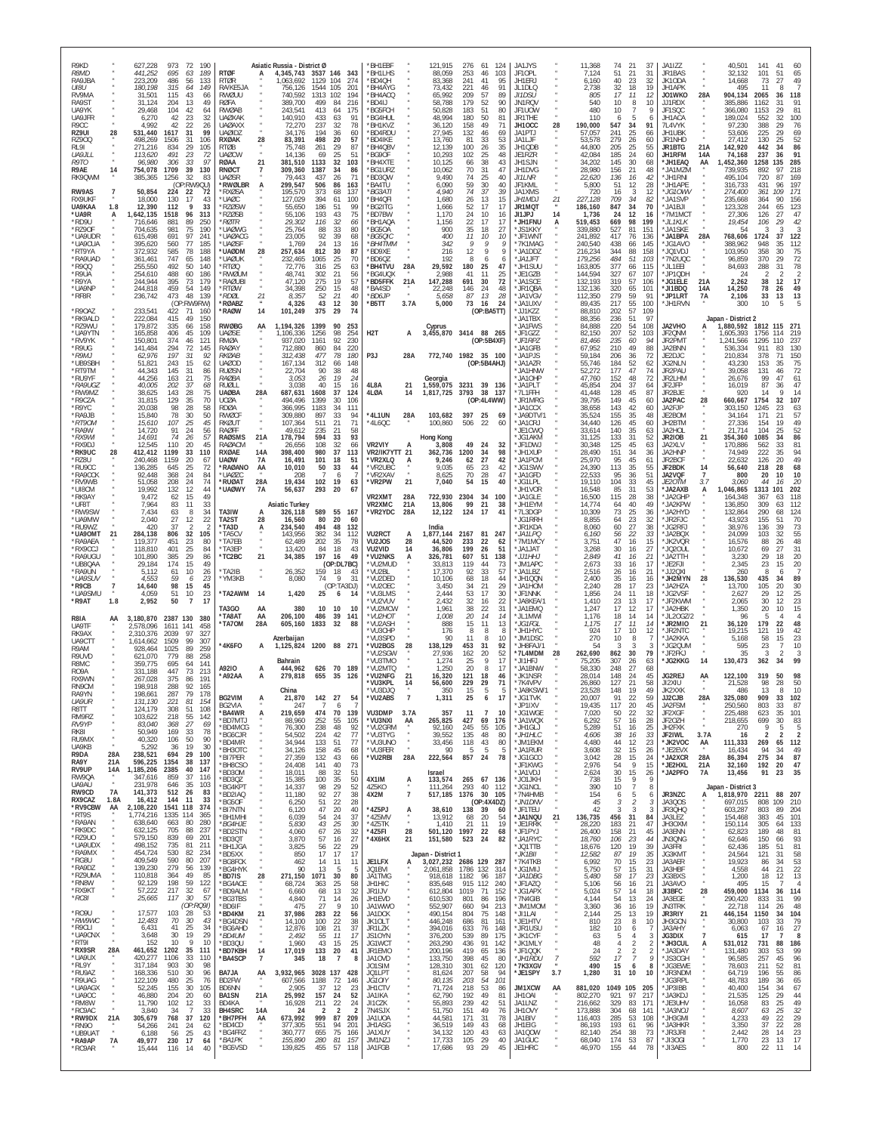| R9KD<br><b>R8MD</b><br>RA9JBA<br>UI8U<br>RV9MA<br>RA9ST<br>UA9YK<br>UA9JFR<br>R9CC<br>RZ9UI<br>RZ900<br>RL91<br>UA9JLL<br>R9TO<br>R9AF<br>RK9QWM<br>RW9AS<br><b>RX9UKF</b><br>UA9KAA<br>*UA9R<br>*RD9U<br>*RZ90F<br>*UA9UDR<br>*UA9CUA<br>*RT9YA<br>*RA9UAD<br>*R900<br>*R9UA<br>*R9YA                                                                                 | 28<br>14<br>$\overline{7}$<br>1.8<br>A       | 627,228<br>973<br>72<br>190<br>441,252<br>695<br>189<br>63<br>223,209<br>486<br>56<br>133<br>315<br>180.198<br>64<br>149<br>115<br>43<br>31.501<br>66<br>31.124<br>204<br>-13<br>49<br>29,468<br>104<br>42<br>6,270<br>42<br>23<br>32<br>4.992<br>42<br>22<br>26<br>531,440<br>1617<br>31<br>99<br>31<br>106<br>498,269<br>1506<br>271,216<br>834<br>29<br>105<br>23<br>113,620<br>491<br>72<br>96,980<br>306<br>$33$<br>39<br>97<br>754,078<br>1709<br>130<br>1256<br>32<br>83<br>385,365<br>(OP:RW9QU)<br>50,854<br>224<br>22<br>72<br>130<br>17<br>18,000<br>43<br>12,390<br>112<br>9<br>33<br>,642,135<br>1518<br>96<br>313<br>89<br>250<br>716,646<br>881<br>75<br>190<br>704,635<br>981<br>97<br>241<br>615,498<br>691<br>395,620<br>560<br>77<br>185<br>585<br>78<br>188<br>372,932<br>361,461<br>747<br>65<br>148<br>255,550<br>492<br>50<br>140<br>254,610<br>488<br>60<br>186<br>395<br>73<br>179<br>244,944                                                                                                                                                                       | <b>RTØF</b><br><b>RTØR</b><br>RA/KF5JA<br>RWØUU<br><b>RØFA</b><br><b>RWØAB</b><br><b>UAØXAK</b><br><b>UAØAXX</b><br><b>UAØIDZ</b><br>28<br>RXØAK<br><b>RTØB</b><br><b>UAØCW</b><br>RØAA<br>$^{21}_{7}$<br>RNØC <sub>1</sub><br><b>UAØSR</b><br><b>RWØLBR</b><br>A<br><b>RXØSA</b><br>'UAØC<br>*RZØSW<br>*RZØSB<br>*RØTR<br>'UAØWG<br>*UAØACG<br><b>UAØSF</b><br>28<br>*UAØDM<br>*UAØUK<br>*RTØQ<br>'RWØUM<br>*RAØUBI                                                                                       | Asiatic Russia - District Ø<br>4,345,743 3537 146<br>-343<br>1,063,692<br>1129<br>104<br>274<br>1544<br>105<br>756.126<br>201<br>740,592<br>1313<br>102<br>194<br>389.700<br>499<br>216<br>84<br>243,541<br>413<br>64<br>175<br>140,910<br>433<br>91<br>63<br>72,270<br>237<br>32<br>78<br>34,176<br>194<br>36<br>60<br>498<br>20<br>83,391<br>57<br>75,748<br>261<br>29<br>87<br>14,136<br>69<br>25<br>51<br>381,510<br>1133<br>32<br>103<br>1387<br>34<br>309,360<br>86<br>79,443<br>437<br>26<br>71<br>299,547<br>506<br>86<br>163<br>195,570<br>373<br>137<br>68<br>394<br>127,029<br>61<br>100<br>55,650<br>186<br>51<br>99<br>75<br>55,106<br>193<br>43<br>29,302<br>116<br>32<br>66<br>25,764<br>33<br>88<br>80<br>92<br>23,005<br>39<br>68<br>1,769<br>24<br>13<br>16<br>257,634<br>812<br>30<br>87<br>232,465<br>1065<br>25<br>70<br>25<br>72,776<br>316<br>63<br>21<br>48,741<br>302<br>56<br>275<br>19<br>57<br>47.120                                                                                                                       | 'BH1EBF<br>*BH1I HS<br>*BD4QH<br>*BH4AYG<br>*BH4ACQ<br>*BD4LI<br>*BG5FCH<br><b>BG4HUL</b><br>'BH1KVZ<br><b>BD4RDU</b><br>*BD4IKE<br>*BH4QBV<br>*BG9OF<br>*BH4XTE<br>*BG1UR7<br>*BD3QW<br>'BA4TU<br>*BG3ATI<br><b>BH4OFI</b><br>*BG2ITG<br>*BD7BW<br>*BH1AQA<br>'BG5OA<br>*BG5QIC<br>*BH4TMM<br>*BD9XE<br>*BD6QZ<br>28A<br>*BH4TVU<br>BG4UQX<br><b>BD5FFK</b><br>21A                    | 121,915<br>276<br>124<br>61<br>88,059<br>253<br>103<br>46<br>83,368<br>241<br>41<br>95<br>91<br>73.432<br>221<br>46<br>65,992<br>209<br>57<br>89<br>58.788<br>179<br>52<br>90<br>50,828<br>183<br>51<br>80<br>48,994<br>180<br>50<br>81<br>36,120<br>158<br>49<br>71<br>27,945<br>132<br>46<br>69<br>13,760<br>81<br>33<br>53<br>35<br>12,139<br>100<br>26<br>48<br>10,293<br>102<br>25<br>38<br>10,125<br>66<br>43<br>70<br>31<br>47<br>10.062<br>9,490<br>74<br>25<br>40<br>6,090<br>59<br>30<br>40<br>4,940<br>74<br>37<br>39<br>1,680<br>26<br>13<br>15<br>1,666<br>52<br>17<br>17<br>24<br>1.170<br>10<br>16<br>$\frac{22}{35}$<br>17<br>17<br>1.156<br>900<br>18<br>27<br>400<br>11<br>10<br>10<br>342<br>9<br>9<br>9<br>12<br>216<br>-9<br>9<br>192<br>8<br>6<br>-6<br>29,592<br>180<br>-25<br>47<br>2,988<br>41<br>11<br>25<br>72<br>147,288<br>691<br>30                                                                                                                | JA1JYS<br>JF10PL<br>JH1ERJ<br>JL1DLQ<br><b>JI1DSU</b><br>JN1RQV<br>JF1UOW<br><b>JR1THE</b><br>28<br>JH10CC<br>JA1PTJ<br>JA1LJF<br>JH1QDB<br>JE1RZR<br>JH1SJN<br>JH1DVG<br><b>JI1LNR</b><br>JF1KMI<br>JA1XMS<br>JH1MDJ<br>21<br>JR1MQT<br>J11JPJ<br>14<br>*JH1FNU<br>*JS1KKY<br>*JF1WNT<br>*7K1MAG<br>*JA1DDZ<br>*JA1JFT<br>*JH1SUU<br>*JE1GZB<br>* JA1SCF                                                                 | 11,368<br>74<br>21<br>37<br>21<br>31<br>7,124<br>51<br>40<br>23<br>32<br>6.160<br>18<br>19<br>2.738<br>32<br>17<br>11<br>12<br>805<br>540<br>10<br>8<br>10<br>480<br>10<br>5<br>110<br>6<br>190,000<br>547<br>34<br>91<br>25<br>57,057<br>241<br>66<br>279<br>26<br>53.578<br>60<br>44,800<br>205<br>25<br>55<br>185<br>24<br>42,084<br>60<br>30<br>34,202<br>145<br>68<br>21<br>28,980<br>156<br>48<br>136<br>16<br>22.620<br>42<br>12<br>5,800<br>51<br>28<br>16<br>3<br>12<br>720<br>227.128<br>709<br>34<br>82<br>186,160<br>847<br>34<br>70<br>24<br>12<br>1.736<br>-16<br>519,453<br>669<br>98<br>199<br>339,880<br>81<br>527<br>151<br>241,892<br>136<br>417<br>76<br>240,540<br>438<br>66<br>145<br>344<br>88<br>158<br>216,234<br>179,256<br>484<br>51<br>103<br>377<br>163,805<br>66<br>115<br>144,594<br>327<br>67<br>107<br>319<br>57<br>132,193<br>106                                                                                                                                                                                                                                     | JA1IZZ<br>JR1BAS<br>JK10DA<br>JH1APK<br>JO1WKO<br>28A<br>JJ1RDX<br>JF1SQC<br>JH1ACA<br>7L4VYK<br>JH1UBK<br>JR1NHD<br><b>JR1BTG</b><br>21A<br>JH1RFM<br>14A<br>*JH1EAQ<br>AA<br>*JA1MZM<br>*JH1RNI<br>*JH1APE<br>*JG10WV<br>*JA1SVP<br>*JA1BJI<br>*7M1MCT<br>*JL1KLK<br>*JA1SKE<br>*JA1BPA<br>28A<br>*JG1AVO<br>*JQ1VDJ<br>*7N2UQC<br>*JL1EEI<br>*JP1QDH<br>*JG1ELE<br>21A                                                                                                    | 40,501<br>141<br>41<br>32,132<br>101<br>51<br>65<br>14,668<br>73<br>27<br>49<br>495<br>11<br>8<br>904,134<br>2065<br>36<br>118<br>385.886<br>1162<br>91<br>-31<br>366,080<br>81<br>1153<br>189,024<br>552<br>32<br>100<br>97,230<br>388<br>29<br>76<br>53,606<br>225<br>29<br>69<br>52<br>27,412<br>130<br>25<br>142,920<br>442<br>34<br>86<br>74,168<br>237<br>36<br>91<br>,452,360<br>1258<br>285<br>135<br>218<br>739,935<br>892<br>495,104<br>720<br>87<br>169<br>316,733<br>431<br>96<br>197<br>274,400<br>361<br>109<br>171<br>235,668<br>156<br>364<br>90<br>123,328<br>244<br>123<br>65<br>47<br>27,306<br>126<br>27<br>19,454<br>42<br>106<br>29<br>3<br>54<br>3<br>3<br>122<br>768,606<br>1724<br>37<br>388,962<br>948<br>35<br>112<br>75<br>103,950<br>358<br>30<br>96,859<br>370<br>29<br>72<br>78<br>288<br>84,693<br>31<br>24<br>38<br>17<br>2,262<br>12                                                                                                                                                                          |
|------------------------------------------------------------------------------------------------------------------------------------------------------------------------------------------------------------------------------------------------------------------------------------------------------------------------------------------------------------------------|----------------------------------------------|----------------------------------------------------------------------------------------------------------------------------------------------------------------------------------------------------------------------------------------------------------------------------------------------------------------------------------------------------------------------------------------------------------------------------------------------------------------------------------------------------------------------------------------------------------------------------------------------------------------------------------------------------------------------------------------------------------------------------------------------------------------------------------------------------------------------------------------------------------------------------------------------------------------------------------------------------------------------------------------------------------------------------------------------------------------------------------------------|------------------------------------------------------------------------------------------------------------------------------------------------------------------------------------------------------------------------------------------------------------------------------------------------------------------------------------------------------------------------------------------------------------------------------------------------------------------------------------------------------------|---------------------------------------------------------------------------------------------------------------------------------------------------------------------------------------------------------------------------------------------------------------------------------------------------------------------------------------------------------------------------------------------------------------------------------------------------------------------------------------------------------------------------------------------------------------------------------------------------------------------------------------------------------------------------------------------------------------------------------------------------------------------------------------------------------------------------------------------------------------------------------------------------------------------------------------------------------------------------------------------------------------------------------------------------------|----------------------------------------------------------------------------------------------------------------------------------------------------------------------------------------------------------------------------------------------------------------------------------------------------------------------------------------------------------------------------------------|----------------------------------------------------------------------------------------------------------------------------------------------------------------------------------------------------------------------------------------------------------------------------------------------------------------------------------------------------------------------------------------------------------------------------------------------------------------------------------------------------------------------------------------------------------------------------------------------------------------------------------------------------------------------------------------------------------------------------------------------------------------------------------------------------------------------------------------------------------------------------------------------------------------------------------------------------------------------------------|---------------------------------------------------------------------------------------------------------------------------------------------------------------------------------------------------------------------------------------------------------------------------------------------------------------------------------------------------------------------------------------------------------------------------|---------------------------------------------------------------------------------------------------------------------------------------------------------------------------------------------------------------------------------------------------------------------------------------------------------------------------------------------------------------------------------------------------------------------------------------------------------------------------------------------------------------------------------------------------------------------------------------------------------------------------------------------------------------------------------------------------------------------------------------------------------------------------------------------------------------------------------------------------------------------------------------------------------------------------------------------------------------------------------------------------------------------------------------------------------------------------------------------------------|------------------------------------------------------------------------------------------------------------------------------------------------------------------------------------------------------------------------------------------------------------------------------------------------------------------------------------------------------------------------------------------------------------------------------------------------------------------------------|-------------------------------------------------------------------------------------------------------------------------------------------------------------------------------------------------------------------------------------------------------------------------------------------------------------------------------------------------------------------------------------------------------------------------------------------------------------------------------------------------------------------------------------------------------------------------------------------------------------------------------------------------------------------------------------------------------------------------------------------------------------------------------------------------------------------------------------------------------------------------------------------------------------------------------------------------------------------------------------------------------------------------------------------------|
| *UA9NP<br>*RF8R<br>*R90AZ<br>*RK9ALD<br>*RZ9WU<br>*UA9YTN<br>*RV9YK<br>*R9UG<br>*R9MJ<br>*UB9SBH<br>*RT9TM<br>*RU9YF<br>*RA9UGZ<br>*RW9MZ<br>*R9CZA<br>*R9YC<br>*RA9JB<br>*RT9OM<br>*RA9W<br>*RX9WI<br>*RX9DJ<br>*RK9UC<br>*RZ8U<br>*RU9CC<br>*RA9CCK<br>*RV9WB<br>*UI8CM<br>*RK9AY<br>*UF8T<br>*RW9SW<br>*UA9MW<br>*RU9WZ<br>*UA9OMT<br>*RA9AEA<br>*RX9CCJ<br>*RA9UGU | 28<br>21                                     | 244,818<br>459<br>54<br>149<br>473<br>48<br>139<br>236,742<br>(OP:RW9RW)<br>233,541<br>422<br>71<br>160<br>222,084<br>415<br>49<br>150<br>179,872<br>335<br>158<br>66<br>165,858<br>406<br>45<br>109<br>150,801<br>374<br>46<br>121<br>141,484<br>294<br>72<br>145<br>197<br>62,976<br>31<br>92<br>243<br>15<br>51,821<br>62<br>44,343<br>145<br>31<br>86<br>44,256<br>163<br>21<br>75<br>40,005<br>202<br>37<br>68<br>28<br>143<br>75<br>38,625<br>31,815<br>129<br>35<br>70<br>98<br>28<br>20,038<br>58<br>15,840<br>78<br>30<br>50<br>107<br>25<br>15,610<br>45<br>14,720<br>91<br>24<br>56<br>74<br>57<br>14,691<br>26<br>12,545<br>110<br>20<br>45<br>33<br>412,412<br>1199<br>110<br>240,468<br>1159<br>20<br>67<br>136,285<br>645<br>25<br>72<br>24<br>368<br>92.448<br>84<br>24<br>51,058<br>208<br>74<br>19,992<br>132<br>12<br>44<br>9,472<br>62<br>15<br>49<br>83<br>11<br>33<br>7.964<br>7,434<br>8<br>34<br>63<br>2,040<br>27<br>22<br>12<br>420<br>37<br>32<br>284,138<br>806<br>105<br>119,377<br>451<br>23<br>80<br>25<br>118,810<br>401<br>84<br>101,890<br>385<br>29<br>86 | *RTØW<br>*RDØI<br>21<br>*RØABZ<br>14<br>*RAØW<br><b>RWØBG</b><br>AA<br><b>UAØSE</b><br>RMØA<br>RAØAY<br><b>RKØAB</b><br>UAØOD<br><b>RUØSN</b><br><i>RA</i> ØBA<br>RUØLL<br>28A<br><b>UAØBA</b><br><b>UCØA</b><br><b>RDØA</b><br><b>RWØCF</b><br>RKØUT<br>RAØFF<br><b>RAØSMS</b><br>21A<br><b>RAØACM</b><br><b>RXØAE</b><br>14A<br><b>UAØW</b><br>7А<br>*RAØANO<br>AA<br>*UAØZC<br>28A<br>*RUØAT<br>*UAØWY<br><b>7A</b><br>TA3IW<br>TA2ST<br>28<br>*TA3D<br>A<br>*TA5CV<br>*TA7EB<br>*TA3FP<br>*TC2BC<br>21 | 34,398<br>250<br>15<br>48<br>52<br>40<br>8,357<br>21<br>4,326<br>43<br>12<br>30<br>101,249<br>375<br>29<br>74<br>1,194,326<br>1399<br>90<br>253<br>1,106,336<br>1256<br>98<br>254<br>230<br>937,020<br>1161<br>92<br>220<br>712,880<br>860<br>84<br>312,438<br>477<br>78<br>180<br>167,134<br>312<br>66<br>148<br>22,704<br>90<br>38<br>48<br>19<br>24<br>3,053<br>26<br>3,038<br>40<br>15<br>16<br>687,631<br>37<br>1608<br>124<br>494,496<br>1399<br>30<br>106<br>366,995<br>1183<br>111<br>34<br>309,880<br>897<br>33<br>94<br>511<br>71<br>107,364<br>21<br>49,612<br>235<br>21<br>58<br>594<br>93<br>178,794<br>33<br>26,656<br>108<br>32<br>66<br>398,400<br>37<br>980<br>113<br>16,491<br>101<br>18<br>51<br>10,010<br>50<br>33<br>44<br>208<br>6<br>19,434<br>102<br>19<br>63<br>56,637<br>293<br>-20<br>67<br>Asiatic Turkey<br>326,118<br>589<br>55<br>- 167<br>80<br>20<br>16,560<br>60<br>234,540<br>494<br>48<br>132<br>143,956<br>382<br>34<br>112<br>62,489<br>202<br>35<br>78<br>13,420<br>18<br>43<br>-84<br>34,385<br>197<br>16<br>49 | 'BA4SD<br>*BD6.IF<br>*B5TT<br>3.7A<br>H <sub>2</sub> T<br>A<br>P3J<br>28A<br>4L8A<br>21<br>4LØA<br>14<br>*4L1UN<br>28A<br>*4L6QC<br>VR2VIY<br><b>VR2/IK7YTT 21</b><br>*VR2XLQ<br>A<br>*VR2UBC<br>*VR2XAV<br>*VR2PW<br>21<br>VR2XMT<br>28A<br>VR2XMC<br>21A<br>*VR2YDC<br>28A<br>VU2RCT<br>A<br>VU2JOS<br>28<br>VU2VID<br>14<br>*VU2NKS<br>А                                            | 22,248<br>48<br>146<br>24<br>13<br>28<br>5,658<br>87<br>5,000<br>73<br>16<br>24<br>(OP:BA5TT)<br>Cyprus<br>3,455,870 3414 88 265<br>(OP:5B4XF)<br>772,740 1982 35 100<br>(OP:5B4AHJ)<br>Georgia<br>1,559,075<br>3231<br>39<br>136<br>3793<br>38<br>1,817,725<br>137<br>(OP:4L4WW)<br>103,682<br>397<br>25<br>69<br>100,860<br>506<br>22<br>-60<br>Hong Kong<br>3,808<br>49<br>24<br>32<br>34<br>362,736<br>1200<br>98<br>27<br>42<br>9,246<br>62<br>23<br>9,035<br>65<br>42<br>70<br>28<br>47<br>8,625<br>7,040<br>54<br>15<br>40<br>722,930<br>2304<br>34<br>100<br>99<br>21<br>13,806<br>38<br>12,122<br>124<br>17<br>41<br>India<br>1,877,144<br>2167<br>81<br>247<br>44,520<br>22<br>233<br>62<br>36,806<br>199<br>26<br>-51<br>326,781<br>607<br>51<br>138                                                                                                                                                                                                                  | *JR1QBA<br>* JA1VGV<br>*JA1UXV<br>* JJ1K77<br>*JA1TBX<br>* JA1FWS<br>*JF1GZZ<br>*JF1RPZ<br>*JA1GFB<br>"JA1PJS<br>* JA1AZR<br>*JA1HNW<br>*JA1OHP<br>*JA1PLT<br>*71 1FFH<br>*JR1MRG<br>JA1CCX<br>*JA9DTV/1<br>* JA1CR J<br>*JE1CWQ<br>JG1AKM<br>*JF1DWJ<br>*JH1XUP<br>*JA1PCM<br>*JG1SWV<br>*JA1GFD<br>*JG1LPL<br>*JH1VOR<br>JA1GLE<br>*JH1FYM<br>*7L3DGP<br>JG1RRH<br>JR1KDA<br>*JA1LPQ<br>*7M1MCY<br>"JA1JAT<br>*JJ1HHJ   | 132,136<br>65<br>101<br>320<br>279<br>59<br>112,350<br>91<br>55<br>89,435<br>217<br>100<br>57<br>109<br>88,810<br>202<br>51<br>97<br>88.356<br>236<br>84.888<br>220<br>54<br>108<br>52<br>82,150<br>207<br>103<br>81,466<br>235<br>60<br>94<br>49<br>210<br>88<br>67.952<br>59,184<br>206<br>36<br>72<br>184<br>52<br>55,746<br>62<br>47<br>52,272<br>177<br>74<br>48<br>72<br>47.760<br>152<br>45,854<br>204<br>37<br>64<br>45<br>128<br>87<br>41.448<br>39,795<br>149<br>45<br>60<br>143<br>42<br>38.658<br>60<br>35,524<br>155<br>35<br>48<br>45<br>34,440<br>126<br>60<br>33,614<br>140<br>35<br>63<br>133<br>31<br>52<br>31.125<br>30,348<br>125<br>45<br>63<br>151<br>34<br>28,490<br>36<br>45<br>95<br>25,970<br>61<br>113<br>35<br>24,390<br>55<br>95<br>36<br>51<br>22.533<br>33<br>19,110<br>104<br>45<br>85<br>31<br>53<br>16,548<br>16,500<br>115<br>28<br>38<br>14.774<br>40<br>49<br>64<br>10,309<br>73<br>25<br>36<br>23<br>8,855<br>64<br>32<br>27<br>8,060<br>60<br>38<br>56<br>22<br>33<br>6,160<br>3,751<br>47<br>16<br>15<br>30<br>27<br>3,268<br>$16\,$<br>2,849<br>41<br>16<br>21 | *JI1BDQ<br>14A<br>*JP1LRT<br>7A<br>*JH1RVN<br>JA2VHO<br>JF2QNM<br>JR2PMT<br>JA2BNN<br>JE2DJC<br>JG2NLN<br>JR2PAU<br>JR2LHM<br>JF2JFP<br>JR2BJE<br>JA2PAC<br>28<br>JA2FJP<br>JE2BOM<br>JH2BTM<br>JA2HOL<br><b>JR2IOB</b><br>21<br>JA2XLV<br>JA2HNP<br>JR2BCF<br>JF2BDK<br>14<br>JA2VQF<br>7<br><i>JE2OTM</i><br>3.7<br>* JA2AXB<br>'JA2GHP<br>*JA2KPW<br>*JA2HYD<br>*JR2FJC<br>*JG2RFJ<br>*JA2BQX<br>*JK2VQR<br>*JQ20UL<br>*JA2TTH                                            | 14,250<br>78<br>49<br>26<br>13<br>2,106<br>33<br>13<br>5<br>300<br>10<br>Japan - District 2<br>1,880,592<br>1812 115 271<br>1,605,393<br>1756<br>219<br>1,241,566<br>1295<br>237<br>536,334<br>911<br>83<br>13C<br>210,834<br>378<br>71<br>150<br>75<br>43,230<br>153<br>35<br>39,058<br>131<br>72<br>46<br>26,676<br>99<br>47<br>61<br>16,019<br>87<br>47<br>36<br>14<br>920<br>14<br>660,667<br>1754<br>32<br>107<br>1245<br>303.150<br>63<br>23<br>34,164<br>171<br>21<br>57<br>49<br>27,336<br>154<br>19<br>21,714<br>104<br>52<br>25<br>354,360<br>1085<br>86<br>34<br>170,886<br>81<br>562<br>74,949<br>94<br>222<br>49<br>22,632<br>126<br>20<br>56,640<br>218<br>28<br>68<br>10<br>800<br>20<br>10<br>3,060<br>44<br>20<br>16<br>1,046,865<br>1313<br>101<br>202<br>164,348<br>367<br>118<br>63<br>136,850<br>309<br>112<br>63<br>132,864<br>290<br>68<br>124<br>43,923<br>70<br>155<br>51<br>38,976<br>136<br>73<br>39<br>55<br>24,099<br>103<br>32<br>16,576<br>88<br>48<br>26<br>31<br>10,672<br>69<br>27<br>3,230<br>29<br>20<br>18 |
| *UB8QAA<br>*RA9UN<br>*UA9SUV<br>*R9CB<br>*UA9SMU<br>*R9AT<br>R8IA<br>UA9TF<br>RK9AX<br>UA9CTT<br>R9AM<br>R9IJVD<br>R8MC<br>R <sub>09</sub> A<br>RX9WN<br>RN9CM<br>RA9YN<br>UA9UR<br>R8TT<br>RM9RZ<br>RV9YP<br>RK81<br>RU9MX<br>UA9KB<br>R9DA<br>RA9Y<br>RV9UP<br>RW9QA<br>UA9AU<br>RW9CD<br>RX9CAZ                                                                     | 1.8<br>AA<br>28A<br>21A<br>14A<br>7A<br>1.8A | 15<br>29,184<br>174<br>49<br>5,112<br>61<br>10<br>26<br>4,553<br>59<br>23<br>6<br>98<br>14,640<br>15<br>45<br>4,059<br>51<br>10<br>23<br>2,952<br>50<br>7<br>17<br>3,180,870 2387 130<br>380<br>2,578,096<br>458<br>1611<br>141<br>2,310,376<br>2039<br>97<br>327<br>1509<br>99<br>1.614.662<br>307<br>89<br>259<br>928.464<br>1025<br>779<br>258<br>621.070<br>88<br>695<br>141<br>359.775<br>64<br>331.188<br>447<br>73<br>213<br>375<br>191<br>267.028<br>86<br>198,918<br>288<br>92<br>165<br>198,661<br>287<br>79<br>178<br>131.130<br>221<br>81<br>154<br>124,179<br>308<br>51<br>108<br>218<br>$\frac{55}{27}$<br>142<br>103,622<br>83,040<br>368<br>69<br>50,949<br>169<br>33<br>78<br>40,320<br>106<br>50<br>90<br>19<br>36<br>30<br>5.292<br>238,521<br>694<br>29<br>100<br>596,225<br>1354<br>38<br>137<br>1,185,206 2385<br>40<br>147<br>37<br>347,616<br>859<br>116<br>231,978<br>646<br>35<br>103<br>512<br>83<br>141,373<br>26<br>16,412<br>144<br>11<br>33                                                                                                                   | *TA2IB<br>*YM3KB<br>*TA2AWM<br>- 14<br>TA3GO<br>AA<br>'TA8AT<br>AA<br>*TA7OM<br>28A<br>*4K6FO<br>A<br>A92IO<br>A<br>*A92AA<br>A<br>BG2VIM<br>BG2VIA<br>*BA4WR<br>A<br>'BD7MTJ<br>*BD4MCG<br>*BG6CJR<br>*BD4MR<br>*BH3OTC<br>*BI7PER<br>*BH8CSO<br>*BD30M<br>*BD3QZ<br>*BG4KPT<br>*BD2IAQ<br>*BG5OF                                                                                                                                                                                                         | (OP:DL7BC)<br>26,352<br>159<br>18<br>43<br>9<br>8,080<br>74<br>31<br>(OP:TA3DJ)<br>1,420<br>25<br>6<br>-14<br>380<br>10<br>10<br>10<br>206,100<br>486<br>39<br>141<br>605,160<br>1833<br>32<br>88<br>Azerbaijan<br>1,125,824 1200 88 271<br><b>Bahrain</b><br>444,962<br>626<br>70<br>189<br>279,818<br>655<br>35<br>126<br>China<br>142 27<br>21,870<br>54<br>$\overline{7}$<br>247<br>6<br>219,659<br>474<br>70<br>139<br>88,960<br>252<br>55<br>105<br>238<br>48<br>92<br>76,300<br>54,502<br>224<br>42<br>77<br>34,944<br>133<br>51<br>77<br>34,126<br>158<br>45<br>68<br>27,359<br>132<br>43<br>66<br>24,408<br>141<br>40<br>73<br>51<br>18,011<br>88<br>32<br>15,385<br>100<br>35<br>50<br>29<br>52<br>14,337<br>98<br>92<br>27<br>38<br>11,180<br>28<br>6,250<br>51<br>22                                                                                                                                                                                                                                                                        | *VU2MUD<br>*VU2BL<br>*VU2DED<br>*VU2OEC<br>*VU3LMS<br>'VU2VUV<br>*VU2MCW<br>*VU2HOT<br>*VU2ASH<br>*VU3CHE<br>*VU3SPD<br>*VU2BGS<br>28<br>*VU2SGW<br>VU3TMO<br>*VU2MTQ<br>*VU2NFG<br>21<br>*VU3KPL<br>14<br>*VU3DJQ<br>*VU2ABS<br>VU3DMP<br>3.7A<br>*VU3NXI<br>AA<br>*VU2GRM<br>*VU3TYG<br>*VU3UNO<br>$\boldsymbol{u}$<br>*VU3FER<br>*VU2RBI<br>28A<br>4X1IM<br>A<br>4Z5KO<br>4X2M<br>7 | 33,813<br>119<br>44<br>73<br>33<br>57<br>17.370<br>92<br>10,106<br>68<br>18<br>44<br>34<br>21<br>29<br>3,450<br>2,444<br>53<br>17<br>30<br>2,432<br>32<br>22<br>16<br>38<br>1,961<br>22<br>31<br>20<br>14<br>14<br>1.008<br>15<br>11<br>13<br>888<br>176<br>8<br>8<br>8<br>90<br>11<br>10<br>8<br>138,129<br>453<br>31<br>92<br>27,936<br>20<br>52<br>162<br>9<br>1,274<br>25<br>17<br>1,250<br>20<br>17<br>8<br>121<br>16,320<br>18<br>46<br>56,600<br>229<br>29<br>71<br>15<br>5<br>350<br>-5<br>1,311<br>11<br>357<br>-7<br>10<br>265,825<br>427<br>69<br>176<br>245<br>55<br>105<br>92,160<br>39,552<br>135<br>48<br>80<br>80<br>33,456<br>118<br>43<br>90<br>5<br>-5<br>-5<br>222,564<br>857<br>78<br>24<br>Israel<br>133,574<br>265<br>67<br>136<br>293<br>112<br>111,264<br>40<br>517,185<br>30 105<br>1376<br>(OP:4X4DZ)                                                                                                                                                 | *JM1APC<br>*JA1LBZ<br>"JH1QQN<br>*JA1HOM<br>*JF1NNK<br>*JA8KEA/<br>JA1EMQ<br>*JL1MWI<br>*JG1FGL<br>*JH1HYC<br>JM1DSC<br>"JH8FAJ/<br>*7L4MDM<br>28<br>*JI1HEJ<br>JA1BNW<br>*JK1NSR<br>*7K4VPV<br>JA8KSW/1<br>JG1TVK<br>*JP1IXV<br>*JG1WGE<br>JA1WQX*<br>*JH1GLJ<br>*JH1HLC<br>*JM1EKM<br>*JA1RUR<br>*JG1GCO<br>*JF1KWG<br>JA1VDJ<br>*JO1JKH<br>*JG1NCL<br>*7N4HMB<br>*JN1DNV                                               | 33<br>2,673<br>16<br>17<br>2,516<br>26<br>16<br>-21<br>35<br>2,400<br>16<br>16<br>28<br>17<br>2,240<br>23<br>11<br>1,856<br>24<br>18<br>23<br>1.410<br>13<br>-17<br>17<br>1,247<br>12<br>17<br>18<br>14<br>1.176<br>14<br>17<br>11<br>1.175<br>14<br>924<br>17<br>10<br>12<br>270<br>10<br>8<br>54<br>3<br>-3<br>-3<br>262,690<br>30<br>79<br>862<br>307<br>75.205<br>26<br>63<br>58,330<br>248<br>27<br>28,014<br>148<br>24<br>45<br>21<br>26,860<br>127<br>58<br>23,528<br>148<br>19<br>49<br>20.007<br>22<br>59<br>19,435<br>117<br>20<br>45<br>22<br>32<br>7,020<br>50<br>$\frac{57}{51}$<br>$\begin{array}{c} 16 \\ 16 \end{array}$<br>28<br>6,292<br>5,289<br>25<br>4,606<br>38<br>16<br>33<br>4,480<br>44<br>12<br>23<br>3,608<br>32<br>15<br>26<br>3,042<br>28<br>15<br>24<br>2,976<br>54<br>9<br>15<br>30<br>2,624<br>15<br>26<br>738<br>15<br>9<br>- G<br>390<br>10<br>$\overline{7}$<br>8<br>5<br>154<br>6<br>6<br>45<br>3<br>$\overline{2}$<br>3                                                                                                                                            | *JE2FJI<br>*JJ2QXI<br>*JH2MYN<br>28<br>* JA2HZA<br>*JG2VSF<br>*JF2KWM<br>*JA2HBK<br>* JI 20G7/2<br>*JR2MIO<br>21<br>*JR2NTC<br>* JA2KKA<br>*JG2QUM<br>*JF2FKJ<br>*JG2KKG<br>14<br>JG2REJ<br>AA<br>JI2XIU<br>JK2XXK<br>28A<br>JJ2CJB<br>JA2FSM<br>$\boldsymbol{\theta}$<br>JF2XGF<br>$\boldsymbol{\alpha}$<br>JF20ZH<br>$\alpha$<br>JH2FXK<br>JF2IWL<br>3.7A<br>*JK2VOC<br>AA<br>*JE2EVX<br>*JA2XCR<br>28A<br>*JE2HXL<br>21A<br>*JA2PFO<br><b>7A</b><br>JR3NZC<br>А<br>JA3QOS | 23<br>20<br>2,345<br>15<br>260<br>8<br>6<br>136,530<br>435<br>34<br>89<br>30<br>105<br>13,700<br>20<br>2,627<br>29<br>12<br>25<br>23<br>2.065<br>30<br>12<br>15<br>1,350<br>20<br>10<br>96<br>5<br>36,120<br>179<br>48<br>22<br>42<br>121<br>19.215<br>19<br>58<br>15<br>23<br>5.168<br>10<br>23<br>$\overline{7}$<br>595<br>$\overline{2}$<br>35<br>3<br>3<br>130,473<br>99<br>362<br>34<br>122,100<br>319<br>50<br>98<br>21,528<br>98<br>28<br>50<br>486<br>13<br>8<br>10<br>325,080<br>909<br>102<br>250,560<br>803<br>33<br>87<br>225,488<br>623<br>35<br>101<br>699<br>218,655<br>30<br>83<br>Q<br>-5<br>270<br>16<br>2<br>$\overline{\mathbf{z}}$<br>$\overline{2}$<br>112<br>111,333<br>269<br>65<br>94<br>49<br>16,434<br>34<br>275<br>87<br>86,394<br>-34<br>32,160<br>192<br>20<br>47<br>91<br>35<br>13,456<br>23<br>Japan - District 3<br>1,818,970 2211 88 207<br>697,015<br>808<br>109<br>210                                                                                                                                      |
| *RV9CBW<br>*RT9S<br>*RA9AN<br>*RK9DC<br>*RZ9UO<br>*UA9UDX<br>*RA9MX<br>*RG8U<br>*RA9DZ<br>*RZ9UMA<br>*RN8W<br>*RX9KT<br>*RC8I<br>*RO9U<br>*RW9WC<br>*R9CLI<br>*UA9CNX<br>*RT9I<br>*RX9SR<br>*UA9UX<br>*RI 9Y<br>*RU9AZ<br>*R9UAG<br>*UA9AGX<br>*UA9OC<br>*RM8W<br>*RC9AC<br>*RW9DX<br>*RN9O<br>*UB9UAT<br>*RA9AP<br>*RC9AR                                             | AA<br>28A<br>21A<br><b>7A</b>                | 2,108,220<br>1541 118<br>374<br>1,774,216<br>1335 114<br>365<br>638,640<br>663<br>80<br>280<br>705<br>632,125<br>88<br>237<br>839<br>201<br>579,150<br>69<br>735<br>498,152<br>81<br>211<br>530<br>82<br>234<br>454,724<br>409,549<br>590<br>80<br>207<br>139,230<br>279<br>139<br>56<br>110,818<br>364<br>49<br>85<br>198<br>59<br>122<br>92,129<br>32<br>57,222<br>217<br>67<br>30<br>57<br>25,665<br>117<br>(OP:RQ9I)<br>17,577<br>103<br>28<br>53<br>30<br>43<br>12,483<br>70<br>6,431<br>41<br>25<br>34<br>30<br>19<br>29<br>3,648<br>152<br>10<br>9<br>10<br>461,652<br>1202<br>35<br>111<br>420,277<br>1106<br>33<br>110<br>317,184<br>903<br>30<br>98<br>168,336<br>510<br>30<br>96<br>122,109<br>480<br>25<br>76<br>52,245<br>155<br>30<br>105<br>46,880<br>204<br>20<br>60<br>11,790<br>102<br>12<br>33<br>3,840<br>34<br>$\overline{7}$<br>33<br>305,679<br>768<br>37<br>120<br>241<br>54,266<br>-24<br>62<br>6,188<br>56<br>25<br>43<br>49,977<br>230<br>17<br>64<br>15,444<br>116<br>14<br>40                                                                                   | *BI7NTN<br>*BH1MHI<br>*BG4HJE<br>*BD2STN<br>*BD3OT<br>*BH1JGA<br>*BD5XX<br>*BG8FCK<br>*BG4HYK<br>28<br>*BD7IS<br>*BG4ACE<br>*BD9ALM<br>*BG3TBS<br>*BD6IF<br>*BD4KM<br>$21 \atop ~}$<br>*BG4DSN<br>*BG6AHD<br>*BD4UM<br>*BD3QU<br>*BD7KBH<br>14<br>*BA4SCP<br>$\overline{7}$<br>BA7JA<br>AA<br>BD2FW<br>$\scriptstyle{N}$<br>BD6NN<br><b>BA1SN</b><br>21A<br>BD4KA<br><b>BH4SRC</b><br>14A<br>*BH7PFH<br>AA<br>*BD4CD<br>*BG4FRZ<br>*BA1PK<br>*BG5VSD                                                       | 47<br>20<br>40<br>6,120<br>6,039<br>54<br>24<br>37<br>5,830<br>43<br>25<br>30<br>4,060<br>67<br>26<br>32<br>27<br>57<br>16<br>3,870<br>3,825<br>56<br>22<br>29<br>17<br>17<br>17<br>850<br>462<br>14<br>11<br>11<br>90<br>13<br>-5<br>-5<br>271,150<br>1071<br>30<br>80<br>68,724<br>363<br>58<br>25<br>6,660<br>68<br>13<br>32<br>71<br>4,840<br>14<br>26<br>9<br>475<br>27<br>10<br>37,986<br>283<br>22<br>56<br>100<br>22<br>38<br>14,100<br>12,876<br>108<br>21<br>37<br>2,492<br>55<br>11<br>17<br>43<br>1,960<br>15<br>25<br>41<br>17,019<br>133<br>20<br>345<br>18<br>$\overline{7}$<br>8<br>3,932,965<br>3028 137<br>428<br>607,566<br>72<br>1188<br>146<br>2,905<br>37<br>12<br>23<br>25,992<br>52<br>157<br>24<br>211<br>22<br>24<br>16,928<br>$\overline{2}$<br>24<br>$\overline{2}$<br>2<br>673,992<br>999<br>87<br>209<br>377,305<br>551<br>94<br>201<br>655<br>75<br>360,777<br>166<br>155,890<br>280<br>81<br>157<br>139,825<br>455<br>57 118                                                                                            | *4Z5PJ<br>А<br>*4Z5MV<br>$\mu$<br>$*4Z5TK$<br>*4Z5FI<br>28<br>21<br>*4X6HX<br>JE1LFX<br>А<br>JQ1BVI<br>JA1TMG<br>JH1HIC<br>JR1IJV<br>JH1EVD<br>JA1WWO<br>JA1DCK<br>JK10LT<br>JR1LZK<br>JS10YN<br>JG1WCT<br>JR1EMO<br>JA10VD<br>J01SIM<br>JQ1LPT<br>JG10IY<br>JH1CTV<br>JA1IKA<br>JI1CZK<br>7N4SJX<br>JA1UOA<br>JH1ASG<br>JA1XUY<br>JM1NZJ<br>JA1FGB                                    | 38,610<br>138<br>39<br>60<br>13,912<br>68<br>20<br>54<br>19<br>1,410<br>21<br>11<br>501,120 1997<br>22<br>68<br>151,580<br>523<br>-24<br>82<br>Japan - District 1<br>3,027,232 2686 129<br>287<br>2,061,858<br>1786 132<br>314<br>918,618<br>1182<br>96<br>187<br>835,648<br>915 112<br>240<br>612,804<br>1019<br>71<br>152<br>86<br>610,530<br>801<br>196<br>552,907<br>660<br>94<br>213<br>75<br>490,154<br>804<br>148<br>446,248<br>686<br>81<br>161<br>394,016<br>633<br>76<br>148<br>89<br>175<br>376,200<br>539<br>91<br>263,290<br>436<br>142<br>200,196<br>419<br>65<br>136<br>133,750<br>398<br>45<br>80<br>301<br>128,310<br>62<br>120<br>81,624<br>207<br>58<br>94<br>54<br>101<br>80,135<br>203<br>71,724<br>218<br>53<br>-86<br>49<br>62,790<br>192<br>81<br>55,893<br>239<br>42<br>51<br>76<br>51,750<br>151<br>49<br>78<br>44,581<br>171<br>31<br>36,519<br>149<br>43<br>68<br>34,132<br>120<br>43<br>63<br>17,733<br>105<br>29<br>40<br>29<br>93<br>45<br>17,686 | $\boldsymbol{\theta}$<br>*JF1TEU<br>21<br>*JA1NQU<br>*JE1RRK<br>JF1PYJ<br>*JA1RYC<br>*JQ1TTB<br>*JK1BII<br>*7K4TKB<br>*JG1MIJ<br>*JA1DBG<br>*JF1AZQ<br>*JG1APX<br>*7N4GIB<br>*JM1MOM<br>*JI1LAI<br>*JE1HTV<br>*JR1USU<br>*JK1CYF<br>*JK1MLY<br>*JF1QQK<br>$\boldsymbol{7}$<br>*JH1RDU<br>*7K3XGV<br>*JE1SPY<br>3.7<br><b>JM1XCW</b><br>AA<br>JH10AI<br>JA1LNZ<br>JH10VY<br>JA1BIV<br>JH1EIG<br>JA100W<br>JA1GUC<br>JE1HRC | 42<br>$\mathcal{R}$<br>-3<br>3<br>136,735<br>456<br>31<br>84<br>47<br>28,220<br>183<br>21<br>26,400<br>158<br>21<br>45<br>23<br>44<br>18.760<br>106<br>18,676<br>120<br>19<br>39<br>19<br>35<br>12,582<br>87<br>6,992<br>70<br>15<br>23<br>5,750<br>57<br>15<br>31<br>5,480<br>58<br>17<br>23<br>56<br>21<br>5,106<br>16<br>5,024<br>57<br>14<br>18<br>54<br>13<br>4,144<br>24<br>36<br>3,360<br>16<br>19<br>25<br>13<br>2,144<br>19<br>23<br>8<br>10<br>810<br>182<br>10<br>6<br>7<br>63<br>5<br>$\overline{4}$<br>3<br>$\frac{2}{2}$<br>48<br>4<br>$\overline{2}$<br>$\mathfrak{D}$<br>-24<br>$\mathcal{P}$<br>592<br>17<br>7<br>9<br>490<br>15<br>6<br>-8<br>1,280<br>31<br>10<br>10<br>881,020<br>1049 105<br>205<br>802,270<br>921<br>97<br>217<br>216,662<br>329<br>83<br>171<br>173,888<br>304<br>68<br>141<br>108<br>116,403<br>285<br>53<br>86,193<br>193<br>61<br>96<br>254<br>38<br>73<br>82,140<br>174<br>53<br>68,040<br>87<br>44<br>46,970<br>155<br>78                                                                                                                                   | JR3QHQ<br>JA3LEZ<br>JH30XM<br>JA3ENN<br>JN3QNG<br>JA3FRI<br>JG3KMT<br>JA3AER<br>JA3HBF<br>$\bar{a}$<br>JG3BXS<br>$\alpha$<br>JA3AVO<br>JI3BFC<br>28<br>JA3EGE<br>$\alpha$<br>JN3TRK<br>21<br><b>JR3RIY</b><br>JH3GCN<br>$\alpha$<br>JA3AHY<br>$\overline{7}$<br>JG3DIX<br>*JH3CUL<br>А<br>*JA3DAY<br>$\alpha$<br>*JS3CGH<br>*JG3EWE<br>*JR3NDM<br>*JG3RPL<br>*JP3IBB<br>*JA3KDJ<br>*JE3UHV<br>*JA3NOJ<br>*JH3GMI<br>*JA3HKR<br>*JR3JRI<br>*JI3OGI<br>*JI3AES                 | 204<br>603,287<br>803<br>89<br>154,468<br>383<br>45<br>101<br>133<br>150,114<br>305<br>64<br>62,823<br>189<br>48<br>81<br>93<br>62,646<br>150<br>66<br>62,436<br>185<br>81<br>51<br>58<br>24,564<br>121<br>-31<br>53<br>19,923<br>86<br>34<br>22<br>44<br>21<br>4.558<br>1,200<br>18<br>13<br>12<br>495<br>$\overline{4}$<br>15<br>459,000<br>1134<br>36<br>114<br>290,420<br>833<br>31<br>99<br>48<br>22,718<br>114<br>-26<br>446,154<br>1150<br>34<br>104<br>79<br>103<br>30,800<br>33<br>27<br>6,063<br>67<br>16<br>8<br>615<br>17<br>$\overline{7}$<br>531,012<br>731<br>88<br>186<br>99<br>131,480<br>303<br>53<br>96,585<br>257<br>45<br>96<br>211<br>81<br>78,603<br>52<br>64,719<br>196<br>55<br>86<br>65<br>48,783<br>189<br>-36<br>40,400<br>154<br>67<br>34<br>44<br>21,535<br>125<br>29<br>49<br>16,058<br>83<br>25<br>32<br>8,607<br>63<br>25<br>29<br>49<br>4,233<br>-22<br>37<br>28<br>3,350<br>22<br>23<br>28<br>2,442<br>14<br>17<br>1,770<br>23<br>13<br>14<br>800<br>22<br>11                                                |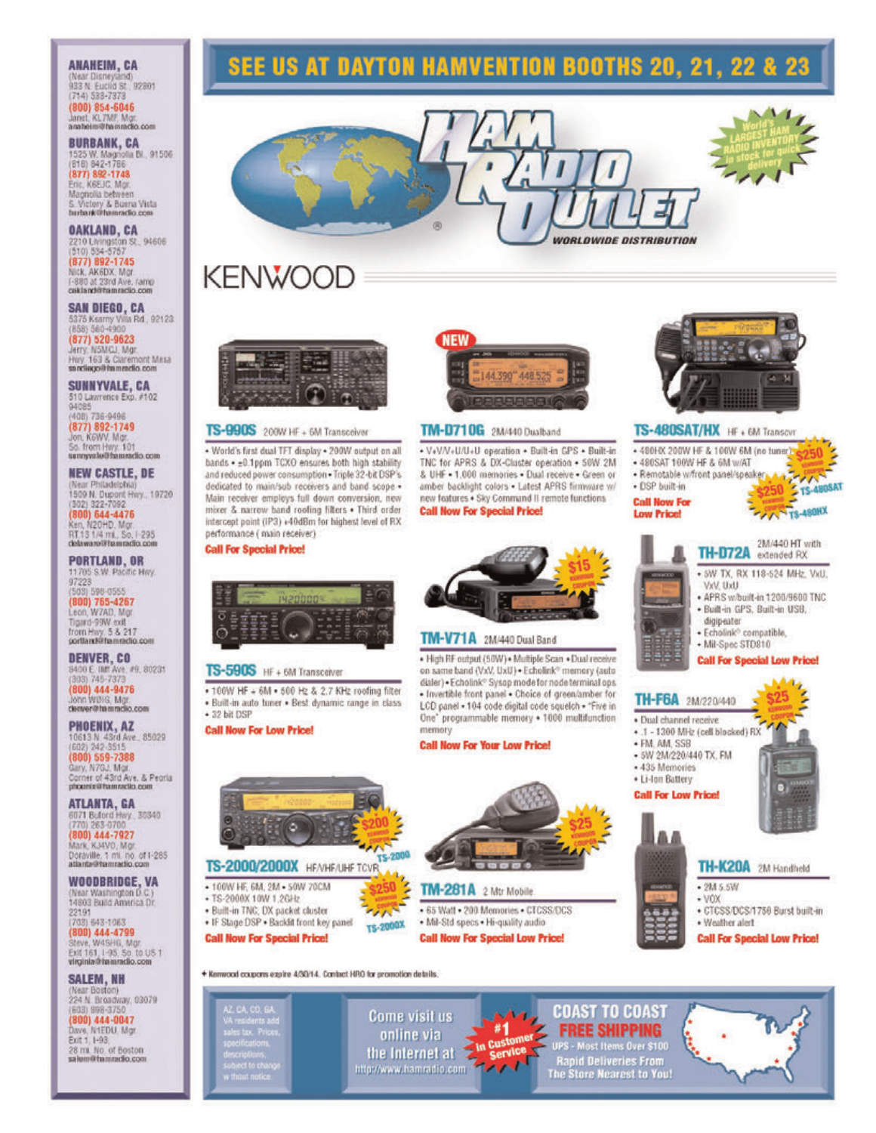#### **ANAHEIM, CA** (Near Disneyland)<br>933 N. Euclid St., 92801  $(714) 533 - 7373$ (800) 854-6046<br>Janet KL7W Mor anabelm@hammclio.com

**BURBANK, CA** 1525 W. Magnolia Bl., 91506<br>(818) 842-1786<br>**(877) 892-1748** Eric, K6EJC, Mgr. Magnolia between<br>5. Victory & Buena Vista<br>burbank@hamradio.com

OAKLAND, CA 2210 Livingston St., 94606<br>(510) 534-5757 (877) 892-1745

NICK, AK6DX, Mar. I-880 at 23rd Ave, ramp

**SAN DIEGO, CA** 5375 Kearny Villa Rd., 92123  $(877) 520 - 9623$ 

Jerry, N5MCJ, Mgr. Hwy. 163 & Claremont Mesa sandiago@mmmedio.com

SUNNYVALE, CA 510 Lawrence Exp. #102 94085 (408) 736-9496 (877) 892-1749 So. from Hwy. 101<br>sunnywale@fammedio.com

**NEW CASTLE, DE** (Near Philadelphia)<br>1509 N. Dupont Hwy., 19720 1302) 322-7092<br>(800) 644-4476<br>Ken, N20HD, Mgr<br>RT13 1/4 mi, So, 1-295<br>delaware@flamradio.com

**PORTLAND, OR** 11705 S.W. Pacific Hity. 97223

(503) 598-0555<br>(800) 765-4267 Leon, W7AD, Mgr Tigand-99W coll<br>from Hwy. 5 & 217<br>portland@famradio.com

**DENVER, CO** 8400 E UMT Ave. #9, 80231<br>(303) 745-7373 (800) 444-9476 John WOIG, Mar. denver@fammclio.com

**PHOENIX, AZ** 10613 N 43rd Ave., 85029 (800) 559-7388<br>Gary, N7GJ, Mgr.<br>Corner of 43rd Aye, & Peorla

phoenix@hamsetlo.com **ATLANTA, GA** 

6071 Buford Hwy. 30340<br>
(770) 263-0700<br>
(800) 444-7927<br>
Mark KJ4VO, Mgr<br>
Mark KJ4VO, Mgr<br>
Mark KJ4VO, Mgr<br>
Doraville, 1 ml. no. of 1-265<br>
atlanta@hamradio.com

WOODBRIDGE, VA (Near Washington D.C.)<br>14803 Build America Dr 22191

 $(703) 643 - 1063$ (800) 444-4799 Steve, W4SH6, Mgr.<br>Exit 161, I-95, So. to US 1<br>virginia@tammdlo.com

**SALEM, NH** (Near Boston)<br>224 N. Broadway, 03079 (603) 998-3750 (800) 444-0047 Dave, N1EDU, Mgr<br>Exit 1, 1-93

28 mi. No. of Boston salom@famradio.com





# **KENWOOD**



#### TS-990S 200W HF + 6M Transceiver

- World's first dual TFT display + 200W output on all bands . ±0.1ppm TCXO ensures both high stability and reduced power consumption . Triple 32-bit DSP's dedicated to main/sub receivers and band scope -Main receiver employs full down conversion, new mixer & narrow band roofing filters . Third order intercept point (IP3) +40dBm for highest level of RX performance ( main receiver)

**Call For Special Price!** 

TS-590S HF + 6M Transceiver

**Call Now For Low Price!** 

• 100W HF + 6M . 500 Hz & 2.7 KHz roofing filter

· Built-in auto funer · Best dynamic range in class

ਰ

+ 32 bit DSP



# **TM-D710G** 2M/440 Dualband

+ V+V/V+U/U+U operation + Built-in GPS + Built-in TNC for APRS & DX-Cluster operation . 50W 2M & UHF . 1,000 memories . Dual receive . Green or amber backlight colors . Latest APRS firmware w/ new features . Sky Command II remote functions **Call Now For Special Price!** 



#### TS-480SAT/HX HF + 6M Transcvr

+ 480HX 200W HF & 100W 6M (no tuner) +480SAT 100W HF & 6M w/AT · Remotable w/front panel/speaker · DSP built-in  $$250$ **Call Now For FAANTS-480HX Low Price!** 2M/440 HT with TH-D72A extended RX . SW TX, RX 118-524 MHz. VxU. UxV, UxV · APRS w/built-in 1200/9600 TNC. · Built-in GPS, Built-in USB, digipeater · Echolink<sup>o</sup> compatible. + Mil-Spec STD810 **Call For Special Low Price!** TH-F6A 2M/220/440



+ 100W HF, 6M, 2M + 50W 70CM  $$250$ 

- +TS-2000X 10W 1.2GHz
- · Built-in TNC, DX packet cluster
- . IF Stage DSP . Backlit front key panel
- **Call Now For Special Price!**



 $\frac{1}{2}$ 

TS-2000X

رهما Come visit us #1 In Customer

online via the Internet at  $7.01$ http://www.hamradio.com



# TM-281A 2 Mtr Mobile . 65 Watt . 200 Memories . CTCSS/DCS

· Mil-Std specs · Hi-quality audio **Call Now For Special Low Price!** 

Service v

**COAST TO COAST FREE SHIPPING** UPS - Most Items Over \$100 **Rapid Deliveries From** The Store Nearest to You!

TH-K20A 2M Handheld

· CTCSS/DCS/1756 Burst built-in

**Call For Special Low Price!** 

 $\cdot$  2M 5.5W

· Weather alert

 $-$  VOX





o,



# TM-V71A 2M/440 Dual Band

. High RF output (58W) . Multiple Scan . Dual receive on same band (VxV, UxU) . Echolink® memory (auto dialer) . Echolink® Sysop mode for node terminal ops · Invertible front panel · Choice of green/amber for LCD panel + 104 code digital code squelch + "Five in One" programmable memory . 1000 multifunction memory

**Call Now For Your Low Price!** 

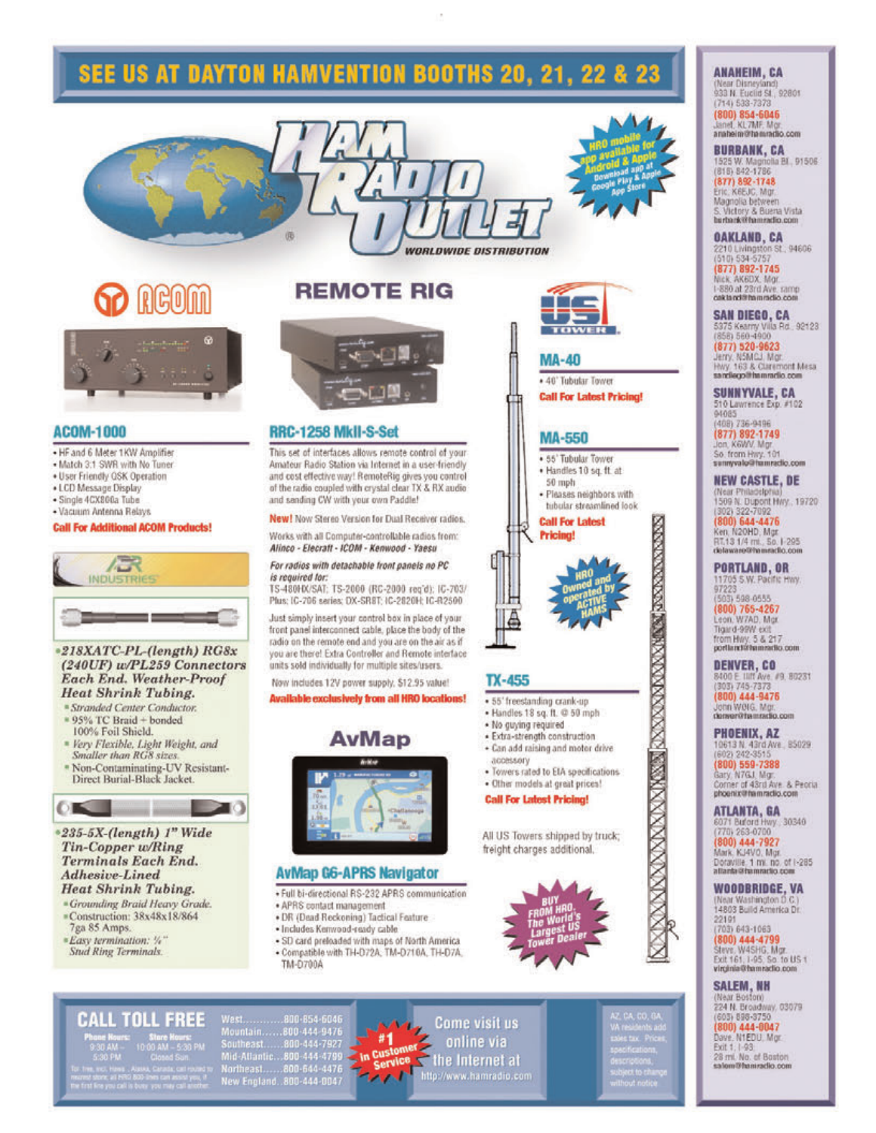# **SEE US AT DAYTON HAMVENTION BOOTHS 20, 21, 22 & 23**



# **ACOM-1000**

- . HF and 6 Meter 1KW Amplifier
- . Match 3:1 SWR with No Tuner
- . User Friendly QSK Operation
- · LCD Message Display
- · Single 4CX800a Tube
- · Vacuum Antenna Relays

#### **Call For Additional ACOM Products!**



#### \*218XATC-PL-(length) RG8x (240UF) w/PL259 Connectors Each End. Weather-Proof **Heat Shrink Tubing.**

- <sup>=</sup> Stranded Center Conductor. \* 95% TC Braid + bonded 100% Foil Shield.
- <sup>=</sup> Very Flexible, Light Weight, and Smaller than RG8 sizes.
- \* Non-Contaminating-UV Resistant-<br>Direct Burial-Black Jacket.



#### \*235-5X-(length) 1" Wide Tin-Copper w/Ring **Terminals Each End.** Adhesive-Lined **Heat Shrink Tubing.**

<sup>\*</sup>Grounding Braid Heavy Grade. #Construction: 38x48x18/864

**CALL TOLL FREE** 

- 7ga 85 Amps.
- \*Easy termination: %" Stud Ring Terminals.
- 

# **REMOTE RIG**



### RRC-1258 MkII-S-Set

66

This set of interfaces allows remote control of your Amateur Radio Station via Internet in a user-friendly and cost effective way! RemoteRig gives you control of the radio coupled with crystal clear TX & RX audio and sending CW with your own Paddle!

New! Now Stereo Version for Dual Receiver radios.

Works with all Computer-controllable radios from: Alinco - Elecratt - ICOM - Kenwood - Yaesu

# For radios with detachable front panels no PC

is required for: TS-480HX/SAT: TS-2000 (RC-2000 reg'd): IC-703/ Plus: IC-706 series: DX-SRST: IC-2820H: IC-R2500

Just simply insert your control box in place of your front panel interconnect cable, place the body of the radio on the remote end and you are on the air as if you are there! Extra Controller and Remote interface units sold individually for multiple sites/users.

Now includes 12V power supply. \$12.95 value!

#### Available exclusively from all HRO locations!





# **AvMap G6-APRS Navigator**

- · Full bi-directional RS-232 APRS communication
- · APRS contact management
- . DR (Dead Reckoning) Tactical Feature
- · Includes Kenwood-ready cable
- · SD card preloaded with maps of North America · Compatible with TH-D72A, TM-D716A, TH-D7A, TM-D700A





## **MA-40**

*WORLDWIDE DISTRIBUTION* 

· 40' Tubular Tower **Call For Latest Pricing!** 

## **MA-550**

· 55' Tubular Tower · Handles 10 sq. ft. at

- 50 mph · Pleases neighbors with
- tubular streamlined look **Call For Latest**

**Pricing!** 



**STANDARD CONTRACTORS** 

- 
- · Handles 18 sq. ft. @ 50 mph
- . No guying required
- · Extra-strength construction · Can add raising and motor drive
- accessory.
- · Towers rated to EIA specifications · Other models at great prices!

#### **Call For Latest Pricing!**

All US Towers shipped by truck; freight charges additional.



# **ANAHEIM, CA** (Near Disneyland)<br>933 N. Euclid St., 92801<br>(714) 533-7373 (800) 854-6046<br>Janet, KL7MF, No anabeim@hammdio.com

**BURBANK, CA** 1525 W. Magnolia BI., 91506.<br>(815) 842-1786  $(877) 892 - 1748$ Eric, K6EJC, Mgr.<br>Magnolia between<br>S. Victory & Bueria Vista<br>berbank@hammdlo.com

**OAKLAND, CA** 2210 Livingston St., 94606 (877) 892-1745 1-880 at 23rd Ave. ramp

SAN DIEGO, CA 5375 Kearry Villa Rd. 92123 (877) 520-9623 Jerry, NSMCJ, Mgr.<br>Hwy, 163 & Claremont Mesa sandiego@hamradio.com

SUNNYVALE, CA

510 Lawrence Exp. #102 94085 408) 736-9496

(877) 892-1749<br>Jon, K6WV, Mgr.<br>So. from Hwy, 101<br>semyvake@hamnedic.com

**NEW CASTLE, DE** (Near Philadelphia) 1509 N. Dupont Hwy., 19720 (800) 522-7092<br>(800) 644-4476

Ken, N2OHD, Mgr.<br>RT.13 1/4 mi., So. 1-295<br>delaware@hamracfic.com

**PORTLAND, OR** 11705 S.W. Pacific Hwy.

(503) 598 0555<br>(800) 765-4267<br>Leon, W7AD, Mgr Tigard-99W ext<br>from Hwy. 5 & 217<br>portland@hammdlo.com

**DENVER, CO** 8400 E IIIIT Ave. #9, 80231<br>(303) 745-7373 (800) 444-9476<br>John Welg, Mgr. denveriftamradio.com

**PHOENIX, AZ** 10613 N 43rd Ave., 85029

(800) 559-7388<br>Gary, N7GJ, Mgr.<br>Corner of 43rd Ave. & Peoria<br>phoenix@hammadio.com

**ATLANTA, GA** 6071 Buford Hwy 30340 (800) 444-7927 Mark, KJ4VO, Mgr.

Doraville, 1 mi. no. of 1-285<br>allanta@faimmetio.com WOODBRIDGE, VA (Near Washington D.C.)<br>14803 Build America Dr.

22191<br>(703) 643-1063

(800) 444-4799<br>Steve: W4SHG, Mgr<br>Exit 161, 1-95, So, to US 1<br>Virginia@hamraclio.com

**SALEM, NH** (Near Boston)

224 N. Broadway, 03079<br>(603) 898-9750<br>(800) 444-0047

Dave, N1EDU, Mgr<br>Exit 1, 1-93<br>28 ml, No. of Boston salom@hamradio.com

West<br>Mountain<br>Southeast<br>Mid-Allant West........800-854-6046<br>Mountain.......800-444-9476<br>Southeast.........800-444-7927<br>Mid-Atlantic.....800-644-4789<br>Northeast........800-644-40047<br>New England...800-444-0047

# Come visit us online via  $#1$ In Customer the Internet at the Internet at the Internet at

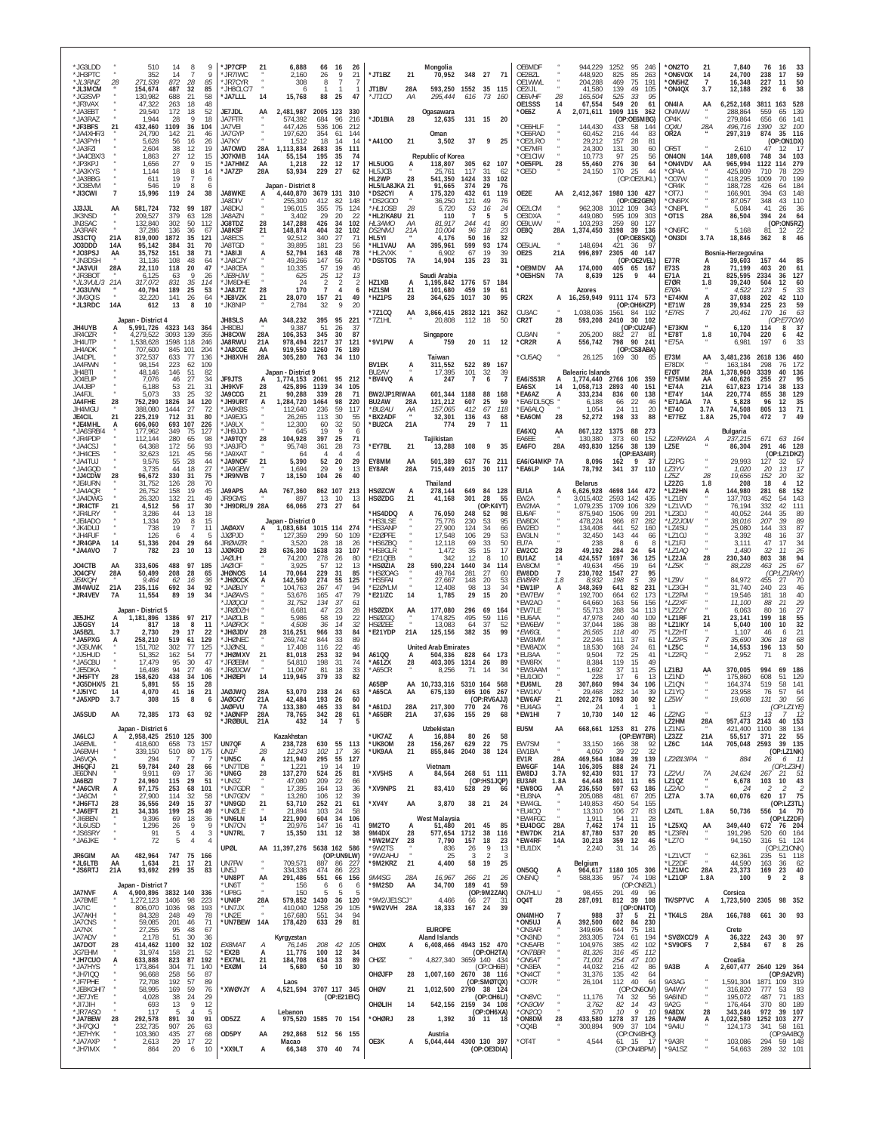| *JG3LDD<br>*JH3PTC<br>*JL3RNZ<br>*JL3MCM                  | 28                         | 510<br>352<br>271.539<br>154,674                              | 14<br>14<br>872<br>487             | 8<br>-7<br>28<br>32                     | 9<br>9<br>85<br>85               | *JP7CFP<br>*JR7IWC<br>*JR7CYR<br>*JH8CLC/7                  | 21                   | 6.888<br>2.160<br>308<br>6                            | 66<br>26<br>8                            | -16<br>9<br>7                                    | 26<br>21              | *JT1BZ<br>JT1BV                                     | 21<br>28A                               | Mongolia<br>70.952<br>593,250                                            | 348 27<br>1552                     | 35                                    | 71<br>115                    | OE6MDF<br>OE2BZL<br>OF1WWI<br>OE2IJL                |                                     | 944,229<br>448,920<br>204.288<br>41,580          | 1252<br>95<br>825<br>85<br>75<br>469<br>139<br>49                | 246<br>263<br>191<br>105      | 'ON2TO<br>*ON6VOX<br>ON5HZ<br>*ON4QX         | 21<br>14<br>$\overline{7}$<br>3.7          | 7,840<br>24,700<br>16,348<br>12,188                         | 76<br>238<br>227<br>292         | 16<br>33<br>59<br>17<br>50<br>11<br>38<br>6                       |
|-----------------------------------------------------------|----------------------------|---------------------------------------------------------------|------------------------------------|-----------------------------------------|----------------------------------|-------------------------------------------------------------|----------------------|-------------------------------------------------------|------------------------------------------|--------------------------------------------------|-----------------------|-----------------------------------------------------|-----------------------------------------|--------------------------------------------------------------------------|------------------------------------|---------------------------------------|------------------------------|-----------------------------------------------------|-------------------------------------|--------------------------------------------------|------------------------------------------------------------------|-------------------------------|----------------------------------------------|--------------------------------------------|-------------------------------------------------------------|---------------------------------|-------------------------------------------------------------------|
| *JG3SVP<br>*JF3VAX<br>JA3EBT<br>'JA3RAZ                   |                            | 130,982<br>47,322<br>29,540<br>1,944                          | 688<br>263<br>172<br>28            | 21<br>18<br>18<br>- Q                   | 58<br>48<br>52<br>18             | *JA7LLL<br>JE7JDL<br>JA7FTR                                 | 14<br>AA             | 15,768<br>2,481,987<br>574.392                        | 88<br>2005 123<br>684                    | - 25<br>330<br>96<br>216                         | 47                    | $^*$ JT1CO<br>*JD1BIA                               | ΑA<br>28                                | 295,444<br>Ogasawara<br>12,635                                           | 616                                | 73<br>131 15                          | 160<br>-20                   | <b>OE6VHF</b><br>OE1SSS<br>'OE6Z                    | 28<br>14<br>A                       | 165,504<br>67,554<br>2,071,611                   | 525<br>33<br>549<br>-20<br>1909<br>115<br>(OP:OE6MBG)            | 95<br>61<br>362               | ON4IA<br>ON4WW<br>OP4K                       | AA                                         | 6,252,168<br>288,864<br>279,864                             | 3811<br>559<br>656              | 528<br>163<br>139<br>65<br>66<br>141                              |
| *JF3BFS<br>*JA4XHF/3<br>*JA3PYH<br>*JA3FZI<br>*JA4CBX/3   | 21                         | 432,460<br>24,790<br>5,628<br>2,604<br>1,863                  | 1109<br>142<br>56<br>38<br>27      | 36<br>21<br>16<br>12<br>12              | 104<br>46<br>26<br>19<br>15      | JA7VEI<br>JA7GYP<br>JA7KY<br><b>JA70WD</b><br>JO7KMB        | 28A<br>14A           | 447,426<br>197,620<br>1,512<br>1,113,834<br>55,154    | 536<br>354<br>18<br>2683<br>195          | 106<br>212<br>61<br>144<br>14<br>35<br>111<br>35 | 14<br>74              | A4100                                               | 21                                      | Oman<br>3,502<br>Republic of Korea                                       | 37                                 | 9                                     | 25                           | OE6HLF<br>OE6RAD<br>OE2LRO<br>OE7MFI<br>OE1CIW      |                                     | 144,430<br>60,452<br>29,212<br>24.300<br>10,773  | 433<br>58<br>216<br>44<br>157<br>28<br>131<br>30<br>97<br>25     | 144<br>83<br>81<br>60<br>56   | 004U<br>OR2A<br>OR5T<br>ON4ON                | 28A<br>14A                                 | 496,716<br>297,319<br>2,610<br>189,608                      | 1390<br>874<br>47<br>748        | 32<br>100<br>35<br>116<br>(OP:ON1DX)<br>12<br>-17<br>103<br>-34   |
| *JP3KPJ<br>*JA3KYS<br>*JA3BBG<br>*JO3EVM                  |                            | 1,656<br>1,144<br>61'<br>546                                  | 27<br>18<br>19<br>19               | 9<br>8<br>-8                            | 15<br>14<br>6<br>6               | *JA7HM7<br>*JA7ZP                                           | AA<br>28A            | 1,218<br>53,934<br>Japan - District 8                 | 22<br>229                                | 12<br>27                                         | 17<br>62              | HL5UOG<br>HL5JCB<br>HL2WP<br>HL5/LA8JKA 21          | A<br>28                                 | 118,807<br>$25.76^{\circ}$<br>541.350<br>91.665                          | 305<br>117<br>1424<br>374          | 62 107<br>31<br>33<br>29              | 62<br>102<br>76              | *OE5FPL<br>*OE5D                                    | 28                                  | 55,460<br>24,150                                 | 276<br>30<br>170<br>25<br>(OP:OE2UKL)                            | 64<br>44                      | *ON4VDV<br>*OP4A<br>'007W<br>OR4K            | AA                                         | 965,994<br>425,809<br>418.295<br>188,728                    | 1122<br>710<br>1009<br>426      | 279<br>114<br>229<br>78<br>199<br>70<br>184                       |
| *JI3CWI<br><b>JJ3JJL</b><br>JK3NSD                        | $\overline{7}$<br>AA       | 15,996<br>581,724<br>209.527                                  | 119<br>732<br>379                  | 24<br>99<br>63                          | 38<br>187<br>128                 | <b>JA8WKE</b><br>JA8DIV<br>JA8DKJ<br>JA8AZN                 | A                    | 4,440,870<br>255,300<br>196,015<br>3.402              | 3679 131<br>412<br>355<br>29             | 310<br>82<br>148<br>75<br>124<br>20              | 22                    | *DS2CYI<br>*DS2GOO<br>*HL1OSB<br>*HL2/KA8U          | 28<br>-21                               | 175,320<br>36,250<br>5,720<br>110                                        | 432<br>121<br>53<br>$\overline{7}$ | 61<br>49<br>16<br>-5                  | 119<br>76<br>24<br>5         | OE2E<br>OF2LCM<br>OE3DXA                            | AA                                  | 2,412,367<br>962.308<br>449,080                  | 1980 130 427<br>(OP:OE2GEN)<br>1012 109<br>595 109               | -343<br>303                   | OT7J<br>'ON6PX<br>*ON8PL<br>*OT1S            | 28A                                        | 166,901<br>87,057<br>5,084<br>86,504                        | 394<br>348<br>41<br>394         | 148<br>63<br>43<br>110<br>26<br>36<br>-24<br>64                   |
| JN3SAC<br>JA3RAR<br>JS3CTQ<br>JO3DDD                      | 21A<br>14A                 | 132,840<br>37,286<br>819,000<br>95,142                        | 302<br>136<br>1872<br>384          | 50<br>36<br>35<br>31                    | 112<br>67<br>121<br>70           | JG8TDZ<br><b>JA8KSF</b><br>JA8ECS<br>JA8TGD                 | 28<br>21             | 147,288<br>148,874<br>92,512<br>39,895                | 426<br>404<br>340<br>181                 | 34<br>102<br>32<br>102<br>27<br>23               | 71<br>56              | HL3AMO<br><b>DS2NMJ</b><br>HL5YI<br>*HL1VAU         | ΑA<br>21A<br>AA                         | 81,917<br>10.004<br>4,176<br>395,961                                     | 244<br>96<br>50<br>599             | 41<br>18<br>16<br>93                  | 80<br>23<br>32<br>174        | OE9LWV<br>OE8Q<br>OE5UAL                            | 28A                                 | 103,293<br>1,374,450<br>148,694                  | 259<br>80<br>3198<br>39<br>(OP:OE8SKQ)<br>421<br>-36             | 127<br>136<br>-97             | 'ON6FC<br>'ON3DI                             | 3.7A                                       | 5,168<br>18,846                                             | 81<br>362                       | (OP:ON5RZ)<br>12<br>22<br>46<br>8                                 |
| *JO3PSJ<br>'JN3DSH<br>*JA3VUI<br>*JR3BOT<br>*JL3VUL/3 21A | AA<br>28A                  | 35,752<br>31.136<br>22,110<br>6,125<br>317,072                | 151<br>108<br>118<br>63<br>831     | 38<br>48<br>20<br>9<br>35               | 71<br>64<br>47<br>26<br>114      | ILI8AL*<br>*JA8CJY<br>* JA8CEA<br>*JE8HJW<br>*JM8DHE        | A                    | 52,794<br>49,266<br>10.335<br>625<br>24               | 163<br>147<br>57<br>25<br>$\overline{2}$ | 48<br>56<br>19<br>12<br>$\overline{2}$           | 78<br>70<br>46<br>13  | 'HL2VXK<br>*DS5TOS<br>HZ1XB                         | 7A<br>A                                 | 6,902<br>14,904<br>Saudi Arabia<br>1,195,842                             | 67<br>135<br>1776                  | 19<br>-23<br>57 184                   | 39<br>-31                    | OE2S<br>*OE9MDV<br>OE5HSN                           | 21A<br>AA<br><b>7A</b>              | 996,897<br>174,000<br>8,639                      | 2305<br>40<br>(OP:OE2VEL)<br>405<br>65<br>125<br>9               | 147<br>167<br>44              | <b>E77R</b><br>E73S<br><b>F71A</b><br>E7ØR   | А<br>28<br>21<br>1.8                       | Bosnia-Herzegovina<br>39,603<br>71,199<br>825,595<br>39,240 | 157<br>403<br>2334<br>504       | 44<br>85<br>20<br>127<br>36<br>12<br>60                           |
| *JG3UVN<br>*JM3QIS<br>*JL3RDC                             | 14A                        | 40,794<br>32,220<br>612                                       | 189<br>141<br>13                   | 25<br>26<br>8                           | 53<br>64<br>10                   | * JA8 JT7<br>*JE8VZK<br>*JK8NIF                             | 28<br>21             | 170<br>28,070<br>2,784                                | $\overline{7}$<br>157<br>32              | 4<br>21<br>9                                     | 6<br>49<br>20         | H71SM<br>*HZ1PS<br>*7Z1CQ                           | 21<br>28<br>AA                          | 101.680<br>364.625<br>3,866,415                                          | 459<br>1017<br>2832                | 19<br>30<br>121                       | 61<br>95<br>362              | CR <sub>2</sub> X<br>CU3AC                          | A                                   | Azores<br>16,259,949<br>1,038,036                | 9111 174 573<br>(OP:OH6KZP)<br>1561<br>84                        | -192                          | E 70 A<br>*E74KM<br>*F71W<br>*E7RS           | A<br>28<br>$\overline{7}$                  | 4.522<br>37,088<br>39.934<br>20,461                         | 123<br>202<br>225<br>170        | 33<br>-5<br>42<br>110<br>23<br>59<br>16<br>63                     |
| JH4UYB<br>JR40ZR<br>JH4UTF                                |                            | Japan - District 4<br>5,991,726<br>4,279,522<br>1,538,628     | 4323 143 364<br>3093<br>1598 118   | 139                                     | 355<br>246                       | <b>JH8SLS</b><br>JH8DBJ<br><b>JH8CXW</b><br>JA8RWU          | AA<br>28A<br>21A     | 348,232<br>9,387<br>106,353<br>978.494                | 395<br>51<br>345<br>2217                 | 95<br>221<br>26<br>30<br>37<br>121               | 37<br>87              | *7Z1HL<br>*9V1PW                                    | A                                       | 20,808<br>Singapore<br>759                                               | 112                                | 18<br>20 11 12                        | 50                           | CR2T<br>CU3AN<br>*CR2R                              | 28<br>A                             | 593,208<br>205,200<br>556,742                    | 2410<br>30 102<br>(OP:CU2AF)<br>882<br>27<br>798<br>90 241       | 81                            | *E73KM<br>*E78T<br>*E75A                     | 1.8                                        | 6,120<br>10,704<br>6,981                                    | 114<br>220<br>197               | (OP:E77CW)<br>8<br>37<br>6<br>42<br>33<br>6                       |
| JH4ADK<br>JA4DPL<br>JA4RWN<br>JH4BTI<br>JO4EUP            |                            | 707,600<br>372.537<br>98,154<br>48,146<br>7.076               | 845 101<br>633<br>223<br>146<br>46 | -77<br>62<br>51<br>27                   | 204<br>136<br>109<br>82<br>34    | JA8COE<br>*JH8XVH<br><b>JF9JTS</b>                          | AA<br>28A            | 919,550<br>305,280<br>Japan - District 9<br>1,774,153 | 1260<br>763<br>2061                      | 76<br>189<br>-34<br>110<br>95<br>212             |                       | <b>BV1EK</b><br>BU2AV<br>*BV4VQ                     | A<br>A                                  | Taiwan<br>311,552<br>17,395<br>247                                       | 522<br>101<br>$\overline{7}$       | 89<br>32                              | 167<br>39                    | °CU5AQ<br>EA6/S53R                                  |                                     | 26,125<br><b>Balearic Islands</b><br>1,774,440   | (OP:CS8ABA)<br>169<br>-30<br>2766 106                            | -65<br>359                    | E73M<br>E78DX<br><b>E7ØT</b><br>*E75MM       | AA<br>28A<br>AA                            | 3,481,236<br>163,184<br>1.378.960<br>40,626                 | 2618<br>298<br>3339<br>255      | 460<br>136<br>172<br>76<br>40<br>136<br>27<br>95                  |
| JA4 JBP<br>JA4FJL<br>JA4FHF<br>JH4MGU                     | 28                         | 6,188<br>5,073<br>752,290<br>388,080                          | 53<br>33<br>1826<br>1444           | 21<br>25<br>34<br>27                    | 31<br>32<br>120<br>72            | JH9KVF<br>JA9CCG<br>*JH9URT<br>* JA9KBS                     | 28<br>21<br>A        | 425,896<br>90,288<br>1.284.720<br>112.640             | 1139<br>339<br>1464<br>236               | 105<br>34<br>28<br>98<br>220<br>59<br>117        | 71                    | BW2/JP1RIWAA<br>BU2AW<br>*BU2AU                     | 28A<br>ΑА                               | 601,344<br>121,212<br>157,065                                            | 1188<br>607<br>412                 | 6<br>88<br>25<br>67                   | 168<br>59<br>118             | EA6SX<br>*EA6AZ<br>*EA6/DL5QS<br>*EA6ALQ            | 14<br>A                             | 1,058,713<br>333.234<br>6.188<br>1,054           | 2893<br>40<br>836<br>60<br>22<br>66<br>24<br>11                  | 151<br>138<br>46<br>20        | *F74A<br>*E74Y<br>*F71AGA<br>*E740           | 21A<br>14A<br><b>7A</b><br>3.7A            | 617.823<br>220,774<br>5.828<br>74,508                       | 1714<br>855<br>96<br>805        | 133<br>38<br>38<br>129<br>12<br>35<br>71<br>13                    |
| JF4CIL<br>*JE4MHL<br>*JA6SRB/4<br>*JR4PDP                 | 21                         | 225,219<br>606,060<br>177,962<br>112,144                      | 712<br>693<br>349<br>280           | 31<br>107<br>75<br>65                   | 80<br>226<br>127<br>98           | * JA9F JG<br>* JA9LX<br>JH9JJD<br>*JA9TQY                   | 28                   | 26.265<br>12,300<br>645<br>104,928                    | 113<br>60<br>19<br>397                   | 30<br>32<br>9<br>-25                             | 55<br>50<br>-6<br>71  | *BX2ADF<br><b>BU2CA</b>                             | 21A                                     | 32,301<br>774<br>Tajikistan                                              | 136<br>29                          | 43<br>$\overline{7}$                  | 68<br>11                     | *EA6OM<br>EA6XQ<br>EA6EE                            | 28<br>AA                            | 52,272<br>867,122<br>130,380                     | 198<br>33<br>1375<br>88<br>373<br>60                             | 88<br>273<br>152              | *E77EZ<br>LZ2/RW2A                           | 1.8A<br>А                                  | 25,704<br>Bulgaria<br>237,215                               | 472<br>671                      | 49<br>$\overline{7}$<br>63<br>- 164                               |
| 'JA4CSJ<br>*JH4CES<br>*JA4TUJ<br>*JA4GQD                  |                            | 64,368<br>32,623<br>9,576<br>3.735                            | 172<br>121<br>55<br>44             | 56<br>45<br>28<br>18                    | 93<br>56<br>44<br>27             | JA9JFO<br>*JA9XAT<br>*JA9NOF<br>* JA9GEW                    | 21                   | 95,748<br>64<br>5,390<br>1,694                        | 361<br>52<br>29                          | 28<br>Δ<br>20<br>9                               | 73<br>29<br>13        | *EY7BL<br><b>FY8MM</b><br>EY8AR                     | 21<br>AA<br>28A                         | 13,288<br>501,389<br>715,449                                             | 108<br>637<br>2015                 | 9<br>76<br>30                         | 35<br>211<br>117             | EA6FO<br>EA6/G4MKP 7A<br>*EA6LP                     | 28A<br>14A                          | 493,830<br>8,096<br>78,792                       | 1256<br>38<br>(OP:EA3AIR)<br>162<br>9<br>341<br>- 37             | 139<br>-37<br>110             | LZ5E<br>LZ2PG<br>LZ3YV                       |                                            | 86,304<br>29.993<br>1,020                                   | 291<br>127<br>20                | 46<br>128<br>(OP:LZ1DKZ)<br>32<br>17<br>13                        |
| *JJ4CDW<br>*JE4URN<br>*JA4AQR<br>*JA4DWG<br>*JR4CTF       | 28<br>21                   | 96,672<br>31,752<br>26,752<br>26,320<br>4,512                 | 330<br>126<br>158<br>132<br>56     | 31<br>28<br>19<br>21<br>17              | 75<br>70<br>45<br>49<br>30       | *JR9NVB<br>JA9APS<br>JR9GMS<br>*JH9DRL/9 28A                | $\overline{7}$<br>AA | 18,150<br>767,360<br>897<br>66,066                    | 104<br>13<br>273                         | 26<br>862 107<br>213<br>10<br>27                 | 40<br>13<br>64        | <b>HSØZCW</b><br><b>HSØZDG</b>                      | A<br>21                                 | Thailand<br>278,144<br>41,168                                            | 649<br>301                         | 84 128<br>28<br>(OP:K4YT)             | 55                           | EU1A<br>FW <sub>2</sub> A<br>EW2MA                  |                                     | Belarus<br>6,626,928<br>3,015,402<br>1,079,235   | 4698 144 472<br>2593 142<br>1709<br>106                          | 435<br>329                    | LZ5Z<br>LZ2ZG<br>*LZ2HN<br>*LZ1BY<br>*LZ1VVD | 28<br>1.8<br>А                             | 19,656<br>208<br>144,980<br>137,703<br>76,194               | 152<br>18<br>281<br>452<br>332  | 32<br>20<br>12<br>4<br>68<br>152<br>143<br>54<br>42<br>111        |
| *JR4LRY<br>*JE4ADO<br>*JK4DUJ<br>*JH4FUF                  |                            | 3.286<br>1,334<br>738<br>126                                  | 44<br>20<br>19<br>6                | 13<br>8<br>$\overline{7}$<br>$\Delta$   | 18<br>15<br>11<br>5              | <b>JAØAXV</b><br>JJØPJD                                     | A                    | Japan - District 0<br>1,083,684<br>127,359            | 299                                      | 1015 114 274<br>50<br>109                        |                       | 'HS4DDQ<br>'HS3LSE<br>*HS3ANP<br>E2ØPFE             | A                                       | 76,050<br>75,776<br>27.900<br>17,548                                     | 248<br>230<br>124<br>106           | 52<br>53<br>34<br>29                  | 98<br>95<br>66<br>53         | EU6AF<br>EW8DX<br>EW2EO<br>EW3LN                    |                                     | 875.940<br>478,224<br>134,408<br>32,450          | 1506<br>99<br>966<br>87<br>441<br>52<br>143<br>44                | 291<br>282<br>160<br>66       | *LZ3DJ<br>*LZ2JOW<br>*LZ4SU<br>*LZ10J        |                                            | 40.052<br>38.016<br>25.080<br>3,392                         | 244<br>207<br>144<br>48         | 35<br>89<br>89<br>39<br>33<br>87<br>16<br>37                      |
| *JR4GPA<br>*JA4AVO<br>JO4CTB                              | 14<br>$\overline{7}$<br>AA | 51,336<br>782<br>333,606                                      | 204<br>23<br>488                   | 29<br>10<br>97                          | 64<br>13<br>185                  | <b>JRØWZR</b><br><b>JJØKRD</b><br><b>HU@AL</b><br>JAØIOF    | 28                   | 3,520<br>636,300<br>74,200<br>3.925                   | 28<br>1638<br>278<br>57                  | 18<br>107<br>33<br>26<br>12                      | 26<br>80<br>13        | 'HS6ZBQ<br>'HS8GLR<br>E21QEB<br>'HSØZIA             | 28                                      | 12,118<br>1,472<br>342<br>590,224                                        | 69<br>35<br>12<br>1440             | 33<br>15<br>8<br>34<br>27             | 50<br>-17<br>10<br>114       | EU7A<br>EW2CC<br>EU1AZ<br>EW80M                     | 28<br>14<br>$\overline{7}$          | 238<br>49,192<br>424,557<br>49,634               | 8<br>6<br>284<br>24<br>1697<br>36<br>456<br>19                   | 8<br>64<br>125<br>64          | *LZ1FJ<br>*LZ1AQ<br><b>LZ2JA</b><br>*LZ5K    | 28                                         | 3,111<br>1,480<br>230,340<br>88,228                         | 47<br>-32<br>803<br>463<br>(OP  | 17<br>34<br>26<br>11<br>94<br>38<br>$67$<br>-25                   |
| JO4CFV<br><b>JE4KOH</b><br>JM4WUZ<br>*JR4VEV              | 28A<br>21A<br>7A           | 50,499<br>9,464<br>235,116<br>11,554                          | 208<br>62<br>692<br>89             | 28<br>16<br>34<br>19                    | 65<br>36<br>92<br>34             | <b>JHØNOS</b><br>*JHØCCK<br>* JAØBJY<br>* JAØAVS<br>*JJ000J | 14<br>A              | 70,064<br>142,560<br>104,763<br>53,676<br>31,752      | 229<br>274<br>267<br>165<br>134          | 31<br>125<br>55<br>47<br>47<br>37                | 85<br>94<br>79<br>61  | 'HSØOAG<br>'HS5FAI<br>E2ØYLM<br>*E21IZC             | 14                                      | 49,764<br>27,667<br>12,408<br>1,785                                      | 281<br>148<br>98<br>29             | 20<br>13<br>15                        | 60<br>53<br>34<br>20         | EW8DD<br><i>EW8RR</i><br>*EW1IP<br>*EW7EW<br>*EW2AO | 1.8<br>A                            | 230,702<br>8.932<br>348,369<br>192.700<br>64.660 | 1547<br>27<br>198<br>5<br>641<br>82<br>664<br>62<br>163<br>56    | 95<br>39<br>231<br>173<br>156 | LZ9V<br>LZ3GH<br>'LZ2FM<br>*LZ2XF            |                                            | 84,972<br>31,740<br>19,546<br>11,100                        | 455<br>240<br>181<br>88         | :LZ1RAY)<br>27<br>70<br>23<br>46<br>40<br>18<br>29<br>21          |
| JE5JHZ<br><b>JJ5GSY</b><br>JA5BZL                         | А<br>14<br>3.7             | Japan - District 5<br>1,181,896<br>817<br>2,730               | 1386<br>18<br>29                   | 97<br>-8<br>17                          | 217<br>-11<br>22                 | <b>JRØDZH</b><br>*JAØCLB<br>* JAØRCK<br><b>VOL®HL*</b>      | 28                   | 6.681<br>5,986<br>4,508<br>316,251                    | 47<br>58<br>-36<br>966                   | 23<br>19<br>14<br>33                             | 28<br>22<br>32<br>84  | <b>HSØZDX</b><br>HSØZGQ<br><b>HSØ7FF</b><br>*E21YDP | AA<br>21A                               | 177,080<br>174,825<br>13,083<br>125,156                                  | 296<br>495<br>64<br>382            | 69<br>59<br>37<br>35                  | 164<br>116<br>-52<br>99      | *FW7I F<br>*EU6AA<br>*EW6EW<br>*EW6GL               |                                     | 55.713<br>47,978<br>37.044<br>26,565             | 288<br>34<br>240<br>40<br>186<br>38<br>118<br>40                 | 113<br>109<br>88<br>75        | *LZ2ZY<br>*LZ1RF<br>*LZ1IKY<br>*LZ2HT        | 21<br>14                                   | 6.063<br>23,141<br>5.040<br>1,107                           | 80<br>199<br>100<br>46          | 27<br>16<br>55<br>18<br>32<br>10<br>21                            |
| *JA5PXG<br>'JG5UWk<br>*JJ5HUD<br>*JA5CBU                  | A                          | 258,210<br>151.702<br>51,352<br>17,479                        | 519<br>302<br>162<br>95<br>94      | 61<br>77<br>54<br>30                    | 129<br>125<br>77<br>47<br>46     | <b>MHONEC</b><br>*JJØNSL<br>*JHØMXV<br>*JFØEBM              | 21                   | 269.742<br>17,408<br>81,018<br>54,810                 | 844<br>116<br>253<br>198                 | 33<br>22<br>32<br>31                             | 89<br>46<br>94<br>74  | A61QQ<br>*A61ZX                                     | United<br>A<br>28                       | <b>Arab Emirates</b><br>504,336<br>403,305                               | 828<br>1314                        | 64 173<br>26                          | 89                           | <b>EW3MM</b><br>'EW8ADX<br>*EU3AA<br>*EW8RX         |                                     | 22,246<br>18,530<br>9,504<br>8,384               | 37<br>111<br>168<br>24<br>72<br>25<br>119<br>15<br>11            | 61<br>61<br>41<br>49          | *LZ2PS<br>*LZ5C<br>*LZ2FQ                    | $\overline{7}$                             | 35,690<br>14,553<br>2,952                                   | 306<br>196<br>71<br>994         | 68<br>18<br>50<br>13<br>28<br>8<br>186                            |
| JE5DKA<br>*JH5FTY<br>*JG5DHX/5<br>*JJ5IYC<br>'JA5XPD      | 28<br>21<br>14             | 16,498<br>158,620<br>5,891<br>4,070<br>308                    | 438<br>55<br>41<br>15              | 27<br>34<br>15<br>16<br>ช               | 106<br>28<br>21                  | *JRØJOW<br>*JHØEPI<br><b>DWL@AL</b><br>JAUGUY               | 14<br>28A<br>ZIA     | 11,067<br>119,945<br>53,070<br>42.484                 | 81<br>379<br>238 24<br>193               | 18<br>33<br>26                                   | 33<br>82<br>63<br>.ou | *A65CR<br>A65BP<br>*A65CA                           | AA                                      | 8,256<br>AA 10,733,316 5310 164 568<br>675.130                           | 71<br>695 106                      | 14<br>(UP:RV6AJJ)                     | 34<br>267                    | 'EW3AAM<br>*EU1OID<br>*EU6ML<br>*EW1KV<br>*EW6AF    | 28                                  | 1,692<br>228<br>307,860<br>29.468<br>202.276     | 37<br>17<br>6<br>994<br>34<br>282<br>14<br>1093<br>-3U           | 25<br>13<br>106<br>39<br>92   | LZ1BJ<br>LZ1ND<br>LZ1QN<br>LZ1YQ<br>LZ5VI    | AA                                         | 370,005<br>175.860<br>164,374<br>23,958<br>19,008           | 608<br>519<br>76<br>131         | 69<br>51<br>129<br>58<br>141<br>57<br>64<br>56<br>-30             |
| JA5SUD                                                    | AA                         | 72,385<br>Japan - District 6                                  | 173 63                             |                                         | 92                               | JAØFVU<br>*JAØNFP<br>*JRØBUL                                | 7A<br>28A<br>21A     | 133,380<br>78,765<br>432                              | 465<br>342<br>14                         | 33<br>28<br>$\overline{7}$                       | 84<br>61<br>5         | *A61DJ<br>*A65BR                                    | 28A<br>21A                              | 217,300<br>37,636<br>Uzbekistan                                          | 770<br>155                         | 24<br>29                              | 76<br>68                     | *EU4AG<br>*EW1HI<br>EU5M                            | $^{21}_{4}$<br>$\overline{7}$<br>AA | 24<br>10,730<br>668,661                          | Λ<br>140<br>12<br>1253 81 276                                    | 46                            | LZ2NG<br><b>L72HM</b><br>LZ1NG               | 28A                                        | 513<br>957,473 2143<br>421,400                              | 13<br>1100                      | (OP: LZ1YE)<br>7<br>12<br>40 153<br>38<br>134                     |
| JA6LCJ<br>JA6EML<br>JA6BWH<br>JA6VQA<br>JH6QFJ            | A                          | 2,958,425 2510 125 300<br>418,600<br>339,150<br>294<br>59,784 | 658<br>510                         | -73<br>80<br>28                         | 157<br>175<br>66                 | UN7QF<br>UN1F<br>*UN5C<br>*UN7TDB                           | А<br>28<br>А         | Kazakhstan<br>238,728<br>12,243<br>121,940<br>1,221   | 102<br>295<br>19                         | 630 55 113<br>17<br>55<br>127<br>14              | -36<br>19             | *UK7AZ<br>*UK80M<br>*UK9AA                          | A<br>28<br>21                           | 16,884<br>156,267<br>855,846<br>Vietnam                                  | 80<br>629<br>2040                  | -26<br>-22<br>38                      | 58<br>75<br>124              | EW7SM<br>FW1BA<br>EV1R<br>EW6GF                     | 28A<br>14A                          | 33,150<br>4,050<br>469,564<br>106,305            | (OP:EW7BR)<br>166<br>- 38<br>39<br>22<br>1084<br>39<br>888<br>24 | 92<br>32<br>139<br>71         | LZ3ZZ<br>LZ6C<br>LZ2013IPA                   | 21A<br>14A                                 | 55.517<br>705,048<br>884                                    | 371<br>2593<br>26               | 55<br>- 22<br>39 135<br>(OP: LZ1NK)<br>6<br>- 11<br>(OP: LZ3HI)   |
| JE6DNN<br>JA6BZI<br>*JA6CVR<br>*JA6CM                     | 21<br>А                    | 9,911<br>24,960<br>97,175<br>27,900                           | 240<br>69<br>115<br>253<br>114     | 17<br>29<br>68<br>32                    | 36<br>51<br>101<br>58            | *UN6G<br>*UN3Z<br>*UN7GDR<br>*UN7GDV                        | 28<br>$\mu$          | 137,270<br>47,080<br>17,395<br>13,260                 | 524<br>209<br>164<br>106                 | 25<br>22<br>13<br>12                             | 81<br>66<br>36<br>39  | *XV5HS<br>*XV9NPS                                   | А<br>21                                 | 84,564<br>83,410                                                         |                                    | 268 51 111<br>(OP:HS1JQP)<br>528 29   | 66                           | EW8DJ<br>EU3AR<br>*EW8OG<br>*EU3NA                  | 3.7A<br>1.8A<br>AA                  | 92,430<br>64,448<br>236,550<br>205,088           | 931<br>17<br>801<br>11<br>597<br>63<br>481<br>67                 | 73<br>65<br>186<br>205        | LZ2VU<br><b>LZ10Z</b><br>LZ2AO<br>LZ7A       | 7A<br>$\boldsymbol{u}$<br>$\alpha$<br>3.7A | 24,624<br>6,678<br>-24<br>60,076                            | $\overline{\phantom{a}}$<br>620 | 267 21 51<br>103 10 43<br>-2<br>$\overline{\phantom{a}}$<br>17 75 |
| *JH6FTJ<br>*JA6EFT<br>"JI6BEN<br>*JL6USD                  | 28<br>21                   | 36,556<br>34,336<br>9,396<br>1,296                            | 249<br>199<br>69<br>26             | 15<br>25<br>18<br>9                     | 37<br>49<br>36<br>9              | *UN9GD<br>*UNØLE<br>*UN6LN<br>*UN7CN                        | 21<br>14             | 53,710<br>21,894<br>221,900<br>20,976                 | 252<br>103<br>604<br>147                 | 21<br>24<br>34<br>106<br>16                      | 61<br>58<br>41        | *XV4Y<br>9M2TO                                      | AA<br>A                                 | 3,870<br>West Malaysia<br>51,480                                         | 201                                | 38 21<br>45                           | 24<br>85                     | *EW4GL<br>*EU4CQ<br>*EW4FGC<br>*EU4DGC              | 28A                                 | 149,853<br>13,310<br>1.911<br>7,462              | 450<br>54<br>27<br>106<br>54<br>11<br>174<br>11                  | 155<br>83<br>28<br>15         | LZ4TL<br>*LZ5XQ                              | 1.8A<br>AA                                 | 50,736<br>349,440                                           | 556                             | (OP: LZ3TL)<br>14 70<br>(OP:LZ2DF)<br>672 76 204                  |
| *JS6SRY<br>*JA6JKE<br>JR6GIM<br>*JL6LTB                   | AA<br>AA                   | 91<br>72<br>482,964<br>1,634                                  | 5<br>5<br>747 75<br>21             | $\overline{4}$<br>$\overline{4}$<br>-17 | 3<br>$\overline{4}$<br>166<br>21 | *UN7RL<br>UPØL<br>UN7FW                                     | $\overline{7}$       | 15,350<br>AA 11,397,276 5638 162 586<br>709,571       | 131 12                                   | (OP:UN9LW)<br>887 86 227                         | 38                    | 9M4DX<br>*9W2MZY<br>'9W2TS<br>*9W2AHU<br>*9M2KRZ    | 28<br>28<br>$\boldsymbol{\kappa}$<br>21 | 577,654 1712<br>7,790<br>836<br>25<br>4,400                              | 157<br>26<br>3<br>58               | 38<br>18<br>9<br>$\overline{2}$<br>19 | 116<br>23<br>13<br>- 3<br>25 | *FW7DK<br>*EW4RF<br>*EU1DX                          | 21A<br>14A                          | 87,780<br>30,218<br>2,240<br>Belgium             | 537<br>20<br>359<br>12<br>31<br>14                               | 85<br>46<br>26                | *LZ3RN<br>*LZ70<br>*LZ1VCT<br>*LZ2DF         | $\boldsymbol{\alpha}$<br>$\alpha$          | 191,296<br>94,150<br>62,361<br>44,590                       | 235<br>163                      | 520 60 164<br>316 51 124<br>(OP:LZ1ONK)<br>51 118<br>62<br>- 36   |
| *JS6RTJ<br>JA7NVF                                         | 21A<br>A                   | 93,692<br>Japan - District 7<br>4,900,896 3832 140            | 299                                | 35                                      | 83<br>336                        | UN5J<br>*UN8PT<br>*UN6T<br>*UP8G                            | AA                   | 334,338<br>291,486<br>156<br>150                      | 474<br>551<br>6<br>5                     | 86<br>223<br>156<br>66<br>6<br>-5                | 6<br>5                | 9M4SG<br>*9M2SD                                     | 28A<br>AA                               | 16,967<br>34,700                                                         | 266                                | 21<br>189 41<br>(OP:9M2ZAK)           | 26<br>59                     | ON5GQ<br>ON5NQ<br>ON7HLU                            | A                                   | 964,617<br>588,336<br>98,455                     | 1180 105 306<br>74 198<br>957<br>(OP:ON8ZL)<br>291 49 96         |                               | *LZ1MC<br>*LZ1OP                             | 28A<br>1.8A                                | 23,373<br>100<br>Corsica                                    | 169<br>9                        | 23<br>40<br>$\overline{2}$<br>8                                   |
| JA7BME<br>JA7IC<br>JA7AKH<br>JA7CNS                       |                            | 1,272,123<br>806,070<br>84,328<br>59,085                      | 1406<br>1036<br>248<br>201         | 98<br>98<br>-49<br>46                   | 223<br>193<br>78<br>71           | *UN6P<br>*UN7JX<br>*UN2E<br>*UN7BEW                         | 28A<br>$\mu$<br>14A  | 579,852<br>410,040<br>167,680<br>178,420              | 1430<br>1258<br>551<br>633               | 36<br>120<br>29<br>105<br>-34<br>29              | 94<br>81              | '9M2/JE1SCJ*<br>*9W2VVH 28A                         |                                         | 4,466<br>18,333                                                          |                                    | 66 27<br>167 24                       | 31<br>39                     | OQ4T<br>ON4MHO<br>*ON5UJ                            | 28<br>-7<br>A                       | 287,091<br>988<br>392,500                        | 812 39 108<br>(OP:ON4TO)<br>37<br>- 5<br>602<br>84               | 21<br>230                     | TK/SP7VC<br>*TK4LS                           | А<br>28A                                   | 1,723,500<br>166,788                                        | 2305<br>661                     | 98 352<br>-30<br>- 93                                             |
| JA7NX<br>JA7ADV<br>JA7DOT<br>JG7EHM                       | 28                         | 27,255<br>2,178<br>414,462 1100<br>31,974                     | 95<br>51<br>158                    | 48<br>30<br>32<br>21                    | 67<br>36<br>102<br>52            | EX8MAT<br>*EX2B                                             | А<br>А               | Kyrgyzstan<br>76,146<br>11,776                        | 208<br>100                               | 42 105<br>12                                     | 34                    | OHØX                                                | А                                       | <b>EUROPE</b><br><b>Aland Islands</b><br>6,408,466 4943 152 470          |                                    | (OP:OH2TA)                            |                              | *ON3AR<br>*ON3ND<br>*ON5AFB<br>*ON7BBR              |                                     | 349,696<br>283,305<br>104,976<br>81,326          | 644<br>75<br>724<br>-61<br>385<br>42<br>316<br>45                | 181<br>194<br>102<br>112      | *SVØXCC/9<br>*SV9OFS                         | A<br>$\overline{7}$                        | Crete<br>36,322<br>2,584                                    | 243<br>67                       | 30<br>97<br>8<br>26                                               |
| *JH7CUO<br>*JA7HYS<br>*JH7IQQ<br>*JF7PHE<br>*JE8KGH/7     | A                          | 633,888<br>173,864<br>96,668<br>72,708<br>58,995              | 823<br>304<br>258<br>192<br>169    | 87<br>71<br>56<br>57<br>59              | 192<br>140<br>87<br>89<br>76     | *FX7ML<br>*EXØM<br>*XWØYJY                                  | 21<br>14<br>A        | 184,708<br>5,680<br>Laos<br>4,521,594 3707 117 345    | 634<br>50                                | -33<br>10                                        | 89<br>30              | OHØZ<br>OHØJFP<br>OHØV                              | 28<br>21                                | 4,827,340 3659 140 434<br>1,007,160 2670 38 116<br>1,012,500 2790 38 124 |                                    | (OP:OH6E1)<br>(OP:SMØTQX)             |                              | *ON6AT<br>*ON3EA<br>*ON4CT<br>*007R                 |                                     | 71,001<br>44,032<br>31,376<br>26,104             | 254<br>47<br>216<br>42<br>135<br>42<br>112<br>40<br>(OP:ON6OM)   | 100<br>86<br>64<br>64         | 9A3B<br>9A3AG<br>9A4WY                       | А                                          | Croatia<br>2,607,477 2640 129 364<br>1,591,304<br>316,820   | 777                             | (OP:9A2VR)<br>1871 109 319<br>53<br>- 93                          |
| *JE7JYE<br>*JI7JIH<br>SJR7ASO<br>*JA7BEW                  | 28                         | 4,028<br>693<br>117<br>292,578                                | 38<br>13<br>-5<br>891              | 24<br>-9<br>$\overline{4}$<br>30        | 29<br>12<br>-5<br>91             | OD5ZZ                                                       | A                    | Lebanon<br>975,520 1585 70 154                        |                                          | (OP: E21EIC)                                     |                       | OHØLIH<br>*OHØRJ                                    | 14<br>28                                | 542,156 2159 34 108<br>1,392                                             |                                    | (OP:OH6LI)<br>(OP:OH6XA)<br>30 11 18  |                              | *ON8VC<br>*ON3OW<br>*ON2CQ<br>*ON8DM                | 28                                  | 11,176<br>3,762<br>570<br>433,580                | 74<br>32<br>82<br>14<br>Q<br>10<br>1278 37                       | 56<br>43<br>10<br>126         | 9A6IND<br>9A2G<br>9A8DX<br>*9AØW             | $\boldsymbol{\alpha}$<br>28<br>А           | 195,072<br>176,464<br>343,246<br>1,022,580                  | 487<br>370<br>972               | 71 183<br>80<br>189<br>39 107<br>1252 103 277                     |
| *JH7QXJ<br>*JE7HYK<br>*JA7AXP<br>*JH7IMX                  |                            | 232,735<br>103,360<br>2,613<br>864                            | 907<br>435<br>29<br>20             | 26<br>27<br>17<br>6                     | 63<br>68<br>22<br>10             | OD5PY<br>*XX9LT                                             | AA<br>A              | 292,868<br>Macao<br>66,348                            |                                          | 512 56 155<br>370 40 74                          |                       | OE3K                                                | А                                       | Austria<br>5,044,444                                                     | 4300 130 397                       | (OP:OE3DIA)                           |                              | *OQ4B<br>$*$ OT4T                                   |                                     | 300,894<br>4,544                                 | 909<br>37 104<br>(OP:ON4BHQ)<br>61 15<br>(OP:ON4BPM)             | -17                           | *9A4U<br>*9A3R<br>*9A1SZ                     |                                            | 124,173<br>103,086<br>54,663                                | 341<br>294                      | 58 161<br>(OP:9A4BQ)<br>59 148<br>289 32 101                      |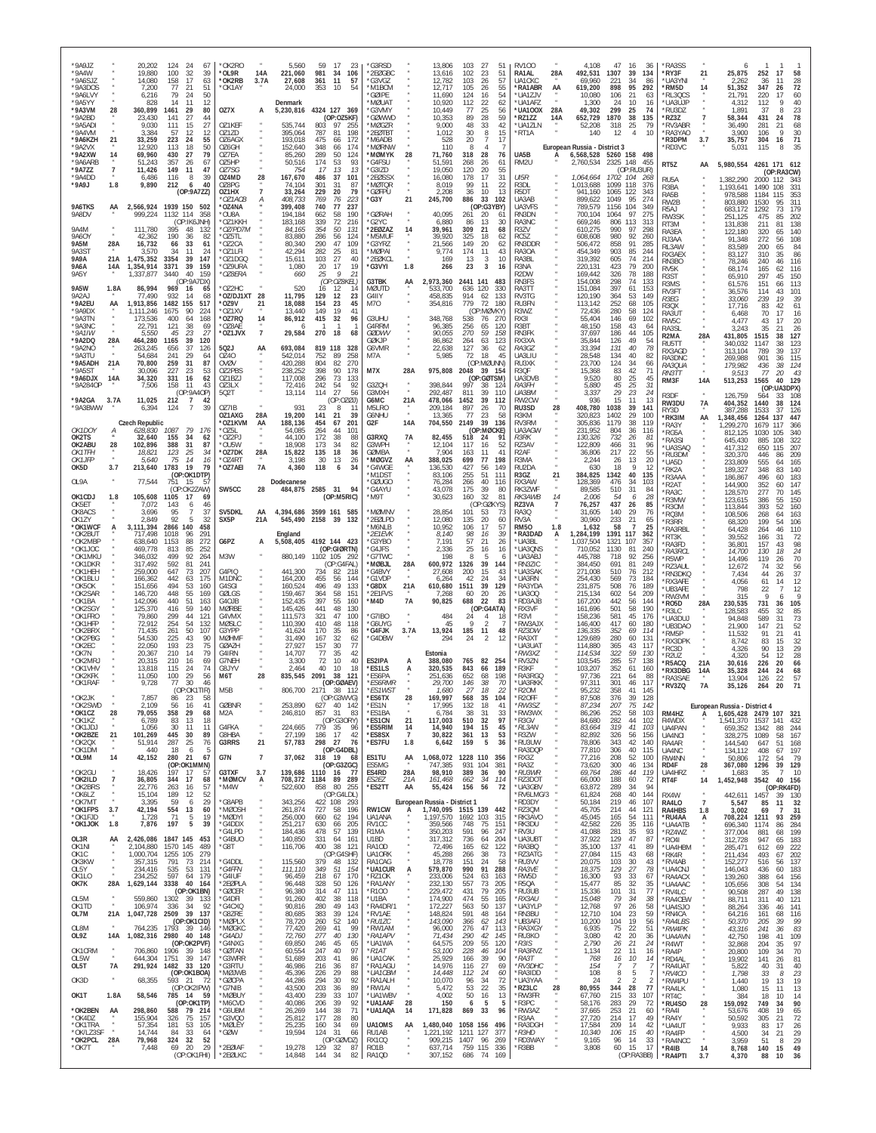| *9A9JZ<br>*9A4W<br>*9A6SJZ                   |                                     | 20,202<br>19.880<br>14,080                  | 124<br>24<br>67<br>100<br>-32<br>39<br>158<br>17<br>63                            | *OK2RO<br>*OL9R<br>*OK2RB               | 14A<br>3.7A                            | 5,560<br>221,060<br>27,608               | 59<br>17<br>23<br>981<br>106<br>34<br>361<br>11<br>57                        | 'G3RSD<br>*2EØGBC<br>'G3VGZ                          |                             | 13,806<br>13,616<br>12,782                                          | 103<br>102<br>103                           | 27<br>51<br>-23<br>51<br>26<br>57                                          | <b>RV100</b><br>RA1AL<br>UA1CKC                   | 28A         | 4,108<br>492,531<br>69,960                             | 47<br>1307<br>221                         | 16<br>36<br>39<br>134<br>34<br>86                                        | *RA3SS<br>*RY3F<br>*UA3YNI                               | 21                             | 6<br>25,875<br>2,262                                                       | 252<br>17<br>58<br>36<br>28<br>11                                                         |
|----------------------------------------------|-------------------------------------|---------------------------------------------|-----------------------------------------------------------------------------------|-----------------------------------------|----------------------------------------|------------------------------------------|------------------------------------------------------------------------------|------------------------------------------------------|-----------------------------|---------------------------------------------------------------------|---------------------------------------------|----------------------------------------------------------------------------|---------------------------------------------------|-------------|--------------------------------------------------------|-------------------------------------------|--------------------------------------------------------------------------|----------------------------------------------------------|--------------------------------|----------------------------------------------------------------------------|-------------------------------------------------------------------------------------------|
| *9A3DOS<br>*9A6LVY<br>*9A5YY<br>*9A3VM       | 28                                  | 7,200<br>6,216<br>828<br>360,899            | 77<br>21<br>51<br>79<br>24<br>50<br>12<br>14<br>11<br>1461<br>29<br>80            | *OK1AY<br>OZ7X                          | А                                      | 24,000<br>Denmark<br>5,230,816           | 353<br>10<br>54<br>4324 127 369                                              | *M1BCM<br><b>GØIPE</b><br>'MØUA1<br>'G3VMY           |                             | 12.717<br>11,690<br>10,920<br>10,449                                | 105<br>124<br>112<br>77                     | -26<br>55<br>16<br>54<br>22<br>62<br>25<br>56<br>59<br>28                  | *RA1ABR<br>'UA1ZJV<br>*UA1AFZ<br>*UA100X          | AA<br>28A   | 619,200<br>10,080<br>1.300<br>49,302                   | 898<br>106<br>24<br>299<br>1870           | 95<br>292<br>21<br>63<br>10<br>16<br>25<br>74<br>38                      | *RM5D<br>RL3QCS<br>*UA3UJP<br>*RU3DZ                     | 14<br>$\overline{7}$           | 51,352<br>21,791<br>4,312<br>1,891                                         | 347<br>72<br>26<br>220<br>60<br>17<br>40<br>112<br>37<br>23<br>8<br>78<br>431<br>24       |
| *9A2BD<br>*9A5ADI<br>*9A4VM<br>*9A6KZH       | 21                                  | 23.430<br>9.030<br>3.384<br>33,259          | 27<br>141<br>44<br>111<br>15<br>27<br>12<br>-57<br>-12<br>223<br>24<br>55         | OZ1KEF<br>0717D<br>OZ6AGX               |                                        | 535,744<br>395,064<br>193,018            | (OP:OZ5KF)<br>803<br>97<br>255<br>787<br>81<br>198<br>475<br>172<br>66       | 'GØWWD<br>'MØGZR<br>*2EØTBT<br>'M6ADB                |                             | 10,353<br>9,000<br>1,012<br>528                                     | 89<br>48<br>30<br>20                        | 33<br>42<br>15<br>8<br>17<br>-7                                            | *RZ1ZZ<br>*UA1ZLN<br>*RT1A                        | 14A         | 652,729<br>52.208<br>140                               | 318<br>12                                 | 135<br>25<br>79<br>$\overline{4}$<br>10                                  | *RZ3Z<br>'RV3ABR<br>RA3YAO<br>'R3DPM                     | 3.7                            | 58.344<br>36,490<br>3,900<br>35,757                                        | 281<br>68<br>21<br>30<br>106<br>304<br>16<br>71                                           |
| *9A2VX<br>*9A2XW<br>*9A6ARB<br>*9A7ZZ        | 14<br>$\overline{7}$                | 12.920<br>69,960<br>51.243<br>11,426        | 50<br>18<br>113<br>430<br>27<br>79<br>357<br>26<br>67<br>149<br>11<br>47          | OZ6GH<br>OZ7EA<br>075HP<br>OZ7SG        |                                        | 152.640<br>85,260<br>50,516<br>754       | 348<br>174<br>66<br>289<br>50<br>124<br>174<br>53<br>93<br>-17<br>13<br>13   | <b>MØRNW</b><br><b>MØMYK</b><br>*G4FSU<br>*G3IZD     | 28                          | 110<br>71,760<br>51.591<br>19,050                                   | -8<br>318<br>268<br>120                     | Δ<br>28<br>76<br>26<br>61<br>20<br>55                                      | UA5B<br>RM2U                                      | A           | European Russia - District 3<br>6,568,528<br>2,760,534 | 5260 158<br>2325 148                      | 498<br>455<br>(OP:RU3UR)                                                 | 'RD3VC<br>RT5Z                                           | AA                             | 5.031<br>5,980,554                                                         | 115<br>35<br>8<br>4261 171 612<br>(OP:RA3CW)                                              |
| *9A4DD<br>*9A9J                              | 1.8                                 | 6,486<br>9,890                              | 116<br>8<br>39<br>40<br>212<br>6<br>(OP:9A7ZZ)                                    | OZ4MD<br>OZ8PG<br>OZ1HX<br>*OZ1ACB      | 28<br>А                                | 167,670<br>74,104<br>33,264<br>408,733   | 37<br>486<br>101<br>301<br>31<br>87<br>229<br>20<br>79<br>769<br>76<br>223   | '2EØSSX<br>'MØTQR<br>'GØFPU<br>'G3Y                  | 21                          | 16,080<br>8,019<br>2,208<br>245,700                                 | 178<br>99<br>36<br>886                      | 17<br>31<br>22<br>11<br>10<br>13<br>33<br>102                              | UI5R<br>R3DL<br>R <sub>5</sub> DT<br>UA3AB        |             | 1,064,664<br>1,013,688<br>941,160<br>899,622           | 1702 104<br>1099<br>1065<br>1049          | -268<br>118<br>376<br>122<br>343<br>95<br>274                            | RU5A<br>R3BA<br>RA5B<br>RW2B                             |                                | 1.382,290<br>1,193,641<br>978,588<br>803,880                               | 2000<br>112<br>-343<br>1490<br>108<br>331<br>1184<br>115<br>353<br>1530<br>311<br>95      |
| 9A6TKS<br>9A8DV<br><b>9A4M</b>               | AA                                  | 2,566,924<br>999,224<br>111,780             | 1939 150<br>502<br>1132 114<br>358<br>(OP:IK6JNH)<br>395<br>48<br>132             | *OZ4NA<br>*OU8A<br>'OZ1KKH<br>*OZ/PD7M  |                                        | 399,408<br>194,184<br>183,168<br>84.165  | 740<br>77<br>237<br>662<br>58<br>190<br>72<br>339<br>216<br>354<br>50<br>131 | <b>GØRAH</b><br>'G2YC<br>*2EØZAZ                     | 14                          | 40,095<br>6,880<br>39,961                                           | 261<br>86<br>309                            | (OP:G3YBY)<br>-20<br>61<br>13<br>30<br>21<br>68                            | UA3VFS<br>RN3DN<br>RA3NC<br>R3ZV                  |             | 789,579<br>700.104<br>669,246<br>610.275               | 1156<br>1064<br>806<br>990                | 104<br>349<br>97<br>275<br>113<br>313<br>97<br>298                       | R5A J<br>RW3SK<br>RT3M<br>RA3EA                          |                                | 683,172<br>251,125<br>131,838<br>122,180                                   | 1292<br>17 <sup>S</sup><br>73<br>475<br>85<br>202<br>211<br>81<br>138<br>140<br>320<br>65 |
| 9A60Y<br><b>9A5M</b><br>9A3S1<br><b>9A9A</b> | 28A<br>21A                          | 42,362<br>16,732<br>3,570<br>1,475,352      | 190<br>36<br>82<br>33<br>66<br>61<br>11<br>34<br>-24<br>3354<br>39<br>147         | *OZ5TL<br>*072CA<br>*OZ1LFI<br>*OZ1DGC  |                                        | 83,880<br>80,340<br>42,294<br>15,611     | 286<br>56<br>124<br>290<br>47<br>109<br>282<br>25<br>81<br>103<br>27<br>40   | 'M5MUF<br>'G3YRZ<br>'MØPAI<br>*2FØKCI                |                             | 39,920<br>21,566<br>9,774<br>169                                    | 325<br>149<br>174<br>13                     | 18<br>62<br>20<br>62<br>11<br>43<br>10<br>-3                               | RC5Z<br>RN3DDR<br>RA30A<br>RA3BI                  |             | 608,608<br>506,472<br>454,349<br>319,392               | 980<br>858<br>903<br>605                  | 92<br>260<br>91<br>285<br>85<br>244<br>74<br>214                         | RJ3AA<br>RL3AW<br>RX3AEX                                 |                                | 91,348<br>83,589<br>83,127                                                 | 272<br>108<br>56<br>200<br>65<br>84<br>310<br>35<br>86                                    |
| 9A6A<br><b>9A5Y</b><br>9A5W                  | 14A<br>1.8A                         | 1,354,914<br>1,337,877<br>86,994            | 3371<br>39<br>159<br>40<br>3440<br>159<br>(OP:9A7DX)<br>969<br>16<br>65           | *OZ9URA<br>*OZ8ERA<br>OZ2HC             |                                        | 1,080<br>660<br>520                      | 20<br>17<br>19<br>9<br>25<br>21<br>(OP:OZ8KEL)<br>16<br>12<br>14             | *G3VYI<br>G3TBK<br><b>MØUTD</b>                      | 1.8<br>AA                   | 266<br>2,973,360<br>533,700                                         | 23<br>2441<br>141<br>636<br>120             | 3<br>16<br>483<br>330                                                      | R3NA<br>R <sub>2</sub> DW<br>RN3FS<br>RA3TT       |             | 220,131<br>169.442<br>154,008<br>151,084               | 423<br>326<br>298<br>397                  | 79<br>200<br>78<br>188<br>74<br>133<br>61<br>153                         | RN3BO<br>RV5K<br>R <sub>3</sub> ST<br>R3MS               |                                | 78,246<br>68,174<br>65,910<br>61,576                                       | 240<br>46<br>116<br>165<br>116<br>62<br>297<br>45<br>150<br>151<br>113<br>66              |
| 9A2AJ<br>*9A2EU<br>*9A9DX<br>*9A3TN          | AA                                  | 77,490<br>1,913,856<br>1,111,246<br>173,536 | 932<br>14<br>68<br>1482<br>155<br>517<br>1675<br>90<br>224<br>400<br>64<br>168    | *OZ/DJ1XT<br>*OZ9V<br>*OZ1XV<br>*OZ7RQ  | 28<br>21<br>14                         | 11,795<br>18,088<br>13,440               | 129<br>12<br>23<br>154<br>23<br>45<br>149<br>19<br>41<br>415<br>32<br>96     | G4IIY<br>M70<br>G3UHU                                |                             | 458,835<br>354,816<br>348,768                                       | 914<br>779<br>538                           | 62<br>133<br>72<br>180<br>(OP:MØVKY)<br>270<br>76                          | RV3TG<br>RU3FN<br>R3WZ<br>RX3I                    |             | 120,190<br>113,142<br>72,436<br>55,404                 | 364<br>252<br>280<br>146                  | 53<br>149<br>68<br>105<br>58<br>124<br>69<br>102                         | RV3FT<br>R3EG<br><b>R30X</b><br>RA3UT                    |                                | 36,576<br>33,060<br>17,716<br>6,468                                        | 114<br>101<br>43<br>239<br>19<br>39<br>83<br>42<br>61<br>70<br>16<br>17                   |
| *9A3NC<br>$*9A1IW$<br>*9A2DQ                 | 28A                                 | 22,791<br>5,550<br>464,280                  | 38<br>69<br>121<br>45<br>23<br>27<br>39<br>120<br>1165                            | *OZ8AE<br>*OZ1JVX                       | $\overline{7}$                         | 86,912<br>29,584                         | 270<br>18<br>68<br>819 118                                                   | G4RRM<br><b>GØDWV</b><br><b>GØKJP</b>                |                             | 96,385<br>90,055<br>86,862                                          | 256<br>270<br>264                           | 65<br>120<br>59<br>158<br>63<br>123                                        | R3BT<br>RN3FK<br>RX3XA                            |             | 48,150<br>37,697<br>35.844                             | 158<br>186<br>126                         | 43<br>64<br>44<br>105<br>49<br>54                                        | RW <sub>5</sub> C<br>RA3SL<br>R <sub>2</sub> MA<br>RU5TT | 28A                            | 4,477<br>3,243<br>431,805<br>340,032                                       | 20<br>43<br>17<br>35<br>21<br>26<br>1515<br>38<br>127<br>1147<br>38<br>123                |
| *9A2NO<br>*9A3TU<br>*9A5ADH<br>*9A5ST        | 21A                                 | 263.245<br>54.684<br>70,800<br>30,096       | 37<br>656<br>126<br>241<br>29<br>64<br>259<br>31<br>87<br>227<br>23<br>53         | 502J<br>0740<br>OVØV<br>OZ2PBS          | AA                                     | 693,084<br>542,014<br>420,288<br>238,252 | 328<br>752<br>89<br>258<br>804<br>82<br>270<br>398<br>90<br>178              | G6VMR<br>M7A<br>M7X                                  | 28A                         | 22,638<br>5,985<br>975,808                                          | 127<br>72<br>2048                           | 36<br>62<br>45<br>18<br>(OP:MØUNN)<br>39<br>- 154                          | RA3GZ<br>UA3LIU<br>RU3XK<br><b>R30F</b>           |             | 33,394<br>28.548<br>23,700<br>15.368                   | 131<br>134<br>124<br>83                   | 40<br>78<br>40<br>82<br>34<br>66<br>42<br>71                             | RX3AGD<br>RA3DNC<br>RA3QUA<br>RN3TT                      | $\boldsymbol{\alpha}$          | 313,104<br>269,988<br>179,982<br>9,513                                     | 789<br>39<br>137<br>901<br>36<br>115<br>436<br>38<br>124<br>77<br>20<br>-43               |
| *9A6DJX<br>*9A284OP<br>*9A2GA                | 14A<br>3.7A                         | 34,320<br>7,506<br>11,025                   | 331<br>16<br>62<br>11<br>158<br>43<br>(OP:9A4OP)<br>212<br>$\overline{7}$<br>42   | OZ1BZJ<br>OZ3LX<br>502T                 |                                        | 117,008<br>72.416<br>13,114              | 296<br>73<br>133<br>242<br>54<br>92<br>27<br>114<br>56<br>(OP:0ZØJ)          | G3ZQH<br>G3MXH<br>G6MC                               | $\mu$<br>21A                | 398.844<br>292,487<br>478,066                                       | 997<br>811<br>1452                          | (OP:GØTSM)<br>38<br>124<br>39<br>110<br>39<br>112                          | UA3DVB<br>RA3FH<br>UA3BM<br>RW2CW                 |             | 9,520<br>5,880<br>3,337<br>936                         | 80<br>$\substack{45 \\ 29}$<br>15         | 25<br>45<br>$\frac{25}{23}$<br>31<br>24<br>11<br>13                      | RM3F<br>R3DF<br>RW3DU                                    | 14A<br>7A                      | 513,253<br>126,759<br>404,352                                              | 1565<br>40<br>129<br>(OP:UA3DPX)<br>108<br>564<br>33<br>1440<br>124<br>38                 |
| *9A3BWW<br>OK1DOY                            | А                                   | 6,394<br><b>Czech Republic</b><br>628,830   | $\overline{7}$<br>124<br>39<br>1087<br>79<br>176                                  | OZ7IB<br>OZ1AXG<br>*OZ1KVM<br>*OZ5L     | 28A<br>AA                              | 931<br>19,200<br>188,136<br>54,085       | 23<br>8<br>11<br>141<br>21<br>39<br>454<br>67<br>201<br>264<br>44<br>101     | M5LRO<br>G6NHU<br>G2F                                | 14A                         | 209,184<br>13,365<br>704,550                                        | 897<br>77<br>2149                           | 26<br>70<br>23<br>58<br>39<br>136<br>(OP:MØCKE)                            | RU3SD<br>R3KM<br>RV3RM<br>UA3AGW                  | 28          | 408,780<br>320,823<br>305,836<br>231,952               | 1038<br>1402<br>1179<br>804               | 39<br>141<br>29<br>100<br>38<br>119<br>36<br>116                         | RY3D<br>*RK3IM<br>RA3Y<br>*RG5A                          | AA                             | 387,288<br>1,348,456<br>1,299,270<br>812.125                               | 1533<br>37<br>126<br>1264<br>137<br>447<br>1679<br>117<br>366<br>1030<br>340<br>105       |
| OK2TS<br>OK2ABU<br><i>OK1TFH</i><br>OK1JFP   | 28                                  | 32,640<br>102,896<br>18,821<br>5,640        | 155<br>-34<br>62<br>388<br>31<br>87<br>34<br>123<br>-25<br>75<br>14<br>16         | *OZ2PJ<br>*OU5W<br>*OZ7DK<br>*OZ4RT     | $\overline{N}$<br>28A                  | 44.100<br>18,908<br>15,822<br>3,198      | 172<br>-38<br>88<br>173<br>34<br>82<br>18<br>135<br>36<br>30<br>13<br>26     | G3RXQ<br>G3WPH<br>GØMBA<br>*MØGVZ                    | 7A<br>AA                    | 82,455<br>12,104<br>7,904<br>388,025                                | 518<br>117<br>163<br>699                    | 24<br>91<br>16<br>52<br>41<br>11<br>77<br>198                              | <i>R3RK</i><br>RZ3AV<br>R <sub>2</sub> AF<br>R3MA |             | 130.326<br>122,809<br>36,806<br>2,244                  | 732<br>466<br>217<br>26                   | 26<br>-81<br>31<br>96<br>22<br>55<br>13<br>20                            | 'RA3SI<br>'UA3SAQ<br>*RU3DM<br>*UA5D                     |                                | 645,430<br>417,312<br>320,370<br>233,809                                   | 885<br>108<br>322<br>650<br>115<br>207<br>446<br>86<br>209<br>555<br>165<br>64            |
| OK5D<br>OL9A                                 | 3.7                                 | 213,640<br>77,544                           | 79<br>1783<br>19<br>(OP:OK1DTP)<br>751<br>15<br>-57<br>(OP:OK2ZAW)                | *OZ7AEI<br>SW5CC                        | <b>7A</b><br>28                        | 4,360<br>Dodecanese                      | 118<br>34<br>6<br>484,875 2585 31<br>94                                      | *G4WGE<br>'M1DST<br>'GØUGO<br>*G4AYU                 |                             | 136,530<br>83,106<br>76,284<br>43,078                               | 427<br>255<br>266<br>175                    | 56<br>149<br>51<br>111<br>40<br>116<br>39<br>80                            | RU2DA<br>R3GZ<br>RX3AW<br>RK3ZWF                  | 21          | 630<br>384,825<br>128.369<br>89,585                    | 18<br>1342<br>476<br>510                  | 9<br>-12<br>40<br>135<br>34<br>103<br>31<br>84                           | 'RK2A<br>R3AAA<br>'R2AT<br>RA3C                          |                                | 189,327<br>186,867<br>144,900<br>128,570                                   | 348<br>83<br>140<br>496<br>183<br>60<br>352<br>60<br>147<br>277<br>70<br>145              |
| OK1CDJ<br>OK5ET<br>OK8ACS<br>OK1ZY           | 1.8                                 | 105,608<br>7,072<br>3,696<br>2,849          | 1105<br>17<br>69<br>143<br>46<br>6<br>95<br>37<br>92<br>5<br>32                   | SV5DKL<br>SX5P                          | AA<br>21A                              | 4,394,686<br>545,490                     | (OP:M5RIC)<br>3599 161 585<br>2158 39<br>132                                 | *M9T<br>MØMNV<br>*2EØLPD                             |                             | 30,623<br>28,854<br>12,080                                          | 160<br>101<br>135                           | 32<br>81<br>(OP:GØKYS)<br>53<br>73<br>20<br>60                             | RK3AWB<br>RZ3VA<br><b>RA30</b><br>RV3A            | 14<br>7     | 2.006<br>76,257<br>31,605<br>30.960                    | 54<br>437<br>140<br>233                   | 6<br>-28<br>26<br>85<br>29<br>76<br>21<br>65                             | R3MW<br>R30M<br>RQ3M<br>R3RR                             |                                | 123,615<br>113,844<br>108,506<br>68,320                                    | 386<br>150<br>55<br>393<br>52<br>160<br>268<br>163<br>64<br>199<br>106<br>54              |
| *OK1WCF<br>*OK2BUT<br>*OK2MBP<br>*OK1JOC     | А                                   | 3,111,394<br>717,498<br>638,640<br>469,778  | 2866<br>140<br>458<br>291<br>1018<br>96<br>1153<br>88<br>272<br>85<br>813<br>252  | G6PZ                                    | A                                      | England                                  | 5,508,405 4192 144 423<br>(OP:GIØRTN)                                        | M6NLB<br>*2E1EVK<br>*G3YBO<br>*G4JFS                 |                             | 10,952<br>8,140<br>7,191<br>2,336                                   | 106<br>98<br>57<br>25                       | 17<br>57<br>39<br>16<br>21<br>26<br>16<br>16                               | <b>RM50</b><br>RA3DAD*<br>UA3BL<br>*UA3QNS        | 1.8<br>А    | 1,632<br>1,284,199<br>1,037,504<br>710.052             | 58<br>1391 117<br>1321<br>1130            | $\overline{7}$<br>25<br>362<br>107<br>357<br>81<br>240                   | <b>RA3RBL</b><br>'RT3K<br><b>RA3FD</b><br>*RA3RCL        |                                | 64,428<br>39,552<br>36,801<br>14,700                                       | 264<br>110<br>46<br>166<br>72<br>31<br>$\frac{98}{24}$<br>157<br>43<br>130<br>18          |
| *OK1MKU<br>*OK1DKR<br>*OK1HEH<br>*OK1BLU     |                                     | 346,032<br>317,492<br>259,000<br>166,362    | 499<br>92<br>264<br>241<br>592<br>81<br>647<br>73<br>207<br>442<br>63<br>175      | M3W<br>G4PIQ<br>M1DNC                   |                                        | 880,149<br>441,300<br>164,200            | 1102 105 292<br>(OP:G4FAL<br>734<br>82<br>218<br>455<br>56<br>144            | 'G7TWC<br><b>MØBJL</b><br>'G4BVY<br>*G1VDP           | 28A                         | 198<br>600,972<br>27,608<br>6,264                                   | 8<br>1326<br>200<br>42                      | -5<br>-6<br>39<br>144<br>15<br>43<br>24<br>34                              | UA3ABJ<br>RN3ZIC<br>*UA3SAK<br>UA3RN              |             | 445,788<br>384.450<br>271,008<br>254,430               | 718<br>691<br>510<br>569                  | 92<br>256<br>81<br>249<br>76<br>212<br>73<br>184                         | 'R5WP<br>RZ3AUL<br>'RN3DKQ<br>*RX3AFE                    |                                | 14,496<br>12,672<br>7,434<br>4,056                                         | 70<br>119<br>26<br>56<br>74<br>32<br>37<br>44<br>26<br>61<br>12<br>14                     |
| *OK5OK<br>*OK2SAR<br>*OK1BA<br>*OK2SGY       |                                     | 151,656<br>146,720<br>142,096<br>125,370    | 494<br>53<br>160<br>448<br>55<br>169<br>440<br>51<br>163<br>59<br>416<br>140      | G4SGI<br>GØLGS<br>G4OJB<br><b>MØRBE</b> |                                        | 160,524<br>159,467<br>152,435<br>145.426 | 496<br>49<br>133<br>364<br>58<br>151<br>397<br>55<br>160<br>441<br>48<br>130 | *G8DX<br>*2E1FVS<br>*M4D                             | 21A<br>7А                   | 610,680<br>7.268<br>90,825                                          | 1511<br>60<br>688                           | 39<br>129<br>20<br>26<br>22<br>83<br>(OP:G4ATA)                            | *RA3YDA<br>UA300<br>*RD3AJB<br>*RX3VF             |             | 231,875<br>215,134<br>167,200<br>161,696               | 508<br>602<br>442<br>501                  | 76<br>189<br>54<br>209<br>56<br>144<br>58<br>190                         | 'UB3AFE<br>'RW3VM<br>'RO5D<br>'R3LC                      | 28A                            | 798<br>315<br>230,535<br>128.583                                           | 12<br>22<br>$\mathsf Q$<br>Q<br>6<br>731<br>36<br>105<br>85<br>455<br>32                  |
| *OK1FRO<br>*OK1HFP<br>*OK2BRX<br>*OK2PBG     |                                     | 79.860<br>72,912<br>71,435<br>54,530        | 44<br>299<br>121<br>254<br>54<br>132<br>50<br>261<br>107<br>225<br>43<br>90       | G4VMX<br>MØSLC<br>G3YPP<br><b>MØHMF</b> |                                        | 111,573<br>110,390<br>41,624<br>31,490   | 321<br>47<br>100<br>410<br>48<br>118<br>170<br>35<br>86<br>167<br>32<br>62   | *G7IBO<br>'G6UYG<br>*G4FJK<br>'G4DBW                 | 3.7A                        | 484<br>45<br>13,924<br>294                                          | 24<br>9<br>185<br>24                        | $\overline{4}$<br>18<br>$\overline{2}$<br>48<br>11<br>$\overline{2}$<br>12 | *R3VI<br>'RW3AJX<br>*RZ3DW<br><b>RA3XT</b>        |             | 158,236<br>146,400<br>136,335<br>129,689               | 581<br>417<br>352<br>280                  | 45<br>176<br>60<br>180<br>69<br>114<br>60<br>131                         | *UA3DUJ<br>*UB3DAO<br>'RM5P<br><b>RX3DPK</b>             |                                | 94,848<br>21.900<br>11,532                                                 | 589<br>31<br>73<br>147<br>52<br>21<br>91<br>41<br>21                                      |
| *OK2EC<br>*OK7N<br>*OK2MR.<br>*OK1VHV        |                                     | 22,050<br>20,367<br>20,315<br>13,818        | 193<br>23<br>75<br>210<br>14<br>79<br>69<br>210<br>16<br>115<br>24<br>74          | GØAZH<br>G4IRN<br>G7NEH<br>G8JYV        |                                        | 27,927<br>14,707<br>3,300<br>2,464       | 157<br>30<br>77<br>77<br>35<br>42<br>72<br>10<br>40<br>10<br>40<br>18        | ES2IPA<br>*ES1LS                                     | A                           | Estonia<br>388,080<br>320,535                                       | 765<br>843                                  | 82<br>- 254<br>66<br>189                                                   | UA3UAT<br>RW3XZ<br>'RV3ZN<br>*R3KF                |             | 114,880<br>114,534<br>103,545<br>103,207               | 365<br>322<br>285<br>352                  | 43<br>117<br>59<br>130<br>57<br>138<br>61<br>160                         | RC3D<br>R2U7<br>'R5ACQ                                   | 21A                            | 8,742<br>4.326<br>4.320<br>30,616                                          | 32<br>83<br>15<br>90<br>29<br>13<br>28<br>54<br>12<br>226<br>20<br>66                     |
| *OK2KFK<br>*OK1RAF<br>*OK2JK                 |                                     | 11.050<br>9,728<br>7.857                    | 29<br>100<br>56<br>77<br>30<br>46<br>(OP:OK1TIR)<br>86<br>23<br>58                | M6T<br>M <sub>5</sub> B                 | 28                                     | 835,545                                  | 2091<br>38<br>121<br>(OP:GØAEV)<br>806,700 2171 38 112<br>(OP:G3WVG)         | *FS6PA<br><i><b>*ES6RMR</b></i><br>*ES1WST<br>'ES6TX | 28                          | 251,636<br>29.700<br>1.680<br>169.997                               | 652<br>146<br>27<br>568                     | 68<br>198<br>38<br>70<br>22<br>18<br>35<br>104                             | RA3RGO<br>*UA3RKK<br>*R20M<br>R <sub>2</sub> OFF  |             | 97.736<br>97,311<br>95.232<br>87.508                   | 221<br>301<br>358<br>376                  | 64<br>88<br>46<br>117<br>41<br>145<br>-39<br>128                         | <b>RX3DBG</b><br>*RA3SAE<br>*RV3ZQ                       | 14A<br>7A                      | 35,328<br>13,904<br>35,126                                                 | 244<br>24<br>68<br>22<br>57<br>126<br>264<br>20<br>71                                     |
| *OK2SWD<br>*OK1CZ<br>*OK1KZ<br>*OK1JDJ       | 28                                  | 2.109<br>79,055<br>6,789<br>1,056           | $56 \n$<br>41<br>16<br>358<br>29<br>68<br>13<br>83<br>18<br>-30<br>-11<br>-11     | <b>GØBNR</b><br>M2A<br>G4FKA            |                                        | 253,890<br>246,810<br>224,665            | 627 40 142<br>857<br>31<br>83<br>(OP:G3ORY)<br>779 35<br>96                  | *ES1N<br>*ES1BA<br>*ES1CN<br>*ES5RIM                 | 21<br>14                    | 17,995<br>6,784<br>117,003<br>14,940                                | 132<br>38<br>510<br>194                     | 18<br>41<br>31<br>33<br>32<br>97<br>45<br>15                               | *RW3SZ<br>*RW3WX<br>R3GV<br>*RL3AN                |             | 87,234<br>86,296<br>84,680<br>83,664                   | 207<br>252<br>282<br>319                  | 75<br>142<br>58<br>103<br>44<br>102<br>41<br>103                         | RM4HZ<br>R4WDX<br>UA4PAN                                 | $\mathsf{A}$                   | European Russia - District 4<br>1,605,428 2479 107<br>1,541,370<br>659,352 | 321<br>1537 141<br>432<br>1342<br>88<br>244                                               |
| *OK2BZE<br>*OK2QX<br>*OK1DM<br>*OL9M         | 21<br>$\scriptstyle{N}$<br>14       | 101,269<br>51,914<br>440<br>42,152          | 445<br>30<br>89<br>287<br>25<br>76<br>18<br>5<br>- 6<br>280<br>21<br>67           | G8HBA<br>G3RRS<br>G7N                   | $\overline{N}$<br>21<br>$\overline{7}$ | 27,199<br>57,783<br>37,062               | 186<br>17<br>42<br>298<br>- 27<br>- 76<br>(OP:G4DBL)<br>318 19<br>68         | *ES8SX<br>*ES7FU<br>ES1TU                            | $\overline{7}$<br>1.8<br>AA | 30,822<br>6,642<br>1,068,072                                        | 361<br>159<br>1228 110                      | 53<br>13<br>36<br>5<br>356                                                 | R3ZW<br>*RU3UW<br>RA3DQP<br>"RX3Z                 |             | 82,892<br>78,806<br>77,810<br>77,216                   | 326<br>343<br>306<br>208                  | 56<br>156<br>42<br>140<br>40<br>115<br>52<br>100                         | UA4NCI<br>RA4AR<br>UA4NC<br>RW4NN                        | $\alpha$<br>$\boldsymbol{\pi}$ | 328,275<br>144,540<br>134,112<br>50,806                                    | 1089<br>167<br>58<br>647<br>51<br>168<br>408<br>197<br>67<br>172<br>79<br>54              |
| *OK2GU<br>*OK2ILD<br>*OK2BRS                 | $\overline{1}$                      | 18,426<br>36,805<br>22,776                  | (OP:OK1MMN)<br>197<br>17<br>57<br>344<br>17<br>68<br>263<br>-57<br>16             | G3TXF<br>*MØMCV<br>*M4W                 | 3.7<br>А                               | 708,372<br>522,600                       | (OP:G3ZGC)<br>139,686 1110 16<br>- 77<br>89 289<br>1184<br>858 80 255        | ES5MG<br>ES4RD<br>ES2EZ<br>*ES2TT                    | 28A<br>21A<br>AA            | 747,385<br>98,910<br>161,468<br>55,424                              | 931<br>104<br>389<br>662<br>156             | 381<br>90<br>36<br>34<br>114<br>72<br>56                                   | RA3Z<br>*RU3WR<br>RZ3DOT<br>*UA3GBV               |             | 73,620<br>69,764<br>66,000<br>63,872                   | 300<br>286<br>188<br>289                  | 46<br>134<br>44<br>119<br>60<br>72<br>94<br>34                           | RD4F<br>UA4HRZ<br>RT4F                                   | 28<br>14                       | 367,080 1296<br>1,683<br>1,452,948 3542                                    | 39 129<br>10<br>-35<br>$\mathcal{I}$<br>40 156<br>(OP:RK4FD)                              |
| *OK6LZ<br>*OK7MT<br>*OK1FPS<br>*OK1FJD       | 3.7                                 | 15,104<br>3,395<br>42,194<br>1,728          | 189<br>12<br>52<br>29<br>59<br>-6<br>554<br>13<br>60<br>71<br>5<br>19             | *G8APB<br>*MØOSH<br>'MØDYI              |                                        | 343,256<br>261,874<br>256,000            | (OP:G4LDL)<br>422 108 293<br>727<br>58 196<br>194<br>660<br>62               | RW1CW<br>UA1ANA                                      |                             | European Russia - District 1<br>1,740,095 1515 139 442<br>1,197,570 | 1692 103                                    | 315                                                                        | RV6LMG/3<br>RD3DY<br>*RZ3QM<br>*RK3AVO            |             | 61,824<br>50,184<br>45,705<br>45,045                   | 268<br>219<br>214<br>165                  | 40<br>144<br>107<br>46<br>44<br>121<br>54<br>111                         | RX4W<br>RA4LO<br>RA4HBS                                  | $\overline{7}$<br>1.8          | 5,547<br>3,002                                                             | 442,611 1457 39 130<br>32<br>85<br>11<br>69<br>31<br>$\overline{7}$<br>93 259             |
| *OK1JOK<br>OL3R<br>OK1NI                     | 1.8<br>ΑА                           | 7,876<br>2,104,880                          | 197<br>5<br>39<br>2,426,086 1847 145<br>453<br>1570 145<br>489                    | *G4DDX<br>*G4LPD<br>*G4BUO<br>*G8T      |                                        | 251,217<br>184,436<br>140,850<br>116,706 | 630<br>66<br>205<br>57<br>478<br>139<br>331<br>64 161<br>400 38 121          | RV1CC<br>R <sub>1</sub> MA<br>U1BD<br>RA1OD          |                             | 359,566<br>350,203<br>317,312<br>72,496                             | 748<br>591<br>736<br>165                    | 75<br>151<br>96<br>247<br>64<br>204<br>62<br>122                           | *RK3DU<br>RV3U<br>*UA3UBT<br>RA3BQ                |             | 42,582<br>41,088<br>37,922<br>35,100                   | 226<br>281<br>129<br>137                  | 35<br>116<br>$\frac{35}{47}$<br>93<br>87<br>41<br>89                     | *RU4AA<br>*UA4ATB<br>*RZ4WZ<br>*RO4I<br>*UA4HBM          | А                              | 708,224 1211<br>696,340<br>377,004<br>312,728                              | 284<br>1174<br>86<br>199<br>881<br>68<br>947<br>183<br>65<br>69                           |
| OK1C<br>OK3KW<br>OL5Y                        |                                     | 1,000,704<br>357,315<br>234,416             | 1255 105<br>279<br>791<br>73<br>214<br>535<br>53<br>131                           | *G4DDL<br>*G4FFN                        |                                        | 115,560<br>111,110                       | (OP:G4SHF)<br>379 48 132<br>349<br>51<br>154                                 | UA10RK<br>RA1CAG<br>*UA1CUR                          | A                           | 45,288<br>18,778<br>579,870                                         | 266<br>151<br>990                           | 73<br>38<br>24<br>58<br>91<br>288                                          | *RZ3ATG<br>*RU3VV<br>*RA3VE                       |             | 27,084<br>20,075<br>18,375                             | 115<br>103<br>129                         | 43<br>68<br>30<br>43<br>27<br>78                                         | *RK4R<br>*RV4AB<br>*UA4CNJ                               |                                | 285,471<br>211,434<br>152,277<br>146,043                                   | 612<br>222<br>493<br>67<br>202<br>137<br>516<br>56<br>436<br>183<br>60                    |
| OK1LO<br>OK7K<br>OL5M                        | 28A                                 | 234,252                                     | 597<br>64<br>179<br>1,629,144 3338 40<br>164<br>(OP:OK1BN)<br>559,860 1302 39 133 | *G4IUF<br>*2EØPLA<br>*GØCER<br>*G4DFI   |                                        | 96,459<br>96,448<br>96,380<br>91,260     | 218<br>67<br>170<br>328<br>50<br>126<br>314<br>47<br>111<br>402<br>38<br>118 | *RZ1OK<br>*RA1ANY<br>*R100<br>*U1BA                  |                             | 233,006<br>232,130<br>229,472<br>174,900                            | 524<br>557<br>431<br>474                    | 63<br>163<br>73<br>205<br>79<br>205<br>55<br>165                           | RW5D<br>"R5QA<br>*RU3UB<br>*RX3AU                 |             | 16,300<br>15,477<br>15,336<br>15,048                   | 93<br>85<br>101<br>79                     | 33<br>67<br>32<br>35<br>31<br>77<br>34<br>38                             | *RA4ACX<br>*UA4AAC<br>*RV4LC<br>*RA4CEW                  |                                | 139,260<br>105,656<br>90,508<br>88,711                                     | 388<br>156<br>64<br>308<br>54<br>134<br>287<br>49<br>138<br>40<br>311<br>121              |
| OK1TD<br>OL7M<br>OL8M                        | 21A                                 | 106,974<br>764,235                          | 336<br>34<br>92<br>1,047,728 2509 39 137<br>(OP:OK1CID)<br>1793 39 146            | *G4CXQ<br>*G8ZRE<br>*MØPLX<br>*MØGKC    |                                        | 90,816<br>80,685<br>78,720<br>77,420     | 280<br>49<br>143<br>383<br>39<br>124<br>260<br>52<br>140<br>269<br>99<br>41  | *RA4DR/1<br>*RV1AE<br>*RU1ZC<br>*RW1AM               |                             | 172,227<br>148,824<br>143,090<br>96,000                             | 563<br>591<br>366<br>276                    | 50<br>137<br>48<br>164<br>143<br>62<br>47<br>113                           | *UA3YLP<br>*RN3BU<br>*UB3AFJ<br>*RA3XGY           |             | 12,768<br>12,710<br>10,200<br>6,935                    | 97<br>104<br>104<br>75                    | 26<br>58<br>23<br>59<br>19<br>56<br>22<br>51                             | *UA4SJO<br>*RN4CA<br>*RA4LBS<br>*RW4PK                   |                                | 88,264<br>64,216<br>50,370<br>43,316                                       | 336<br>46<br>141<br>116<br>161<br>68<br>205<br>39<br>99<br>83<br>241<br>36                |
| OL9Z<br>OK1CRM<br>OL5W                       | 14A<br>$\scriptstyle{\prime\prime}$ | 1,082,316 2980<br>706,860<br>644,304        | 40 148<br>(OP:OK2PVF)<br>1906<br>39 148<br>1751<br>39 147                         | *G4ADJ<br>*G4NXG<br>*GØTAN<br>*G3WRR    |                                        | 72,760<br>69,850<br>60,554<br>51,689     | 277<br>40<br>130<br>246<br>45<br>65<br>247<br>40<br>97<br>203<br>41<br>86    | *RA1APV<br>*UA1WA<br>*R1AT<br>*UA1CAK                |                             | 71,434<br>64,575<br>53,100<br>25,929                                | 290<br>209<br>228<br>166                    | 42<br>145<br>120<br>55<br>46<br>104<br>39<br>90                            | *RU3KO<br>$*$ R3IS<br>RA3RVZ<br>$*$ RA3T          |             | 3,080<br>2,790<br>1,134<br>768                         | 42<br>26<br>22<br>16                      | 20<br>36<br>21<br>24<br>11<br>16<br>10<br>14                             | *UA4AVN<br>*R4WT<br>*RA4P<br>*RD4AL                      |                                | 42,750<br>32,868<br>20,800<br>19,902                                       | 109<br>198<br>41<br>97<br>204<br>35<br>109<br>34<br>70<br>141<br>81<br>26                 |
| OL5T<br>OK3D                                 | 7A                                  | 291,924<br>68,355                           | 1482 33 120<br>(OP:OK1BOA)<br>593 21<br>- 72<br>(OP:OK2IPW)                       | *G3RTU<br>*MØJWB<br>*GØCPA<br>*G7NIB    |                                        | 46,986<br>45,396<br>44,286<br>43,500     | 216<br>87<br>36<br>29<br>226<br>88<br>294<br>30<br>92<br>203<br>89<br>36     | *RA1AGU<br>*UA1CBM<br>*RA1ALH<br>*RW1AI              |                             | 14,976<br>14,448<br>10,070<br>5,472                                 | 116<br>112<br>96<br>53                      | 27<br>69<br>24<br>60<br>34<br>72<br>22<br>35                               | *RV3DHC<br>RA3IDD<br>"UA3YAA<br>RZ3LC*            | $\mu$<br>28 | 154<br>108<br>24<br>80,955                             | 7<br>8<br>$\overline{\phantom{a}}$<br>344 | 7<br>5<br>$\overline{7}$<br>$\overline{2}$<br>$\overline{2}$<br>77<br>28 | *RA4UAT<br>*RV4CO<br>*RW4PU<br>*RA4LK                    | $\alpha$                       | 5,822<br>1,798<br>1,440<br>1,080                                           | 40<br>31<br>40<br>23<br>33<br>-8<br>19<br>13<br>19<br>13<br>15<br>11                      |
| OK1T<br>*OK2BEN<br>*OK4DZ                    | 1.8A<br>AA                          | 58,546<br>298,860<br>155,904                | 785<br>- 14<br>- 59<br>(OP:OK1TP)<br>588 79 214<br>326<br>75<br>157               | *MØBUY<br>*M6CVD<br>*G6UBM<br>*G3VQO    |                                        | 43,400<br>40,086<br>26,269<br>25,812     | 33<br>239<br>107<br>39<br>206<br>92<br>144<br>38<br>71<br>177<br>28<br>80    | *UA1WBV<br>*UA1AAF<br>*UA1AQA                        | 28<br>14                    | 4,002<br>150<br>171,828                                             | 50<br>6<br>869                              | 13<br>16<br>5<br>-5<br>96<br>33                                            | *RW3FR<br>R3PC<br>RW3AZ<br>R3AA                   |             | 67,760<br>58,176<br>37,665<br>27,720                   | 215<br>283<br>253<br>214                  | 33<br>107<br>29<br>72<br>21<br>60<br>17<br>49                            | *RT4C<br>*RU4SO<br>*RA4I<br>*RA4Y                        | 28<br>$\boldsymbol{\alpha}$    | 384<br>159,092<br>53,676<br>50,592                                         | 18<br>10<br>14<br>749<br>90<br>34<br>65<br>408<br>19<br>72<br>305<br>21                   |
| *OK1TRA<br>*OK/LZ3SF<br>*OK2PCL 28A<br>*OK7T |                                     | 57,354<br>14,744<br>79,968<br>7,448         | 53<br>181<br>105<br>84<br>33<br>64<br>324<br>32<br>52<br>69<br>20<br>29           | *MØLEY<br>*GØW<br>*2EØIAF               |                                        | 25,235<br>19,594<br>19,278               | 160<br>-34<br>69<br>124<br>31<br>66<br>(OP:GØVDZ)<br>129<br>32<br>87         | UA10MS<br>RU1AB<br>RX1CQ<br>RO1B                     | AA                          | ,480,040<br>,221,192<br>909,215<br>637,714                          | 1058 156 496<br>1211 127<br>1407<br>759 115 | 377<br>96<br>269<br>336                                                    | <b>RA3DGH</b><br>*R3HD<br>*RD3WAY<br>R3BB*        |             | 17,584<br>10,340<br>9.165<br>3,808                     | 209<br>106<br>96<br>60                    | 14<br>42<br>15<br>40<br>14<br>33<br>15<br>17                             | *UA4UT<br>*RA4FP<br>*RA4NCC<br>*R4IB                     | 14                             | 9,933<br>4,500<br>3,959<br>8,768                                           | 26<br>83<br>17<br>29<br>34<br>21<br>29<br>-51<br>8<br>140<br>49<br>15                     |
|                                              |                                     |                                             | (OP:OK1FHI)                                                                       | *2EØLKC                                 |                                        | 14,848                                   | 144<br>34<br>82                                                              | RA1QD                                                |                             | 307,152                                                             | 686                                         | 74<br>169                                                                  |                                                   |             |                                                        |                                           | (OP:RA3BB)                                                               | *RA4PTI                                                  | 3.7                            | 4,370                                                                      | 36<br>88<br>10                                                                            |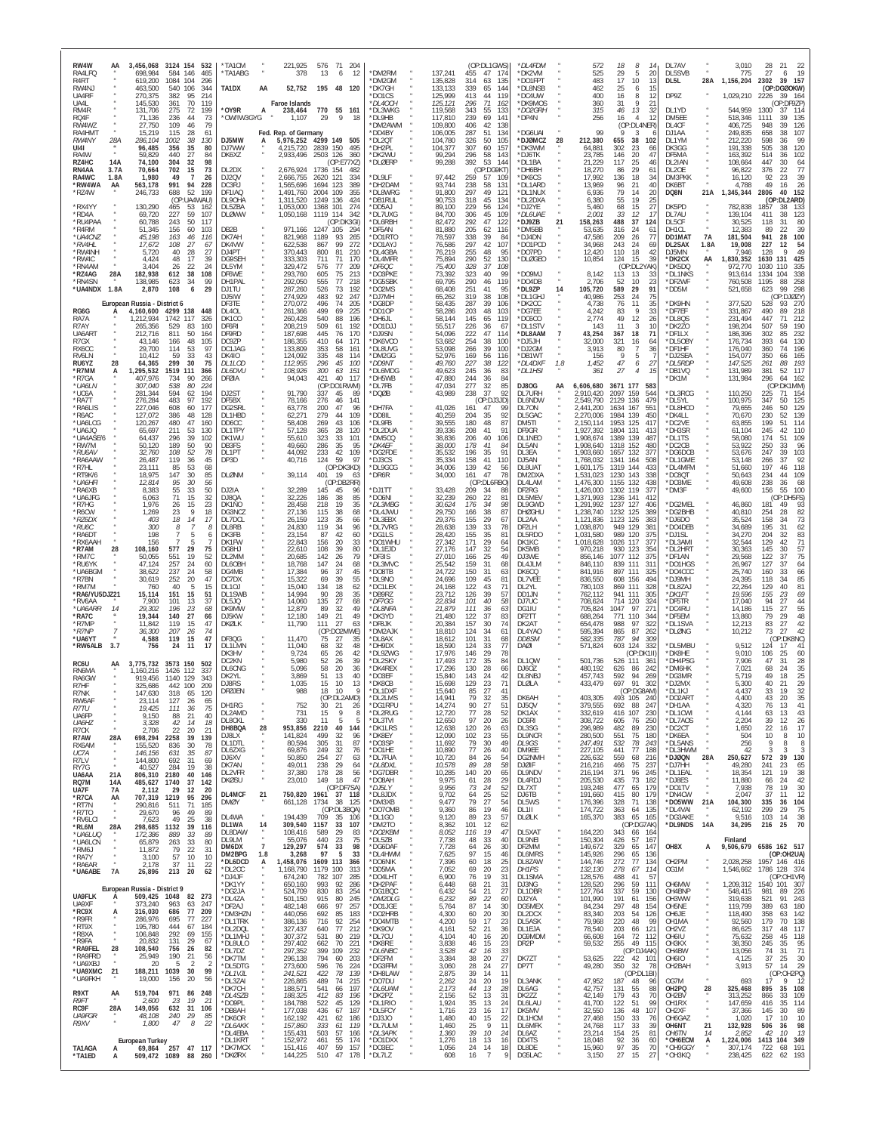| RW4W<br>AA<br>RA4LFQ<br>R4RT<br>RW4NJ<br>UA4RF<br>UA4L<br>RM4R<br>RQ4F<br>RW4WZ<br>RA4HMT<br>RW4NY<br>28A<br>UI41<br>RA4W<br>14A<br>RZ4HC<br>RN4AA<br>3.7A<br>RA4WC<br>1.8A<br>*RW4WA<br>AA<br>*RZ4W<br>*RX4YY<br>*RD4A<br>*RU4PAA<br>*R4RM<br>*UA4CNZ<br>*RV4HL<br>*RW4NH<br>*RW4C<br>*RN4AM                                                                                                                     | 3,456,068<br>3124 154 532<br>698,984<br>584<br>146<br>465<br>1084<br>619,200<br>104<br>296<br>463,500<br>540<br>106<br>344<br>270,375<br>214<br>382<br>95<br>361<br>70<br>119<br>145.530<br>131,706<br>275<br>72<br>199<br>73<br>71.136<br>236<br>44<br>79<br>27,750<br>109<br>46<br>15,219<br>115<br>28<br>61<br>286,104<br>1002<br>38<br>130<br>35<br>96,485<br>356<br>80<br>59,829<br>440<br>27<br>84<br>304<br>98<br>74,100<br>-32<br>70,664<br>702<br>15<br>73<br>1,980<br>49<br>$\overline{7}$<br>26<br>991<br>94<br>563,178<br>228<br>52<br>688<br>199<br>246,733<br>(OP:UA4WAU)<br>130,290<br>53<br>465<br>162<br>69,720<br>227<br>59<br>107<br>60,788<br>243<br>50<br>117<br>51,345<br>156<br>60<br>103<br>45,198<br>116<br>163<br>46<br>17,672<br>108<br>27<br>67<br>40<br>28<br>27<br>5.720<br>4.424<br>48<br>17<br>39<br>3,404<br>26<br>22<br>24                                                                                                                                                                                                                            | *TA1CM<br>TA1ABG<br>TA1DX<br>AA<br>*OY9R<br>A<br>'OW/IW3GYG<br>DJ5MW<br>A<br>DJ7WW<br>DK6XZ<br>DL2DX<br>DJ2QV<br>DC3RJ<br>DF1IAQ<br>DL9OHA<br><b>DI 57BA</b><br><b>DLØWW</b><br>DB2B<br>DK7AH<br>DK4VW<br>$D$ . J $4PT$<br>DG9SEH<br>DL5YM                                                                                                                                           | 221,925<br>576<br>71<br>-204<br>378<br>13<br>6<br>12<br>52,752<br>195 48 120<br><b>Faroe Islands</b><br>770 55 161<br>238,464<br>1,107<br>29<br>9<br>18<br>Fed. Rep. of Germany<br>4299 149 505<br>5,976,252<br>4,215,720<br>2839 150<br>495<br>2,933,496 2503 126<br>360<br>(OP: E77XZ)<br>2,676,924<br>1736 154<br>482<br>2,666,755<br>2620 121<br>334<br>1,565,696<br>1694 123<br>389<br>1,491,760<br>2004 109<br>355<br>1,311,520<br>1249 136<br>424<br>1,053,000<br>1368 101<br>274<br>1,050,168<br>1119 114<br>342<br>(OP:DK3GI)<br>971,166<br>1247 105<br>294<br>821,968<br>1189<br>93<br>265<br>622,538<br>867<br>99<br>272<br>370.443<br>81<br>800<br>210<br>333,303<br>711<br>71<br>170<br>329,472<br>576<br>77<br>209                                                                                                                                                                                                                                                                                                                                                                                | *DM2RM<br>*DM2GM<br>*DK7GH<br>*DO1CS<br>*DL4OCH<br>*DL3WKG<br>*DL9HB<br>*DM2AWM<br>*DD4BY<br>*DI 20T<br>*DH2PL<br>*DK2WU<br>*DLØERP<br>*DL9LF<br>*DH2DAM<br>*DL8WRG<br>*DB1RUL<br>*DD5AJ<br>*DL7UXG<br>*DL6RBH<br>*DF5AN<br>'DO1RTO<br>*DO1AYJ<br>*DI 4GBA<br>*DL4MFR<br>*DF6QC                                                                                                           | (OP:DL1GWS)<br>455<br>137,241<br>47<br>174<br>135,828<br>314<br>63<br>135<br>133,133<br>339<br>144<br>65<br>125,999<br>413<br>119<br>44<br>125, 121<br>296<br>71<br>162<br>119,568<br>343<br>55<br>133<br>117,810<br>239<br>69<br>141<br>109,800<br>406<br>138<br>42<br>106,005<br>287<br>51<br>134<br>104,780<br>326<br>50<br>105<br>104,377<br>307<br>60<br>157<br>99,294<br>296<br>58<br>143<br>99,288<br>392<br>53<br>144<br>(OP:DG9KT)<br>97,442<br>259<br>57<br>109<br>93,744<br>238<br>58<br>131<br>297<br>91,800<br>49<br>121<br>90,753<br>318<br>45<br>134<br>89,100<br>229<br>56<br>124<br>84,700<br>306<br>45<br>109<br>292<br>47<br>82.472<br>122<br>81,880<br>205<br>62<br>116<br>78,597<br>338<br>39<br>84<br>42<br>76,586<br>297<br>107<br>76,219<br>255<br>48<br>95<br>290<br>52<br>130<br>75,894<br>328<br>37<br>75,400<br>108                                                                                                                                                                                                                                              | *DL4FDM<br>*DK2VM<br>*DO1FPT<br>*DL8NSB<br>*DC4UW<br>*DK9MOS<br>*DO2GRH<br>*DP4N<br>*DG6UAI<br>*DJØMCZ<br>28<br>*DK3WM<br>*DJ6TK<br>*DL1BA<br>*DH6BH<br>*DK6CS<br>*DL1ARD<br>*DL1NUX<br>*DL2DXA<br>*DJ2YF<br>*DL6UAE<br>*D.J97B<br>21<br>*DM5BB<br>*DJ4DN<br>*DO1PCD<br>*DO7PD<br>*DLØGEO                                                                                                 | 572<br>18<br>8<br>29<br>5<br>525<br>20<br>17<br>483<br>10<br>13<br>25<br>15<br>462<br>6<br>400<br>8<br>16<br>12<br>360<br>31<br>9<br>21<br>315<br>13<br>46<br>32<br>256<br>16<br>4<br>12<br>(OP:DL4NER)<br>99<br>212,380<br>655<br>38<br>102<br>64,881<br>302<br>23<br>66<br>23,785<br>146<br>20<br>47<br>25<br>21,229<br>117<br>40<br>29<br>18,270<br>86<br>61<br>17,992<br>18<br>136<br>34<br>13,969<br>96<br>21<br>40<br>79<br>6,936<br>14<br>20<br>6,380<br>55<br>19<br>25<br>27<br>5,460<br>68<br>15<br>2,001<br>33<br>12<br>$\mathcal{I}$<br>488<br>37<br>158,263<br>124<br>53,635<br>316<br>24<br>61<br>47,586<br>209<br>77<br>26<br>34,968<br>243<br>24<br>69<br>12,420<br>110<br>18<br>42<br>10,854<br>124<br>15<br>-39<br>(OP:DL2YAK)                                                                                                                                                                                                                                                                                                                                                                                                                                   | DL7AV<br>DL5SVB<br>28A<br>DL5L<br>DP9Z<br>DL1YD<br>DM5EE<br>DI 4CF<br>DJ1AA<br>DL1YM<br>DK3GG<br>DF5MA<br>DL2IAN<br>DL2OE<br>DM3PKK<br>DK6BT<br>21A<br>DQ8N<br>DK5PD<br>DL7AU<br>DL5CF<br>DH1CL<br>DD1MAT<br><b>7A</b><br>DL2SAX<br>1.8A<br>DJ5MN<br>*DK2CX<br>AA<br>*DK5DQ                                                                                                                                                                                       | 3,010<br>28<br>22<br>-21<br>27<br>19<br>775<br>6<br>2302<br>39<br>157<br>1,156,204<br>(OP:DGØOKW)<br>1,029,210<br>2226<br>39 164<br>(OP:DF9ZP)<br>544,959<br>1300<br>11 <sup>2</sup><br>37<br>518,346<br>135<br>1111<br>39<br>406,725<br>126<br>948<br>39<br>249,835<br>658<br>38<br>107<br>99<br>212.220<br>598<br>36<br>120<br>191,338<br>505<br>38<br>163,392<br>514<br>36<br>102<br>447<br>64<br>108,664<br>30<br>77<br>96,822<br>376<br>22<br>39<br>23<br>16,120<br>92<br>49<br>26<br>4,788<br>16<br>152<br>1,345,344<br>2806<br>40<br>(OP:DL2ARD)<br>782,838<br>1857<br>38<br>-133<br>139,104<br>411<br>38<br>123<br>30,525<br>118<br>31<br>80<br>12,383<br>39<br>89<br>22<br>181,504<br>941<br>28<br>100<br>19,008<br>227<br>54<br>12<br>49<br>7.946<br>128<br>,830,352<br>1630<br>131<br>425<br>972,770<br>1030<br>110<br>335                                                                                                                                                                                                                                                                                                    |
|-------------------------------------------------------------------------------------------------------------------------------------------------------------------------------------------------------------------------------------------------------------------------------------------------------------------------------------------------------------------------------------------------------------------|-----------------------------------------------------------------------------------------------------------------------------------------------------------------------------------------------------------------------------------------------------------------------------------------------------------------------------------------------------------------------------------------------------------------------------------------------------------------------------------------------------------------------------------------------------------------------------------------------------------------------------------------------------------------------------------------------------------------------------------------------------------------------------------------------------------------------------------------------------------------------------------------------------------------------------------------------------------------------------------------------------------------------------------------------------------------------------------------|--------------------------------------------------------------------------------------------------------------------------------------------------------------------------------------------------------------------------------------------------------------------------------------------------------------------------------------------------------------------------------------|-----------------------------------------------------------------------------------------------------------------------------------------------------------------------------------------------------------------------------------------------------------------------------------------------------------------------------------------------------------------------------------------------------------------------------------------------------------------------------------------------------------------------------------------------------------------------------------------------------------------------------------------------------------------------------------------------------------------------------------------------------------------------------------------------------------------------------------------------------------------------------------------------------------------------------------------------------------------------------------------------------------------------------------------------------------------------------------------------------------------|-------------------------------------------------------------------------------------------------------------------------------------------------------------------------------------------------------------------------------------------------------------------------------------------------------------------------------------------------------------------------------------------|----------------------------------------------------------------------------------------------------------------------------------------------------------------------------------------------------------------------------------------------------------------------------------------------------------------------------------------------------------------------------------------------------------------------------------------------------------------------------------------------------------------------------------------------------------------------------------------------------------------------------------------------------------------------------------------------------------------------------------------------------------------------------------------------------------------------------------------------------------------------------------------------------------------------------------------------------------------------------------------------------------------------------------------------------------------------------------------------|-------------------------------------------------------------------------------------------------------------------------------------------------------------------------------------------------------------------------------------------------------------------------------------------------------------------------------------------------------------------------------------------|-----------------------------------------------------------------------------------------------------------------------------------------------------------------------------------------------------------------------------------------------------------------------------------------------------------------------------------------------------------------------------------------------------------------------------------------------------------------------------------------------------------------------------------------------------------------------------------------------------------------------------------------------------------------------------------------------------------------------------------------------------------------------------------------------------------------------------------------------------------------------------------------------------------------------------------------------------------------------------------------------------------------------------------------------------------------------------------------------------------------------------------------------------------------------------------|-------------------------------------------------------------------------------------------------------------------------------------------------------------------------------------------------------------------------------------------------------------------------------------------------------------------------------------------------------------------------------------------------------------------------------------------------------------------|------------------------------------------------------------------------------------------------------------------------------------------------------------------------------------------------------------------------------------------------------------------------------------------------------------------------------------------------------------------------------------------------------------------------------------------------------------------------------------------------------------------------------------------------------------------------------------------------------------------------------------------------------------------------------------------------------------------------------------------------------------------------------------------------------------------------------------------------------------------------------------------------------------------------------------------------------------------------------------------------------------------------------------------------------------------------------------------------------------------------------------------|
| *RZ4AG<br>28A<br>*RN4SN<br>*UA4NDX 1.8A<br>RG6G<br>RA7A<br>R7AY<br>UA6ART<br>R7GX<br>RX6CC<br>RV6LN<br>RU6YZ<br>28<br>*R7MM<br>А<br>*R7GA<br>*UA6LN<br>*UC6A<br>*RA7T<br>*RA6LIS<br>*R6AC<br>*UA6LCG<br>*UA6JQ<br>*UA4ASE/6<br>*RW7M<br>*RU6AV<br>*RA6AAW<br>*R7HL<br>*RT9K/6<br>*UA6HFI<br>*RA6XB<br>*UA6JFG<br>*R7HG<br>*R6CW<br>*RZ6DX<br>*RU6C<br>*RA6DT<br>*RX6AAH                                           | 38<br>182,938<br>108<br>612<br>138,985<br>623<br>34<br>99<br>29<br>2,870<br>108<br>6<br>European Russia - District 6<br>4,160,600<br>4299 138<br>448<br>1742 117<br>1,212,934<br>326<br>265,356<br>529<br>83<br>160<br>212.716<br>811<br>50<br>164<br>105<br>43.146<br>166<br>48<br>97<br>29.700<br>114<br>53<br>59<br>33<br>43<br>10.412<br>299<br>64,365<br>30<br>75<br>1,295,532<br>1519<br>111<br>366<br>407,976<br>734<br>90<br>266<br>538<br><i>307,040</i><br>80<br>224<br>281,344<br>594<br>62<br>194<br>276,284<br>483<br>192<br>97<br>227,046<br>608<br>60<br>177<br>127,072<br>386<br>48<br>128<br>120,267<br>480<br>47<br>160<br>53<br>65,697<br>211<br>130<br>64,437<br>296<br>39<br>102<br>50,120<br>50<br>189<br>90<br>108<br>52<br>78<br>32,760<br>119<br>26,487<br>36<br>45<br>23,111<br>85<br>53<br>68<br>18.975<br>147<br>30<br>85<br>95<br>56<br>12,814<br>30<br>55<br>50<br>8,383<br>33<br>71<br>32<br>6,063<br>15<br>23<br>1,976<br>26<br>15<br>18<br>1,269<br>23<br><b>Q</b><br>18<br>403<br>14<br>17<br><i>300</i><br>8<br>8<br>198<br>5<br>6<br>156<br>7<br>-5 | DF6WE<br>DH1PAL<br>DJ1TU<br>DJ5IW<br>DF3TE<br>DL <sub>40</sub><br>DK1CC<br>DF6RI<br>DF9RD<br>DC9ZP<br>DC1JAG<br><b>DK4IO</b><br>DI 11 OD<br>DL6DVU<br>DFØIA<br>D.I2ST<br>DF5BX<br>DG2SRL<br>DL1HBD<br>DD <sub>6</sub> CC<br>DI 1TPY<br>DK1WU<br>DB3ES<br>DL1PT<br>DP3D<br><b>DLØNM</b><br>DJ2IA<br>DJ8QA<br>DK1NO<br>DG3NCZ<br>DL7DCL<br>DL8RB<br>DK3FB<br>DK1FW                     | 605<br>75<br>293,760<br>213<br>77<br>292,050<br>555<br>218<br>526<br>73<br>192<br>287,260<br>92<br>274,929<br>483<br>247<br>74<br>496<br>205<br>270,072<br>261,366<br>499<br>69<br>225<br>540<br>88<br>260,428<br>196<br>208,219<br>509<br>61<br>192<br>187,698<br>445<br>76<br>170<br>186,355<br>410<br>171<br>64<br>133,809<br>353<br>58<br>161<br>124,092<br>335<br>48<br>114<br>112,955<br>296<br>$45\,$<br>100<br>108,926<br><i>300</i><br>63<br>151<br>94,043<br>421<br>40<br>117<br>(OP:DO1RWM)<br>91,790<br>337<br>45<br>89<br>78,166<br>276<br>46<br>141<br>63,778<br>200<br>47<br>96<br>279<br>44<br>109<br>62.271<br>58,408<br>269<br>43<br>106<br>57,128<br>365<br>28<br>120<br>55,610<br>323<br>33<br>101<br>49,660<br>35<br>286<br>95<br>44,092<br>233<br>42<br>109<br>40,716<br>59<br>97<br>124<br>(OP:DK3KD)<br>39,114<br>19<br>401<br>-63<br>(OP:DB2RR)<br>32,289<br>145<br>45<br>96<br>32,226<br>38<br>186<br>85<br>28,458<br>218<br>19<br>35<br>38<br>27,136<br>115<br>68<br>35<br>26,159<br>123<br>66<br>119<br>34<br>24,830<br>96<br>23,154<br>87<br>42<br>60<br>22,843<br>20<br>33<br>156 | *DO3PKE<br>*DG5SBK<br>*DO2MS<br>*DJ7MH<br>*DG8DP<br>*DD10P<br>"DH6JI<br>*DO1DJJ<br>*DJ9SN<br>*DK6VCO<br>*DL8UVG<br>*DM2GG<br>*DD9NT<br>*DL6MDG<br>*DH5WB<br>*DL7FB<br>*DQØB<br>*DH7FA<br>*DD8IL<br>*DL9FB<br>*DL2DUA<br>*DM5CQ<br>*DK4EF<br>*DG2FDE<br>*DJ3CS<br>*DL9GCG<br>*DR6R<br>*DJ1TT<br>*DO6NI<br>*DL3MBG<br>*DL4JWU<br>*DL3EBX<br>*DL7VRG<br>*DG1LS<br>*DO1WHU                    | 99<br>73,392<br>323<br>40<br>69,795<br>290<br>46<br>119<br>68,408<br>251<br>41<br>95<br>319<br>38<br>65,262<br>108<br>39<br>287<br>106<br>58,435<br>58,286<br>203<br>48<br>103<br>145<br>58,144<br>65<br>119<br>55,517<br>226<br>36<br>67<br>222<br>47<br>54,096<br>114<br>53,682<br>254<br>38<br>100<br>53,098<br>266<br>39<br>100<br>52,976<br>169<br>56<br>116<br>49,760<br>227<br>38<br>122<br>49,623<br>245<br>36<br>83<br>47,880<br>244<br>36<br>84<br>277<br>32<br>85<br>47,034<br>43,989<br>238<br>37<br>92<br>(OP:DJ3JD)<br>41,026<br>161<br>47<br>99<br>40,259<br>204<br>35<br>92<br>39,555<br>180<br>48<br>87<br>39,336<br>208<br>41<br>91<br>38,836<br>206<br>40<br>106<br>38,000<br>178<br>41<br>84<br>35,532<br>35<br>91<br>196<br>35,334<br>41<br>158<br>110<br>34,006<br>139<br>42<br>56<br>47<br>34,000<br>161<br>78<br>(OP:DL6RBO)<br>33,428<br>209<br>34<br>88<br>32,239<br>260<br>22<br>81<br>30,624<br>176<br>34<br>98<br>38<br>29,750<br>166<br>87<br>155<br>29<br>29,376<br>67<br>139<br>33<br>28,638<br>78<br>28,420<br>155<br>35<br>81<br>27,342<br>171<br>29<br>64 | *DO9MJ<br>*DO4DB<br>*DL9ZP<br>14<br>*DL1GHJ<br>*DK2CC<br>*DG7EE<br>*DC6CC<br>*DL1STV<br>*DL8AAM<br>*DJ5JH<br>*DJ2GM<br>*DB1WT<br>*DL4DXF<br>1.8<br>*DL1HSI<br>DJ80G<br>AA<br>DL7URH<br>DL6NDW<br>DL70N<br>DL5GAC<br>DM5TI<br>DF9GR<br>DL1NEO<br>DI 5AN<br>DL3EA<br>DJ5AN<br>DL8UAT<br>DM2DXA<br>DL4LAM<br>DF2RG<br>DL5MEV<br>DL9GWD<br><b>DHØGHU</b><br>DL2AA<br>DF2LH<br>DL5RDO<br>DK1KC | 8,142<br>113<br>13<br>33<br>2,706<br>52<br>10<br>23<br>91<br>589<br>29<br>105,720<br>253<br>40,986<br>24<br>75<br>4,738<br>11<br>76<br>35<br>9<br>33<br>4,242<br>83<br>49<br>26<br>2,774<br>12<br>143<br>11<br>3<br>10<br>43,254<br>71<br>18<br>367<br>32,000<br>321<br>16<br>64<br>3,913<br>80<br>36<br>7<br>156<br>9<br>5<br>47<br>1,452<br>27<br>6<br>27<br>15<br>361<br>$\overline{4}$<br>3671 177<br>6,606,680<br>583<br>2,910,420<br>2097<br>159<br>544<br>2,549,790<br>479<br>2129<br>136<br>2,441,200<br>1634<br>167<br>551<br>2,270,006<br>1984<br>139<br>450<br>2,150,114<br>1953<br>125<br>417<br>1,927,392<br>1804<br>413<br>131<br>1,908,674<br>1389<br>139<br>487<br>1,908,640<br>1318<br>152<br>480<br>1,903,660<br>1657<br>132<br>377<br>1,768,032<br>1341<br>164<br>508<br>1,601,175<br>1319<br>144<br>433<br>1,531,023<br>1230 143<br>338<br>1,476,300<br>1155 132<br>438<br>1,426,000<br>1302<br>119<br>377<br>1,371,993<br>1236<br>141<br>412<br>1,291,992<br>1237 127<br>406<br>1,238,740<br>1232 125<br>389<br>1,121,836<br>1123<br>126<br>383<br>1,038,870<br>949<br>129<br>38 <sup>°</sup><br>1,031,580<br>989 120<br>375<br>1,018,628<br>1026 117<br>377 | *DL1NKS<br>*DF2WF<br>*DD5M<br>*DK9HN<br>*DF7EF<br>*DL8QS<br>*DK2ZO<br>*DF1LX<br>*DL5OBY<br>*DF1HF<br>*DJ2SEA<br>*DL5RDF<br>*DB1VQ<br>'DK1M<br>*DL3RCG<br>*DL5YL<br>*DL8HCO<br>*DK4LL<br>*DC2VE<br>*DH3SR<br>*DL1TS<br>*DC2CB<br>*DG6DCB<br>*DL1GME<br>*DL4MFM<br>*DC8OT<br>*DO3ME<br>*DM3F<br>DG2MEL<br>DG2BHB<br>*DJ6DO<br>*DO4DEB<br>*DJ1SL<br>*DL3AMI                                                                                                          | 338<br>913,614<br>1334<br>104<br>760,508<br>1195<br>88<br>258<br>298<br>521,658<br>99<br>623<br>(OP:DJØZY)<br>377,520<br>528<br>93<br>270<br>331,867<br>490<br>89<br>218<br>231,494<br>447<br>71<br>212<br>198,204<br>507<br>59<br>190<br>186,396<br>302<br>85<br>232<br>176,734<br>393<br>130<br>64<br>74<br>196<br>176,040<br>360<br>154,077<br>350<br>66<br>165<br>147.525<br>193<br>261<br>88<br>131,989<br>381<br>52<br>-117<br>131,984<br>296<br>64<br>162<br>2:DK1MM)<br><sup>(0)</sup><br>110,250<br>225<br>71<br>154<br>125<br>100,975<br>347<br>50<br>79,655<br>246<br>50<br>129<br>230<br>52<br>139<br>70,670<br>199<br>51<br>114<br>63.855<br>61,104<br>245<br>42<br>110<br>58,080<br>174<br>109<br>51<br>250<br>96<br>53,922<br>33<br>53,676<br>247<br>39<br>103<br>37<br>92<br>53.148<br>266<br>51,660<br>197<br>46<br>118<br>50,643<br>234<br>44<br>10 <sup>5</sup><br>49,608<br>238<br>36<br>68<br>49,600<br>156<br>55<br>100<br>OP:DH5FS)<br>46,860<br>181<br>49<br>93<br>82<br>40,810<br>254<br>28<br>73<br>35,524<br>158<br>34<br>62<br>195<br>31<br>34,689<br>34,270<br>204<br>32<br>83<br>71<br>32,544<br>129<br>42 |
| *R7AM<br>28<br>*RM7C<br>*RU6YK<br>*UA6BGM<br>*R7BN<br>*RM7M<br>*RA6/YU5DJZ21<br>*RV6AA<br>*UA6ARR<br>-14<br>*RA7C<br>*R7MP<br>$\overline{7}$<br>$*$ R7NP<br>*UA6YT<br>3.7<br>*RW6ALB<br>RC6U<br>AA<br>RN6MA<br>RA6GW<br>R7HF<br>R7NK<br>RW6AF<br>R7TU<br>UA6FP<br>UA6HZ<br>R <sub>7</sub> CK<br>R7AW<br>28A<br>RX6AM<br>UC7A<br>R7LV<br>RY7G<br>UA6AA<br>21A<br>RQ7M<br>14A<br>UA7F<br>7A<br>*R7CA<br>AA<br>*RT7N | 108,160<br>577<br>29<br>75<br>551<br>19<br>52<br>50,055<br>47,124<br>257<br>24<br>60<br>237<br>24<br>58<br>38.622<br>30,619<br>252<br>20<br>47<br>40<br>15<br>760<br>-5<br>15,114<br>151<br>15<br>51<br>7,900<br>101<br>13<br>37<br>29,302<br>68<br>196<br>23<br>19,344<br>140<br>27<br>66<br>47<br>11,842<br>119<br>15<br>36,300<br>207<br>26<br>74<br>47<br>4,588<br>119<br>15<br>756<br>24<br>11<br>17<br>3,775,732<br>3573 150<br>502<br>337<br>1.160.216<br>1426 112<br>919,456<br>1140<br>129<br>343<br>325,686<br>442 100<br>209<br>147,630<br>318<br>65<br>120<br>23.114<br>127<br>26<br>65<br>111<br>36<br>75<br>19,425<br>21<br>$40\,$<br>9,150<br>88<br>3,328<br>42<br>14<br>18<br>22<br>21<br>2,706<br>20<br>698,294<br>2258<br>39<br>139<br>155,520<br>30<br>78<br>836<br>35<br>87<br>146,156<br>631<br>692<br>69<br>144,800<br>31<br>40,527<br>284<br>19<br>38<br>2180<br>40<br>806,310<br>146<br>142<br>1740<br>37<br>485,627<br>2,112<br>29<br>12<br>20<br>1219<br>707,319<br>95<br>296<br>290,816<br>511<br>71<br>185                                                  | DG8HJ<br>DI 2MM<br>DL6OBH<br>DG4MB<br>DC7DX<br>DI 10.I<br>DL1SWB<br>DL5JQ<br>DK9MW<br>DJ5KW<br>DKQLK<br>DF3QG<br>DL1LMN<br>DK3HV<br>DC2KN<br>DI 6CNG<br>DK2YL<br>D.J8RS<br>DFØJEN<br>DH1RG<br>DL2AMD<br><b>DL8CKL</b><br>28<br>DH8BQA<br>DJ8LX<br>DL1DTL<br>DL6ZXG<br>DJ6XV<br>DK7AN<br>DL2VFR<br><b>DKØSU</b><br>DL4MCF<br>21<br><b>DMØY</b>                                        | 22,610<br>108<br>39<br>80<br>79<br>20,685<br>142<br>26<br>18,768<br>147<br>24<br>68<br>17,384<br>96<br>37<br>45<br>15,322<br>69<br>39<br>55<br>15,040<br>134<br>18<br>62<br>14,994<br>90<br>28<br>35<br>14,060<br>135<br>27<br>68<br>12,879<br>32<br>89<br>49<br>21<br>12,180<br>149<br>49<br>27<br>11,790<br>111<br>63<br>(OP:DO2MWE)<br>11,470<br>75<br>27<br>35<br>11,040<br>68<br>32<br>48<br>9,724<br>65<br>26<br>42<br>5,980<br>52<br>26<br>39<br>5,096<br>58<br>20<br>-36<br>51<br>13<br>3.869<br>40<br>1,035<br>15<br>10<br>13<br>988<br>18<br>10<br>9<br>(OP-DI 2AMD)<br>752<br>30<br>21<br>26<br>731<br>15<br>9<br>8<br>330<br>11<br>5<br>5<br>953,856<br>2210<br>40<br>144<br>32<br>141,824<br>499<br>96<br>305<br>80,594<br>31<br>87<br>32<br>249<br>69,876<br>76<br>50,850<br>254<br>27<br>63<br>238<br>29<br>49,011<br>64<br>37,380<br>178<br>28<br>56<br>149<br>18<br>47<br>23,010<br>(OP:DF7SA)<br>750,820 1961 37 118<br>661,128<br>1734<br>38<br>125                                                                                                                                          | *DL1EJD<br>*DE3IS<br>*DL3MVC<br>*DO8TB<br>*DL9NO<br>*DC1LEX<br>*DB9RZ<br>*DF7GG<br>*DL8NFA<br>*DK3YD<br>*DF8JK<br>*DM2AJK<br>*DL8AX<br>*DH9DX<br>*DL9ZWG<br>*DL2SKY<br>*DK4RFX<br>*DO3EF<br>*DK8CB<br>*DL1DXF<br>*DI 21 MS<br>*DG1RPU<br>*DL2RUG<br>*DL3TVI<br>*DK1LRS<br>*DK8EY<br>*DO3SP<br>*DO1HE<br>*DL7FUA<br>*DL8DXL<br>*DG7DBR<br>*DO8AH<br>*DJ5LY<br>*DL8JDX<br>*DM3XB<br>*DO7OMB | 27,176<br>147<br>32<br>54<br>27,010<br>25<br>49<br>166<br>25,542<br>159<br>31<br>68<br>24,722<br>150<br>31<br>63<br>24,696<br>109<br>45<br>81<br>24.168<br>122<br>43<br>71<br>39<br>23,712<br>126<br>57<br>22,834<br>101<br>40<br>58<br>111<br>21,879<br>36<br>63<br>21,480<br>122<br>37<br>83<br>157<br>30<br>20,384<br>74<br>18,810<br>124<br>34<br>61<br>101<br>31<br>18,612<br>68<br>18,590<br>33<br>77<br>124<br>17,976<br>146<br>29<br>78<br>17,493<br>172<br>35<br>84<br>17,296<br>28<br>130<br>66<br>15,840<br>143<br>24<br>42<br>129<br>15,698<br>23<br>71<br>15,640<br>85<br>27<br>41<br>79<br>35<br>14 941<br>32<br>90<br>14,274<br>27<br>51<br>77<br>12,720<br>28<br>52<br>97<br>20<br>26<br>12,650<br>12,638<br>120<br>26<br>63<br>102<br>23<br>55<br>12,090<br>79<br>30<br>49<br>11,692<br>77<br>10,890<br>26<br>40<br>10,720<br>84<br>26<br>54<br>89<br>58<br>10,578<br>28<br>10,285<br>140<br>20<br>65<br>9,975<br>29<br>28<br>61<br>9,956<br>73<br>24<br>52<br>9,702<br>25<br>52<br>64<br>27<br>9,477<br>79<br>54<br>19<br>46                                               | DK5MB<br>DJ3WE<br>DL4JLM<br>DK6CQ<br>DL7VEE<br>DI 2YI<br>DD1JN<br>DJ7UC<br>DG1IU<br>DF2TT<br>DK2AT<br>DL4YA0<br>DD8SM<br><b>DAØI</b><br>DL1QW<br>D.1607<br>DL8NBJ<br>DLØLA<br><b>DK6AH</b><br>DJ5QV<br>DK1AX<br>DC6RI<br>DL3SG<br>DL9NCR<br>DL9GS<br>DM9EE<br>DG2NMH<br>DJØIF<br>DL9NDV<br>DL4RDJ<br>DL7XT<br>DJ6TB<br>DL5WS                                                              | 970,218<br>930<br>123<br>354<br>1077 112<br>856,146<br>37!<br>846,110<br>839<br>111<br>31'<br>841,916<br>897<br>111<br>325<br>836,550<br>608<br>156<br>494<br>111<br>780.103<br>869<br>328<br>762,112<br>941 111<br>305<br>714<br>708,624<br>120<br>324<br>1047<br>97<br>27'<br>705,824<br>688,264<br>771<br>110<br>344<br>322<br>654,478<br>988<br>97<br>595,394<br>865<br>87<br>262<br>787<br>582,335<br>94<br>309<br>571,824<br>603<br>124<br>332<br>(OP:DK1II)<br>501,736<br>526<br>111<br>36'<br>480,192<br>626<br>242<br>86<br>457,743<br>592<br>94<br>269<br>91<br>433,479<br>697<br>302<br>(OP:DG8AM)<br>403.305<br>105 240<br>493.<br>379,555<br>692<br>88<br>247<br>230<br>332,619<br>416<br>107<br>308,722<br>605<br>250<br>76<br>296,989<br>230<br>482<br>89<br>280,500<br>551<br>75<br>180<br>247,491<br>532<br>$\frac{78}{77}$<br>243<br>441<br>227,105<br>188<br>226,632<br>559<br>68<br>216<br>466<br>237<br>216,216<br>75<br>216,194<br>371<br>96<br>245<br>435<br>73<br>205,530<br>182<br>193,248<br>477<br>65<br>179<br>415<br>179<br>191,660<br>80<br>176,396<br>328<br>71<br>138<br>363                                                                      | *DL2HRT<br>*DF1AN<br>*DO1HGS<br>DO4CCC*<br>*DJ9MH<br>*DL8ZAJ<br>*DK1FT<br>*DF5TR<br>*DC4RU<br>*DF5EM<br>*DL1SVA<br>'DLØNG<br>*DL5MBU<br>*DK8HE<br>*DH4PSG<br>*DM6HK<br>*DG3MR<br>*DJ2MX<br>*DL1KJ<br>*DO2ART<br>*DH1AA<br>*DL1CWI<br>*DL7AOS<br>*DC2CT<br>*DK6EA<br>*DL5ANS<br>*DL3HWM<br>*DJØQN<br>28A<br>*DJ7HH<br>*DL1EAL<br>*DJ8ES<br>*DO1TV<br>*DN4CW<br>*DO5WW<br>21A<br>*DL4VAI                                                                            | 57<br>30,363<br>145<br>30<br>75<br>37<br>29,568<br>122<br>26,967<br>127<br>37<br>64<br>25,740<br>66<br>160<br>33<br>85<br>24,395<br>118<br>34<br>81<br>22,264<br>129<br>40<br>69<br>19,596<br>155<br>23<br>17,040<br>27<br>44<br>94<br>55<br>27<br>14,186<br>115<br>48<br>13,860<br>79<br>29<br>42<br>83<br>27<br>12,213<br>73<br>27<br>42<br>10,212<br>(OP:DK8NC)<br>9,512<br>124<br>41<br>17<br>9,010<br>106<br>60<br>25<br>7,906<br>31<br>28<br>47<br>35<br>7,021<br>24<br>68<br>25<br>5,719<br>49<br>18<br>29<br>40<br>21<br>5.300<br>32<br>4,437<br>33<br>19<br>2F<br>43<br>4400<br>41<br>4,320<br>76<br>13<br>4,144<br>63<br>13<br>43<br>39<br>12<br>26<br>2,204<br>17<br>1,650<br>22<br>16<br>10<br>504<br>10<br>8<br>256<br>8<br>9<br>8<br>42<br>250,627<br>572<br>39<br>130<br>23<br>241<br>65<br>49,280<br>38<br>18,354<br>121<br>19<br>42<br>11,880<br>24<br>66<br>7,938<br>78<br>19<br>30<br>12<br>37<br>2,047<br>11<br>104,300<br>335<br>36<br>104<br>299<br>29                                                                                                                                                             |
| *R7TO<br>*RV6LCI<br>*RL6M<br>28A<br>*UA6LUQ<br>*UA6LCN<br>*RM6J<br>*RA7Y<br>*RA6AR<br><b>7A</b><br>*UA6ABE<br>UA9FLK<br>А<br>LIA9XF<br>*RC9X<br>*R9FR<br>*RT9X<br>*R8XA<br>*R9FA<br>*RA9FEL<br>28<br>*RA9FRD<br>*UA9XBJ<br>*UA9XMC<br>21<br>*UA9FKH<br>R9XT<br>AA<br>R9FT<br>RC9F<br>28A<br>UA9FGR<br>R9XV<br>TA1AGA<br>A<br>*TA1ED<br>А                                                                          | 96<br>49<br>89<br>29,670<br>7,623<br>49<br>25<br>38<br>1132<br>39<br>298,685<br>116<br>172,386<br>889<br>33<br>89<br>65,879<br>263<br>33<br>80<br>11,872<br>79<br>22<br>31<br>57<br>10<br>3,100<br>10<br>37<br>2,178<br>11<br>22<br>26,896<br>213<br>20<br>62<br>European Russia - District 9<br>509,425 1048<br>82<br>273<br>247<br>373.240<br>963<br>63<br>209<br>77<br>316,030<br>686<br>286,976<br>695<br>77<br>227<br>444<br>67<br>195,780<br>184<br>292<br>106,848<br>69<br>155<br>67<br>20,832<br>131<br>-29<br>108,540<br>756<br>26<br>82<br>190<br>21<br>25,949<br>56<br>20<br>$\overline{2}$<br>$\overline{2}$<br>- 5<br>188,211 1039<br>30<br>99<br>19,000<br>156<br>20<br>56<br>519,704<br>971<br>86<br>248<br>23<br>19<br>2,600<br>21<br>149,056<br>632<br>31<br>106<br>240<br>29<br>48,108<br>$\frac{85}{22}$<br>8<br>1,800<br>47<br>European Turkey<br>69,864 257 47 117<br>509,472 1089<br>88 260                                                                                                                                                                       | DL4WA<br>DL1WA<br>14<br>DL8DAW<br>DL9LM<br>$\overline{7}$<br>DM6DX<br>DM2BPG<br>1.8<br>*DL6DCD<br>А<br>*DL2CC<br>*DJ4JF<br>*DK1YY<br>*DG2JA<br>*DL4ZA<br>*DF2AJ<br>*DM3HZN<br>*DL1TRK<br>*DL2DQL<br>*DL1MHJ<br>*DL8ULO<br>*DL7DZ<br>*DK7TM<br>*DL5DTG<br>*DL1VJL<br>*DL3ZAI<br>*DK7CH<br>*DL4SZB<br>*DO9PL<br>*DB8AH<br>*DK6OR<br>*DL6AKK<br>*DL4EBA<br>*DL1KRT<br>*DK7MCX<br>*DKØRX | (OP:DL3BQA)<br>194,439<br>709<br>35<br>106<br>309,540 1157<br>33<br>107<br>29<br>108,416<br>589<br>83<br>55,076<br>440<br>23<br>75<br>574<br>33<br>98<br>129,297<br>97<br>33<br>3,268<br>5<br>1609 113<br>1,458,076<br>366<br>1,168,790<br>1179 100<br>313<br>674,240<br>782 107<br>285<br>650,160<br>993<br>92<br>286<br>524,709<br>830<br>83<br>254<br>501,150<br>915<br>80<br>245<br>482,148<br>97<br>666<br>257<br>440,056<br>692<br>85<br>183<br>386,136<br>716<br>92<br>254<br>77<br>327,437<br>640<br>212<br>307,372<br>531<br>80<br>219<br>297,402<br>662<br>70<br>221<br>297,352<br>399 109<br>232<br>794<br>203<br>296,138<br>60<br>596<br>76<br>273,600<br>224<br>422<br>241,521<br>78<br>139<br>226,865<br>489<br>74<br>215<br>188,571<br>541<br>197<br>66<br>188,325<br>412<br>83<br>196<br>184,788<br>522<br>45<br>129<br>177,038<br>436<br>67<br>187<br>162,192<br>421<br>186<br>62<br>157,860<br>333<br>61<br>119<br>155,431<br>503<br>57<br>166<br>152,972<br>461<br>55<br>174<br>407<br>151,416<br>59<br>157<br>144,225<br>510 47 178                                                         | *DL1GO<br>*DM2TO<br>*DO2KBM<br>*DL5ZB<br>*DG6DAF<br>*DL4HWM<br>*DO6NIK<br>*DD5MA<br>*DO4LHT<br>*DH2PAF<br>*DG1BQC<br>*DM2DLG<br>*DO1JGE<br>*DO2HRB<br>*DO4MTB<br>*DK9OV<br>*DL7CU<br>*DK8RE<br>*DL6NBC<br>*DF2FM<br>*DG3FFM<br>*DH8LAW<br>*DO7DU<br>*DL6UAM<br>*DK2PZ<br>*DL1RIO<br>*DL5FCY<br>*DJ3JO<br>*DL7ULM<br>*DL3APK<br>*DO1DXX<br>*DO3EC<br>$*$ DL7LZ                             | 9,360<br>86<br>23<br>57<br>9,120<br>89<br>8,362<br>101<br>12<br>62<br>19<br>116<br>47<br>8,052<br>33<br>7,738<br>48<br>40<br>26<br>30 <sup>°</sup><br>7,728<br>64<br>97<br>15<br>7,625<br>46<br>18<br>60<br>25<br>7,396<br>7,052<br>69<br>20<br>23<br>76<br>31<br>6,900<br>19<br>6,448<br>68<br>21<br>31<br>27<br>21<br>6,432<br>54<br>6,232<br>89<br>22<br>60<br>87<br>5,764<br>14<br>30<br>4,300<br>60<br>20<br>30<br>4,200<br>59<br>17<br>23<br>52<br>36<br>4,161<br>21<br>40<br>4,104<br>16<br>20<br>15<br>23<br>3,838<br>46<br>33<br>3,528<br>42<br>16<br>38<br>20<br>27<br>3,384<br>28<br>27<br>3,060<br>24<br>2,875<br>39<br>14<br>11<br>2,262<br>24<br>20<br>19<br>2,173<br>44<br>13<br>28<br>2,156<br>52<br>13<br>31<br>1,924<br>35<br>13<br>24<br>1,716<br>23<br>16<br>17<br>40<br>1,480<br>22<br>15<br>9<br>1,460<br>25<br>11<br>39<br>10<br>1,360<br>24<br>18<br>1,276<br>13<br>16<br>24<br>1,056<br>14<br>18<br>$\overline{7}$<br>9<br>608<br>16                                                                                                                                | DL1II<br>DLØLK<br>DL5XAT<br>DL9NEI<br>DF2MM<br><b>DL6MRS</b><br>DL8ZAW<br>DH1PS<br>DL1SMA<br>DJ3NG<br>DL1DBR<br>DJ2YA<br>DG5MEX<br>DL2DCX<br>DL5ASK<br>DL1EJA<br>DG9MDM<br>DR2P<br>DK7ZT<br>DP7T<br>DL3ANK<br>DL6AG<br>DK2ZZ<br>DL6LAU<br>DK5MV<br>DL1HCM<br>DL6MFK<br>DL6AZ<br>DD4TS<br>DL8DE<br>DG5LAC                                                                                  | 174,722<br>135<br>64<br>383<br>165,370<br>65<br>165<br>(OP:DG7AK)<br>164,220<br>343<br>66<br>164<br>150,304<br>426<br>57<br>167<br>149,672<br>329<br>65<br>147<br>296<br>145,926<br>65<br>136<br>272<br>77<br>144,746<br>134<br>132,130<br>278<br>67<br>114<br>488<br>57<br>128,576<br>41<br>128,520<br>296<br>59<br>111<br>127,764<br>337<br>59<br>130<br>101,990<br>191<br>156<br>61<br>84,234<br>297<br>154<br>48<br>83,340<br>203<br>54<br>126<br>79,968<br>220<br>48<br>99<br>78,540<br>203<br>66<br>121<br>66,608<br>164<br>72<br>112<br>255<br>49<br>59,532<br>115<br>(OP:DJ4AK)<br>53,625<br>222 42 101<br>350<br>32<br>49,280<br>78<br>(OP:DL1BI)<br>47,952<br>187<br>48<br>96<br>42,757<br>131<br>55<br>88<br>42,149<br>179<br>43<br>70<br>41,700<br>122<br>99<br>51<br>32,550<br>136<br>48<br>107<br>150<br>27,468<br>33<br>76<br>24,768<br>117<br>33<br>39<br>23,214<br>154<br>25<br>81<br>92<br>18,048<br>36<br>60<br>97<br>15,960<br>35<br>70<br>27<br>27<br>15<br>3,150                                                                                                                                                                                            | $\boldsymbol{\theta}$<br>*DG3AKE<br>*DL9NDS<br>14A<br>OH8X<br>А<br>OH2PM<br>OG1M<br>OH6MW<br>OH4BNP<br>OH3WW<br>OH5NE<br>OH6JE<br>OH1MA<br>OH <sub>2</sub> V <sub>Z</sub><br>OH6IU<br>OH3KX<br>OH4BW<br>$\boldsymbol{\theta}$<br>OH6IO<br>$\alpha$<br>OH2BAH<br>$\boldsymbol{\theta}$<br>OG7M<br>OH2PQ<br>28<br>OH2BV<br>OH1RX<br>$\boldsymbol{\theta}$<br>OH <sub>2</sub> XF<br>OH6GAZ<br>OH6NT<br>21<br><b>OH6TN</b><br>14<br>*OH6ECM<br>А<br>*OH9GGY<br>*OH3KQ | $\frac{75}{38}$<br>62,192<br>9,516<br>103<br>14<br>70<br>34,295<br>216<br>25<br>Finland<br>6586 162 517<br>9,506,679<br>(OP:OH2UA)<br>2,028,258<br>1957 146 416<br>1786 128 374<br>1,546,662<br>(OP:OH1VR)<br>1,209,312<br>1540 101<br>307<br>226<br>548,415<br>981<br>89<br>319,638<br>521<br>91<br>243<br>119,799<br>180<br>389<br>63<br>118,490<br>358<br>63<br>142<br>92,560<br>179<br>70<br>138<br>86,625<br>317<br>48<br>-117<br>75,632<br>258<br>45<br>118<br>245<br>35<br>95<br>38,350<br>71<br>13,056<br>74<br>31<br>37<br>25<br>30<br>4,125<br>57<br>14<br>29<br>3,913<br>(OP:OH2PQ)<br>693<br>17<br>9<br>-12<br>325,468<br>35 108<br>895<br>313,252<br>866<br>33<br>109<br>114<br>147,659<br>416<br>35<br>37,366<br>145<br>30<br>89<br>10<br>1,020<br>17<br>10<br>132,928<br>506<br>36<br>98<br>13<br>2,852<br>42<br>10<br>349<br>1,224,006<br>1413 104<br>307,174<br>722<br>68<br>191<br>62 193<br>238,425<br>622                                                                                                                                                                                                            |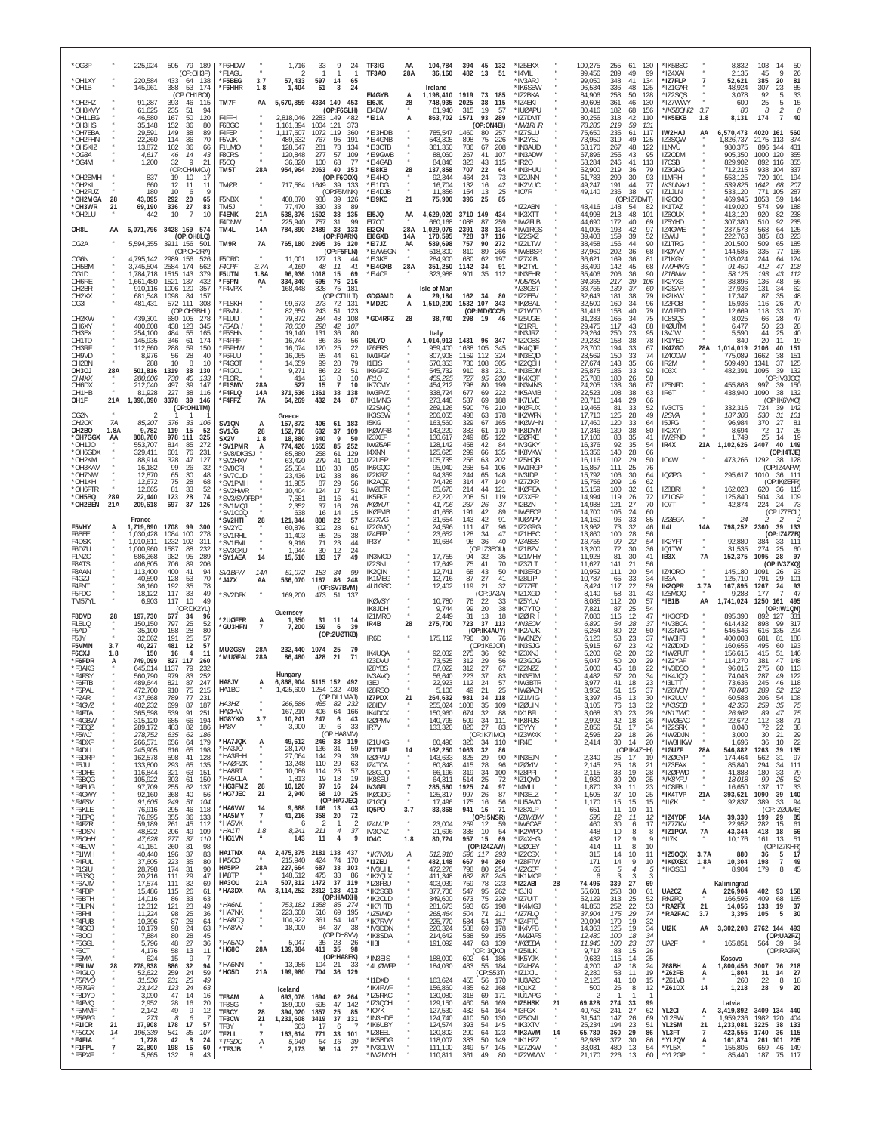| *OG3P                                                     |                            | 225,924                                          | 505 79 189<br>(OP:OH3P)                                                            | *F6HDW<br>*F1AGU                                |                              | 1,716<br>-2                                | 33<br>9<br>24<br>$\mathbf{1}$<br>-1.                                                      | TF3IG<br>TF3A0                                  | AA<br>28A                        | 104,784<br>36.160                        | 482                              | 394 45 132<br>51<br>-13                          | *IZ5EKX<br>*I4VII                              |    | 100,275<br>99.456                    | 255<br>61<br>289<br>49                                     | 130<br>*IK5BSC<br>99<br>*IZ4XAI                                       |                               |                             | 8,832<br>2.135                               | 103<br>14<br>50<br>45<br>$\mathsf Q$<br>26                                          |
|-----------------------------------------------------------|----------------------------|--------------------------------------------------|------------------------------------------------------------------------------------|-------------------------------------------------|------------------------------|--------------------------------------------|-------------------------------------------------------------------------------------------|-------------------------------------------------|----------------------------------|------------------------------------------|----------------------------------|--------------------------------------------------|------------------------------------------------|----|--------------------------------------|------------------------------------------------------------|-----------------------------------------------------------------------|-------------------------------|-----------------------------|----------------------------------------------|-------------------------------------------------------------------------------------|
| *OH1XY<br>*OH1B<br>*OH2HZ                                 |                            | 220,584<br>145,961<br>91,287                     | 433<br>138<br>64<br>388<br>53<br>174<br>(OP:OH1BOI)<br>393<br>46<br>115            | *F5BEG<br>*F6HHR<br>TM7F                        | 3.7<br>1.8<br>AA             | 57,433<br>1,404<br>5,670,859               | 597<br>14<br>65<br>$\mathbf{3}$<br>24<br>61<br>4334 140 453                               | EI4GYB<br>EI6JK                                 | 28                               | Ireland<br>1,198,410<br>748,935          | 1919<br>2025                     | 73<br>185<br>38<br>115                           | 'IV3ARJ<br><b>IK6SBW</b><br>'IZ2BKA<br>*174FKI |    | 99,050<br>96.534<br>84,906<br>80,608 | 348<br>41<br>336<br>48<br>258<br>50<br>361<br>46           | 134<br>*IZ7FLP<br>*IZ1GAR<br>125<br>128<br>*IZ2SQS<br>130             | *IZ7WWY                       |                             | 52,621<br>48,924<br>3.078<br>600             | 385<br>20<br>81<br>307<br>85<br>23<br>92<br>33<br>15<br>25<br>5                     |
| *OH8KVY<br>*OH1LEG<br>*OH3HS                              |                            | 61,625<br>46,580<br>35,148                       | 235<br>94<br>51<br>167<br>50<br>120<br>152<br>36<br>80                             | F4FFH<br>F6BGC                                  |                              | 2,818,046<br>1,161,394                     | (OP:F6GLH)<br>2283 149<br>482<br>1004 121<br>-373                                         | EI4DW<br>*EI1A                                  | A                                | 61,940<br>863,702                        | 315<br>1571                      | 19<br>57<br>93<br>289<br>(OP:ON4EI)              | *IUØAPU<br>'IZ7DMT<br>*IW1RHR                  |    | 80.416<br>80,256<br>78,280           | 182<br>68<br>318<br>42<br>219<br>59                        | 156<br>110<br>*IK5EKB<br>131                                          | *IK5BOH/2                     | 3.7<br>1.8                  | 80<br>8,131                                  | 8<br>174<br>40                                                                      |
| *OH7EBA<br>*OH2FHN<br>*OH5KIZ<br>*OG3A                    |                            | 29,591<br>22,260<br>13,872<br>4,617              | 149<br>38<br>89<br>114<br>36<br>70<br>102<br>36<br>66<br>14<br>46<br>43            | F4FEP<br>F5VJK<br>F1UMO<br>F8CRS                |                              | 1,117,507<br>489,632<br>128,547<br>120,848 | 1072<br>119<br>360<br>767<br>95<br>191<br>281<br>73<br>134<br>277<br>57<br><b>109</b>     | *EI3HDB<br>*EI4GNB<br>*EI3CTB<br>*EI9GWB        |                                  | 785,547<br>543,305<br>361,350<br>88,060  | 1460<br>898<br>786<br>267        | 80<br>257<br>226<br>75<br>67<br>208<br>41<br>107 | IZ7SLU<br>IK2YSJ<br><b>IN3AUD</b><br>'IN3ADW   |    | 75,650<br>73,950<br>68,170<br>67.896 | 235<br>61<br>319<br>49<br>267<br>48<br>255<br>43           | IW2HAJ<br>117<br>125<br>IZ3SQW<br>122<br><b>I1NVU</b><br>IZ20DM<br>95 |                               | AA                          | 6,570,473<br>1,826,737<br>980,375<br>905,350 | 4020<br>161<br>560<br>2175<br>113<br>374<br>896<br>144<br>431<br>1000<br>120<br>355 |
| *OG4M<br>*OH2BMH                                          |                            | 1,200<br>837                                     | 32<br>9<br>21<br>(OP:OH4MCV)<br>19<br>10<br>17                                     | <b>F5CO</b><br>TM5T                             | 28A                          | 36,820<br>954,964                          | 100<br>77<br>63<br>2063<br>40<br>-153<br>(OP:F6GOX)                                       | *EI4GAB<br>*EI8KB<br>*EI4HQ                     | 28                               | 84,846<br>137,858<br>92,344              | 323<br>707<br>464                | 43<br>115<br>22<br>64<br>24<br>73                | 'IR20<br>'IN3HUU<br>'IZ2JNN                    |    | 53,284<br>52,900<br>51,783           | 246<br>41<br>219<br>36<br>299<br>30                        | 113<br>I7CSB<br>IZ3GNG<br>79<br>93<br><b>I1MRH</b>                    |                               |                             | 829,902<br>712,215<br>553,125                | 892<br>116<br>355<br>938<br>337<br>104<br>720<br>194<br>101                         |
| *OH2KI<br>*OH2FUZ<br>*OH2MGA                              | 28                         | 660<br>180<br>43,095                             | 12<br>11<br>11<br>10<br>9<br>292<br>20<br>65                                       | TMØR<br>F5NBX                                   |                              | 717,584<br>408,870                         | 1649<br>39 133<br>(OP:F5MNK)<br>988<br>-39<br>126                                         | *FI1DG<br>*EI4DJB<br>*EI9KC                     | 21                               | 16,704<br>11,856<br>75,900               | 132<br>154<br>396                | 16<br>42<br>13<br>25<br>25<br>85                 | 'IK2VUC<br>'IO7R                               |    | 49,247<br>49,140                     | 191<br>44<br>236<br>38<br>(OP:IZ7DMT)                      | 77<br>97<br>IZ1JLN<br>IK2CIO                                          | IK3UNA/1                      |                             | 539,825<br>533,120<br>469,945                | 1642<br>-207<br>68<br>771<br>105<br>287<br>1053<br>59<br>144                        |
| *OH3WR<br>*OH2LU<br>OH8L                                  | 21<br>AA                   | 69,190<br>442                                    | 336<br>27<br>83<br>$\overline{7}$<br>10<br>10<br>6,071,796 3428 169 574            | TM5J<br>F4ENK<br>F4DNW<br>TM4L                  | 21A<br>14A                   | 77,470<br>538,376<br>225,940<br>784,890    | 330<br>33<br>-89<br>1502<br>38<br>135<br>757<br>99<br>31<br>2489<br>38<br>133             | EI5JQ<br>E17CC<br>EI2CN                         | AA<br>28A                        | 4,629,020<br>660,168<br>1,029,076        | 3710<br>149<br>1088<br>2391      | 434<br>87<br>259<br>38<br>134                    | IZ2ABN<br>'IK3XTT<br>'IW2FLB<br>'IW1RGS        |    | 48,416<br>44.998<br>44,690<br>41,005 | 148<br>54<br>213<br>48<br>172<br>40<br>42<br>193           | IK1TAZ<br>82<br>101<br>IZ6OUX<br>IZ5YHD<br>69<br>97<br>IZ4GWE         |                               |                             | 419,020<br>413,120<br>307,380<br>237,573     | 574<br>99<br>188<br>920<br>238<br>82<br>510<br>235<br>92<br>568<br>125<br>64        |
| OG2A                                                      |                            | 5,594,355                                        | (OP:OH8LQ)<br>3911 156<br>501<br>(OP:OH2RA)                                        | TM9R                                            | 7A                           | 765,180                                    | (OP:F8ARK)<br>2995 36 120<br>(OP:F5FLN)                                                   | E18GXB<br>*EI7JZ<br>*EI/W5GN                    | 14A<br>AA                        | 170,595<br>589,698<br>518,300            | 728<br>757<br>810                | 37<br>116<br>90<br>272<br>89<br>266              | 'IZ2SXZ<br>IZ2LTW<br>'IW8BSR                   |    | 39.403<br>38,458<br>37,960           | 159<br>39<br>156<br>44<br>202<br>36                        | I2WIJ<br>52<br>90<br>IZ1TRG<br>68<br><b>IKØYVV</b>                    |                               |                             | 222,768<br>201,500<br>144,585                | 385<br>83<br>223<br>509<br>65<br>185<br>335<br>77<br>166                            |
| OG6N<br>OH5BM<br>OG1D                                     |                            | 4,795,142<br>3,745,504<br>1,784,718              | 2989 156<br>526<br>2584 174<br>562<br>1515 143<br>379                              | F5DRD<br>F4CPF<br>F5UTN                         | 3.7/<br>1.8A                 | 11,001<br>4,160<br>96,936                  | 127<br>13<br>44<br>48<br>11<br>41<br>1018<br>15<br>69                                     | *EI3KE<br>*EI4GXB<br>*EI4CF                     | 28A                              | 284,900<br>351,250<br>323,988            | 680<br>1142<br>901               | 62<br>197<br>34<br>91<br>35<br>112               | IZ7XIB<br>'IK2TYL<br>'IN3EHR                   |    | 36,621<br>36,499<br>35,406           | 169<br>36<br>142<br>45<br>206<br>36                        | 81<br>IZ1KGY<br>68<br>90<br>IZ1BNW                                    | <b>IW9HIK/3</b>               |                             | 103,024<br>91,450<br>58,125                  | 244<br>64<br>124<br>412<br>47<br>108<br>193<br>43<br>112                            |
| OH6RF<br>OH <sub>2</sub> BR<br>OH <sub>2</sub> XX<br>OG3I |                            | ,661,480<br>910,116<br>681,548<br>481,431        | 1521<br>137<br>432<br>1006<br>120<br>357<br>1098<br>84<br>157<br>572 111<br>308    | *F5PNI<br>*F4VPX<br>*F1SKH                      | AA                           | 334,340<br>168,448<br>99,673               | 695<br>76<br>216<br>328<br>75<br>18 <sup>7</sup><br>(OP:CT1ILT)<br>273<br>72<br>13'       | <b>GDØAMD</b><br>MD2C*                          | А<br>А                           | Isle of Man<br>29,184<br>1,510,200       | 162 34<br>1532 107               | - 80<br>343                                      | 'IU5ASA<br>*IZ8GBT<br>'I72FFV<br>'IKØBAL       |    | 34,365<br>33,756<br>32,643<br>32,500 | 217<br>39<br>139<br>37<br>181<br>38<br>160<br>34           | 106<br>IK2YXB<br>IK2SAR<br>60<br>IK2IKW<br>79<br>96<br>IZ2FOB         |                               |                             | 38,896<br>27,936<br>17,347<br>15,936         | 48<br>136<br>56<br>131<br>62<br>34<br>48<br>87<br>35<br>116<br>70<br>26             |
| OH2KW<br>OH6XY                                            |                            | 439,301<br>400,608                               | (OP:OH3BHL)<br>680<br>105<br>278<br>438 123<br>345                                 | <b>F8VNU</b><br>*F1UIJ<br>*F5ADH                |                              | 82,650<br>79,872<br>70,030                 | 243<br>51<br>123<br>284<br>48<br>108<br>298<br>42<br>107                                  | *GD4RFZ                                         | 28                               | 38,740                                   | 298                              | (OP:MDØCCE)<br>19<br>46                          | IZ1WTO<br>'IZ5UGE<br>'IZ1RFL                   |    | 31,416<br>31,283<br>29,475           | 158<br>40<br>165<br>34<br>117<br>43                        | IW1FRD<br>79<br>75<br>IC8SQS<br><b>IKØUTM</b><br>88                   |                               |                             | 12,669<br>8,025<br>6,477                     | 70<br>118<br>33<br>66<br>28<br>47<br>28<br>50<br>23                                 |
| OH3EX<br>OH1TD<br>OH3RF                                   |                            | 254,100<br>145,935<br>112,860                    | 484<br>55<br>165<br>346<br>61<br>174<br>288<br>59<br>150                           | *F5SHN<br>*F4FRF<br>*F5PHW                      |                              | 19,140<br>16,744<br>16,074                 | 131<br>80<br>36<br>86<br>35<br>56<br>120<br>25<br>22                                      | <b>IØLYO</b><br>IZ6ERS                          | A                                | Italy<br>,014,913<br>959.400             | 1431<br>1638                     | 96<br>347<br>105<br>345                          | 'IN3JRZ<br>'IZ2OBS<br>'IK4OJF                  |    | 29,264<br>29,232<br>28,700           | 250<br>23<br>38<br>158<br>194<br>33                        | 95<br><b>I3VJW</b><br>78<br>IK1YED<br>67<br>IK4ZGO                    |                               | 28A                         | 5,590<br>840<br>1,014,019                    | 44<br>25<br>40<br>20<br>19<br>11<br>2106<br>151<br>40                               |
| OH9VD<br>OH2BN<br>OH3OJ<br>OH4XX                          | 28A                        | 8,976<br>288<br>501,816<br>280,606               | 56<br>28<br>40<br>10<br>8<br>10<br>1319<br>38<br>130<br>730<br>40<br>133           | *F6FLU<br>*F4GO1<br>'F4GCU<br>*F10RL            |                              | 16,065<br>14,659<br>9,271<br>414           | 65<br>44<br>61<br>99<br>28<br>79<br>22<br>51<br>86<br>8<br>13<br>10                       | <b>IW1FGY</b><br>I1EIS<br>IK6GPZ<br><i>IR10</i> |                                  | 807,908<br>570.353<br>545,732<br>459,225 | 1159<br>112<br>730<br>910<br>727 | 324<br>108<br>305<br>83<br>231<br>95<br>230      | 'IN3EQD<br>IZ2QBH<br>IN3EOM<br>'IK4XQT         |    | 28,569<br>27,674<br>25,875<br>25.788 | 150<br>33<br>143<br>35<br>33<br>185<br>180<br>26           | 74<br>IZ4COW<br>66<br>IR <sub>2</sub> M<br>92<br>IO3X<br>58           |                               |                             | 775,089<br>509,490<br>482,391                | 1662<br>38<br>151<br>1341<br>37<br>125<br>39<br>1095<br>132<br>(OP:IV3JCC)          |
| OH6DX<br>OH <sub>1</sub> H <sub>B</sub><br>OH1F           | 21A                        | 212,040<br>81.928<br>1,390,090                   | 39<br>497<br>147<br>38<br>227<br>116<br>3378<br>39<br>146                          | *F1SMV<br>*F4FLO<br>*F4FFZ                      | 28A<br>14A<br><b>7A</b>      | 527<br>371,536<br>64,269                   | 15<br>$\overline{7}$<br>10<br>1361<br>38<br>138<br>432<br>24<br>87                        | <b>IK7CMY</b><br>IW3FVZ<br>IK1MNG               |                                  | 454,212<br>338,724<br>273,448            | 798<br>677<br>537                | 80<br>199<br>69<br>222<br>69<br>188              | 'IN3MNS<br>'IK5AMB<br>'IK7LVE                  |    | 24,205<br>22.523<br>20,710           | 138<br>36<br>38<br>108<br>144<br>29                        | IZ5NFD<br>67<br>IR6T<br>63<br>66                                      |                               |                             | 455,868<br>438,940                           | 997<br>39<br>150<br>1090<br>38<br>132<br>(OP:IK6VXO)                                |
| OG2N<br>OH <sub>2</sub> CK                                | 7A                         | $\mathcal{P}$<br>85,207                          | (OP:OH1TM)<br>376<br>33<br>106                                                     | SV1QN                                           | A                            | Greece<br>167,872                          | 406<br>61 183                                                                             | IZ2SMQ<br>IK3SSW<br>I5KG                        |                                  | 269,126<br>206,055<br>163,560            | 590<br>498<br>329                | 76<br>210<br>63<br>178<br>67<br>165              | <b>IKØFUX</b><br>IK2WFN<br><b>IKØWHN</b>       |    | 19,465<br>17,710<br>17,460           | 81<br>33<br>125<br>28<br>120<br>33                         | IV3CTS<br>52<br>49<br>I2SVA<br>I5JFG<br>64                            |                               |                             | 332,316<br>187,308<br>96,984                 | 724<br>39<br>-142<br>101<br>530<br>31<br>370<br>81<br>27                            |
| OH2BO<br>*OH7GGX<br>*OH1JO                                | 1.8A<br>AA                 | 9,782<br>808,780<br>553,707                      | 119<br>15<br>52<br>978 111<br>325<br>814<br>85<br>272<br>76                        | SV1JG<br>SX2V<br>'SV1PMR                        | 28<br>1.8<br>A               | 152,716<br>18,880<br>774,426               | 632<br>37<br>109<br>340<br>9<br>50<br>1655<br>85<br>252                                   | <b>IKØWRB</b><br>IZ3XEF<br><b>IWØSAF</b>        |                                  | 143,220<br>130,617<br>128,142            | 383<br>249<br>458<br>299         | 61<br>170<br>85<br>122<br>42<br>84               | 'IK8DYM<br>'IZØFKE<br>*IV3GKY                  |    | 17,346<br>17.100<br>16,376           | 38<br>139<br>83<br>35<br>92<br>35<br>28                    | 80<br>IK2XYI<br>IW2FND<br>41<br>54<br>IR4X                            |                               | $\alpha$<br>21A             | 8,694<br>1.749<br>1,102,626                  | 72<br>17<br>25<br>25<br>-19<br>14<br>2407<br>40<br>149                              |
| *OH6GD><br>*OH2KM<br>*OH3KAV<br>*OH7NW                    |                            | 329,411<br>88,914<br>16,182<br>12,870            | 601<br>231<br>328<br>47<br>127<br>99<br>26<br>32<br>65<br>48<br>30                 | *SV8/DK3SJ<br>'SV2HXV<br>'SV8CRI<br>'SV7CUD     |                              | 85,880<br>63,420<br>25,584<br>23,436       | 258<br>61<br>129<br>279<br>41<br>110<br>110<br>-38<br>85<br>142<br>38<br>86               | 14XNN<br>IZ2USP<br>IK6GQC<br>IZ2KRZ             |                                  | 125,625<br>105,735<br>95,040<br>94,359   | 256<br>268<br>244                | 66<br>135<br>63<br>202<br>54<br>106<br>65<br>148 | 'IK8VKW<br>'IZ5HOB<br>'IW1RGF<br>'IV3IDP       |    | 16,356<br>16,116<br>15,857<br>15,792 | 140<br>102<br>29<br>25<br>111<br>30<br>106                 | 66<br>IO4W<br>50<br>76<br><b>IQØPG</b><br>64                          |                               |                             | 295,617 1010                                 | (OP:14TJE)<br>473,266 1292 38<br>128<br>(OP:IZ4AFW)<br>- 36<br>- 111                |
| *OH1KH<br>*OH6FTR<br>*OH5BQ                               | 28A                        | 12,672<br>12,665<br>22,440                       | 75<br>28<br>68<br>81<br>33<br>52<br>123<br>28<br>74                                | *SV1PMH<br>'SV2HWR<br>*SV3/SV9FBP*              |                              | 11,985<br>10,404<br>7,581                  | 87<br>29<br>56<br>17<br>124<br>51<br>81<br>16<br>4 <sup>1</sup>                           | IK2AQZ<br>IW2ETR<br><b>IK5FKF</b>               |                                  | 74,426<br>65,670<br>62,220               | 314<br>214<br>208                | 47<br>140<br>44<br>121<br>51<br>119              | 'IZ7ZKR<br>'IKØPEA<br>'IZ3XEP                  |    | 15,756<br>15,159<br>14,994           | 16<br>209<br>32<br>100<br>119<br>26                        | 62<br>IZ8BRI<br>61<br>IZ10SP<br>72                                    |                               |                             | 162,023<br>125,840                           | (OP:IKØEFR)<br>620<br>36<br>115<br>504<br>34<br>109                                 |
| *OH2BEN                                                   | 21A                        | 209,618<br>France                                | 697<br>37<br>126                                                                   | *SV1MQJ<br>'SV10CO<br>'SV2HTI                   | 28                           | 2,352<br>638<br>121,344                    | 37<br>16<br>26<br>15<br>16<br>14<br>22<br>808<br>57                                       | <b>IKØYUT</b><br><b>IKØFMB</b><br>IZ7XVG        |                                  | 41,706<br>41,658<br>31,654               | 237<br>191<br>143                | 26<br>-37<br>42<br>89<br>42<br>91                | 'I2BZN<br>'IW5ECP<br><b>IUØAPV</b>             |    | 14.938<br>14,700<br>14,160           | 27<br>121<br>105<br>24<br>96<br>33                         | 70<br>IO7T<br>60<br>IZØEGA<br>85                                      |                               | $\alpha$                    | 42,874<br>24                                 | 224<br>- 24<br>-73<br>(OP:IZ7ECL)<br>2                                              |
| F5VHY<br>F6BEE<br>F4DSK<br>F6DZU                          |                            | 1,719,690<br>1.030.428<br>1,010,611<br>1,000,960 | 1708<br>99<br>300<br>1084<br>100<br>278<br>1232<br>102<br>311<br>1587<br>88<br>232 | 'SV2YC<br>*SV1RHL<br>'SV1EML<br>*SV3GKU         |                              | 60,876<br>11,403<br>9,916<br>1,944         | 302<br>28<br>61<br>85<br>25<br>38<br>71<br>23<br>44<br>30<br>12<br>24                     | IZ2GMQ<br>IZ4EFP<br>IR3Y                        |                                  | 24,596<br>23,652<br>19,684               | 111<br>128<br>98                 | 47<br>96<br>34<br>47<br>36<br>40<br>(OP:IZ3EOU)  | 'IZ2GRG<br>'IZ1HBC<br>*IZ4BES<br>'171B7\       |    | 13,962<br>13,860<br>13,756<br>13,200 | 73<br>32<br>$\frac{28}{22}$<br>100<br>99<br>72<br>30       | <b>II4I</b><br>46<br>56<br>54<br><b>IK2YFT</b><br>IQ1TW<br>36         |                               | 14A<br>$\alpha$             | 798,252<br>92,880<br>31,535                  | 2360<br>39<br>133<br>(OP:IZ4ZZB)<br>384<br>111<br>33<br>274<br>25<br>60             |
| F1NZC<br><b>F8ATS</b><br>F8AAN                            |                            | 586,368<br>406,805<br>113,400                    | 982<br>95<br>289<br>706<br>89<br>206<br>94<br>400<br>41                            | *SY1AEA<br>SV1BFW                               | 14<br>14A                    | 15,510<br>51,072                           | 183<br>17<br>49<br>183<br>34<br>99                                                        | IN3MOD<br>IZ2SNI<br>IK2QIN                      |                                  | 17,755<br>17,649<br>12,741               | 94<br>75<br>68                   | 32<br>35<br>41<br>70<br>50<br>43                 | 'IZ1MHY<br>IZ3ZLT<br>'IN3ERD                   |    | 11,928<br>11,627<br>10,952           | 81<br>30<br>21<br>141<br>20<br>111                         | 41<br>IB3X<br>56<br>IZ40RO<br>54                                      |                               | 7A                          | 152,375<br>145,180                           | 1095<br>28<br>97<br>(OP:IV3ZXQ)<br>1091<br>26<br>-93                                |
| F4GZJ<br>F4FNT<br>F5FDC                                   |                            | 40,590<br>36,160<br>18,122                       | 128<br>53<br>70<br>35<br>192<br>78<br>117<br>33<br>49                              | * J47X<br>*SV2DFK                               | AA                           | 536,070<br>169,200                         | 1167<br>86<br>248<br>(OP:SV7BVM)<br>473 51 137                                            | IK1MEG<br>4U1GSC                                |                                  | 12,716<br>12,402                         | 87<br>119                        | 27<br>41<br>21<br>32<br>(OP:9A3A)                | 'IZ8LIP<br>IZ7ZFT<br>IZ1XGD                    |    | 10,787<br>8,424<br>8,140             | 65<br>33<br>22<br>117<br>31<br>58                          | 34<br>IB3A<br>59<br>IK2QPR<br>43<br>IZ5MOQ                            |                               | $\alpha$<br>3.7A            | 125,710<br>167,895<br>9,288                  | 791<br>29<br>101<br>93<br>1267<br>24<br>177<br>47                                   |
| TM57YL<br>F8DVD<br>F1BLQ                                  | 28                         | 6,903<br>197,730<br>150,150                      | 10<br>49<br>117<br>(OP:DK2YL)<br>677<br>96<br>-34<br>797<br>25<br>52               | 2UØFER                                          | А                            | Guernsey<br>1,350                          | 31 11<br>14                                                                               | <b>IKØVSY</b><br>IK8JDH<br>I71MRO<br>IR4B       | 28                               | 10,780<br>9,744<br>2.449<br>275,700      | 76<br>99<br>31<br>723            | 22<br>33<br>20<br>38<br>18<br>13<br>37<br>113    | 'IZ5YLV<br>'IK7YTQ<br>'IZØIRH<br>*IN3EOV       |    | 8,085<br>7,821<br>7.080<br>6,890     | 20<br>112<br>25<br>87<br>12<br>116<br>54<br>28             | 57<br>*IB1B<br>54<br>47<br>37<br>*IV3BCA                              | *IK30RD                       | AA                          | 1,741,024<br>895,390<br>614,432              | 1250<br>161<br>495<br>(OP:IW1QN)<br>892<br>-127<br>-331<br>898<br>QQ<br>317         |
| F5AD<br>F5JY<br>F5VMN                                     | 3.7                        | 35.100<br>32.062<br>40,227                       | 28<br>158<br>80<br>191<br>25<br>57<br>12<br>57<br>481                              | <b>'GU3HFN</b><br>MUØGSY                        | $\overline{7}$<br>28A        | 7,200<br>232,440                           | 159<br>6<br>-39<br>(OP:2UØTKB)<br>1074 25<br>79                                           | IR6D                                            |                                  | 175,112                                  | 796                              | (OP:IK4AUY)<br>30<br>76<br>(OP:IK6JOT)           | <b>IK2AUK</b><br>'IW6NZY<br><b>IN3SJG</b>      |    | 6.264<br>6,120<br>5.915              | 80<br>22<br>53<br>23<br>23<br>67                           | 50<br>37<br>*IW3IFJ<br>42                                             | *IZ3NYG<br>*IZØDXD            |                             | 546,546<br>400,003<br>160,655                | 135<br>294<br>616<br>188<br>681<br>495<br>193<br>60                                 |
| F6CXJ<br>*F6FDR<br>*F8AKS                                 | 1.8<br>A                   | 150<br>749,099<br>645,014                        | 16<br>11<br>$\overline{4}$<br>827 117<br>260<br>1137<br>232<br>79<br>252<br>979    | *MUØFAL                                         | 28A                          | 86,480<br>Hungary                          | 428<br>21<br>71                                                                           | IK4UQA<br>IZ3DVU<br>IZ8YBS                      |                                  | 92,032<br>73,525<br>67,022               | 275<br>312<br>312                | 36<br>92<br>29<br>56<br>27<br>67<br>37           | 'IZ3XNJ<br>'IZ3GOG<br>'IZ2NZZ                  |    | 5,200<br>5.047<br>5,000              | 62<br>20<br>50<br>20<br>45<br>18<br>57                     | 32<br>*IZ2YAF<br>29<br>22<br>34                                       | *IW2FUT<br>*IV3DSO            |                             | 156,615<br>114,270<br>96,015                 | 415<br>51<br>146<br>381<br>47<br>148<br>275<br>60<br>113<br>49                      |
| *F4FSY<br>*F6FTB<br>*F5PAL<br>"F2AR                       |                            | 560,790<br>489,644<br>472,700<br>437,668         | 83<br>821<br>87<br>247<br>910<br>75<br>215<br>789<br>77<br>231                     | HA8JV<br>HA1BC                                  | А                            | 1,425,600                                  | 6,868,904 5115 152 492<br>1254 132<br>408<br>(OP:DETMAJ)                                  | IV3AVQ<br>13FJ<br>IZ8RS0<br>IZ7PDX              | 21                               | 56,640<br>22.923<br>5,106<br>264,632     | 223<br>112<br>49<br>981          | 83<br>24<br>57<br>21<br>25<br>-34<br>118         | 'IN3EJM<br>*IW3BTR<br>'IWØAEN<br>'IZ1MIG       |    | 4,482<br>3.977<br>3.952<br>3,397     | 20<br>41<br>18<br>51<br>15<br>45<br>-13                    | *IK4JQQ<br>23<br>*I3LTT<br>37<br>30                                   | *IZ6NCN<br>'IK2ULV            |                             | 74,043<br>73,636<br>70,840<br>60.588         | 287<br>122<br>245<br>46<br>118<br>289<br>52<br>132<br>206<br>54<br>108              |
| *F4GVZ<br>*F4FTA<br>*F4GBW                                |                            | 402,232<br>365,598<br>315,120                    | 699<br>87<br>187<br>539<br>91<br>251<br>685<br>194<br>-66                          | HA3HZ<br><b>HAØHW</b><br>HG8YKO                 | $\boldsymbol{\kappa}$<br>3.7 | 266,586<br>167,210<br>10,241               | 465<br>82<br>232<br>406<br>64<br>166<br>247<br>6<br>43                                    | IZ8IEV<br>IK4DCX<br>IZØPMV                      |                                  | 255,024<br>150,960<br>140,795            | 1008<br>674<br>509               | 35<br>109<br>32<br>88<br>34<br>111               | 'izøuin<br>*IX1BFL<br>*IK8RJS                  |    | 3,105<br>3,068<br>2,992              | 76<br>13<br>23<br>30<br>42<br>18                           | 32<br>29<br>26                                                        | *IK3SCB<br>*IK1TWC<br>*IWØEAC |                             | 42,350<br>26,962<br>22,672                   | 259<br>35<br>75<br>47<br>89<br>75<br>112<br>71<br>38                                |
| *F6EQZ<br>*F5INJ<br>*F4DXP<br>*F4DLL                      |                            | 289,172<br>278,752<br>266,571<br>245,905         | 483<br>82<br>186<br>635<br>62<br>186<br>179<br>656<br>64<br>65<br>198              | HA8V<br>*HA7JQK<br>$*$ HA3JO                    | А                            | 3,900<br>49,612<br>28,170                  | 99<br>33<br>6<br>(OP:HA8MV)<br>246<br>38 119<br>59<br>136<br>-31                          | IR7V<br>IZ1UKG<br><b>IZ1TUF</b>                 | 14                               | 133,320<br>80,496<br>162,250             | 820<br>320<br>1063               | 27<br>83<br>(OP:IK7IMO)<br>34 110<br>32<br>86    | *I3YYY<br>'IZ3WXK<br>*IR4E                     |    | 2,856<br>2,596<br>2,414              | 51<br>17<br>29<br>18<br>30<br>14<br>(OP:IK4ZHH)            | 34<br>*IZ2SRK<br>26<br>20<br>*IØUZF                                   | *IW2DJN<br>*IW3HKW            | $\alpha$<br>28A             | 8.040<br>3,000<br>1,696<br>546,882           | 38<br>72<br>22<br>29<br>30<br>21<br>22<br>36<br>10<br>1263<br>39<br>135             |
| *F6DRP<br>*F5JU<br>*F8DHE                                 |                            | 162,578<br>133,800<br>116,844                    | 616<br>598<br>41<br>128<br>293<br>65<br>135<br>321<br>63<br>151                    | *HA3FHH<br>*HAØRZK<br>*HA8RT                    |                              | 27,064<br>13,248<br>10,086                 | 144<br>29<br>39<br>110<br>29<br>63<br>114<br>25<br>-57                                    | IZØPAU<br>IZ4TOA<br>IZ8GUQ                      |                                  | 143.633<br>80,848<br>66,196              | 825<br>415<br>319                | 29<br>90<br>28<br>96<br>-34<br>100               | 'IN3EJN<br>*IZØYIV<br>IZ8PPI <sup>*</sup>      |    | 2,340<br>2,145<br>2,115              | 26<br>-17<br>25<br>18<br>19<br>33                          | -19<br>21<br>*IZ3EAX<br>28                                            | *IZØGYP<br>*IZØFWD            |                             | 174.464<br>85,840<br>41,888                  | 97<br>562<br>-31<br>294<br>34<br>111<br>79<br>180<br>-33                            |
| *F6BQG<br>*F4EUG<br>*F4GWY                                |                            | 105,922<br>97,709<br>92,160                      | 303<br>150<br>61<br>255<br>62<br>137<br>368<br>40<br>56                            | *HA5OLA<br>*HG3FMZ<br>*HG7JEC                   | 28<br>21                     | 1,813<br>10,120<br>2,940                   | 19<br>18<br>19<br>97<br>16<br>24<br>68<br>10<br>25                                        | <b>IK8SEU</b><br>IV3GFL<br><b>IKØGDG</b>        | $\overline{7}$<br>$\overline{u}$ | 64,311<br>285,560<br>125,317             | 514<br>1925<br>997               | 25<br>72<br>24<br>97<br>26<br>87                 | *IZ1QYD<br>'I4MLL<br>*IN3ELZ                   |    | 1,980<br>1,870<br>1,505              | 30<br>20<br>39<br>11<br>37<br>10                           | 25<br>*IK8YFU<br>23<br>*IC8FBU<br>25<br>*IK4TVP                       |                               | $\alpha$<br>$\alpha$<br>21A | 18,018<br>16.650<br>393,621                  | 99<br>$\frac{52}{33}$<br>25<br>137<br>17<br>39<br>140<br>1090                       |
| *F4FSV<br>*F5KLE<br>*F1EPQ<br>*F4FZR                      |                            | 91,605<br>76,916<br>76,895<br>59,189             | 249<br>51<br>104<br>295<br>46<br>118<br>355<br>36<br>133<br>261<br>45<br>112       | *HA6VW<br>*HA5MY<br>*HA5VK                      | 14<br>$\overline{7}$         | 9,688<br>41,216<br>6                       | (OP:HA7JEC)<br>146<br>13<br>43<br>358<br>20<br>72<br>$\overline{2}$<br>$\mathbf{1}$<br>-2 | IZ1GQI<br>IQ5PO<br>IZ4MJP                       | 3.7                              | 17,496<br>83,868<br>23,004               | 175<br>941<br>259                | 16<br>56<br>71<br>16<br>(OP:ISNSR)<br>12<br>-59  | *IU5AVO<br>'IZ8XLP<br>*IZ8MBW<br>*IW6CAE       |    | 1,170<br>651<br>598<br>460           | 15<br>15<br>11<br>10<br>12<br>11<br>30<br>6                | 15<br>*IIØK<br>11<br>12<br>*IZ4YDF<br>17<br>*IZ7ZKV                   |                               | 14A                         | 92,837<br>39,330<br>22,952                   | 389<br>33<br>94<br>(OP:IZØUME)<br>199<br>29<br>85<br>282<br>15<br>61                |
| *F8DSN<br>*F5OHH<br>*F4EJW                                |                            | 48,822<br>47,628<br>41,151                       | 206<br>49<br>109<br>277<br>37<br>110<br>260<br>31<br>98                            | $*HA1T1$<br>*HG1VN                              | 1.8                          | 8,241<br>143                               | 211<br>37<br>$\overline{4}$<br>11<br>4<br>9                                               | IV3CNZ<br>IO4C                                  | $\mu$<br>1.8                     | 21,696<br>80,724                         | 338<br>957 15                    | 10<br>54<br>69<br>(OP:IZ4ZAW)                    | 'IK2WPO<br>*IZ4XHG<br>*IZØCEY                  |    | 448<br>432<br>414                    | 10<br>8<br>9<br>12<br>11<br>8                              | 8<br>9<br>$*$ II7K<br>10                                              | *IZ1POA                       | 7A                          | 43,344<br>10,176                             | 418<br>18<br>66<br>161<br>-51<br>-13<br>(OP:IZ7KHR)                                 |
| *F1IWH<br>*F4FUL<br>*F1SIU                                |                            | 40,440<br>37,605<br>28,798                       | 37<br>196<br>83<br>223<br>35<br>80<br>174<br>31<br>90                              | <b>HA1TNX</b><br><b>HA500</b><br>HA5PP<br>HA8TP | AA<br>28A                    | 2,475,375<br>215,940<br>227,664            | 2181 138<br>437<br>424<br>170<br>74<br>687<br>33<br>103<br>475<br>-33                     | *IK7NXU<br>*I1ZEU<br>*IV3UHL                    | A                                | 512,910<br>482,148<br>472,276            | 667<br>798                       | 596 117 293<br>94<br>260<br>80<br>254            | 'IZ2CSX<br>*IZ8FTW<br>*IZ2CEF                  |    | 315<br>171<br>63                     | 14<br>10<br>14<br>9<br>-5<br>$\overline{4}$                | 11<br>10<br>*IK3SSJ<br>5                                              | *IZ50QX<br>*IKØXBX            | 3.7A<br>1.8A                | 880<br>10,304<br>8,904                       | 36<br>5 17<br>198<br>$\overline{7}$<br>49<br>179<br>8<br>45                         |
| *F5JSQ<br>*F6AJM<br>*F4FBP<br>*F5BTH                      |                            | 20,216<br>17,574<br>15,486<br>14,016             | 111<br>29<br>47<br>111<br>32<br>69<br>115<br>26<br>61<br>33<br>86<br>63            | HA3OU<br>*HA3DX                                 | 21A<br>AA                    | 148,512<br>507,312<br>3,114,252            | -86<br>1472<br>37 119<br>2812 138 413<br>(OP:HA4XH)                                       | *IK2QLX<br>*IZ8FBU<br>*IK2SGB<br>*IK2OLD        |                                  | 411,348<br>403,039<br>377,706<br>349,600 | 682<br>759<br>547<br>673         | 87<br>245<br>78<br>223<br>95<br>262<br>75<br>229 | 'IK1MOP<br>*IZ2ABI<br>* I3JKI<br>*IZ7UIT       | 28 | 6<br>74,496<br>55,601<br>52,129      | 3<br>3<br>27<br>339<br>258<br>30<br>25<br>313              | 3<br>69<br>UA2CZ<br>61<br>52<br>RN2FQ                                 |                               | Ą                           | Kaliningrad<br>226,904<br>166,595            | 402<br>93<br>158<br>409<br>68<br>165                                                |
| *F8LPN<br>*F8FHI<br>*F4FUB                                |                            | 12,312<br>11,224<br>10,396                       | 121<br>23<br>49<br>25<br>98<br>36<br>87<br>28<br>64                                | *HA6NL<br>*HA7NK<br>*HA8CQ                      |                              | 753,182<br>223,608<br>104,922              | 1358 85 274<br>516 69 195<br>361<br>54 147                                                | *IK7HTB<br>*IZ5IMD<br>*IK7RVY                   |                                  | 281,673<br>268,464<br>225,770            | 593<br>504<br>584                | 65<br>198<br>71<br>211<br>157<br>54              | *IK4MGJ<br>*IZ7FLQ<br>*IZ4FTC                  |    | 41,850<br>37,904<br>20,094           | 22<br>252<br>29<br>175<br>19<br>170                        | 53<br>*RA2FX<br>74<br>32                                              | *RA2FAC                       | 21<br>3.7                   | 14,056<br>3,395                              | 133<br>- 37<br>- 19<br>105<br>5<br>30                                               |
| *F4GOJ<br>*F800I<br>*F5GGL                                |                            | 10,179<br>7,884<br>5,796                         | 24<br>98<br>63<br>80<br>45<br>28<br>27<br>48<br>36<br>11                           | *HA8VV<br>*HA5AQ<br>*HG8C                       | 28A                          | 18,000<br>5.047<br>139,384                 | 37<br>84<br>-38<br>(OP:DH8VV)<br>$3\vec{5}$ 23<br>- 26<br>411 35<br>- 98                  | *IV3DDN<br>*IK8SDA<br>$*$ II3I                  |                                  | 220,324<br>214,642<br>191,092            | 588<br>538<br>447                | 69<br>178<br>59<br>155<br>63 139                 | *IK4VFB<br>*IWØAFS<br>*IKØEBA                  |    | 14,363<br>12,480<br>11,940           | 125<br>19<br>100<br>18<br>100<br>23                        | 34<br>UI2K<br>34<br>37<br>UA2F                                        |                               | AA                          | 165,851                                      | 3,302,208 2762 144 493<br>(OP:UA2FZ)<br>564 39 94                                   |
| *F5CT<br>*F5MA<br>*F5LIW<br>*F4GLQ                        | 28                         | 4,176<br>624<br>278,838<br>52,622                | 58<br>13<br>15<br>9<br>-7<br>886<br>32<br>94<br>259<br>24<br>59                    | *HA6NN<br>*HG5D                                 | $\boldsymbol{\kappa}$<br>21A | 13,986<br>199,980                          | (OP:HA8EK)<br>104 21 33<br>704 36 129                                                     | *IN3EIS<br>*4UØWFP                              |                                  | 188,000<br>184,030                       | 483                              | (OP:I3QKO)<br>602 64 186<br>55 184<br>(OP:SS3T)  | *IZ5ILK<br>*IK5YJK<br>*IZ4HZA<br>*IZ1XJL       |    | 9,717<br>9,633<br>4,200<br>2,280     | $\overline{15}$<br>83<br>115<br>14<br>42<br>18<br>53<br>11 | 26<br>25<br>Z68BH<br>24<br>19<br>*Z62FB                               |                               | А<br>А                      | Kosovo<br>1,800,456<br>1,804                 | (OP:RA2FA)<br>3007 76 218<br>14<br>27<br>31                                         |
| *F5RVO<br>$*$ F5TGR<br>*F8DYD                             |                            | 31,536<br>23,142<br>3,090                        | 49<br>231<br>23<br>123<br>24<br>63<br>14<br>47<br>16                               | TF3AM                                           | А                            | Iceland<br>693,076                         | 1694<br>62 264                                                                            | *I1DXD<br>*IK4FWF<br>*IZ5RKC                    |                                  | 163,624<br>156,860<br>130,080            | 455<br>435<br>318                | 170<br>56<br>62<br>168<br>69<br>171              | *IU3AZC<br>*IQ1KZ<br>*IU1APG                   |    | 2,125<br>500<br>-2                   | 41<br>10<br>26<br>8<br>-1<br>-1                            | 15<br>*Z61VB<br>12<br>*Z61DX<br>-1                                    |                               | 14                          | 260<br>1,218                                 | 18<br>22<br>-8<br>28<br>9<br>20                                                     |
| *F4FVQ<br>*F5MMF<br>*F5PPG                                |                            | 2,952<br>2,142<br>273                            | 28<br>16<br>20<br>49<br>9<br>12<br>8<br>6<br>7                                     | TF3SG<br>TF3CY<br>TF3CW                         | 28<br>21                     | 189,000<br>394,020<br>1,231,608            | 695<br>47<br>142<br>1857<br>85<br>25<br>3419<br>37<br>131                                 | *IZ3QCH<br>*IO7K<br>*IN3HDE                     |                                  | 129,150<br>127,530<br>124,740            | 460<br>432<br>410                | 169<br>56<br>54<br>164<br>50<br>130              | *IZ5HSK<br>*I3FGX<br>*IZ5CMI                   | 21 | 69,828<br>40,762<br>31,540           | 274<br>33<br>27<br>241<br>147<br>26                        | 99<br>YL2CI<br>62<br>YL2SW<br>69                                      |                               | А                           | Latvia<br>1,959,236                          | 3,419,892 3409 134 440<br>1982 120 404                                              |
| *F1ICR<br>*F5CCX<br>*F4FIA<br>*F1FPL                      | 21<br>14<br>$\overline{7}$ | 17,908<br>196,339<br>1,728<br>22,800             | 178<br>17<br>57<br>841<br>36<br>107<br>42<br>8<br>24<br>198<br>16<br>60            | TF3Y<br>TF2LL<br>$*$ TF3DC<br>*TF3JB            | $\overline{7}$<br>А          | 663<br>163,614<br>5,940<br>2,173           | 17<br>6<br>771<br>33<br>101<br>64<br>16<br>39<br>36<br>27<br>14                           | *IK6UBY<br>*IZ8EEL<br>*IK5BDG<br>*IV3DLW        |                                  | 124,574<br>120,802<br>118,007<br>111,100 | 393<br>290<br>383<br>349         | 54<br>145<br>64<br>123<br>50<br>149<br>57<br>145 | *IK3XTV<br>*IK3AVM<br>"IK1HZZ<br>*IZ7ZKW       | 14 | 25,234<br>65,780<br>62,988<br>33,031 | 194<br>23<br>360<br>29<br>372<br>30<br>13<br>480           | YL2SM<br>51<br>86<br>YL3FT<br>86<br>*YL2QV<br>*YL5X<br>54             |                               | 21<br>$\overline{7}$<br>A   | 1,233,081<br>423,555<br>161,874<br>155,805   | 3225<br>38<br>133<br>1740<br>36 115<br>261 101 205<br>659<br>46<br>- 149            |
| *F5PXF                                                    |                            | 5,865                                            | 132<br>8<br>43                                                                     |                                                 |                              |                                            |                                                                                           | *IW2MYH                                         |                                  | 110,811                                  | 361                              | 49<br>80                                         | *IZ2WMW                                        |    | 21,170                               | 226<br>13                                                  | *YL2GP<br>60                                                          |                               | $\alpha$                    | 85,440                                       | 187 75 117                                                                          |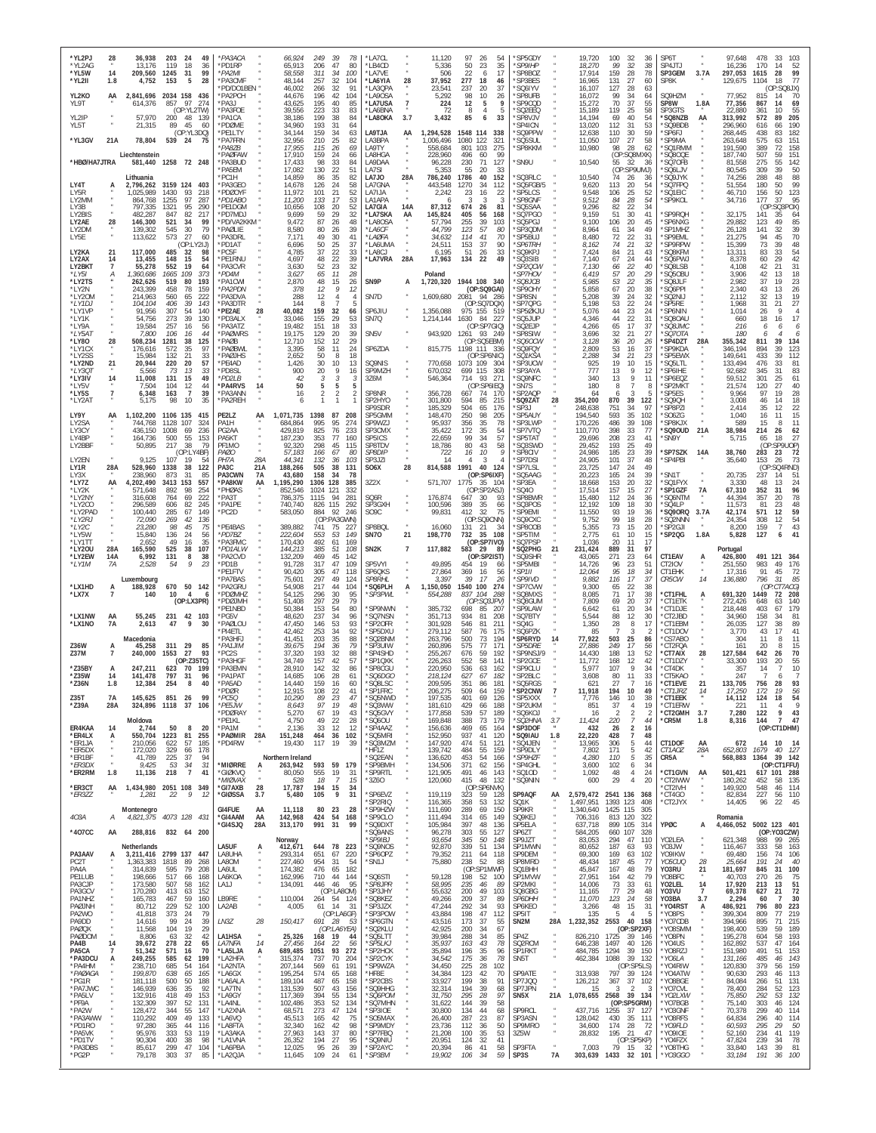| *YL2PJ<br>*YL2AG<br>*YL5W<br>*YL2II               | 28<br>14<br>1.8     | 36,938<br>13,176<br>209,560<br>4,752              | 203<br>119<br>1245<br>153 | 49<br>24<br>18<br>36<br>99<br>31<br>5<br>28              | *PA3ACA<br>*PD1RP<br>*PA2MI<br>*PA3CMF |             | 66,924<br>65,913<br>58,558<br>48,144  | 249<br>39<br>78<br>206<br>47<br>80<br>311<br>34<br>100<br>257<br>32<br>104 | *LA7CL<br>*LB4CD<br>*LA7VE<br>*LA6YIA | 28             | 11,120<br>5,336<br>506<br>37,952      | 97<br>26<br>50<br>23<br>22<br>6<br>277<br>18     | 54<br>35<br>17<br>46       | SP5GDY<br>*SP9IHP<br>SP8BOZ<br>SP3BES             |                              | 19,720<br>18,270<br>17.914<br>16,965 | 100<br>32<br>36<br>99<br>32<br>38<br>28<br>159<br>78<br>27<br>131<br>60              | SP6T<br>SP4JTJ<br>SP3GEM<br>SP8K                 | 3.7A                                                  | 97,648<br>16,236<br>297,053<br>129,675 | 478<br>33<br>170<br>14<br>52<br>28<br>99<br>1615<br>1104<br>18<br>77       |
|---------------------------------------------------|---------------------|---------------------------------------------------|---------------------------|----------------------------------------------------------|----------------------------------------|-------------|---------------------------------------|----------------------------------------------------------------------------|---------------------------------------|----------------|---------------------------------------|--------------------------------------------------|----------------------------|---------------------------------------------------|------------------------------|--------------------------------------|--------------------------------------------------------------------------------------|--------------------------------------------------|-------------------------------------------------------|----------------------------------------|----------------------------------------------------------------------------|
| YL2KO<br>YI 9T                                    | AA                  | 2,841,696 2034 158<br>614.376                     | 857                       | 436<br>97<br>274                                         | PD/DO1BEN<br>*PA2PCH<br>PA3J           |             | 46,002<br>44,676<br>43,625            | 266<br>32<br>91<br>196<br>42<br>104<br>195<br>40<br>85                     | *LA3QPA<br>*LA9OSA<br>*LA7USA         | $\overline{7}$ | 23,541<br>5,292<br>224                | 237<br>20<br>98<br>10<br>12<br>5                 | 37<br>26<br>9              | <b>SO6IYV</b><br>'SP8UFB<br>SP9CQD                |                              | 16,107<br>16.072<br>15,272           | 28<br>127<br>-63<br>99<br>34<br>64<br>70<br>37<br>55                                 | SQ9HZM<br>SP8W                                   | 1.8A                                                  | 77,952<br>77,356                       | (OP:SQ8JX)<br>815<br>70<br>867<br>14<br>69                                 |
| YL2IP<br>YL5T                                     |                     | 57.970<br>21,315                                  | 200<br>89                 | (OP:YL2TW)<br>48<br>139<br>45<br>60                      | *PA3FOE<br>*PA1CA<br>*PDØME            |             | 39,556<br>38.186<br>34,960            | 223<br>33<br>83<br>199<br>38<br>84<br>193<br>31<br>64                      | *LA6BNA<br>*LA8OKA                    | 3.7            | 72<br>3,432                           | 8<br>$\overline{4}$<br>85<br>6                   | -5<br>33                   | SQ2EEQ<br>'SP8VJV<br>SP4ICN                       |                              | 15,189<br>14.194<br>13,020           | 119<br>25<br>58<br>69<br>40<br>54<br>112<br>31<br>53                                 | SP3GTS<br>'SQ8NZB<br>*SQ9BDB                     | AA                                                    | 22,880<br>313,992<br>296,960           | 361<br>10 <sup>1</sup><br>55<br>205<br>572<br>89<br>190<br>616             |
| *YL3GV                                            | 21A                 | 78,804                                            | 539 24                    | (OP:YL3DQ)<br>75                                         | PF1ITY<br>*PA7FRN<br>*PA8ZB            |             | 34.144<br>32,956<br>17,955            | 159<br>34<br>63<br>210<br>25<br>82<br>115<br>26<br>69                      | LA9TJA<br>LA3BPA<br>LA9TY             | AA             | 1,294,528<br>,006,496<br>558,684      | 1548 114<br>1080<br>122<br>103<br>801            | 338<br>321<br>275          | 'SQ9PPW<br>SQ5SUL<br>SP8KKM                       |                              | 12,638<br>11,050<br>10,980           | 59<br>110<br>30<br>27<br>107<br>58<br>28<br>98<br>-62                                | 'SP6FJ<br>'SP9MA<br>'SQ1RMM                      |                                                       | 268,445<br>263,648<br>191,590          | 438<br>182<br>83<br>575<br>151<br>389<br>158                               |
| *HBØ/HA7JTRA                                      |                     | Liechtenstein<br>581,440 1258 72 248<br>Lithuania |                           |                                                          | 'PAØFAW<br>*PA3BUD<br>'PA5EM<br>'PC1H  |             | 17,910<br>17,433<br>17,082<br>14,859  | 159<br>24<br>66<br>98<br>33<br>84<br>130<br>22<br>51<br>86<br>35<br>82     | LA8HGA<br>LA9DAA<br>LA7SI<br>LA7J0    | 28A            | 228,960<br>96,228<br>5.353<br>786,240 | 496<br>60<br>230<br>71<br>55<br>20<br>1786<br>40 | 99<br>127<br>33<br>152     | SN9U<br>SQ3RLC                                    |                              | 10,540<br>10,540                     | (OP:SQ8MXK)<br>55<br>32<br>36<br>(OP:SP9UMJ)<br>74<br>26<br>36                       | 'SQ80QE<br>'SQ70FB<br>'SQ6LJV<br>'SQ9JYK         |                                                       | 187,740<br>81,558<br>80,545<br>74,256  | 507<br>59<br>151<br>275<br>55<br>142<br>309<br>50<br>30<br>288<br>48<br>88 |
| LY4T<br>LY5R<br>LY2MM                             |                     | 2,796,262<br>1,025,989<br>864.768                 | 1430<br>1255              | 3159 124 403<br>93<br>218<br>97<br>287                   | *PA3GEO<br>PDØOYF<br>*PD1ABO           |             | 14,678<br>11,972<br>11,200            | 24<br>126<br>58<br>21<br>101<br>52<br>17<br>53<br>133                      | LA7GNA<br>LA7IJA<br>I A1APA           |                | 443,548<br>2,242                      | 1270<br>34<br>23<br>16<br>-3<br>-3               | 112<br>22<br>-3            | SQ5FGB/5<br>SP5LCS<br>*SP8GNF                     |                              | 9,620<br>9,548<br>9,512              | 20<br>54<br>113<br>25<br>106<br>52<br>28<br>54<br>84                                 | 'SQ7FPQ<br>'SQ1EIC<br>'SP9KOL                    |                                                       | 51,554<br>46,710<br>34,716             | 99<br>180<br>50<br>123<br>156<br>50<br>177<br>37<br>95                     |
| LY3B<br>LY2BIS                                    |                     | 797,335<br>482,287                                | 1321<br>847               | 95<br>290<br>82<br>217                                   | *PE1DGM<br>PD7MDJ                      |             | 10,656<br>9,699                       | 108<br>20<br>52<br>59<br>29<br>32                                          | LA7GIA<br>*LA7SKA                     | 14A<br>AA      | 87,312<br>145,824                     | 674<br>26<br>56<br>405                           | 81<br>168                  | SQ5SAA<br>SQ7PGO                                  |                              | 9,296<br>9,159                       | 82<br>22<br>34<br>51<br>30<br>41                                                     | 'SP9ROH                                          |                                                       | 32,175                                 | (OP:SO3POX)<br>141<br>35<br>64                                             |
| LY2AE<br>LY2DM<br>LY5E                            | 28                  | 146,300<br>139,302<br>113,622                     | 521<br>545<br>573         | 34<br>99<br>30<br>79<br>27<br>60                         | *PD/VA2KKM *<br>*PAØLIE<br>*PA3DRL     |             | 9,472<br>8,580<br>7,171               | 87<br>26<br>48<br>80<br>26<br>39<br>49<br>30<br>41                         | *LA8OSA<br>*LA6CF<br>*LAØFA           |                | 57,794<br>44.799<br>34,632            | 255<br>39<br>123<br>57<br>114<br>41              | 103<br>80<br>70            | SQ5PGJ<br>SP3QDM<br>SP5BUJ                        |                              | 9,100<br>8,964<br>8,480              | 106<br>20<br>45<br>34<br>61<br>49<br>72<br>22<br>31                                  | *SP6NXG<br>'SP1MHZ<br>'SP9EML                    |                                                       | 29,882<br>26,128<br>21,275             | 123<br>49<br>85<br>141<br>39<br>32<br>94<br>70<br>45                       |
| LY2KA<br>LY2AX                                    | 14                  | 117,000<br>13,455                                 | 485<br>148                | (OP:L<br>21J)<br>32<br>98<br>15<br>54                    | *PD1AT<br>*PC5F<br>*PE1RNU             |             | 6,696<br>4,785<br>4,697               | 50<br>25<br>37<br>37<br>22<br>33<br>22<br>39<br>48                         | *LA6UMA<br>*LA8CJ<br>*LA7VRA          | 28A            | 24,511<br>6,195<br>17,963             | 37<br>153<br>51<br>26<br>22<br>134               | 90<br>33<br>49             | <i><b>SP6TRH</b></i><br>SQ9KPJ<br>SQ3SIB          |                              | 8,162<br>7,424<br>7,140              | 21<br>74<br>32<br>84<br>21<br>43<br>67<br>24                                         | 'SP9RPW<br>'SQ8KFM<br>'SQ6PWJ                    |                                                       | 15,399<br>13,311<br>8,378              | 73<br>48<br>39<br>83<br>54<br>33<br>42<br>60                               |
| LY2BKT<br>*LY51<br>*LY2TS                         | 7<br>А              | 55,278<br>1,360,686<br>262,626                    | 552<br>1665<br>519        | 64<br>19<br>109<br>373<br>80<br>193                      | *PA3CVR<br>*PD4M<br>*PA1CWI            |             | 3,630<br>3,627<br>2,870               | 23<br>52<br>32<br>65<br>11<br>28<br>48<br>15<br>26                         | SN9P                                  | А              | Poland<br>1,720,320                   | 1944 108 340                                     |                            | 'SP2QCW<br><i><b>SP7HOV</b></i><br><i>'SQ8JCB</i> |                              | 7,130<br>6,419<br>5,985              | 22<br>66<br>40<br>20<br>57<br>29<br>53<br>22<br>-35                                  | 'SQ8LSB<br>SQ50BU<br>'SQ8JLF                     |                                                       | 4.108<br>3,906<br>2,982                | 42<br>31<br>21<br>18<br>42<br>13<br>23<br>37<br>19                         |
| *LY2N<br>*LY20M<br>*LY1DJ                         |                     | 243,399<br>214,963<br>104,104                     | 458<br>560<br>406         | 78<br>159<br>222<br>65<br>39<br>143                      | *PA2PDN<br>*PA3DVA<br>*PA3DTR          |             | 378<br>288<br>144                     | 12<br>9<br>12<br>12<br>$\overline{4}$<br>8<br>5                            | SN7D                                  |                | 1,609,680                             | (OP:SQ9GAI)<br>2081 94 286<br>(OP:SQ7DQX)        |                            | SP90HY<br>'SP8SN<br>SP7QPG                        |                              | 5,858<br>5,208<br>5,198              | 67<br>20<br>38<br>24<br>39<br>32<br>53<br>24                                         | 'SQ6PPI<br>'SQ2NIJ<br>SP5RE                      |                                                       | 2,340<br>2.112<br>1,968                | 26<br>43<br>13<br>32<br>19<br>13<br>27<br>31<br>21                         |
| *I Y1VF<br>*LY1K                                  |                     | 91.956<br>54,756                                  | 307<br>273                | 54<br>140<br>39<br>130                                   | *PE2AE<br>*PD3ALX                      | 28          | 40,082<br>33,046                      | 159<br>32<br>66<br>155<br>29<br>53                                         | SP6JIU<br>SN7Q                        |                | 1,356,088<br>1,214,144                | 975 155 519<br>1630<br>84                        | 227                        | SP50KJU<br>'SQ5JUP                                |                              | 5,076<br>4,346                       | $\frac{22}{23}$<br>44<br>24<br>44<br>22<br>31                                        | SP6NIN<br>'SQ80AU                                |                                                       | 1,014<br>660                           | 26<br>18<br>16<br>17                                                       |
| *LY9A<br>*LY5A1<br>*LY80                          | 28                  | 19,584<br>7,800<br>508,234                        | 257<br>106<br>1281        | 16<br>56<br>16<br>44<br>38<br>125                        | PA3AT7<br>*PAØWRS<br>*PAØB             |             | 19,482<br>19,175<br>12,710            | 151<br>18<br>33<br>129<br>20<br>39<br>152<br>29<br>12                      | SN <sub>5</sub> V                     |                | 943,920                               | (OP:SP7GIO)<br>1261<br>93 249<br>(OP:SQ5EBM)     |                            | SQ2EJP<br>'SP8SIW<br>*SQ6OCW                      |                              | 4,266<br>3,696<br>3,128              | 65<br>17<br>37<br>32<br>21<br>27<br>36<br>20<br>-26                                  | <i>SQ8JMC</i><br><i><b>SQ7OTA</b></i><br>'SP4DZT | 28A                                                   | 216<br>180<br>355,342                  | 6<br>6<br>6<br>6<br>811<br>39<br>134                                       |
| *LY1CX<br>*I Y2SS<br>*LY2ND                       | 21                  | 176,616<br>15,984<br>20,944                       | 572<br>132<br>220         | 35<br>97<br>21<br>33<br>20<br>57                         | *PAØBWL<br><b>PAGIHS</b><br>*PE4AD     |             | 3,395<br>2,652<br>1,426               | 58<br>11<br>24<br>50<br>8<br>18<br>30<br>10<br>13                          | SP6ZDA<br>SQ9NIS                      |                | 815,775<br>770,658                    | 1198 111 336<br>(OP:SP6NIC)<br>1073 109          | - 304                      | 'SQ9FQY<br><i><b>SO1KSA</b></i><br>'SP3UCW        |                              | 2,809<br>2,288<br>925                | 53<br>16<br>37<br>34<br>21<br>23<br>19<br>10<br>15                                   | 'SP9KDA<br>'SP5EWX<br>'SQ5LTL                    |                                                       | 346,194<br>149,641<br>133,494          | 894<br>123<br>39<br>433<br>39<br>112<br>476<br>81<br>33                    |
| *LY301<br>*LY3IV<br>*LY5V                         | 14                  | 5,566<br>11,008<br>7,504                          | 73<br>131<br>104          | 13<br>33<br>49<br>15<br>44                               | *PD8SL<br>*PD2LB<br>*PA4RVS            | 14          | 900<br>42<br>50                       | 9<br>20<br>16<br>3<br>3<br>5<br>5<br>5                                     | SP9MZH<br>3Z6M                        |                | 670,032<br>546,364                    | 699 115<br>714<br>-93<br>(OP:SP6IEQ)             | 308<br>271                 | SP3AYA<br>'SQ9NFC<br>SN7S                         |                              | 777<br>340<br>180                    | 9<br>12<br>13<br>9<br>13<br>11<br>8<br>8                                             | 'SP6IHE<br>'SP6EQZ<br>'SP2MKT                    |                                                       | 92,682<br>59,512<br>21,574             | 345<br>83<br>301<br>25<br>61<br>120<br>27<br>40                            |
| *LY5S<br>*LY2AT                                   | $\overline{7}$      | 6,348<br>5,175                                    | 163<br>98                 | $\begin{array}{c} 12 \\ 7 \end{array}$<br>39<br>10<br>35 | *PA3ANN<br>*PA2REH                     |             | 16<br>6                               | 2<br>2<br>1<br>$\mathbf{1}$                                                | SP8NR<br>SP2HYO<br>SP9SDR             |                | 356,728<br>301,800<br>185,329         | 667<br>74<br>594<br>85<br>504<br>65              | 170<br>215<br>176          | SP2AQP<br>*SQ9ZAT<br>*SP3J                        | 28                           | 64<br>354,200<br>248,638             | 3<br>6<br>39<br>870<br>122<br>751<br>34<br>-97                                       | 'SP5ES<br>'SQ9QH<br>'SP8PZI                      |                                                       | 9.964<br>3,008<br>2,414                | 28<br>97<br>19<br>46<br>14<br>18<br>22<br>35<br>12                         |
| LY9Y<br>IY <sub>2</sub> SA<br>LY3CY               | AA                  | 1.102.200<br>744.768<br>436,150                   | 1106 135<br>1128<br>1008  | 415<br>107<br>324<br>236<br>69                           | PE2LZ<br>PA <sub>1</sub> H<br>PG2AA    | AA          | 1,071,735<br>684.864<br>429,819       | 1398<br>87<br>208<br>995<br>95<br>274<br>825<br>76<br>233                  | SP5GMM<br>SP9W7.<br>SP3CMX            |                | 148,470<br>95,937<br>35,422           | 250<br>98<br>35<br>356<br>172<br>35              | 205<br>78<br>54            | SP5AUY<br>SP3LWP<br>*SP7VTQ                       |                              | 194,540<br>170,226<br>110,770        | 593<br>35<br>102<br>39<br>486<br>108<br>398<br>33<br>77                              | 'SO6ZG<br>'SP8KJX<br>'SQ9OUD                     | 21A                                                   | 1,040<br>589<br>38,984                 | 15<br>16<br>11<br>15<br>214<br>26<br>62                                    |
| LY4BP<br>LY2BBF                                   |                     | 164.736<br>50,895                                 | 500<br>217                | 55<br>153<br>38<br>79<br>(OP:LY4BF)                      | PA5KT<br>PF1MO<br>PAGO                 |             | 187,230<br>92,320<br>57,183           | 353<br>77<br>160<br>298<br>45<br>115<br>166<br>67<br>80                    | SP5ICS<br>SP8TDV<br><b>SP8DIP</b>     |                | 22,659<br>18,786<br>722               | 99<br>34<br>80<br>43<br>10<br>16                 | 57<br>58<br>$\overline{Q}$ | SP5TAT<br>'SQ3SWD<br>SP8CIV                       |                              | 29,696<br>29,452<br>24.986           | 208<br>23<br>41<br>193<br>25<br>49<br>23<br>185<br>39                                | 'SN9Y<br>'SP7SZK                                 | 14A                                                   | 5,715<br>38,760                        | 27<br>18<br>65<br>(OP<br>SP9UOP)<br>23<br>72<br>283                        |
| LY2EN<br>LY1R                                     | 28A                 | 9,125<br>528,960                                  | 107<br>1338               | 19<br>38<br>122                                          | PH <sub>7</sub> A<br>PA <sub>3</sub> C | 28A<br>21A  | 44,341<br>188,266                     | 132<br>36<br>103<br>505<br>38<br>131                                       | SP3JZI<br>SO <sub>6</sub> X           | 28             | 14<br>814,588                         | 3<br>1991<br>40                                  | 124                        | *SP7DSI<br>SP7LSL                                 |                              | 24,905<br>23,725                     | 101<br>37<br>48<br>24<br>49<br>147                                                   | *SP4PBI                                          |                                                       | 35,640                                 | 153<br>73<br>26<br>(OP:SQ4RND)                                             |
| LY3X<br>*LY7Z<br>*LY2K                            | AA                  | 238,960<br>4,202,490<br>571,648                   | 873<br>3413 153<br>892    | 31<br>85<br>557<br>98<br>254                             | PA3CWN<br>*PA8KW<br>*PHØAS             | 7A<br>AA    | 43,680<br>1,195,290<br>852,546        | 158<br>34<br>78<br>1306<br>128<br>385<br>1024<br>121<br>332                | 3Z2X                                  |                | 571,707                               | (OP:SP6IXF)<br>1775<br>35<br>(OP:SP2ASJ)         | -104                       | 'SQ5AAG<br>SP3EA<br>SQ40                          |                              | 20,223<br>18,668<br>17.514           | 165<br>24<br>39<br>153<br>20<br>32<br>157<br>15<br>27                                | *SN1T<br>*SQ1FYX<br>'SP1GZF                      | 7A                                                    | 20,735<br>3,330<br>67,310              | 237<br>51<br>24<br>48<br>13<br>352<br>31<br>96                             |
| *LY2NY<br>*LY2CO<br>*LY2PAD                       |                     | 316,608<br>296,589<br>100,440                     | 764<br>606<br>285         | 69<br>222<br>82<br>245<br>67<br>149                      | *PA3T<br>*PA1PE<br>*PC2D               |             | 786,375<br>740,740<br>583,050         | 1115<br>94<br>281<br>826<br>115<br>292<br>884<br>92<br>246                 | SQ6R<br>SP3GXH<br>SO <sub>9</sub> C   |                | 176,874<br>100,596<br>99,831          | 647<br>30<br>389<br>35<br>412<br>32              | 93<br>66<br>75             | SP8BWR<br>'SQ3POS<br>SP9EMI                       |                              | 15,480<br>12,192<br>11,550           | 112<br>24<br>36<br>109<br>18<br>30<br>19<br>93<br>36                                 | 'SQ6NTM<br>'SQ4LP<br>'SQ90RQ                     | 3.7A                                                  | 44,394<br>11,573<br>42,174             | 357<br>20<br>78<br>48<br>81<br>23<br>59<br>571<br>12                       |
| *LY2RJ<br>*LY2C<br>*LY5W                          |                     | 72,090<br>23,280<br>15,840                        | 269<br>98<br>136          | 42<br>136<br>45<br>75<br>24<br>56                        | *PE4BAS<br>*PD7BZ                      |             | 389,882<br>222,604                    | (OP:PA3GWN)<br>741<br>75<br>$22^{\circ}$<br>553<br>53<br>149               | SP8BQL<br><b>SN70</b>                 | 21             | 16,060<br>198,770                     | (OP:SQ9CNN)<br>131<br>21<br>35<br>732            | 34<br>108                  | SQ9CXC<br><b>SP800B</b><br>SP5TIM                 |                              | 9,752<br>5,355<br>2,775              | 99<br>18<br>28<br>73<br>15<br>20<br>61<br>10<br>15                                   | 'SQ2NNN<br>SP2GJI<br>'SP2QG                      | 1.8A                                                  | 24,354<br>8,200<br>5,828               | 54<br>308<br>12<br>43<br>159<br>7<br>41<br>127<br>6                        |
| *LY1TT<br>*LY20U<br>*LY2EW                        | 28A<br>14A          | 2,652<br>165,590<br>6,992                         | 49<br>525<br>131          | 16<br>35<br>38<br>107<br>8<br>38                         | *PA3FMC<br>*PD1ALW<br>*PA2CVD          |             | 170,430<br>144,213<br>132,209         | 492<br>61<br>169<br>385<br>51<br>108<br>469<br>45<br>142                   | SN <sub>2</sub> K                     | $\overline{7}$ | 117,882                               | (OP:SP7IVO)<br>583<br>29<br>(OP:SP2IST)          | -89                        | 'SQ7PSP<br>SQ2PHG<br>SQ9SHR                       | 21                           | 1,036<br>231,424<br>43,065           | 20<br>11<br>17<br>889<br>97<br>31<br>271<br>23<br>64                                 | CT1EAV                                           | А                                                     | Portugal<br>426,800                    | 491<br>121<br>364                                                          |
| *LY1M                                             | 7A                  | 2,528<br>Luxembourg                               | 54                        | 9<br>23                                                  | *PD1B<br>*PE1FTV<br><b>PA7BAS</b>      |             | 91,728<br>90,420<br>75,601            | 317<br>47<br>109<br>305<br>47<br>118<br>297<br>49<br>124                   | SP5VYI<br>SP6QKS<br><b>SP8RHL</b>     |                | 49,895<br>27,864<br>3,397             | 19<br>454<br>369<br>16<br>39<br>17               | 66<br>56<br>26             | SP5MBI<br>"SP1II<br><i><b>SP9IVD</b></i>          |                              | 14,726<br>12,064<br>9,882            | 23<br>96<br>51<br>95<br>18<br>34<br>17<br>37<br>116                                  | CT2IOV<br>CT1EHK<br>CR5CW                        | $_{\star}$<br>14                                      | 251,550<br>17,316<br>136,880           | 983<br>49<br>176<br>91<br>45<br>72<br>796<br>31<br>85                      |
| *LX1HD<br>*LX7X                                   |                     | 188,928<br>140                                    | 10                        | 670 50 142<br>$\overline{4}$<br>6<br>(OP: LX3PR)         | *PA2GRU<br>*PDØMHZ<br>*PDØJMH          |             | 54,908<br>54,125<br>51,408            | 217<br>44<br>104<br>296<br>30<br>95<br>297<br>29<br>79                     | 'SQ6PLH<br>'SP3PWL                    | A              | 1,150,050<br>554,288                  | 1540 100<br>837 104<br>(OP:SQ3JPV)               | 274<br>288                 | SP7CVW<br>SQ8MXS<br>SQ8GUM                        |                              | 9,300<br>8,085<br>7,809              | 65<br>22<br>38<br>71<br>17<br>38<br>69<br>20<br>37                                   | *CT1FHL<br>*CT1ETK                               | А                                                     | 691,320<br>272,426                     | CT7ACG)<br>(OF<br>1449<br>72<br>208<br>648<br>63<br>140                    |
| *LX1NW<br>*LX1NO                                  | AA<br>7A            | 55,245<br>2,613                                   | 231<br>47                 | 42 103<br>9<br>30                                        | PE1NBD<br>*PG5V<br>*PAØLOU             |             | 50,384<br>48,620<br>47,450            | 153<br>54<br>80<br>237<br>34<br>96<br>146<br>53<br>93                      | 'SP9NWN<br>*SQ7NSN<br>*SP2OFR         |                | 385,732<br>351,713<br>301,928         | 698<br>85<br>934<br>81<br>546<br>81              | 207<br>208<br>211          | SP9LAW<br>'SQ7BTY<br>'SQ4G                        |                              | 6,642<br>5,544<br>1,350              | 20<br>61<br>34<br>12<br>88<br>-30<br>28<br>8<br>17                                   | *CT1DJE<br>*CT2JBD<br>*CT1EBM                    |                                                       | 218,448<br>34,960<br>26,035            | 403<br>67<br>179<br>158<br>81<br>34<br>127<br>38<br>89                     |
| <b>736W</b>                                       |                     | Macedonia                                         | 311 29                    | 85                                                       | *PI4ETL<br>'PA3HFJ<br>*PA1.IIM         |             | 42,462<br>41,451                      | 253<br>34<br>92<br>203<br>35<br>88<br>194<br>36<br>79                      | *SP5DXU<br>'SQ2BNM                    |                | 279,112<br>263,796                    | 587<br>76<br>500<br>73<br>77<br>575              | 175<br>194<br>171          | 'SQ6PZK<br>SP6RYD                                 | 14                           | 85<br>77,922                         | 3<br>-2<br>503<br>$^{25}_{17}$<br>86<br>249                                          | *CT1DOV<br>CS7ABO                                |                                                       | 3.770<br>304<br>161                    | 43<br>17<br>41<br>11<br>11<br>15<br>20                                     |
| Z37M                                              | A<br>$\overline{1}$ | 45.258<br>240,000                                 | 1553                      | 27<br>93<br>(OP:Z35TC)                                   | *PC2S<br>*PA3HGF                       |             | 39,675<br>37,320<br>34.749            | 193<br>32<br>88<br>157<br>42<br>57                                         | 'SP3UIW<br>'SP4SHD<br>'SP10XK         |                | 260,896<br>255,267<br>226,263         | 59<br>676<br>58<br>552                           | 192<br>141                 | 'SP5DRE<br>SP9NSJ/9<br>SP2GCE                     |                              | 27.886<br>14,430<br>11.772           | -56<br>188<br>13<br>-52<br>168<br>12<br>42                                           | CT2FQA<br>*CT7AIX<br>CT1DZY                      | 28                                                    | 127,584<br>33,300                      | 642<br>70<br>26<br>193<br>20<br>55                                         |
| *Z35BY<br>*735W<br>*Z36N                          | А<br>14<br>1.8      | 247,211<br>141,478<br>12,384                      | 623<br>797<br>254         | 70<br>199<br>31<br>96<br>8<br>40                         | *PA3EMN<br>*PA1PAT<br>*PA5AD           |             | 28,910<br>14,685<br>14,440            | 142<br>32<br>86<br>106<br>28<br>61<br>159<br>16<br>60                      | *SP8CGU<br><i>*SQ6DG0</i><br>*SQ8LSC  |                | 220,950<br>218,124<br>209,595         | 536<br>63<br>67<br>627<br>351<br>86              | 162<br>182<br>181          | 'SP9CLU<br>SP2BLC<br>*SQ5RGS                      |                              | 5,977<br>3.608<br>621                | 107<br>9<br>34<br>80<br>11<br>33<br>27<br>$\overline{7}$<br>16                       | *CT4DK<br>*CT5KAO<br>*CT1EVE                     | 21                                                    | 357<br>247<br>133,705                  | 10<br>14<br>-7<br>6<br>756<br>93<br>28                                     |
| Z35T<br>* Z39A                                    | <b>7A</b><br>28A    | 145,625<br>324,896 1118                           | 851                       | 26<br>99<br>37<br>106                                    | <b>PDØR</b><br>*PC50<br>*PE5JW         |             | 12,915<br>10.290<br>8,643             | 108<br>22<br>41<br>89<br>23<br>47<br>97<br>19<br>48                        | *SP1FRC<br>'SQ5NWD<br>*SQ3WW          |                | 206,275<br>197,535<br>181,610         | 509<br>64<br>401<br>69<br>429<br>66              | 159<br>126<br>188          | 'SP2CNW<br>SP5XXX<br>*SP2UKM                      |                              | 11,918<br>7.776<br>851               | 194<br>10<br>49<br>10<br>38<br>146<br>19<br>37<br>$\overline{4}$                     | *CT1JRZ<br>*CT1EEK<br>*CT1ERW                    | 14<br>$\scriptstyle{N}$                               | 17,250<br>14,112<br>221                | 172<br>19<br>56<br>124<br>18<br>54<br>g<br>11<br>4                         |
| ER4KAA                                            | 14                  | Moldova<br>2,744                                  | 50                        | -8<br>20                                                 | *PDØRAY<br>*PE1KL<br>*PA1M             |             | 5,270<br>4,750<br>2,136               | 19<br>67<br>43<br>22<br>49<br>28<br>-33<br>12<br>12                        | *SQ5GVY<br>*SQ6OU<br>*SP4AAZ          |                | 177,858<br>169,848<br>156,636         | 57<br>539<br>388<br>73<br>65<br>469              | 189<br>179<br>164          | *SQ6KOJ<br><i><b>SQ2HNA</b></i><br>*SP3DOF        | 3.7                          | 16<br>11,424<br>432                  | $\overline{2}$<br>2<br>$\mathcal{I}$<br>220<br>7<br>44<br>$\overline{2}$<br>26<br>16 | *CT2GMH<br>*CR5M                                 | 3.7<br>1.8                                            | 7,280<br>8,316                         | 9<br>43<br>122<br>47<br>144<br>$\overline{7}$<br>(OP:CT1DHM)               |
| *ER4LX<br>*ER1JA<br>*ER5DX                        | A                   | 550,704<br>210,056<br>172,020                     | 1223<br>622<br>329        | 81<br>255<br>57<br>185<br>178<br>66                      | *PAØMIR<br>*PD4RW                      | 28A         | 151,248<br>19,430                     | 464<br>36<br>102<br>117<br>- 19<br>-39                                     | *SQ5MRI<br>*SQ3MZM<br>*HF1Z           |                | 152,950<br>147,920<br>139,742         | 937<br>41<br>51<br>474<br>484<br>55              | 120<br>121<br>159          | *SQ9IAU<br>*SQ4JEN<br>SP9DLY                      | 1.8                          | 22,220<br>13,965<br>7,802            | 428<br>$\overline{7}$<br>48<br>306<br>5<br>44<br>171<br>42                           | CT1DOF<br>CT1AOZ                                 | AA<br>28A                                             | 672<br>652,803                         | 14 10<br>- 14<br>1679<br>40<br>127                                         |
| *ER1BF<br>*ER3DX<br>*ER2RM                        | 1.8                 | 41,789<br>9,425<br>11,136                         | 225<br>53<br>218          | 37<br>94<br>34<br>31<br>$7\overline{ }$<br>41            | *MIØRRE<br>*GIØKVQ                     | А           | Northern Ireland<br>263,942<br>80,050 | 593<br>59 179<br>555<br>19<br>31                                           | 'SQ2EAN<br>*SP9BMH<br>*SP9RTL         |                | 136,620<br>134,506<br>121,905         | 453<br>54<br>371<br>62<br>491<br>46              | 166<br>156<br>143          | *SP9HZF<br>*SP4GHL<br>*SQ10D                      |                              | 4.280<br>3,600<br>1,092              | $\frac{5}{5}$<br>110<br>-35<br>102<br>6<br>34<br>$\overline{4}$<br>24<br>48          | CR5A<br>*CT1GVN                                  | AA                                                    | 568,883<br>501,421                     | 39 142<br>1364<br>(OP:CT1FFU)<br>617 101 288                               |
| *ER3CT<br>*ER3ZZ                                  | AA                  | 1,434,980 2051 108 349<br>1,281                   | 22                        | 9<br>12                                                  | *MIØVAX<br>*GI7AXB<br>*GIØSSA          | 28<br>3.7   | 528<br>17,787<br>5,480                | 18<br>$\overline{7}$<br>15<br>194<br>15<br>-34<br>105<br>9<br>31           | *3Z6O<br>*SP6EVZ                      |                | 120,060<br>119,119                    | 415<br>48<br>(OP:SP6NVK)<br>323<br>59            | 132<br>128                 | *SQ9NIN<br>SP9AQF                                 | АА                           | 600<br>2,579,472                     | 29<br>$\overline{4}$<br>20<br>2541 136<br>-368                                       | *CT2IWW<br>*CT2IVH<br>*CT4GO                     | $\scriptstyle{N}$                                     | 180,262<br>149,920<br>82,834           | 452<br>58<br>135<br>114<br>548<br>46<br>227<br>56 110                      |
| 403A                                              | A                   | Montenegro<br>4,821,375                           |                           | 4073 128 431                                             | GI4FUE<br>*GI4AAM                      | AA<br>AA    | 11,118<br>142,968                     | 80<br>23<br>28<br>424<br>54<br>168                                         | 'SP2RIQ<br>*SP9HZW<br>*SP9CLO         |                | 116,365<br>111,690<br>111,494         | 358<br>53<br>289<br>69<br>314<br>65              | -132<br>150<br>149         | SO <sub>1</sub> K<br>SP9KR<br>SQ9KEJ              |                              | 1,497,951<br>1,340,640<br>706,316    | 1393 123<br>408<br>1425<br>115<br>305<br>813 120<br>322                              | *CT2JYX                                          | $\scriptstyle{N}$                                     | 14,405<br>Romania                      | 45<br>96<br>22                                                             |
| *407CC                                            | AA                  | 288,816                                           |                           | 832 64 200                                               | *GI4SJQ                                | 28A         | 313,170                               | 991<br>99<br>-31                                                           | *SQ9DXT<br>'SQ9ANS                    |                | 105,984<br>96,278                     | 397<br>48<br>303<br>55                           | 136<br>127                 | SP5ELA<br>SP6ZT                                   |                              | 637,718<br>584,205                   | 899 105<br>314<br>660 107<br>328                                                     | YPØC                                             | А                                                     | 4,466,052                              | 5002 123 401<br>(OP:YO3CZW)                                                |
| PA3AAV                                            | А                   | <b>Netherlands</b><br>3,211,416 2799 137 447      |                           |                                                          | LA5UF<br>LA8UHA                        | А           | Norway<br>412,671<br>293,314          | 644<br>78<br>223<br>651<br>67<br>220                                       | <i>*SP9IBJ</i><br>*SQ9NOS<br>*SP6OPZ  |                | 93,654<br>92,870<br>79,352            | 50<br>345<br>339<br>51<br>211<br>64              | 148<br>134<br>118          | SP9JZT<br>SP1MWN<br>SP9DEM                        |                              | 83,053<br>80,652<br>69,300           | 294<br>47<br>110<br>187<br>63<br>93<br>169<br>63<br>102                              | YO2LEA<br>YO3JW<br>Y09IKW                        | $\scriptstyle{\prime\prime}$<br>$\boldsymbol{\kappa}$ | 621,348<br>116,467<br>69,480           | 99 265<br>988<br>333<br>58<br>163<br>156<br>74<br>106                      |
| PC2T<br>PA4A<br>PE1LUB                            |                     | 1,363,383<br>314.839<br>198,666                   | 1818<br>595<br>517        | 89<br>268<br>79<br>208<br>66<br>168                      | LA80M<br>LA6UL<br>LA6KOA               |             | 227,460<br>174,382<br>162,996         | 954<br>31<br>54<br>476<br>182<br>65<br>710<br>44<br>144                    | *SN1J<br>*SQ6STI                      |                | 75,880<br>59,128                      | 52<br>238<br>(OP:SP1MWF)<br>198<br>52 100        | 88                         | SP8MRD<br>SQ1BHH<br>SP1MVW                        |                              | 48,434<br>45.847<br>27,951           | 187<br>45<br>77<br>79<br>167<br>48<br>164<br>42<br>79                                | Y05CUQ<br>Y03RU<br>YO8BFC                        | 28<br>21                                              | 25,664<br>181,697<br>40,703            | 191<br>40<br>100<br>845<br>31<br>270<br>75<br>26                           |
| PA3CJP<br>PA3GCV<br>PA1NHZ                        |                     | 173,580<br>170,280<br>165,783                     | 507<br>413<br>467         | 58<br>162<br>63<br>152<br>59<br>160                      | LA1J<br>LB9RE                          |             | 134,091<br>110,004                    | 95<br>446<br>46<br>(OP:LA8OM)<br>264<br>54 124                             | *SP8JPR<br>*SP3JHY<br>*SQ8KEZ         |                | 58,995<br>55,632<br>49,266            | 235<br>46<br>200<br>49<br>37<br>209              | 89<br>103<br>89            | SP2MKI<br>SQ8GBG<br>SP6DHH                        |                              | 14.006<br>11,165<br>11,070           | 73<br>33<br>61<br>77<br>29<br>48<br>123<br>24<br>-58                                 | YO2LEL<br>Y03VU<br>YO3BA                         | 14<br>$\overline{7}$<br>3.7                           | 17,920<br>69,378<br>2.294              | 51<br>213<br>13<br>627<br>21<br>72<br>30<br>60<br>$\overline{7}$           |
| PAØJNH<br>PA <sub>2</sub> W <sub>O</sub><br>PA9DD |                     | 80,712<br>41,818<br>14,616                        | 229<br>373<br>99          | 52<br>100<br>24<br>79<br>24<br>39                        | LA2AB<br>LN3Z                          | $\mu$<br>28 | 4,005<br>150,417                      | 61<br>14<br>31<br>(OP:LA6GF)<br>691 28<br>- 53                             | *SP3JZX<br>*SP3POW<br>*SP6GTN         |                | 47,244<br>43,884<br>43,516            | 292<br>34<br>47<br>198<br>173<br>37              | 93<br>112<br>55            | SP6KEO<br>SP5IT<br>SN <sub>2</sub> M              | $\boldsymbol{\theta}$<br>28A | 3,266<br>135<br>1,232,352            | 48<br>15<br>31<br>-5.<br>$\overline{4}$<br>-5<br>2553 40<br>158                      | *YO4RST<br>*YO8PS<br>*YO7CDB                     | A                                                     | 486,921<br>399.304<br>394,966          | 796<br>80<br>223<br>809<br>219<br>77<br>895<br>215<br>71                   |
| PAØQX<br>PAØDOM<br>PA4B                           | 14                  | 11,568<br>8,806<br>39,672                         | 104<br>63<br>278          | 19<br>29<br>32<br>42<br>22<br>65                         | LA1HSA<br><b>LA7NFA</b>                | 14          | 25,326<br>27,456                      | (OP:LA6YEA)<br>168<br>19<br>44<br>164<br>22<br>56                          | *SQ2KLU<br>*SQ5LTT<br>*SP5LKJ         |                | 42,925<br>39,984<br>35,937            | 200<br>34<br>288<br>34<br>43<br>163              | 67<br>85<br>78             | SP4Z<br>SQ2RCM                                    | $\boldsymbol{\kappa}$        | 826,210<br>646,238                   | (OP:SP2XF)<br>1725<br>39<br>146<br>1497<br>40<br>126                                 | *Y08SMM<br>*YO8PN<br>*Y04US                      |                                                       | 198,400<br>195,278<br>162,892          | 539<br>59<br>189<br>193<br>604<br>58<br>537<br>47<br>164                   |
| PA5CA<br>*PA3DCU                                  | 7<br>A              | 51,342<br>249,255                                 | 571<br>585                | 16<br>70<br>62<br>199                                    | *LA5LJA<br>*LA2HFA                     | А           | 689,485<br>315,374                    | 1051<br>93<br>272<br>737<br>70<br>204                                      | *SP2HCK<br>*SP2CYK                    |                | 35,894<br>34,542                      | 35<br>196<br>175<br>36                           | 96<br>78                   | SP1RKT<br>SN <sub>5</sub> T                       |                              | 484,785<br>462,384                   | 1294<br>39<br>150<br>1088<br>39<br>132                                               | *Y08RZJ<br>*YO6LA                                |                                                       | 151,980<br>131,166                     | 491<br>153<br>51<br>485<br>46<br>143                                       |
| *PA4HM<br>*PAØAGA<br>*PG1R                        |                     | 238,710<br>199,870<br>181,118                     | 685<br>638<br>500         | 54<br>164<br>65<br>165<br>50<br>188                      | *LA2NTA<br>*LA6GX<br>*LA6ALA           |             | 207,144<br>195,254<br>189,104         | 569<br>61<br>191<br>574<br>65<br>168<br>487<br>65<br>158                   | *SP9WZA<br>*HF8E<br>*SP2CBS           |                | 34,450<br>34,384<br>33,927            | 225<br>28<br>123<br>42<br>199<br>38              | 102<br>70<br>91            | SP9ATE<br>SP7JQQ                                  |                              | 313,938<br>126,212                   | (OP:SP5LS)<br>797<br>39<br>124<br>37<br>367<br>102                                   | *YO4RIW<br>*YO4ATW<br>*YO8BGE                    |                                                       | 120,830<br>90,630<br>84,084            | 379<br>56<br>159<br>293<br>46<br>113<br>131<br>266<br>51                   |
| *PA7JWC<br>*PA5LV<br>*PF9A                        |                     | 146,939<br>132,916<br>132,309                     | 636<br>418<br>397         | 35<br>92<br>49<br>153<br>52<br>131                       | *LA7TN<br>*I A9GY<br>*LA4NL            |             | 131,539<br>117,369<br>102,486         | 507<br>43<br>156<br>394<br>55<br>134<br>353<br>52<br>134                   | *SQ9HHG<br>*SQ6POM<br>*SQ7MHN         |                | 32,314<br>31,750<br>31,622            | 194<br>39<br>295<br>28<br>144<br>39              | 68<br>97<br>58             | SP7JPN<br>SN5X                                    | 21A                          | 15                                   | 3<br>- 2<br>-3<br>1,078,655 2568 39 134<br>(OP:SP5GRM)                               | *YO7CVL<br>*YO2LXW<br>*YO7BGB                    |                                                       | 78,400<br>75,850<br>75,140             | 284<br>52<br>123<br>292<br>132<br>53<br>303<br>46<br>124                   |
| *PA2W<br>*PA3AWW<br>*PD1RO                        |                     | 128,472<br>110,292<br>97,280                      | 344<br>409<br>365         | 55<br>147<br>49<br>133<br>44<br>116                      | *LA2XNA<br>*LA6VQ<br>*I A8FTA          |             | 68,571<br>45,513<br>32,340            | 273<br>47<br>124<br>165<br>42<br>75<br>162<br>42<br>98                     | *SP3IOE<br>*S05MAX<br>*SP9MDY         |                | 30,800<br>26,400<br>23,736            | 134<br>44<br>287<br>23<br>112<br>36              | 68<br>87<br>50             | SP9RCL<br>SP3ASN<br>SP9MRO                        | $\scriptstyle{N}$            | 437,716<br>128,042<br>34,600         | 37<br>1255<br>- 127<br>430<br>35<br>111<br>174<br>28<br>- 72                         | *YO3GNF<br>*Y08RFS<br>*YO9FLD                    |                                                       | 70,378<br>64,834<br>60,593             | 299<br>114<br>40<br>296<br>40<br>114<br>50<br>295<br>29                    |
| *PA5VK<br>*PD1TV<br>*PA3DBS                       |                     | 95,976<br>90,304<br>85,617                        | 333<br>400<br>299         | 53<br>119<br>38<br>98<br>47<br>104                       | *LA3AKA<br>*LA1VNA<br>*LA6PBA          |             | 27,963<br>26,352<br>12,025            | 143<br>37<br>80<br>194<br>27<br>95<br>95<br>26<br>-39                      | *SP7FBQ<br>*SQ9NIU<br>*SP2AYC         |                | 21,208<br>20,951<br>20,394            | 100<br>35<br>32<br>124<br>86<br>41               | 53<br>41<br>58             | 3Z5W<br>SP3FTA                                    |                              | 28,832<br>7,003                      | 195<br>21<br>47<br>(OP:SP5KP)<br>79<br>- 15<br>-32                                   | *YO9IOE<br>*YO4FZX<br>*YO8THG                    |                                                       | 52,160<br>47,824<br>33,840             | 234<br>41<br>119<br>239<br>78<br>34<br>143<br>-39<br>-81                   |
| *PG2P                                             |                     | 79,178                                            | 303                       | 37<br>85                                                 | *LA2QJA                                |             | 11,645                                | 109<br>24<br>61                                                            | *SP3BVI                               |                | 19,902                                | 106<br>34                                        | 59                         | SP3S                                              | 7A                           | 303,639                              | 1433 32 101                                                                          | *YO3GGO                                          |                                                       | 33,184                                 | 191<br>36 100                                                              |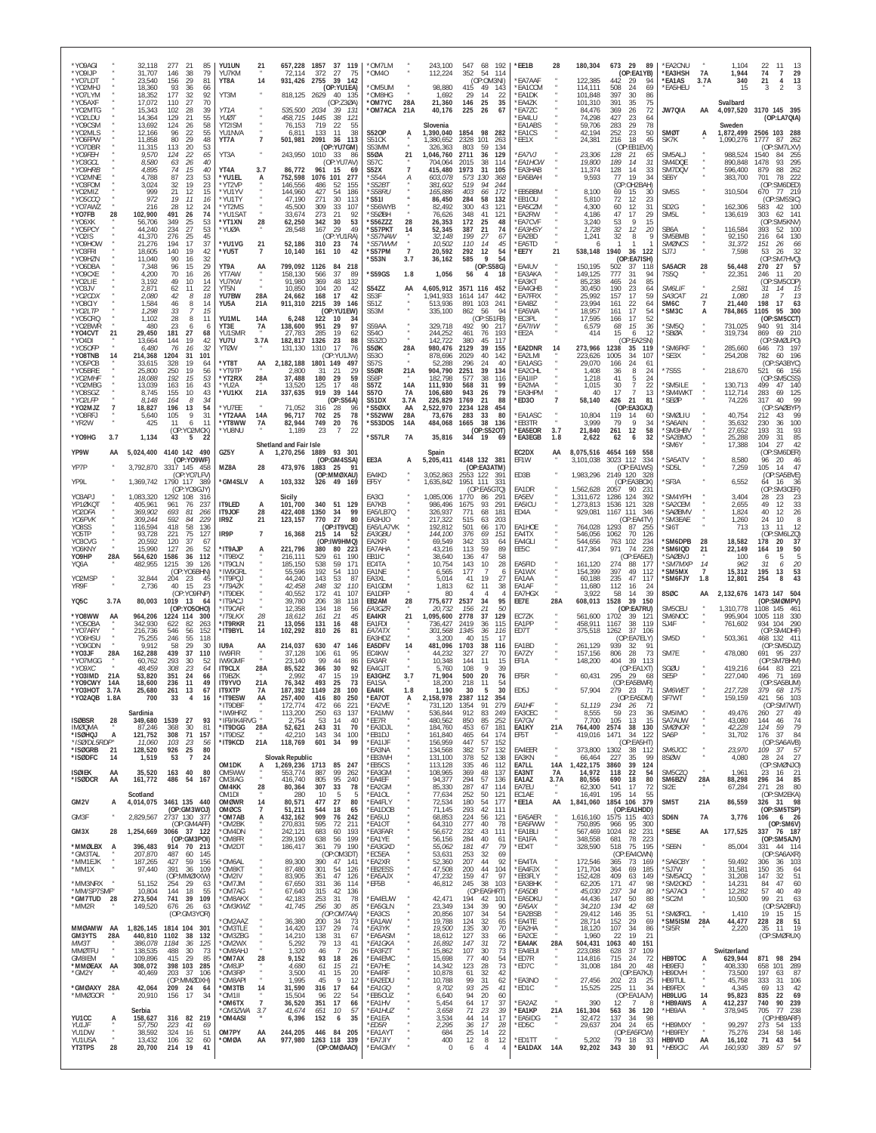| *YO9AGI<br>*Y09IJP<br>*YO7LDT<br>*YO2MHJ<br>*YO7LYM                   |                                | 32,118<br>31,707<br>23,540<br>18,360<br>18,352                  | 277<br>21<br>85<br>146<br>38<br>79<br>29<br>156<br>81<br>93<br>36<br>66<br>177<br>32<br>92                          | YU1UN<br>YU7KM<br>YT8A<br>YT3M                                           | 21<br>14                        | 657,228<br>72.114<br>931,426<br>818,125 2629                       | 1857 37 119<br>27<br>75<br>372<br>39<br>2755<br>142<br>(OP:YU1EA)<br>40 135                                          | *OM7LM<br>OM40*<br>OM5UM<br>*OM8HG                                 |                                                  | 243,100<br>112,224<br>98,880<br>1,692                              | 547 68<br>352<br>415<br>29                 | 192<br>54<br>114<br>(OP:OM3NI)<br>49<br>143<br>-14<br>-22                     | *EE1B<br>*EA7AAF<br>*EA1CCM<br>*EA1DK                          | 28                              | 180,304<br>122,385<br>114,111<br>101.848                    | 673 29<br>89<br>(OP:EA1YB)<br>442<br>-29<br>94<br>508<br>24<br>69<br>397<br>30<br>86                                | *EA2CNU<br>*EA3HSH<br>*EA1AS<br>*EA5HEU                    | 7A<br>3.7A                                     | 1.104<br>1,944<br>340<br>15                              | 22<br>11<br>-13<br>74<br>$\overline{7}$<br>29<br>13<br>21<br>$\overline{4}$<br>$\mathfrak{D}$                            |
|-----------------------------------------------------------------------|--------------------------------|-----------------------------------------------------------------|---------------------------------------------------------------------------------------------------------------------|--------------------------------------------------------------------------|---------------------------------|--------------------------------------------------------------------|----------------------------------------------------------------------------------------------------------------------|--------------------------------------------------------------------|--------------------------------------------------|--------------------------------------------------------------------|--------------------------------------------|-------------------------------------------------------------------------------|----------------------------------------------------------------|---------------------------------|-------------------------------------------------------------|---------------------------------------------------------------------------------------------------------------------|------------------------------------------------------------|------------------------------------------------|----------------------------------------------------------|--------------------------------------------------------------------------------------------------------------------------|
| *YO5AXF<br>*YO2MTG<br>*YO2LDU<br>*Y09CSM<br>*YO2MLS                   |                                | 17,072<br>15,343<br>14,364<br>13,692<br>12,166                  | 70<br>110<br>27<br>39<br>102<br>28<br>129<br>21<br>55<br>124<br>26<br>58<br>55<br>96<br>22                          | YT1A<br>YU0 T<br>YT2ISM<br>YU1NVA                                        |                                 | 535,500<br>458,715<br>76,153<br>6,811                              | (OP:Z30A)<br>2034<br>.39<br>- 1.31<br>1445<br>38<br>121<br>719<br>22<br>55<br>38<br>133<br>11                        | *OM7YC<br>OM7ACA*<br><b>S520P</b>                                  | 28A<br>21A<br>А                                  | 21,360<br>40,176<br>Slovenia<br>1,390,040                          | 146<br>225<br>1854                         | 25<br>35<br>26<br>67<br>98<br>282                                             | *EA4ZK<br>*FA77C<br>'EA4LU<br>EA1ABS<br>*EA1CS                 |                                 | 101,310<br>84.476<br>74.298<br>59,706<br>42,194             | 391<br>35<br>75<br>369<br>26<br>72<br>23<br>427<br>64<br>283<br>29<br>78<br>23<br>252<br>50                         | JW7QIA<br>SMØT                                             | AA<br>А                                        | Svalbard<br>Sweden                                       | 4,097,520 3170 145 395<br>(OP:LA7QIA)<br>1,872,499 2506 103 288                                                          |
| *YO6FPW<br>*Y07DBR<br>*YO9FEH<br>*YO3GCL<br><i>*YO9HRB</i><br>*YO2MNF |                                | 11,858<br>11,315<br>9,570<br>8,580<br>4,895<br>4.788            | 29<br>80<br>48<br>113<br>20<br>53<br>124<br>22<br>65<br>63<br>26<br>40<br>74<br>15<br>40<br>87<br>23<br>53          | YT7A<br>YT3A<br>YT4A<br>*YU1EL                                           | $\overline{7}$<br>3.7<br>А      | 501,981<br>243,950<br>86,772<br>752,598                            | 2091<br>36<br>113<br>(OP:YU7GM)<br>1010<br>33<br>-86<br>(OP:YU7AV)<br>961<br>15<br>69<br>277<br>1076<br>101          | S51CK<br>S53MM<br><b>S5ØA</b><br>S57C<br><b>S52X</b><br>*S54A      | 21<br>$\overline{\mathfrak{z}}$<br>Α             | 1,380,652<br>326,363<br>1,046,760<br>704.064<br>415,480<br>603.078 | 2328<br>803<br>2711<br>2015<br>1973<br>573 | 101<br>263<br>59<br>134<br>36<br>129<br>38<br>114<br>31<br>105<br>130<br>368  | *EE1X<br>*EA7VJ<br>*EA1HCW<br><b>EA3HAB</b><br><b>EA5BAH</b>   |                                 | 24,381<br>23,306<br>19,800<br>11,374<br>9,593               | 18<br>216<br>45<br>(OP:EB1EVX)<br>128<br>21<br>-65<br>14<br>189<br>-31<br>128<br>14<br>33<br>77<br>19<br>34         | SK7K<br>SM5AL.<br>SM4DOE<br>SM7DQV<br>SE6Y                 |                                                | 1,090,276<br>988,524<br>890,848<br>596,400<br>383,700    | 1777<br>87<br>262<br>(OP:SM7LXV)<br>1540<br>84<br>255<br>295<br>1478<br>93<br>88<br>262<br>879<br>701<br>78<br>222       |
| *YO3FOM<br>*YO2MIZ<br>*Y05CCQ<br>*YO7AWZ<br>*YO7FB                    |                                | 3.024<br>999<br>972<br>216<br>102,900                           | 32<br>19<br>23<br>21<br>12<br>15<br>19<br>11<br>16<br>12<br>28<br>24<br>491<br>74<br>26                             | *YT2VP<br>*YU1YV<br>*YU1TY<br>*YT2MS<br>*YU1SA1                          |                                 | 146,556<br>144.960<br>47,190<br>45.500<br>33,674                   | 486<br>52<br>155<br>54<br>427<br>186<br>271<br>30<br>113<br>309<br>33<br>107<br>273<br>21<br>92                      | *S52BT<br><i><b>S58RU</b></i><br>*S51I<br>'S56WYB<br>*S5ØBH        |                                                  | 381,602<br>165,886<br>86,450<br>82,492<br>76.626                   | 519<br>403<br>284<br>300<br>348            | 94<br>244<br>66<br>172<br>58<br>132<br>43<br>121<br>41<br>121                 | <b>EB5BBM</b><br>*EB1OU<br>*EA5CZM<br>*EA2RW                   |                                 | 8.100<br>5,810<br>4,300<br>4.186                            | (OP:OH2BAH)<br>69<br>15<br>-30<br>72<br>12<br>23<br>12<br>60<br>31<br>47<br>17<br>29                                | SM5S<br>SD <sub>2G</sub><br>SM <sub>5</sub> L              |                                                | 310,504<br>162,306<br>136,619                            | (OP:SM6DED)<br>670<br>77 219<br>(OP:SM5SIC)<br>42<br>100<br>583<br>303<br>141<br>62                                      |
| *YO6XK<br>*Y05PCY<br>*Y02IS<br>*YO9HOW<br>*YO3FRI                     |                                | 56,706<br>44,240<br>41,370<br>21,276<br>18,605                  | 349<br>234<br>$\frac{25}{27}$<br>53<br>53<br>276<br>25<br>45<br>17<br>37<br>194<br>140<br>19<br>42                  | *YT1XN<br>*YUØA<br>*YU1VG<br>*YU5T                                       | 28<br>21<br>$\overline{7}$      | 62,250<br>28,548<br>52,186<br>10,140                               | 342<br>30<br>53<br>29<br>49<br>167<br>(OP:YU1RA)<br>310<br>23<br>- 74<br>161<br>10<br>42                             | S56ZZZ*<br>"S57PKT<br>*S57NAW<br>*S57WVM<br>'S57PM                 | 28<br>14<br>$\boldsymbol{\mu}$<br>$\overline{7}$ | 26.353<br>52.345<br>32,148<br>10.502<br>20,592                     | 172<br>387<br>199<br>110<br>292            | 25<br>48<br>21<br>74<br>27<br>67<br>14<br>45<br>12<br>54                      | *EA7CVF<br>*EA3HSY<br>EA2BD<br>*EA5TD<br>*EE7Y                 | 21                              | 3,240<br>1,728<br>1,241<br>538,148                          | 9<br>53<br>15<br>32<br>12<br>20<br>32<br>8<br>-1<br>1940<br>36<br>122                                               | SB6A<br>SM5BMB<br><b>SMØNCS</b><br>SJ7J                    |                                                | 116,584<br>92,150<br>31,372<br>7,598                     | (OP:SM5KNV)<br>393<br>52<br>100<br>216<br>130<br>64<br>151<br>-26<br>66<br>32<br>53<br>26                                |
| *YO9HZN<br>*YO6DBA<br>*YO9CXE<br>*YO2LIE<br>*Y03JV                    |                                | 11,040<br>7,348<br>4,200<br>3,192<br>2,871                      | 32<br>90<br>16<br>29<br>96<br>15<br>70<br>16<br>26<br>49<br>10<br>14<br>22<br>62<br>11                              | YT9A<br>YT7AW<br>YU7KW<br>YT5N                                           | AA                              | 799,092<br>158.130<br>91.980<br>10.850                             | 1126<br>84<br>218<br>566<br>37<br>-89<br>369<br>48<br>132<br>104<br>20<br>-42                                        | 'S53N<br>*S59GS<br><b>S54ZZ</b>                                    | 3.7<br>1.8<br>AA                                 | 36,162<br>1,056<br>4,605,912                                       | 585<br>56                                  | $\mathbf{Q}$<br>54<br>(OP:S58G)<br>4<br>18<br>3571 116 452                    | *EA4UV<br>*EA3AKA<br>EA3KT<br>*FA4GHB                          |                                 | 150,195<br>149,125<br>85.238<br>30.450                      | (OP:EA7ISH)<br>502<br>37<br>118<br>31<br>94<br>777<br>24<br>85<br>465<br>190<br>23<br>64                            | SA5ACR<br>7S5Q<br>SM6LIF                                   | 28                                             | 56,448<br>22,351<br>2,581                                | (OP:SM7HVQ)<br>270<br>27<br>57<br>246<br>11<br>20<br>SM5COP)<br>(OP<br>31<br>14<br>- 15                                  |
| *YO2CDX<br>*YO8CIY<br>*YO2LTP<br>*Y05CRQ<br>*Y02BWR<br>*Y04CVT        | 21                             | 2,080<br>1,584<br>1,298<br>1,102<br>480<br>29,450               | 42<br>18<br>8<br>46<br>8<br>14<br>33<br>15<br>28<br>8<br>11<br>23<br>6<br>181<br>27<br>68                           | YU7BW<br>YU5A<br>YU1ML<br>YT3E<br>YU1SMR                                 | 28A<br>21A<br>14A<br>7A         | 24,662<br>911,310<br>6,248<br>138,600<br>27,783                    | 168<br>17<br>42<br>2215<br>39<br>146<br>(OP:YU1EW)<br>122<br>10<br>-34<br>951<br>29<br>97<br>285<br>19<br>62         | S53F<br>S51Z<br>S53M<br>S59AA<br>S540                              | $\mu$                                            | 1,941,933<br>513,936<br>335,100<br>329,718<br>244,252              | 1614<br>891<br>862<br>492<br>461           | 147<br>442<br>103<br>241<br>56<br>94<br>(OP:SS1FB)<br>90<br>217<br>76<br>193  | <b>EA7FRX</b><br>FA4B7<br>*EA5WA<br>*EC3PL<br>*EA7IIW<br>*EE2A |                                 | 25,992<br>23.994<br>18,957<br>17.595<br>6,579<br>414        | 157<br>17<br>59<br>22<br>64<br>161<br>161<br>17<br>54<br>17<br>52<br>166<br>15<br>36<br>68<br>15<br>12<br>6         | SA3CAT<br>SM6C<br>'SM3C<br>*SM5Q<br>'SBØA                  | 21<br>$\overline{7}$<br>A                      | 1,080<br>21,440<br>784,865<br>731,025<br>319,734         | 18<br>-13<br>198<br>17<br>-63<br>1105<br>95<br>300<br>(OP:SM5CCT)<br>314<br>940<br>91<br>869<br>69<br>210                |
| *YO4DI<br>*Y050FP<br>*YO8TNB<br>*Y05PCB<br>*Y05BRE                    | 14                             | 13,664<br>6,480<br>214,368<br>33,615<br>25.800                  | 144<br>19<br>42<br>76<br>16<br>32<br>101<br>1204<br>31<br>328<br>19<br>64<br>19<br>250<br>56                        | YU7U<br><b>YTØW</b><br>*YT8T<br>*YT9TP                                   | 3.7A<br>AA                      | 182,817<br>131,130<br>2,182,188<br>2,800                           | 1326<br>23<br>88<br>1310<br>17<br>76<br>(OP:YU1JW)<br>1801 149<br>497<br>-31<br>-21<br>-29                           | S53Z0<br>S5ØK<br>S530<br><b>S57S</b><br><b>S50R</b>                | 28A<br>21A                                       | 142,722<br>980,476<br>878,696<br>52,288<br>904,790                 | 380<br>2129<br>2029<br>296<br>2251         | 45<br>117<br>39<br>155<br>40<br>142<br>24<br>40<br>39<br>134                  | <b>EA2DNR</b><br>EA2LMI<br><b>EA1ASG</b><br>*EA2CHL            | 14                              | 273,966<br>223,626<br>29,070<br>1.408                       | (OP:EA2SN)<br>1238<br>35<br>119<br>34<br>1005<br>107<br>166<br>24<br>61<br>36<br>8<br>24                            | *SM6FKF<br>*SE3X<br>'7S5S                                  | $\alpha$                                       | 285,660<br>254,208<br>218,670                            | (OP:SMØLPO)<br>646<br>73 197<br>60 196<br>782<br>(OP:SA3BYC)<br>521<br>66<br>156                                         |
| *YO2MHF<br>*YO2MBG<br>*Y08SGZ<br>*YO2I FP<br>*YO2MJZ<br>*Y08RFJ       | $\overline{7}$                 | 18,088<br>13.039<br>8.745<br>8.148<br>18,827<br>5,640           | 192<br>15<br>53<br>163<br>16<br>43<br>155<br>10<br>43<br>164<br>8<br>-34<br>196<br>13<br>54<br>9<br>105<br>31       | *YT2RX<br>*YU2A<br>*YU1KX<br>*YU7EE<br>*YT2AAA                           | 28A<br>21A<br>14A               | 37,488<br>13,520<br>337,635<br>71,052<br>96.717                    | 180<br>29<br>59<br>125<br>17<br>48<br>919<br>39<br>144<br>(OP:SS6A)<br>316<br>-28<br>96<br>702<br>25<br>78           | S58P<br>S57Z<br>S570<br>S51DX<br>*S5ØXX<br>*S52WW                  | 14A<br>7A<br>3.7A<br>AA<br>28A                   | 182,798<br>111.930<br>106,680<br>226,829<br>2,522,970<br>73.676    | 577<br>568<br>943<br>1769<br>2234<br>283   | 38<br>116<br>31<br>99<br>26<br>79<br>88<br>21<br>128<br>454<br>80<br>-33      | *EA1IIP<br>*EA2MA<br><b>EA3HPM</b><br>*ED30<br>*FA1ASC         | $\overline{7}$                  | 1,218<br>1,015<br>40<br>58,140<br>10.804                    | 41<br>5<br>24<br>30<br>-7<br>22<br>17<br>13<br>426<br>21<br>81<br>(OP:EA3GXJ)<br>119<br>14<br>-60                   | 'SM5ILE<br>*SM4WKT<br>'SEØP<br><b>SMØLIU</b>               |                                                | 130,713<br>112,714<br>74,226<br>40,754                   | (OP:SM5CSS)<br>499<br>47<br>140<br>125<br>283<br>69<br>99<br>317<br>40<br>:SAØBYP)<br>(OP<br>212<br>Q <sub>G</sub><br>43 |
| *YR2W<br>*YO9HG<br>YP9W                                               | 3.7<br>AA                      | 425<br>1,134                                                    | 11<br>6<br>11<br>(OP:YO2MCK)<br>43<br>5<br>22<br>5,024,400 4140 142 490                                             | *YT8WW<br>*YU8NU<br>GZ5Y                                                 | <b>7A</b><br>A                  | 82,944<br>1,189<br>Shetland and Fair Isle<br>1,270,256             | 749<br>20<br>76<br>23<br>$\overline{7}$<br>22<br>1889 93 301                                                         | *S53DOS<br>*S57LR                                                  | 14A<br>7A                                        | 484,068<br>35,816<br>Spain                                         | 1665<br>344                                | 38<br>136<br>(OP:S520T)<br>- 19<br>69                                         | *EB3TR<br>*EA5EOR<br>*EA3EGB<br>EC2DX                          | 3.7<br>1.8<br>AA                | 3,999<br>21,840<br>2,622<br>8,075,516                       | 79<br>9<br>34<br>261<br>12<br>58<br>32<br>62<br>6<br>4654 169<br>558                                                | 'SA6AIN<br>SM3HBV<br>*SA2BMO<br>'SM6Y                      |                                                | 35,632<br>27,652<br>25,288<br>17,388                     | 230<br>36<br>100<br>193<br>93<br>-31<br>209<br>31<br>85<br>104<br>27<br>42<br>(OP:SM6DER)                                |
| YP7P<br>YP9L<br>Y03APJ                                                |                                | 1,369,742                                                       | (OP:YO9WF)<br>3,792,870 3317 145 458<br>(OP:YO7LFV)<br>1790 117 389<br>(OP:YO9GJY)                                  | MZ8A<br>*GM4SLV                                                          | 28<br>A                         | 473,976<br>103,332                                                 | (OP:GM4SSA)<br>1883<br>- 25<br>- 91<br>(OP:MMØXAU)<br>326<br>49 169                                                  | EE3A<br>EA4KD<br>EF5Y                                              | A                                                | 5,205,411 4148 132 381<br>3,052,863<br>1,635,842<br>1,085,006      | 2553 122<br>1951                           | (OP:EA3ATM)<br>391<br>331<br>111<br>(OP:EA5GTQ)                               | EF1W<br>ED3B<br>EA1DR                                          |                                 | 3,101,038<br>1,983,296<br>1,562,628                         | 3023 112<br>334<br>(OP:EA1WS)<br>2149 120 328<br>(OP:EA3BOX)<br>2057<br>90<br>- 231                                 | 'SA5ATV<br>*SD5L<br>*SF3A<br>'SM4YPH                       |                                                | 8,580<br>7,259<br>6,552                                  | 96<br>20<br>46<br>47<br>105<br>-14<br>(OP:SA5BVE)<br>64<br>16<br>36<br>(OP:SM3CER)<br>23                                 |
| YP1ØKQT<br>YO2DFA<br>YO6PVK<br>YO8SS<br>Y05TP                         |                                | 1,083,320<br>405.961<br>369,902<br>309,244<br>116,594<br>93,728 | 1292 108<br>316<br>76<br>961<br>237<br>693<br>81<br>266<br>592<br>229<br>84<br>418<br>58<br>136<br>221<br>75<br>127 | IT9LED<br>IT9JOF<br>IR9Z<br>IR9P                                         | A<br>28<br>21<br>$\overline{7}$ | Sicily<br>101,700<br>422,408<br>123,157<br>16,368                  | 340<br>51 129<br>1350<br>34<br>99<br>770<br>27<br>80<br>(OP:IT9VCE)<br>215<br>14<br>-52                              | EA3CI<br>EA7KB<br>EA5/LB7Q<br>EA3HJO<br>EA5/LA7VK<br><i>EA3GBU</i> |                                                  | 986,496<br>326,937<br>217.322<br>192,812<br>144,100                | 1770<br>1675<br>771<br>515<br>501<br>376   | 86<br>291<br>93<br>291<br>181<br>68<br>203<br>63<br>170<br>66<br>151<br>69    | EA5EV<br>EA5ICU<br>ED4A<br>EA1HOE<br>EA4TX                     |                                 | 1,311,672<br>1,273,813<br>929,081<br>764,028<br>546,056     | 1286 124<br>-392<br>1536<br>121<br>328<br>1167 111<br>-346<br>(OP:EA4TV)<br>1293<br>87<br>-255<br>1062<br>70<br>126 | 'SA2CEM<br>'SAØBMV<br>*SM3EAE<br>'SI6T                     |                                                | 3,404<br>2,655<br>1,824<br>1,260<br>713                  | 28<br>-23<br>33<br>49<br>12<br>26<br>40<br>12<br>24<br>10<br>- 8<br>13<br>12<br>11<br>(OP<br>SM6LZQ)                     |
| Y03CVG<br>YO6KNY<br>Y09HP<br>YQ6A                                     | 28A                            | 20,592<br>15,990<br>564,620<br>482,955                          | 37<br>120<br>-67<br>127<br>52<br>26<br>1586<br>36<br>112<br>1215<br>39<br>126<br>(OP:YO6BHN)                        | *IT9AJP<br>*IT9BXZ<br>*IT9CLN<br>*IW9GRL                                 |                                 | 221,796<br>216,111<br>185.150<br>55,596                            | (OP:IW9HMQ)<br>223<br>380<br>80<br>190<br>529<br>61<br>538<br>59<br>171<br>192<br>54<br>110                          | EA2KR<br>EA7AHA<br>FB <sub>1IC</sub><br>EC4TA<br>EA1NE             |                                                  | 69.549<br>43,216<br>38.640<br>10.754<br>6,565                      | 342<br>113<br>136<br>143<br>177            | 33<br>64<br>59<br>89<br>47<br>58<br>10<br>28                                  | EA4GLI<br>EE5C<br>EA5FID<br>EA1WX                              |                                 | 544,656<br>417,364<br>161,120<br>154,399                    | 763 102<br>234<br>971<br>74<br>228<br>(OP:EA5EJ)<br>274<br>88<br>-177<br>397<br>49<br>112                           | *SM6DPB<br>'SM6IQD<br><b>SAØBVJ</b><br>*SM7MXP<br>*SM5MX   | 28<br>21<br>14<br>$\overline{7}$               | 18,582<br>22,149<br>100<br>962<br>15,312                 | 178<br>20<br>37<br>19<br>50<br>164<br>-5<br>-6<br>5<br>31<br>20<br>6<br>195<br>13<br>53                                  |
| Y02MSP<br>YR9F<br>YQ5C<br>*Y08WW                                      | 3.7A<br>AA                     | 32,844<br>2,736<br>80,003<br>964,206                            | 204<br>23<br>45<br>40<br>15<br>23<br>(OP:YO9FNP)<br>1019 13<br>-64<br>(OP:YO5OHO)<br>1224 114<br>300                | 'IT9PQJ<br>*IT9AZK<br>'IT9DEK<br>*IT9ACJ<br>'IT9CAR<br>*IT9LKX           | 28                              | 44,240<br>42,458<br>40,552<br>39,780<br>12.358<br>18.612           | 143<br>53<br>-87<br>248<br>32<br>110<br>172<br>41<br>107<br>206<br>38<br>118<br>134<br>18<br>56<br>161<br>21<br>45   | EA3XL<br>EA1GDM<br>EA1DFP<br>EB2AM<br><i>EA3GZR</i><br>EA4KR       | 28<br>21                                         | 5,014<br>1,813<br>-80<br>775,677<br>20,732<br>1,095,600            | 41<br>62<br>2537<br>156<br>2778            | 19<br>27<br>11<br>38<br>Δ<br>34<br>95<br>21<br>50<br>37<br>129                | EA1AA<br>EA1AF<br>EA7HGX<br>EE7E<br>EC7ZK                      | 28A                             | 60.188<br>11,680<br>3,922<br>608,013<br>561,600             | 47<br>235<br>117<br>112<br>24<br>16<br>58<br>14<br>-39<br>39<br>1528<br>150<br>(OP:EA7RU)<br>1702<br>39<br>121      | 'SM6FJY<br>8SØC<br>SM5CEU<br>SM6NOC                        | 1.8<br>AA                                      | 12,801<br>2,132,676<br>1,310,778<br>995,904              | 43<br>254<br>8<br>1473 147 504<br>(OP:SMØMPV)<br>1108 145 461<br>118<br>330<br>1005                                      |
| *Y050BA<br>*Y07ARY<br>*Y06HSU<br>*Y09GDN<br>*Y03JF                    | 28A                            | 342,930<br>216,736<br>75,255<br>9,912<br>162,288                | 622<br>82<br>263<br>56<br>152<br>546<br>246<br>55<br>118<br>58<br>29<br>30<br>439<br>37<br>110                      | *IT9RKR<br>*IT9BYL<br>IU9A<br>IW9FIR                                     | 21<br>14<br>AA                  | 13,056<br>102,292<br>214,037<br>37,128                             | 131<br>48<br>16<br>810<br>81<br>26<br>630<br>47<br>146<br>106<br>61<br>-95                                           | <b>FA1FDI</b><br>EA7ATX<br>FA3HD7<br>EA5DFV<br>EC4KW               | 14                                               | 736,427<br>301,568<br>3,200<br>481,096<br>44.232                   | 2419<br>1345<br>40<br>1703<br>327          | 115<br>36<br>36<br>116<br>15<br>-17<br>38<br>116<br>27<br>70                  | EA1PP<br>ED7T<br>EA1BD<br>EA7ZY                                |                                 | 458,911<br>375,518<br>261,129<br>157,156                    | 38<br>119<br>1167<br>37<br>106<br>1262<br>(OP:EA7ELY)<br>939<br>32<br>806<br>28<br>-73                              | SJ4F<br>SM <sub>5</sub> D<br>SM7E                          |                                                | 761,602<br>503,361<br>478,080                            | 934 104<br>- 290<br>(OP:SM4DHF)<br>468 132 411<br>(OP:SM5DJZ)<br>95 237<br>691                                           |
| *YO7MGG<br>*YO9XC<br>*YO3IMD<br>*Y09CWY<br>*YO3HOT                    | 21A<br>14A<br>3.7 <sub>f</sub> | 60.762<br>48.459<br>53,820<br>18,600<br>25,680                  | 293<br>30<br>52<br>308<br>23<br>64<br>24<br>351<br>66<br>236<br>11<br>49<br>261<br>13<br>67                         | IW9GMF<br>IT9CLX<br>IT9BZK<br><b>IT9YVO</b><br><b>IT9XTP</b>             | 28A<br>21A<br><b>7A</b>         | 23,140<br>85,522<br>2.992<br>76,342<br>187,392<br>257.400          | 99<br>44<br>-86<br>30<br>92<br>366<br>47<br>15<br>-19<br>493<br>25<br>73<br>1149<br>28<br>100                        | EA3AR<br>FA4GJT<br>EA3GHZ<br>EA1SA<br>EA4IK                        | 3.7<br>1.8                                       | 10.348<br>5.760<br>71,904<br>18,200<br>1.190                       | 144<br>108<br>500<br>218<br>30<br>2387     | 15<br>11<br>39<br>9<br>20<br>76<br>11<br>54<br>30<br>5                        | EF1A<br>EF5R<br>ED5J                                           |                                 | 148,200<br>60,431<br>57,904                                 | 404<br>39<br>113<br>(OP:EA1XT)<br>295<br>- 29<br>-68<br>(OP:EA5BWR)<br>279<br>- 23<br>-71<br>(OP:EA5DM)             | SGØU<br>SE5P<br>SM6WET                                     |                                                | 419.216<br>227,040<br>217,728                            | (OP:SM7BHM)<br>644<br>83 221<br>496<br>71<br>169<br>(OP:SA5BUM)<br>379 68 175<br>5ħ.                                     |
| <b>YUZAUB</b><br><b>ISØBSR</b><br><b>IMØQMA</b><br>*ISØHQJ            | 1.8A<br>28<br>A                | 700<br>Sardinia<br>349,680 1539<br>87,246<br>121,752            | -33<br>- 27<br>93<br>368<br>30<br>81<br>71<br>308<br>157                                                            | <b>TIAR</b><br>'IT9DBF<br>*IW9HRZ<br>*IF9/IK4RVG *<br>*IT9DGG<br>*IT9DS7 | AA<br>28A                       | 172,774<br>113,200<br>2,754<br>52,621<br>42.210                    | 416<br>8U<br>-250<br>472<br>66<br>221<br>250<br>63<br>137<br>53<br>14<br>40<br>243<br>31<br>70<br>100<br>143<br>-34  | `EA/UI<br>*EA2VE<br>*EA1MW<br>*EE7R<br>*EA3DJL<br>*EB1DJ           | А                                                | 2.158.978<br>731,120<br>536,844<br>480,562<br>184,760<br>161,840   | 1354<br>912<br>850<br>453<br>465           | 112<br>-354<br>279<br>91<br>83<br>249<br>252<br>85<br>67<br>181<br>174<br>-64 | EA <sub>1HF</sub><br>EA3CEC<br>EA7GV<br>EA1KY<br>EF5T          | $\overline{u}$<br>21A           | 51,119<br>8,555<br>7,700<br>764,400<br>419,016              | 234<br>26<br>-71<br>59<br>23<br>36<br>105<br>13<br>15<br>2574<br>38<br>130<br>1471<br>-34<br>122                    | <b>SF/WI</b><br>SM5IMO<br>SA7AUW<br><b>SMØNOR</b><br>SA6P  |                                                | 159,159<br>49,476<br>43,080<br>42,228<br>31,702          | 42 I<br>- IU3<br>(OP:SM7WT)<br>260<br>27<br>49<br>144<br>46<br>74<br>124<br>59<br>79<br>176<br>-37<br>-84                |
| *ISØ/DL5RDP*<br>*ISØGRB<br>*ISØDFC<br><b>ISØIEK</b><br>*ISØDCR        | 21<br>14<br>AA<br>AA           | 11.060<br>128,520<br>1,519<br>35,520<br>161,772                 | 103<br>23<br>-56<br>80<br>926 25<br>53<br>$\overline{7}$<br>24<br>163 40<br>80<br>486 54 167                        | *IT9KCD<br>OM <sub>1</sub> DK<br>OM5WW<br>OM3IAG                         | 21A<br>А                        | 118,769<br>Slovak Republic<br>1,269,236 1713<br>553,774<br>416,740 | 601<br>34<br>99<br>85 247<br>887<br>99<br>262<br>95<br>805                                                           | *EA1IJF<br>*FA3NA<br>*EB3WH<br>*EB5CS<br>*EA3GM<br>*FA4FF          |                                                  | 156,959<br>134.568<br>131,100<br>113,128<br>108,965<br>94,377      | 447<br>382<br>378<br>335<br>369<br>294     | 57<br>152<br>57<br>132<br>52<br>138<br>46<br>112<br>48<br>137                 | EA4EER<br>EA3KN<br>EA7LL<br>EA3NT<br>EA1AZ                     | 14A<br>7A                       | 373,800<br>66,464<br>,422,175<br>14,972                     | (OP:EA5HT)<br>1302<br>38<br>112<br>227<br>35<br>99<br>3860<br>39<br>124<br>118<br>22<br>54<br>690<br>18<br>80       | SM6 ICC<br>8SØW<br>SM5CZQ<br>SM6BZV                        | ×<br>$\bar{a}$<br>$\alpha$<br>28A              | 23,970<br>4,080<br>1,961<br>88,298                       | (OP:SA6AVB)<br>109<br>-37<br>- 57<br>28<br>24<br>27<br>(OP:SMØNJO)<br>23<br>- 16<br>- 21<br>85                           |
| GM2V<br>GM3F                                                          | А                              | Scotland<br>2,829,567                                           | 4,014,075 3461 135 440<br>(OP:GM3WOJ)<br>2737 130 377                                                               | OM4KK<br>OM <sub>1</sub> DI<br>OMØWR<br><b>OMØCS</b><br>*OM7AB           | 28<br>14<br>$\overline{7}$<br>А | 80,364<br>280<br>80,571<br>51,211<br>432,162                       | 240<br>307<br>33<br>78<br>10<br>-5<br>Æ<br>477<br>27<br>80<br>544<br>18<br>65<br>909<br>76<br>242                    | *EA2GM<br>*EA1OL<br>*EA4FLY<br>*EA1DOB<br>*EA5UJ                   |                                                  | 85,330<br>77,634<br>72,534<br>71,145<br>68,853                     | 287<br>252<br>180<br>293<br>224            | 57<br>136<br>47<br>114<br>50<br>121<br>54<br>177<br>42<br>111<br>56<br>121    | EA7EU<br>EC1AE<br>*EE1A<br>*EA5AER                             | 3.7A<br>$\overline{a}$<br>AA    | 80,556<br>62,300<br>16,491<br>1,841,060<br>1,616,160        | 541<br>17<br>-72<br>195<br>14<br>55<br>1854 106<br>- 379<br>(OP:EA1HDD)<br>1575 115<br>403                          | SI2E<br>SM <sub>5</sub> T<br>SD6N                          | 21A<br>7A                                      | 67,284<br>86,559<br>3,776                                | 296 34<br>271<br>- 28<br>-80<br>(OP:SM2EKA)<br>326 31 98<br>(OP:SM5TSP)<br>106<br>6 26                                   |
| GM3X<br>*MMØLBX A<br>*GM3TAL                                          | 28                             | 1,254,669<br>396,483<br>207,870                                 | (OP:GM4AFF)<br>3066 37 122<br>(OP:GM3POI)<br>914 70 213<br>487<br>60<br>145                                         | *OM2BK<br>*OM4DN<br>*OM8FR<br>*OM2DT                                     |                                 | 270,831<br>242,121<br>239,190<br>186,417                           | 595<br>72<br>211<br>683<br>60<br>193<br>56<br>199<br>638<br>79 190<br>361<br>(OP:OM3DT)                              | *EA1OT<br>*EA3FAR<br>*EA1YE<br>*EA3GXD<br>*EC5EA                   |                                                  | 64,310<br>56,672<br>56,156<br>55,062<br>53,631                     | 277<br>232<br>284<br>181<br>253            | 40<br>78<br>43<br>111<br>40<br>61<br>79<br>47<br>32<br>69                     | *EA5FWW<br>*EA1BLI<br>*EA1FA<br>*ED4T                          |                                 | 750,895<br>567,469<br>348,558<br>328,590                    | 966<br>95<br>300<br>1024<br>82<br>231<br>78<br>681<br>223<br>75<br>518<br>195<br>(OP:EA4CWN)                        | *SE5E<br>*SE6N                                             | AA<br>$\alpha$                                 | 177,525<br>85,004                                        | (OP:SM6V)<br>337 76 187<br>(OP:SM5AJV)<br>331 44 114<br>(OP:SA6AXR)                                                      |
| *MM1EJK<br>*MM1X<br>*MM3NRX *<br>*MM/SP7SMF*<br>*GM7TUD 28            |                                | 187,265<br>97,440<br>51,152<br>10.804<br>273,504                | 427<br>59<br>156<br>391<br>36<br>109<br>(OP:MMØXXW)<br>29<br>254<br>63<br>144<br>-18<br>-55<br>39<br>741<br>109     | *OM6AL<br>*OM8KT<br>*OM2IV<br>*OM7JM<br>*OM7AG<br>*OM8AKX                |                                 | 89,300<br>87,480<br>83,905<br>67,650<br>67,640<br>42,183           | 390<br>47 141<br>301<br>54<br>126<br>351<br>47<br>- 126<br>331<br>36<br>114<br>315<br>42<br>- 136<br>253<br>31<br>78 | *EA2XR<br>*EB2ESS<br>*EA5AJX<br>*EF5B<br><b>EA4EUW</b>             |                                                  | 52.360<br>47,508<br>47,232<br>46,812<br>42,471                     | 207<br>200<br>159<br>245<br>194            | 44<br>92<br>44<br>104<br>47<br>97<br>38<br>103<br>(OP:EA5HRT)<br>42<br>101    | *EA4TA<br>*EA4FJX<br>*EB3FLY<br>*EA3BHK<br>*EA5DB<br>*EA5DKU   |                                 | 172,546<br>171,704<br>152,428<br>62,205<br>45,030<br>44,436 | 365<br>73<br>169<br>364<br>69<br>185<br>409<br>149<br>63<br>171<br>47<br>98<br>80<br>237<br>-34<br>147<br>50<br>88  | *SA6CBY<br>*SJ7W<br>*SM5ACQ<br>*SM2OKD<br>'SA7AOI<br>*SC2M | $\boldsymbol{\theta}$<br>$\boldsymbol{\theta}$ | 59,492<br>31,581<br>31,208<br>14,231<br>12.282<br>10,500 | 306<br>36 103<br>150<br>35<br>64<br>147<br>-32<br>51<br>47<br>60<br>84<br>49<br>57<br>40<br>99<br>-21<br>63              |
| *MM2R<br>MMØAMW AA<br>GM3YTS                                          | 28A                            | 149,520<br>440,810                                              | 676<br>26<br>-63<br>(OP:GM3YOR)<br>1,826,145 1814 104 301<br>1102 38 132                                            | *OM3KWZ<br>'OM2AAZ<br>*OM3TLE<br>*OM3ZBG                                 |                                 | 41,745<br>36,380<br>14,420<br>14,210                               | 256<br>30<br>85<br>(OP:OM7AA)<br>200<br>34<br>73<br>137<br>29<br>-74<br>138<br>31<br>67                              | *EA5GLN<br>*EA3CS<br><b>EA1AW</b><br>*EA3YK<br>*EA5ASM             |                                                  | 23,349<br>20,856<br>19,788<br>19,500<br>18,612                     | 134<br>107<br>124<br>135<br>127            | 39<br>90<br>34<br>54<br>32<br>65<br>30<br>70<br>33<br>66                      | *EA5AX<br>*EA2BSB<br>*EA4TE<br>*EA2HA<br>*EA2CE                | $\overline{a}$                  | 34,210<br>29,412<br>28,714<br>18,120<br>1,960               | 134<br>42<br>68<br>146<br>35<br>51<br>29<br>152<br>69<br>107<br>34<br>86<br>22<br>19<br>21                          | 'SMØRCL<br>'SM5ISM<br>*SI5R                                | 28A                                            | 1,410<br>44,477<br>2,220                                 | (OP:SA2BRJ)<br>19<br>15<br>15<br>228 28<br>51<br>19<br>35<br>-11<br>(OP:SMØRUX)                                          |
| ММЗТ<br><b>MMØTFU</b><br><b>GM8IFM</b><br>*MMØEAX AA<br>*GM2Y         |                                | 386,078<br>138,535<br>109,896<br>308,072<br>40,469              | 1184<br>36<br>125<br>488<br>30<br>73<br>29<br>415<br>-85<br>398 103 285<br>203<br>- 37<br>106<br>(OP:MMØDXH)        | *OM2WX<br>*OM8AHJ<br>*OM7AX<br>*OM8JP<br>*OM3RP<br>*OM8API               | 28                              | 5,292<br>1,320<br>9,152<br>4,680<br>3,500<br>1,995                 | 79<br>13<br>41<br>46<br>$\overline{7}$<br>26<br>93<br>18<br>-26<br>15<br>21<br>61<br>41<br>15<br>20<br>45<br>9<br>12 | *EA1GKA<br><b>EA3FZT</b><br>*EA4EMC<br>*EA7HE<br>*EA4RF<br>*EA2EDU |                                                  | 16,892<br>15,862<br>15,698<br>14,342<br>10,878<br>10,788           | 147<br>107<br>77<br>123<br>61<br>99        | 31<br>72<br>30<br>73<br>40<br>54<br>28<br>73<br>32<br>42<br>31<br>62          | *EA4AK<br>*EA4EUI<br>*ED7R<br>*ED7C<br>*EA3NO                  | 28A<br>$\mathbf{a}$<br>$\alpha$ | 504,431<br>223,088<br>114,816<br>31,008<br>27,456           | 1063<br>40<br>151<br>37<br>628<br>109<br>715<br>24<br>72<br>184<br>20<br>48<br>(OP:EA7KJ)<br>202<br>23<br>25        | HB9TOC<br>HB9EFJ<br>HB9DVH<br>HB9TUL                       | А                                              | Switzerland<br>629,944<br>408,330<br>73.500<br>45,758    | 871 98 294<br>289<br>658 101<br>87<br>197<br>63<br>333<br>31<br>106                                                      |
| *GMØAXY 28A<br>*MMØGOR<br>YU1CC                                       | A                              | 42,064<br>20,910<br>Serbia<br>158,627                           | 209<br>24<br>-64<br>156<br>17<br>34<br>316 82 219                                                                   | *OM3TB<br>*OM1II<br><b>*OM6TX</b><br>*OM3ZWA<br>*OM4ASI                  | 14<br>$\overline{7}$<br>3.7     | 31,590<br>15,504<br>36,520<br>41,674<br>6,396                      | 17<br>316<br>64<br>96<br>22<br>54<br>351<br>17<br>66<br>651<br>10<br>57<br>152<br>6<br>35                            | *EA1GO<br>*EB5CUZ<br>*FA1HV<br>*EA1HUZ<br>*EA1EA                   |                                                  | 9,702<br>6,640<br>5.454<br>3,658<br>3,534                          | 93<br>94<br>$^{64}_{71}$<br>44             | 25<br>41<br>20<br>60<br>17<br>37<br>39<br>23<br>14<br>17                      | *ED1C<br>*EA2AZ<br>*EA1KP<br>*EA5IDG                           | $\mathbf{a}$<br>21A             | 15,525<br>390<br>161,304<br>32,472                          | 225<br>11<br>-34<br>(OP:EA1AJV)<br>-7<br>12.<br>×<br>563<br>36<br>120<br>137<br>34<br>-98                           | HB9FEX<br>HB9LUG<br>*HB9AWS<br>*HB9AA                      | $\overline{a}$<br>14<br>A                      | 4.345<br>95,823<br>412,237<br>378,945                    | 42<br>69<br>13<br>835<br>69<br>-22<br>740<br>90 239<br>705<br>77<br>238<br>(OP:HB9ARF)                                   |
| YU1JF<br>YU1DW<br>YU1USA<br>YT3TPS                                    | 28                             | 57,750<br>38,592<br>13,432<br>20,700                            | 223<br>41<br>69<br>324<br>16<br>51<br>106<br>32<br>60<br>214<br>19<br>41                                            | OM7PY<br>*OMØA                                                           | AA<br>AA                        | 244,205<br>977,980                                                 | 446<br>84<br>205<br>1263 118 339<br>(OP:OMØAAO)                                                                      | *ED5R<br><b>EA1AYT</b><br>*EA7JIY<br>*EA4GMY                       |                                                  | 2,295<br>684<br>400<br>$^{\circ}$                                  | 36<br>25<br>12<br>6                        | -17<br>28<br>14<br>22<br>8<br>12<br>4<br>4                                    | *ED5C<br>*ED1TT<br>*EA1DAX                                     | $\alpha$<br>14A                 | 29,637<br>5,202<br>92,202                                   | 204<br>-24<br>65<br>(OP:EA5FCW)<br>79<br>18<br>33<br>343<br>30<br>91                                                | *HB9MXY<br>*HB9FEY<br>HB9VID<br>*HB9CIC                    | AA<br>ΑA                                       | 99,297<br>75,276<br>16,102<br>160,930                    | 273<br>54 133<br>234<br>58<br>146<br>54<br>71<br>43<br>97<br>389<br>57                                                   |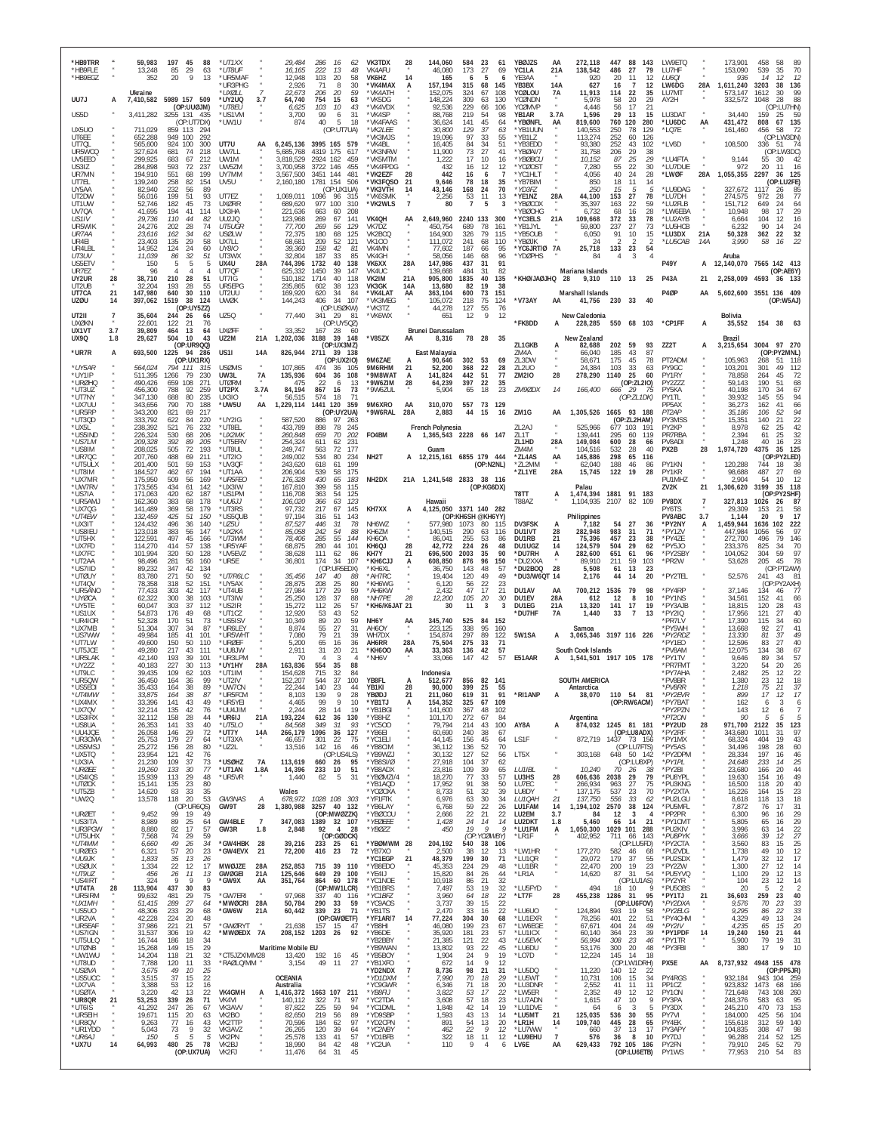| *HB9TRR<br>*HB9FLE<br>*HB9EGZ<br>UU7J    | A               | 59,983<br>13,248<br>352<br>Ukraine       | 197<br>45<br>88<br>85<br>29<br>63<br>9<br>-20<br>13<br>7,410,582 5989 157 509   | *UT1XX<br>*UT8UF<br>*UR5MAF<br>*UR3PHG<br>ו ומצוו '<br>*UY2UQ<br>3.7 | 29,484<br>286<br>16,165<br>222<br>103<br>12.948<br>2,926<br>71<br>206<br>22,673<br>64,740<br>754 | 16<br>62<br>13<br>48<br>58<br>20<br>8<br>30<br>59<br>20<br>15<br>63 | VK3TDX<br>VK4AFU<br>VK6HZ<br>*VK4MAX<br>*VK4ATH<br>*VK5DG | 28<br>14<br>A              | 144,060<br>46,080<br>165<br>157,194<br>152,075<br>148,224 | 584<br>173<br>315<br>324<br>309   | -23<br>27<br>5<br>68<br>67<br>63 | 61<br>69<br>145<br>108<br>130 | YBØJZS<br>YC1LA<br>YE3AA<br>YB3BX<br>YCØLOU<br>YCØNDN | AA<br>21A<br>14A<br>7A | 272,118<br>138,542<br>920<br>627<br>11,913<br>5.978 | 447<br>486<br>20<br>16<br>114<br>58 | 88<br>143<br>27<br>79<br>11<br>12<br>$\overline{7}$<br>12<br>22<br>35<br>20<br>29 | LW9ETQ<br>LU7HF<br>LU60I<br>LW6DG<br>LU7MT<br>AY2H | 28A                                | 173,901<br>153,090<br>936<br>1,611,240<br>573,147<br>332,572 | 458<br>58<br>89<br>539<br>35<br>70<br>14<br>12<br>-12<br>3203<br>38<br>136<br>99<br>1612<br>30<br>28<br>88<br>1048 |
|------------------------------------------|-----------------|------------------------------------------|---------------------------------------------------------------------------------|----------------------------------------------------------------------|--------------------------------------------------------------------------------------------------|---------------------------------------------------------------------|-----------------------------------------------------------|----------------------------|-----------------------------------------------------------|-----------------------------------|----------------------------------|-------------------------------|-------------------------------------------------------|------------------------|-----------------------------------------------------|-------------------------------------|-----------------------------------------------------------------------------------|----------------------------------------------------|------------------------------------|--------------------------------------------------------------|--------------------------------------------------------------------------------------------------------------------|
| US5D<br>UX5UO                            |                 | 3,411,282<br>711,029                     | (OP:UUØJM)<br>3255 131<br>- 435<br>(OP:UT7DX)<br>859 113<br>294                 | *UT8EU<br>*US1VM<br>*UW1U                                            | 103<br>6,625<br>3,700<br>99<br>40<br>874                                                         | 43<br>10<br>31<br>6<br>5<br>18<br>(OP:UT7UA)                        | *VK4VDX<br>*VK4SP<br>*VK4FAAS<br>*VK2LEE                  |                            | 92,536<br>88,768<br>36.624<br>30,800                      | 229<br>219<br>141<br>129          | -66<br>54<br>45<br>37            | 106<br>98<br>64               | YCØMVP<br>YB1AR<br>*YBØNFL<br>*YB1UUN                 | 3.7A<br>AA             | 4.446<br>1,596<br>819,600<br>140,553                | 56<br>29<br>760<br>250              | 17<br>21<br>13<br>15<br>120<br>280<br>129<br>78                                   | LU3DAT<br>*LU6DC<br>*LQ7E                          | AA                                 | 34,440<br>431,472<br>161,460                                 | (OP:LU7HN)<br>159<br>59<br>25<br>135<br>808<br>67<br>456<br>58<br>72                                               |
| UT6EE<br>UT70L<br>UR5WCQ                 |                 | 652,288<br>565,600<br>327,624            | 949 100<br>292<br>924<br>100<br>300<br>681<br>74<br>218                         | UT7U<br>UW7LL                                                        | 6,245,136<br>5,685,768                                                                           | 3995 165 579<br>4319 175<br>617                                     | 'VK3MJS<br>*VK4BL<br>*VK3NRW                              |                            | 19.096<br>16,405<br>11,900                                | 97<br>84<br>73                    | 33<br>34<br>27                   | 55<br>51<br>41                | *YB1LZ<br>*YB3EDD<br>*YBØAI/7                         |                        | 113,274<br>93,380<br>31,758                         | 252<br>252<br>206                   | 60<br><b>126</b><br>43<br>102<br>29<br>38                                         | *LV6D                                              |                                    | 108,500                                                      | (OP:LW3DN)<br>336<br>51<br>(OP:LW3DC)                                                                              |
| UV5EE0<br>US3IZ<br>UR7MN                 |                 | 299.925<br>284,898<br>194.910            | 683<br>67<br>212<br>593<br>72<br>237<br>199<br>551<br>68                        | UW1M<br>UW5ZM<br>UY7MM                                               | 3.818.529<br>3,700,958<br>3,567,500                                                              | 2924 162<br>459<br>3722 146<br>455<br>3451 144<br>481               | *VK5MTM<br>*VK4FPDG<br>*VK2EZF                            | 28                         | 1,222<br>432<br>442                                       | 17<br>16<br>16                    | 10<br>12<br>6                    | 16<br>12                      | *YBØBCU<br>*YCØOST<br>*YC1HLT                         |                        | 10.152<br>7,280<br>4.056                            | 87<br>55<br>40                      | 25<br>29<br>22<br>30<br>24<br>28                                                  | *LU4FTA<br>*LU7DUE<br>*LWØF                        | $\alpha$<br>28A                    | 9,144<br>972<br>1,055,355                                    | 55<br>30<br>-42<br>20<br>11<br>16<br>2297<br>36<br>125                                                             |
| UT7EL<br>UY5AA<br>UT2DW<br>UT1UW         |                 | 139,240<br>82.940<br>56,016<br>52.746    | 258<br>82<br>154<br>232<br>56<br>89<br>199<br>51<br>93<br>73<br>182<br>45       | UV5U<br>UT7EZ<br>UXØRR                                               | 2,160,180<br>1,069,011<br>1096<br>977<br>689.620                                                 | 1781 154<br>506<br>(OP:UX1UA)<br>96<br>315<br>310<br>100            | *VK3FQSO<br>*VK3VTH<br>*VK6SMK<br>*VK2WLS                 | 21<br>14<br>$\overline{7}$ | 9,646<br>43,146<br>2,256<br>80                            | 78<br>168<br>53<br>$\overline{7}$ | 18<br>24<br>11<br>5              | 35<br>70<br>13                | *YB7BIM<br>*YD3FZ<br>*YE1NZ<br>*YBØCOX                | 28A                    | 850<br>250<br>44,100<br>35.397                      | 18<br>15<br>153<br>163              | 11<br>14<br>5<br>5<br>27<br>78<br>22<br>59                                        | *LU9DAG<br>*LU7DH<br>*I U2FI B                     |                                    | 327,672<br>274,575<br>151,712                                | (OP:LU2FE)<br>1117<br>26<br>85<br>972<br>28<br>77<br>649<br>24<br>64                                               |
| UV7QA<br>US <sub>1</sub> IV<br>UR5WIK    |                 | 41,695<br>29,736<br>24,276               | 194<br>41<br>114<br>110<br>44<br>82<br>202<br>28<br>74                          | UX3HA<br><b>UU2JO</b><br>UT5UGR                                      | 221,636<br>663<br>123.968<br>269<br>77,700<br>269                                                | 208<br>60<br>141<br>67<br>129<br>56                                 | VK4QH<br>VK7DZ                                            | AA                         | 2,649,960<br>450,754                                      | 2240 133<br>689                   | 78                               | 300<br>161                    | YBØOHG<br>*YC3FLS<br>*YB1JYL                          | 21A                    | 6.732<br>109,668<br>59.800                          | 68<br>372<br>237                    | 16<br>28<br>33<br>78<br>27<br>73                                                  | *LW6EBA<br>*LU2AYB<br>*LU5HCB                      |                                    | 10,948<br>6.664<br>6.232                                     | 29<br>98<br>17<br>104<br>12<br>16<br>90<br>24<br>14                                                                |
| UR7AA<br>UR4EI<br>UR4LBL                 |                 | 23.616<br>23,403<br>14,952               | 162<br>34<br>62<br>29<br>135<br>58<br>124<br>24<br>60                           | USØLW<br>UX7LL<br><b>UY810</b>                                       | 72,375<br>180<br>209<br>68.681<br>158<br>39.360                                                  | 68<br>125<br>52<br>121<br>42<br>-81                                 | VK2BCQ<br><b>VK100</b><br>VK4MN                           |                            | 164,900<br>111,072<br>77,602                              | 326<br>241<br>187                 | 79<br>68<br>66                   | 115<br>110<br>95              | *YB5OUB<br>*YBØJK<br>*YC6JRT/Ø 7A                     |                        | 6,050<br>24<br>25,718                               | 91<br>133                           | 10<br>15<br>$\overline{2}$<br>23<br>54                                            | *LU3DX<br>*LU5CAB                                  | 21A<br>14A                         | 50,328<br>3,990                                              | 32<br>362<br>22<br>16<br>22<br>58                                                                                  |
| UT3UV<br>US5ETV<br>UR7EZ                 |                 | 11,039<br>150<br>96                      | 32<br>51<br>86<br>5<br>5<br>Δ                                                   | UT3WX<br>UX4U<br>28A<br>UT7QF                                        | 32,804<br>187<br>744,396<br>1732<br>625.332<br>1450<br>1714                                      | 85<br>33<br>40<br>138<br>39<br>147<br>40<br>118                     | VK4GH<br>VK6XX<br>VK4UC                                   | 28A                        | 58,056<br>147,986<br>139.668                              | 146<br>437<br>484                 | 68<br>31<br>31<br>40             | 96<br>91<br>82                | *YDØPHS                                               | - 28                   | 84<br>Mariana Islands                               | 4                                   |                                                                                   | <b>P49Y</b>                                        |                                    | Aruba                                                        | A 12,140,070 7565 142 413<br>(OP:AE6Y)                                                                             |
| UY2UR<br>UT2UB<br>UT7CA<br><b>UZØU</b>   | 28<br>21<br>14  | 38,710<br>32,204<br>147,980<br>397,062   | 210<br>28<br>51<br>55<br>193<br>28<br>640<br>30<br>110<br>1519<br>38<br>124     | UT7IG<br>UR5EPG<br>UT2UU<br><b>UWØK</b>                              | 510,182<br>235,865<br>602<br>169,920<br>620<br>144,243<br>406                                    | 38<br>123<br>34<br>84<br>34<br>107                                  | VK2IM<br>VK3GK<br>*VK4LAT<br>*VK3MEG                      | 21A<br>14A<br>AA           | 905,800<br>13,680<br>363,104<br>105,072                   | 1835<br>82<br>600<br>218          | 19<br>73<br>75                   | 135<br>38<br>151<br>124       | *KHØ/JAØJHQ<br>*V73AY                                 | AA                     | 9,310 110 13<br>Marshall Islands<br>41,756          | 230                                 | 25<br>- 33<br>40                                                                  | <b>P43A</b><br>P4ØF                                | 21<br>AA                           |                                                              | 2,258,009 4593 36 133<br>5,602,600 3551 136 409<br>(OP:W5AJ)                                                       |
| <b>UT2II</b><br>UXØKN                    |                 | 35,604<br>22,601                         | (OP:UY5ZZ)<br>244<br>-26<br>66<br>122<br>76<br>21                               | UZ50                                                                 | 77,440                                                                                           | (OP:USØKW)<br>34129<br>-81<br>(OP:UY5QZ)                            | *VK3TZ<br>*VK6WX                                          |                            | 44,278<br>651                                             | 127<br>12                         | 55<br>9                          | 76<br>12                      | *FK8DD                                                |                        | New Caledonia<br>228,285                            |                                     | 550 68 103                                                                        | *CP1FF                                             | A                                  | <b>Bolivia</b><br>35,552                                     | 154 38                                                                                                             |
| UX1VT<br><b>UX9Q</b><br>*UR7R            | 3.7<br>1.8<br>A | 39,809<br>29,627                         | 464<br>13<br>64<br>504<br>10<br>43<br>(OP:UR9QQ)<br>1225<br>94<br>286           | <b>UXØFF</b><br>UZ2M<br>21A<br>US1I<br>14A                           | 33,352<br>167<br>1,202,036<br>3188                                                               | - 28<br>- 60<br>39 148<br>(OP:UX3MZ)<br>39 138                      | *V85ZX                                                    | AA                         | Brunei Darussalam<br>8,316<br>East Malaysia               | 78                                | 28                               | 35                            | ZL1GKB<br>ZM4A                                        |                        | New Zealand<br>82,688<br>66,040                     | 202<br>185                          | 59<br>93<br>43<br>87                                                              | ZZ2T                                               | А                                  | Brazil<br>3,215,654 3004                                     | 97 270<br>(OP:PY2MNL)                                                                                              |
| *UY5AR<br>*UY1IP                         |                 | 693,500<br>564,024<br>511,395            | (OP:UX1RX)<br>794 111<br>315<br>1266<br>79<br>230                               | <b>USØMS</b><br>UW3L<br><b>7A</b>                                    | 826,944<br>2711<br>107,865<br>474<br>135,936<br>604                                              | (OP:UX2IO)<br>36<br>105<br>36<br>108                                | 9M6ZAE<br>9M6RHM<br>*9M8WAT                               | 21<br>А                    | 90,646<br>52,200<br>141,824                               | 302<br>368<br>442                 | 53<br>22<br>51                   | 69<br>28<br>77                | ZL3DW<br>ZL2U0<br><b>ZM2IO</b>                        | 28                     | 58,671<br>24.384<br>278,290                         | 175<br>103<br>1140                  | 45<br>78<br>33<br>63<br>25<br>60                                                  | PT2ADM<br>PY9GC<br>PY1RY                           |                                    | 105,963<br>103,201<br>78,858                                 | 268<br>118<br>51<br>301<br>49<br>112<br>264<br>45<br>72                                                            |
| *URØHQ<br>*UT3UZ<br>*UT7NY               |                 | 490,426<br>456,300<br>347,130            | 659<br>108<br>271<br>788<br>92<br>259<br>235<br>688<br>80                       | <b>UTØRM</b><br>UT2PX<br>3.7A<br><b>UX310</b>                        | 475<br>-22<br>84,194<br>867<br>56,515<br>574                                                     | 6<br>13<br>16<br>73<br>18<br>-71                                    | *9W6ZIM<br>*9W6ZUL                                        | 28                         | 64,239<br>5,904                                           | 397<br>65                         | 22<br>18                         | 35<br>23                      | ZM90DX                                                | 14                     | 166,400                                             | 666                                 | (OP:ZL2IO)<br>29<br>- 75<br>(OP:ZL1DK)                                            | PY2ZZZ<br>PY5KA<br>PY1TL                           |                                    | 59.143<br>40,198<br>39.932                                   | 190<br>68<br>51<br>170<br>67<br>145<br>55<br>94                                                                    |
| *UX7UU<br>*UR5RP<br>*UT3QD<br>*UX5L      |                 | 343,656<br>343.200<br>333,792<br>238.392 | 790<br>70<br>188<br>821<br>69<br>217<br>622<br>84<br>220<br>521<br>76<br>232    | *uw5u<br>AA<br>*UY2IG<br>*UT8EL                                      | 1,229,114<br>587.520<br>886<br>433,789<br>898                                                    | 1441 120<br>359<br>(OP:UY2UA)<br>97<br>263<br>245<br>78             | 9M6XRO<br>*9W6RAL                                         | AA<br>28A                  | 310,070<br>2,883<br>French Polynesia                      | 557<br>44                         | 73<br>15                         | 129<br>16                     | ZM <sub>1G</sub><br>ZL <sub>2</sub> AJ                | AA                     | 1,305,526<br>525.966                                | 677 103                             | 1665 93 188<br>(OP:ZL2HAM)<br>191                                                 | PP5AX<br>PT2AP<br>PY3MSS<br>PY2KP                  |                                    | 36,273<br>35.186<br>15,351<br>8,978                          | 162<br>41<br>66<br>94<br>106<br>52<br>22<br>140<br>21<br>42<br>62<br>25                                            |
| *US5IND<br>*US7LM<br>*US8IM              |                 | 226,324<br>209,328<br>208,025            | 530<br>68<br>206<br>392<br>89<br>205<br>505<br>72<br>193                        | *UX2MK<br>*UT5ERV<br>*UT8UL                                          | 260,848<br>659<br>254.324<br>611<br>249,747<br>563                                               | 70<br>202<br>231<br>62<br>72<br>177                                 | F04BM                                                     | А                          | 1,365,543 2228 66 147<br>Guam                             |                                   |                                  |                               | ZL1T<br>71.1HD<br>ZM4M                                | 28A                    | 139,441<br>149.084<br>104.516                       | 295<br>600<br>532                   | 60<br>119<br>28<br>66<br>28<br>40                                                 | PR7RBA<br><b>PV8ADI</b><br>PX2B                    | 28                                 | 2,394<br>1.248<br>1,974,720                                  | 61<br>32<br>25<br>23<br>40<br>-16<br>4375<br>35<br>125                                                             |
| *UR7QC<br>*UT5ULX<br>*UT8IM              |                 | 207,760<br>201,400<br>184,527            | 488<br>69<br>211<br>501<br>59<br>153<br>462<br>67<br>194                        | *UT2IO<br>*UV3QF<br>*UT1AA                                           | 249.002<br>534<br>243,620<br>618<br>206,904<br>539                                               | 80<br>234<br>61<br>199<br>58<br>175                                 | NH <sub>2</sub> T                                         |                            | A 12,215,161 6855 179 444                                 |                                   | (OP:NZNL)                        |                               | *71.4AS<br>*ZL2MM<br>*ZL1YE                           | AA<br>28A              | 145,886<br>62,040<br>15,745                         | 298<br>188<br>122                   | 65<br>116<br>46<br>86<br>19<br>-28                                                | PY1KN<br>PY1KR                                     |                                    | 120,288<br>98,688                                            | (OP:PY2LED)<br>744<br>18<br>487<br>27<br>69                                                                        |
| *UX7MR<br>*UW7RV<br>*US7IA<br>*UR5AMJ    |                 | 175,950<br>173,565<br>171,063<br>162,360 | 509<br>169<br>56<br>434<br>61<br>142<br>420<br>187<br>62<br>383<br>68<br>178    | *UR5FEC<br>'UX3IW<br>*US1PM<br>*UU6JJ                                | 176,328<br>430<br>399<br>167,810<br>363<br>116,708<br>106,020<br>366                             | 65<br>183<br>58<br>115<br>125<br>54<br>123<br>63                    | NH <sub>2</sub> DX                                        |                            | 21A 1,241,548 2833 38 116<br>Hawaii                       |                                   | (OP:KG6DX)                       |                               | T8TT<br>T88AZ                                         | А                      | Palau<br>1,474,394<br>1,104,935                     | 2107                                | 1881 91 183<br>82<br>109                                                          | PU1MHZ<br>ZV2K<br>PV8DX                            | 21<br>$\overline{7}$               | 2,904<br>1,306,620<br>327,813                                | 12<br>54<br>10<br>3199<br>118<br>35<br>(OF<br>:PY2SHF)<br>1026<br>26<br>87                                         |
| *UX7QG<br>*UT4EW<br>*UX3IT               |                 | 141.489<br>132,459<br>124.432            | 369<br>58<br>179<br>425<br>51<br>150<br>140<br>496<br>36                        | *UT3RS<br>'US5QUB<br>*UZ5U                                           | 97,732<br>217<br>97,194<br>316<br>87.527<br>446                                                  | 67<br>145<br>51<br>143<br>-31<br>78                                 | KH7XX<br>NH6WZ                                            | А                          | 4,125,050 3371 140 282<br>577.980                         | (OP:KH6SH @KH6YY)<br>1073         | 80                               | 115                           | DV3FSK                                                |                        | Philippines<br>7.182                                | 54                                  | 27<br>-36                                                                         | PY6TS<br><b>PV8ABC</b><br>*PY2NY                   | 3.7<br>A                           | 29,309<br>1,144<br>1,459,944                                 | 153<br>21<br>58<br>20<br>17<br>102<br>1636<br>222                                                                  |
| *US8IEU<br>*UT5HX<br>*UX7FD<br>*UX7FC    |                 | 123,018<br>122,591<br>114,270<br>101.994 | 383<br>56<br>147<br>497<br>45<br>166<br>414<br>57<br>138<br>320<br>50<br>128    | *UX2KA<br>*IJT3WM<br>*UR5YAF<br>*UV5EVZ                              | 85,058<br>242<br>78,406<br>285<br>68,875<br>280<br>111<br>38.628                                 | 54<br>88<br>55<br>144<br>44<br>101<br>62<br>-86                     | KH6ZM<br>KH60A<br>KH6QJ<br>KH7Y                           | 28                         | 140,515<br>86.041<br>42,772<br>696,500                    | 290<br>255<br>224<br>2003         | 63<br>53<br>26<br>35             | 116<br>86<br>48<br>90         | DU1IVT<br>DU1RB<br>DU1UGZ<br>*DU7RH                   | 28<br>21<br>14<br>A    | 282,948<br>75.396<br>124.579<br>282,600             | 983<br>457<br>504<br>651            | 31<br>71<br>23<br>-38<br>29<br>62<br>61<br>96                                     | *PY1ZV<br>*PY4ZE<br>*PY5JO<br>*PY2SBY              |                                    | 447,984<br>272,700<br>233,376<br>104,052                     | 1056<br>97<br>56<br>79<br>496<br>146<br>825<br>70<br>34<br>59<br>97<br>304                                         |
| *UT2AA<br>*US7IID<br>*UTØUY              |                 | 98,496<br>89,232<br>83,780               | 281<br>56<br>160<br>347<br>42<br>134<br>271<br>50<br>92                         | *UR5E<br>*UT/R6LC                                                    | 174<br>36,801<br>35,456<br>147                                                                   | 34<br>107<br>(OP:UR5EDX)<br>40<br>88                                | *KH6CJJ<br>*KH6XL<br>*AH7RC                               | 21<br>А                    | 608,850<br>36.750<br>19,404                               | 876<br>143<br>120                 | 96<br>48<br>49                   | 150<br>57<br>49               | *DU2XXA<br>*DU2BOQ<br>*DU3/W6QT                       | 28<br>14               | 89,910<br>5,508<br>2,176                            | 211<br>61<br>44                     | 59<br>103<br>13<br>23<br>14<br>20                                                 | *PR2W<br>*PY2TEL                                   |                                    | 53,628<br>52,576                                             | 205<br>45<br>78<br>(OP:PT2AW)<br>241<br>43<br>81                                                                   |
| *UT40V<br>*UR5ANO<br>*UYØCA              |                 | 78.358<br>77,433<br>62,322               | 318<br>151<br>52<br>303<br>117<br>42<br>300<br>38<br>103                        | *UY5AX<br>*UT4UB<br>*UT3IW                                           | 28,875<br>208<br>27,984<br>177<br>25,250<br>128                                                  | 25<br>80<br>29<br>59<br>37<br>88                                    | KH6WG<br>*AH6KW<br><i><b>NH7PE</b></i>                    | 28                         | 6.120<br>2.432<br>12,200                                  | 56<br>47<br>105                   | 22<br>17<br>20                   | 23<br>21<br>30                | DU1AV<br>DU1EV                                        | AA<br>28A              | 700,212<br>612                                      | 1536<br>12                          | 79<br>98<br>8<br>10                                                               | *PY4RP<br>*PY1NS                                   |                                    | 37,146<br>34,561                                             | (OP:PY2AXH)<br>134<br>46<br>77<br>152<br>41<br>66                                                                  |
| *UY5TE<br>*US1UX<br>*UR4IOR<br>*UX7MB    |                 | 60.047<br>54,873<br>52,328<br>51,304     | 303<br>37<br>112<br>176<br>49<br>68<br>170<br>51<br>73<br>307<br>34<br>87       | *US2IR<br>*UT1CZ<br>*US5ISV<br>*UR6LEY                               | 15,272<br>112<br>12,920<br>53<br>89<br>10,349<br>55<br>8,874                                     | 57<br>26<br>43<br>52<br>59<br>20<br>27<br>31                        | *KH6/K6JAT 21<br>NH6Y<br>AH6OY                            | АA                         | 30<br>345,740<br>223,125                                  | 11<br>525<br>338                  | 3<br>84<br>95                    | $\overline{3}$<br>152<br>160  | DU1EG<br>'DU7HF                                       | 21A<br>7A              | 13,320<br>1,440<br>Samoa                            | 141<br>33                           | 17<br>19<br>$\overline{7}$<br>13                                                  | *PY3AJB<br>*PY2IQ<br>'PR7LV<br>'PY5WH              |                                    | 18.815<br>17,956<br>17,390<br>13,668                         | 120<br>28<br>43<br>121<br>27<br>40<br>115<br>34<br>60<br>92<br>27<br>41                                            |
| *US7WW<br>*UT7LW<br>*UT5JCE              |                 | 49,984<br>49,600<br>49,280               | 185<br>41<br>101<br>150<br>50<br>110<br>43<br>217<br>111                        | *UR5WHT<br>*URØFF<br>*UU8 JW                                         | 7,080<br>79<br>5,200<br>65<br>2,911<br>31                                                        | 21<br>39<br>16<br>36<br>21<br>20                                    | WH7DX<br>AH6RR<br>*KH6OO                                  | 28A<br>AA                  | 154.874<br>75,504<br>33.363                               | 297<br>275<br>136                 | 89<br>33<br>42                   | 122<br>71<br>57               | 5W1SA                                                 |                        | 3,065,346 3197 116 226<br>South Cook Islands        |                                     |                                                                                   | *PY2RDZ<br>'PY1EO<br><b>PV8AM</b>                  |                                    | 13,330<br>12,596<br>12,075                                   | 49<br>81<br>.37<br>83<br>27<br>40<br>134<br>38<br>67                                                               |
| *UR5LAK<br>*UY277<br>*UT9LC              |                 | 42.140<br>40.183<br>39.435               | 193<br>39<br>101<br>227<br>30<br>113<br>109<br>62<br>103                        | *UR3LPM<br>*UY1HY<br>28A<br>*UT1IM                                   | 70<br>4<br>554<br>163,836<br>715<br>154.628                                                      | 3<br>35<br>88<br>32<br>84                                           | *NH6V                                                     |                            | 33,066<br>Indonesia                                       | 147                               | 42                               | 57                            | E51AAR                                                |                        | 1,541,501 1917 105 178                              |                                     |                                                                                   | *PY1TV<br><b>PR7FMT</b><br>*PY7AHA                 |                                    | 9.646<br>3.220<br>2.482                                      | 89<br>57<br>34<br>26<br>54<br>20<br>25<br>22<br>12                                                                 |
| *UR50W<br>*US5E0I<br>*I ITAMI<br>*UX4MX  |                 | 36.450<br>35,433<br>33875<br>33,396      | 99<br>164<br>36<br>38<br>89<br>164<br>87<br>38<br>164<br>141<br>43<br>49        | *UT2IV<br>*UW7CN<br>*UR5ECM<br>*UR5YEI                               | 152,207<br>544<br>22,244<br>140<br>8.103<br>139<br>99<br>4.465                                   | 37<br>100<br>23<br>44<br>28<br>9<br>10                              | YB8FL<br>YB1KI<br>YRØD<br>*YB1TJ                          | А<br>28<br>21              | 512.677<br>90.000<br>211 060<br>154,352                   | 856<br>399<br>619<br>325          | 82<br>25<br>31<br>67             | 141<br>55<br>91<br>109        | *RI1ANP                                               |                        | <b>SOUTH AMERICA</b><br>Antarctica<br>38.070        |                                     | 110 54 81<br>(OP:RW6ACM)                                                          | *PV8BR<br>*PV8RR<br>*DV2FI/E<br>*PY7BAT            |                                    | 1.380<br>1,218<br>162                                        | 18<br>23<br>12<br>75<br>21<br>37<br>17<br>17<br>3<br>6<br>6                                                        |
| *UX7QV<br>*US3IRX<br>*US8UA              |                 | 32,214<br>32,112<br>26,353               | 135<br>42<br>76<br>158<br>28<br>44<br>141<br>33<br>40                           | *UU4JIM<br>*UR6IJ<br>21A<br>*UT5LO                                   | 28<br>2,244<br>193,224<br>612<br>84,568<br>349                                                   | 19<br>14<br>130<br>36<br>31<br>93                                   | *YB1BGI<br>*YB8HZ<br>*YC500                               | Ą                          | 141,600<br>101,170<br>79,794                              | 367<br>272<br>214                 | 48<br>67<br>43                   | 102<br>84<br>100              | AY8A                                                  | А                      | Argentina<br>874,032                                |                                     | 1245 81 181                                                                       | *PY2PZN<br>*PT2ON<br>*PY2UD                        | 28                                 | 143<br>90<br>971,700                                         | 12<br>6<br>-5<br>-5<br>-5<br>2122<br>35<br>123                                                                     |
| *UU4JQE<br>*UR3CMA<br>*US5MSJ            |                 | 26,058<br>25,753<br>25,272               | 29<br>72<br>146<br>27<br>179<br>64<br>28<br>80<br>156                           | *UT7Y<br>14A<br>*UT3XA<br>$\boldsymbol{\kappa}$<br>*UZ2L             | 1096<br>266,179<br>46,657<br>301<br>13,516<br>142                                                | 127<br>36<br>22<br>75<br>16<br>46                                   | *YB6EI<br>*YC1ELI<br>*YB8CIM                              | $\mu$                      | 60,690<br>44,145<br>36,112                                | 240<br>156<br>136                 | 38<br>45<br>52                   | 67<br>64<br>70                | LS1F                                                  | $\boldsymbol{\alpha}$  | 872,719                                             |                                     | (OP:LU8ADX)<br>1437 73 156<br>(OP:LU7FTS)                                         | *PY2RF<br>*PY1MX<br>*PY5AS                         | $\alpha$                           | 343,680<br>68,324<br>34,496                                  | 97<br>1011<br>31<br>43<br>404<br>19<br>198<br>28<br>60                                                             |
| *UX5TQ<br>$*$ UX3IA<br>*URØEE<br>*US4IQS |                 | 23,954<br>21,230<br>19,260<br>15,939     | 121<br>42<br>76<br>37<br>109<br>73<br>133<br>30<br>77<br>113<br>29<br>48        | *USØHZ<br>7A<br>*UT1AN<br>1.8A<br>*UR5VR                             | 113,619<br>14,396<br>233<br>1,440<br>62                                                          | (OP:US4LS)<br>660 26<br>95<br>10<br>51<br>31<br>5                   | *YB9WZJ<br>*YB8SI/Ø<br>*YB8ADX<br>*YBØMZI/4               |                            | 30,132<br>27.918<br>23,816<br>18,270                      | 127<br>104<br>109<br>77           | 52<br>37<br>39<br>-33            | 56<br>62<br>65<br>57          | LT5X<br>LU1IBL<br>LU3HS                               | 28                     | 303,168<br>10,240<br>606,636                        | 70<br>2038                          | 648 50 142<br>(OP:LU8XP)<br>26<br>-38<br>79<br>29                                 | *PY2DPM<br>*PY1PL<br>*PY2BI<br>*PU8YPL             |                                    | 28,334<br>24,648<br>23,680<br>19,630                         | 197<br>16<br>$\frac{46}{25}$<br>233<br>14<br>166<br>20<br>44<br>49<br>154<br>16                                    |
| *UTØCK<br>*UT5ZB<br>*UW2Q                |                 | 15,141<br>14,620<br>13,578               | 135<br>23<br>80<br>83<br>33<br>35<br>20<br>118<br>53                            | GW3NAS<br>A                                                          | Wales<br>678,972                                                                                 | 1028 108<br>303                                                     | *YB1AQD<br>*YCØOXA<br>*YF1FTK                             |                            | 17,952<br>8,733<br>6,976                                  | 91<br>51<br>63                    | 38<br>32<br>30                   | 50<br>39<br>34                | LU7EC<br>LU8DY<br>LU10AH                              | $\alpha$<br>21         | 266,934<br>137,175<br>137,750                       | 963<br>537<br>556                   | 27<br>75<br>23<br>70<br>33<br>62                                                  | *PU3KNG<br>*PY2XTA<br>*PU2LGU                      |                                    | 16,500<br>16,226<br>8,618                                    | 118<br>20<br>40<br>23<br>164<br>15<br>118<br>13<br>18                                                              |
| *URØET<br>*US3ITA<br>*UR3PGW             |                 | 9,452<br>8,989                           | (OP:UR6QS)<br>99<br>19<br>49<br>89<br>25<br>64<br>82<br>17<br>57                | GW9T<br>28<br>$\overline{7}$<br>GW4BLE                               | 1,380,988<br>347,083                                                                             | 3257 40 132<br>(OP:MWØZZK)<br>1389 32 107<br>$\overline{4}$         | *YB6LAY<br>*YBØCOU<br>*YEØEEE                             |                            | 6,768<br>2,666<br>1,428                                   | 59<br>$\frac{22}{24}$<br>19       | 22<br>21<br>14<br>$\overline{Q}$ | 26<br>22<br>14<br>Q           | LU1FAM<br>LU2EM<br>LU2DKT<br>*LU1FM                   | 14<br>3.7<br>1.8       | 1,194,102<br>84<br>5,460                            | 2570<br>12<br>66<br>1029 101        | 38<br>124<br>-3<br>4<br>14<br>21                                                  | *PU5MFL<br>*PP2PR<br>*PY1CMT<br>*PU2KIV            |                                    | 7,872<br>6,300<br>5,805                                      | 31<br>17<br>76<br>$^{29}_{29}$<br>96<br>16<br>65<br>16<br>22<br>63<br>14                                           |
| *UT5UHX<br>*UT4MM<br>*URØEG              |                 | 8,880<br>7,568<br>6,660<br>6,321         | 74<br>29<br>59<br>49<br>34<br>26<br>57<br>23<br>20                              | GW3R<br>1.8<br>*GW4HBK<br>28<br>*GW4EVX<br>21                        | 2,848<br>92<br>39,216<br>72,200<br>416                                                           | - 28<br>(OP:GØDCK)<br>233 25<br>61<br>23<br>72                      | *YB0ZZ<br>*YBØMWM 28<br>*YB7XO                            |                            | 450<br>204,192<br>2,500                                   | 540<br>38                         | (OP:YCØWBY)<br>38<br>12          | 106<br>13                     | *LR1F<br>*LW1HR                                       | А                      | 1,050,300<br>402,952<br>177,270                     | 711<br>582                          | 288<br>66<br>143<br>(OP:LU5FD)<br>46<br>68                                        | *PU8PYK<br>*PY2CTA<br>*PU2VDL                      |                                    | 3,996<br>3,666<br>3,560<br>1,738                             | 27<br>39<br>12<br>25<br>83<br>15<br>12<br>49<br>10                                                                 |
| *UU9JK<br>*USØUX<br>*UT9UZ               |                 | 1,833<br>1,334<br>456                    | 35<br>13<br>26<br>22<br>12<br>17<br>26<br>11<br>13                              | MWØJZE<br>28A<br><b>GWØGEI</b><br>21A                                | 252,853<br>715<br>125,646<br>649                                                                 | 39<br>110<br>29<br>100                                              | *YC1EGP<br>*YB8EDO<br>*YE4IJ                              | 21                         | 48,379<br>45,353<br>15,820                                | 199<br>224<br>84                  | 30<br>29<br>26                   | 71<br>48<br>44                | *LU1QR<br>*LU1BR<br>*LR1A                             | $\alpha$               | 29,072<br>22,470<br>14,620                          | 179<br>200<br>87                    | 37<br>55<br>19<br>23<br>31<br>54                                                  | *PU2SDX<br>*PY2ZW<br>*PU5YVQ                       |                                    | 1,479<br>1,300<br>1,100                                      | 17<br>32<br>12<br>27<br>12<br>14<br>29<br>13<br>12                                                                 |
| *US4IRT<br>*UT4TA<br>*UR5IRM<br>*UX1MH   | 28              | 324<br>113,904<br>99,632<br>51,415       | 9<br>9<br>$\mathsf{Q}$<br>437<br>30<br>83<br>481<br>29<br>75<br>289<br>27<br>64 | *GW9X<br>AA<br>$\,$ $\,$<br>*GW7ERI<br>*MWØCRI 28A                   | 351,764<br>864<br>97,968<br>337<br>50,784<br>290                                                 | 60 178<br>(OP:MW1LCR)<br>40 116<br>59<br>33                         | *YC1NOE<br>*YB1BRS<br>*YC1BFZ<br>*YC9AOS                  |                            | 10,918<br>7,497<br>3,960<br>3,737                         | 86<br>53<br>64<br>39              | 21<br>19<br>18<br>15             | 32<br>32<br>22<br>22          | *LU5FYD<br>*LT7F                                      | 28                     | 494<br>455,238                                      | 18 10<br>1286 31                    | (OP:LU1AS)<br>95<br>(OP:LU6FOV)                                                   | *PY2YR<br>*PU5OBS<br>*PY1TJ<br>*PY2DXA             | 21                                 | 104<br>20<br>36,603<br>9.576                                 | 23<br>12<br>14<br>$\mathcal{D}$<br>2<br>5<br>259<br>23<br>40<br>33<br>70<br>23                                     |
| *US5U0<br>*UR2VA<br>*UR5EAF              |                 | 48,306<br>42,228<br>37,986               | 233<br>29<br>68<br>224<br>20<br>48<br>221<br>21<br>57                           | *GW6W<br>21A<br>$\scriptstyle{N}$<br>*GWØRYT                         | 60,442<br>339<br>21,638<br>157                                                                   | 23<br>71<br>(OP:GWØETF)<br>15<br>-47                                | *YB1TS<br>*YF1AR/7<br>*YB8HI                              | 14                         | 2,470<br>77,224<br>46,080                                 | 33<br>304<br>199                  | 16<br>30<br>23                   | 22<br>68<br>67                | *LU6UO<br>*LU1EXR<br>*LW6EGE                          |                        | 124,894<br>78,256<br>67,671                         | 593<br>401<br>404                   | 19<br>58<br>22<br>51<br>24<br>49                                                  | *PY2ELG<br>*PY4CHM<br>*PY2IV                       | $\boldsymbol{\theta}$<br>×         | 9,295<br>4,329<br>4,235                                      | 33<br>86<br>22<br>49<br>13<br>24<br>65<br>15<br>20                                                                 |
| *US7IGN<br>*UT5ULQ<br>*UTØNB             |                 | 31,537<br>16,744<br>15,268               | 306<br>19<br>42<br>186<br>18<br>34<br>29<br>149<br>15                           | *MWØEDX 7A                                                           | 208,152<br><b>Maritime Mobile EU</b>                                                             | 1203 26<br>92                                                       | *YB6DE<br>*YB2BBY<br>*YB9WAN                              |                            | 35,920<br>21,385<br>13,802                                | 181<br>121<br>93                  | 23<br>22<br>22                   | 57<br>43<br>45                | *LU1ICX<br>*LU5EVK<br>*LU6DU                          |                        | 60,140<br>56,994<br>53,176                          | 364<br>308<br>300                   | 23<br>39<br>23<br>46<br>20<br>48                                                  | *PY1PDF<br>*PY1TR<br>*PY3FBI                       | 14<br>$\alpha$                     | 19,240<br>5,900<br>380                                       | 150<br>44<br>21<br>79<br>31<br>19<br>17<br>9<br>10                                                                 |
| *UW1WU<br>*UT8UD<br>*USØVA<br>*US5UCC    |                 | 14,204<br>7,788<br>3,675<br>3,515        | 32<br>118<br>21<br>33<br>120<br>11<br>49<br>10<br>25<br>37<br>22<br>15          | *CT5JZX/MM28<br>*RAØLQ/MM *                                          | 13,420<br>3,154<br><b>OCEANIA</b>                                                                | 192 16 45<br>49 11<br>27                                            | *YB5BOY<br>*YB1XFO<br>*YD2NDX<br>*YD1DXM                  | $\mu$<br>$\overline{7}$    | 1,904<br>672<br>8,736<br>7,990                            | 24<br>14<br>98<br>70              | 9<br>9<br>21<br>18               | 19<br>12<br>31<br>29          | *LO7D<br>*LU5DQ<br>*LU5WT                             |                        | 12,224<br>11,220<br>10,731                          | 145<br>140<br>106                   | -14<br>18<br>(OP:LW1DRH)<br>12<br>22<br>15<br>34                                  | PX5E<br>PY4RGS                                     | AA                                 | 932,184                                                      | 8,737,932 4948 155 478<br>(OP:PP5JR)<br>943 104 259                                                                |
| *UX7VA<br>*USØTA<br>*UR8QR               | 21              | 3,388<br>3,220<br>53,253                 | 53<br>12<br>16<br>42<br>13<br>22<br>339<br>71<br>26                             | VK4GMH<br>А<br>VK4VI                                                 | Australia<br>1,416,372<br>140.112<br>322                                                         | 1663 107<br>211<br>97<br>71                                         | *YC9GWR<br>*YB8FIJ<br>*YC2TDA                             |                            | 6,346<br>3,822<br>3,608                                   | 71<br>53<br>57                    | 18<br>17<br>18                   | 20<br>22<br>23                | *LU3DNR<br>*LW5ER<br>*LU7ADN                          |                        | 2,552<br>2,352<br>1,615                             | 41<br>49<br>47                      | 11<br>11<br>12<br>12<br>10<br>g                                                   | PP1CZ<br>PY10N<br>PY3PA                            | $\alpha$                           | 923,832<br>721,648<br>248,376                                | 166<br>1473 68<br>743<br>108<br>260<br>95<br>583<br>-63                                                            |
| *UT6IS<br>*UR5EIH<br>*UR8QV              |                 | 41,292<br>19,671<br>9,263                | 247<br>67<br>26<br>115<br>63<br>- 20<br>77<br>16<br>43                          | VK3AVV<br>VK2BO<br>VK2TTP                                            | 225<br>87,822<br>219<br>82,650<br>70,596<br>184                                                  | 59<br>94<br>56<br>89<br>62<br>97                                    | *YC1DML<br>*YD9SBP<br>*YD2CPN                             |                            | 1,848<br>1,593<br>891                                     | 42<br>43<br>54                    | 14<br>13<br>13                   | 19<br>14<br>20                | *LU1DVE<br>*LU5MT<br>*LR1H                            | 21<br>14               | 64<br>125,035<br>109,740                            | 6<br>536<br>445                     | 3<br>-5<br>30<br>55<br>28<br>65                                                   | PY3DX<br>PY7VI<br>PY4EK                            | $\bar{a}$<br>$\boldsymbol{\theta}$ | 245,210<br>184,000<br>155,618                                | 470<br>73<br>153<br>104<br>425<br>56<br>312<br>59<br>140                                                           |
| *UR1YDD<br>*UR6AJ<br>*UX7U               | 14              | 5,043<br>150<br>64,993                   | 9<br>32<br>73<br>5<br>5<br>480 25<br>78<br>(OP:UX7UA)                           | VK3AVZ<br>VK2PN<br>VK2BJ<br>VK2FJ                                    | 26,265<br>120<br>25,578<br>133<br>18,990<br>84<br>11,476<br>64                                   | 39<br>64<br>41<br>57<br>48<br>42<br>31<br>45                        | *YC2NBY<br>*YD1BFB<br>*YC2UA                              |                            | 462<br>322<br>110                                         | 22<br>18<br>9                     | 9<br>11<br>$\overline{4}$        | 12<br>12<br>6                 | *I U7WW<br>*LU9EHU<br>LV6E                            | $\overline{7}$<br>AA   | 660<br>576<br>629,433                               | 37<br>36                            | 13<br>-17<br>8<br>10<br>792 105 186<br>(OP:LU6ETB)                                | PY3APY<br>PY7DJ<br>PY2FN<br>PY1WS                  |                                    | 104,835<br>96,288<br>79,910<br>77,953                        | 98<br>308<br>47<br>214<br>52<br>125<br>79<br>245<br>52<br>210<br>54<br>83                                          |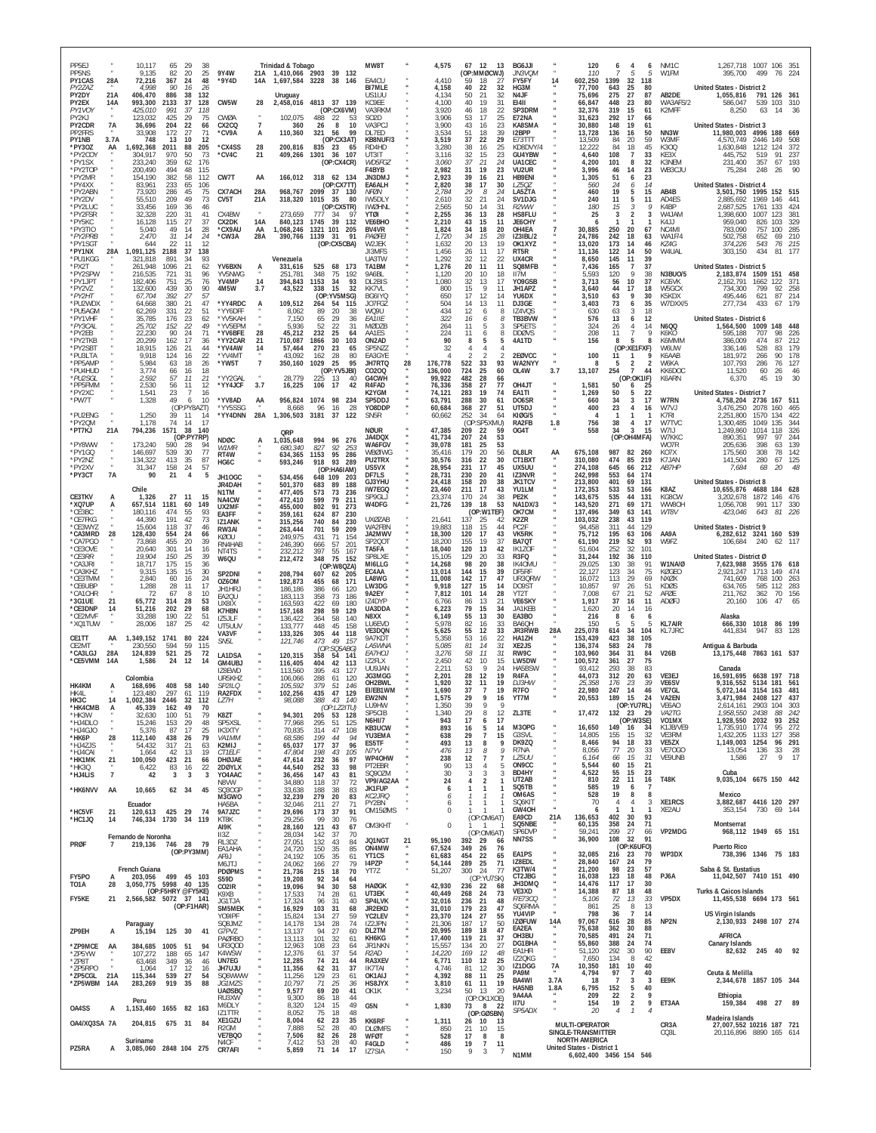| PP5F.I<br>PP5NS<br>PY1CAS                | 28A                  | 10.117<br>9,135<br>72,216                     | 65<br>82<br>367                 | 29<br>20<br>24                   | 38<br>25<br>48           | 9Y4W<br>*9Y4D                                  | 21A<br>14A           | Trinidad & Tobago                        | 1,410,066 2903 39 132<br>1,697,584 3228 38 146                               | MW8T<br>EA4CU                               |    | 4,575<br>4.410                       | 67 12<br>13<br>(OP:MMØCWJ)<br>59<br>18<br>27                                           | BG6JJI<br><i>JN3VQM</i><br><b>FY5FY</b>             | 14                               | 120<br>110<br>602,250                                                                              | 6<br>4<br>5<br>1399<br>32                                                                     | 6<br>5<br>118             | NM <sub>1</sub> C<br>W1FM               | 1,267,718 1007 106 351<br>395.700                                      | 499                              | 76                                                                 |
|------------------------------------------|----------------------|-----------------------------------------------|---------------------------------|----------------------------------|--------------------------|------------------------------------------------|----------------------|------------------------------------------|------------------------------------------------------------------------------|---------------------------------------------|----|--------------------------------------|----------------------------------------------------------------------------------------|-----------------------------------------------------|----------------------------------|----------------------------------------------------------------------------------------------------|-----------------------------------------------------------------------------------------------|---------------------------|-----------------------------------------|------------------------------------------------------------------------|----------------------------------|--------------------------------------------------------------------|
| PY2ZAZ<br>PY2DY<br>PY2EX                 | 21A<br>14A           | 4.998<br>406,470<br>993,300                   | 90<br>886<br>2133               | 16<br>38<br>37                   | 26<br>132<br>128         | CW5W                                           | 28                   | Uruguay                                  | 2,458,016 4813 37 139                                                        | <b>BI7MLE</b><br>US1UU<br>KC9EE             |    | 4,158<br>4.134<br>4.100              | 40<br>32<br>22<br>32<br>50<br>-21<br>40<br>31<br>19                                    | HG3M<br>N4JF<br><b>EI4II</b>                        |                                  | 77,700<br>75,696<br>66,847                                                                         | 643<br>25<br>27<br>275<br>448<br>23                                                           | 80<br>87<br>80            | AB2DE<br>WA3AFS/2                       | <b>United States - District 2</b><br>1,055,816<br>586,047              | 539 103                          | 791 126 361<br>310                                                 |
| PY1VOY<br>PY2KJ<br>PY2CDR<br>PP2FRS      | <b>7A</b>            | 425,010<br>123,032<br>36,696<br>33,908        | 991<br>425<br>204<br>172        | -37<br>29<br>22<br>-27           | 118<br>75<br>66<br>71    | CWØA<br>CX2CQ<br>°CV9A                         | $\overline{7}$<br>А  | 102,075<br>360<br>110,360                | (OP:CX6VM)<br>488<br>22<br>53<br>26<br>8<br>10<br>321<br>56<br>-99           | VA3RKM<br>SO2D<br>VA3PCJ<br>DL7ED           |    | 3.920<br>3.906<br>3,900<br>3.534     | 18<br>$\frac{22}{25}$<br>46<br>53<br>17<br>43<br>23<br>16<br>39<br>51<br>18            | SP3DRM<br>E72NA<br>KA8SMA<br>I2BPP                  |                                  | 32,376<br>31,623<br>30,880<br>13,728                                                               | 319<br>15<br>292<br>17<br>148<br>19<br>136<br>16                                              | 61<br>66<br>61<br>50      | K2MFF<br>NN3W                           | 8,250<br><b>United States - District 3</b><br>11,980,003               | 63<br>4996 188                   | 14<br>-36<br>669                                                   |
| PY1NB<br>*PY3OZ<br>*PY2COY<br>*PY1SX     | 3.7A<br>AA           | 748<br>1,692,368<br>304,917<br>233,240        | 13<br>2011<br>970<br>359        | 10<br>88<br>50                   | 12<br>205<br>73          | *CX4SS<br>*CV4C                                | 28<br>21             | 200,816<br>409,266 1301                  | (OP: CX3AT)<br>835<br>23<br>65<br>36 107                                     | KB8NUF/3<br>RD4HD<br>UT3IT<br>WD5FGZ        |    | 3,519<br>3,280<br>3,116<br>3.060     | 37<br>22<br>29<br>25<br>38<br>16<br>23<br>32<br>15<br>21                               | E73TTT<br>KD8DVY/4<br>GU4YBW<br>UA1CEC              |                                  | 13,509<br>12,222<br>4,640<br>4,200                                                                 | 84<br>20<br>84<br>18<br>108<br>$\overline{7}$<br>8                                            | 59<br>45<br>33            | W3MF<br>K300<br>KE3X                    | 4,570,749<br>1,630,848<br>445,752<br>231,400                           | 2446<br>1212<br>519              | 149<br>508<br>124<br>-372<br>91<br>237                             |
| *PY2TOF<br>*PY2MR<br>*PY4XX              |                      | 200,490<br>154.190<br>83,961                  | 494<br>382<br>233               | 62<br>48<br>58<br>65             | 176<br>115<br>112<br>106 | CW7T                                           | AA                   | 166,012                                  | (OP:CX4CR)<br>318 62 134<br>(OP:CX7TT)                                       | F4BYB<br>JN3DMJ<br>EA6ALH                   |    | 2,982<br>2,923<br>2,820              | 37<br>24<br>23<br>31<br>19<br>21<br>39<br>16<br>38<br>30<br>17                         | VU2UR<br><b>HB9ENI</b><br><b>LZ50Z</b>              |                                  | 3,996<br>1,305<br>560                                                                              | 101<br>46<br>14<br>51<br>6<br>24<br>6                                                         | 32<br>23<br>23<br>14      | K3NEM<br>WB3CJU                         | 75,284<br><b>United States - District 4</b>                            | 357<br>248                       | 67<br>193<br>26<br>90                                              |
| *PY2ABN<br>*PY2DV<br>*PY2LUC<br>*PY2FSR  |                      | 73,920<br>55,510<br>33,456<br>32,328          | 286<br>209<br>169<br>220        | 45<br>49<br>-36<br>-31           | 75<br>73<br>46<br>41     | <b>CX7ACH</b><br>CV <sub>5</sub> T<br>CX4BW    | 28A<br>21A           | 968,767 2099<br>318,320<br>273,659       | 37 130<br>1015<br>35<br>80<br>(OP:CX5TR)<br>777<br>-34<br>97                 | NFØN<br>IW5DLY<br><b>IWØHNL</b><br>YTØI     |    | 2,784<br>2,610<br>2,565<br>2,255     | 24<br>29<br>8<br>32<br>21<br>24<br>31<br>50<br>14<br>36<br>13<br>28                    | LA5ZTA<br>SV1DJG<br>R2WW<br>HS8FLU                  |                                  | 460<br>240<br>180<br>25                                                                            | 19<br>5<br>11<br>5<br>15<br>$\mathcal{Z}$<br>$\overline{2}$<br>3                              | 15<br>11<br>Q             | AB4B<br>AD4ES<br>K4BP<br>W4JAM          | 3,501,750<br>2,885,692<br>2,687,525<br>1,398,600                       | 1969<br>1761<br>1007             | 1995 152 515<br>146<br>44 <sup>°</sup><br>133<br>424<br>123<br>381 |
| *PY5KC<br>*PY3TIO<br>*PY2PRB             |                      | 16.128<br>5,040<br>2,470                      | 115<br>49<br>31                 | 27<br>14<br>14                   | 37<br>28<br>24           | CX2DK<br>°CX9AU<br>*CW3A                       | 14A<br>AA<br>28A     | 840,123<br>1,068,246<br>390,766 1139     | 39<br>1745<br>132<br>101<br>1321<br>205<br>31<br>91                          | VF6BHO<br>BV4VR<br><b>PAØFEI</b>            |    | 2,210<br>1,824<br>1,720              | 43<br>15<br>11<br>34<br>18<br>20<br>34<br>15<br>28                                     | JF6CHY<br>OH4EA<br><b>IZ3IBL/2</b>                  |                                  | 6<br>30,885<br>24,786                                                                              | 250<br>-20<br>242<br>18                                                                       | 67<br>63                  | K4 J.J<br>NC4MI<br>WA1F/4               | 959.040<br>783,090<br>502,758                                          | 826<br>757<br>652                | 103<br>-329<br>100<br>-285<br>69<br>210                            |
| *PY1SGT<br>*PY1NX<br>*PU1KGG<br>*PX2T    | 28A                  | 644<br>1,091,125<br>321,818<br>261,948        | 22<br>2188<br>891<br>1096       | 11<br>37<br>-34<br>21            | 12<br>138<br>93<br>62    | YV6BXN                                         | A                    | Venezuela<br>331,616                     | (OP:CX5CBA)<br>525 68 173                                                    | W2JEK<br>JI3MFS<br>UA3TW<br>TA1BM           |    | 1,632<br>1,456<br>1,292<br>1,276     | 20<br>19<br>13<br>17<br>26<br>11<br>12<br>22<br>32<br>20<br>11<br>11                   | OK1XYZ<br>RT5R<br>UX4CR<br>SQ8MFB                   |                                  | 13,020<br>11,136<br>8,650<br>7,436                                                                 | 173<br>-14<br>122<br>14<br>145<br>11<br>165<br>$\overline{7}$                                 | 46<br>50<br>39<br>37      | KZ4G<br>W4UAL                           | 374,226<br>303,150<br>United States - District 5                       | 543<br>434                       | 76<br>215<br>81<br>177                                             |
| *PY2SPW<br>*PY1JPT<br>*PY2VZ             |                      | 216,535<br>182.406<br>132,600                 | 721<br>751<br>439               | 31<br>25<br>30                   | 96<br>76<br>90           | YV5NWG<br>YV4MP<br>4M5W                        | 14<br>3.7            | 251,781<br>394,843<br>43,522             | 348<br>75<br>192<br>1153<br>34<br>93<br>15<br>338<br>-32                     | 9A6BL<br>DL2BIS<br>KK7VI                    |    | 1,120<br>1.080<br>800                | 20<br>10<br>18<br>32<br>13<br>17<br>9<br>15<br>11                                      | II7M<br>Y09GSB<br>JH1AP7                            |                                  | 5.593<br>3,713<br>3,640                                                                            | 120<br>9<br>56<br>10<br>44<br>17                                                              | 38<br>37<br>18            | <b>N3BUO/5</b><br>KG5VK<br>W5GCX        | 2,183,874<br>2,162,791<br>734.300                                      | 1509<br>1662<br>799              | 151<br>458<br>122<br>371<br>92<br>258                              |
| *PY2HT<br>*PU2WDX<br>*PU5AGM<br>*PY1VHF  |                      | 67,704<br>64,668<br>62,269<br>35,785          | 392<br>380<br>331<br>176        | 27<br>21<br>22<br>23             | 57<br>47<br>51<br>62     | *YY4RDC<br>*YY6DFF<br>*YV5KAH                  | A                    | 109,512<br>8,062<br>7.150                | (OP:YV5MSG)<br>264<br>54<br>115<br>89<br>20<br>38<br>29<br>65<br>36          | BG6IYQ<br>JO7FG7<br>WQ9U<br>EA1IIE          |    | 650<br>504<br>434<br>322             | 17<br>12<br>14<br>11<br>13<br>14<br>12<br>8<br>6<br>16<br>8                            | YU6DX<br>DJ3GE<br>IZ4VOS<br>TB3BVW                  |                                  | 3,510<br>3,403<br>630<br>576                                                                       | 63<br>9<br>73<br>6<br>63<br>3<br>13                                                           | 30<br>35<br>18<br>12      | K5KDX<br>W7DXX/5                        | 495,446<br>277,734<br>United States - District 6                       | 621<br>433                       | 87<br>214<br>67<br>179                                             |
| *PY3CAL<br>*PY2EB<br>*PY2TKB             |                      | 25,702<br>22,230<br>20,299                    | 152<br>90<br>162                | 22<br>$^{24}_{17}$               | 49<br>71<br>36           | *YV5EPM<br>*YV6BFE<br>*YY2CAR                  | 28<br>-21            | 5,936<br>45,212<br>710,087               | 52<br>22<br>31<br>232<br>25<br>64<br>30<br>1866<br>103                       | MØDZB<br>AA1FS<br>ON2AD                     |    | 264<br>224<br>90                     | 6<br>5<br>11<br>3<br>11<br>6<br>8<br>8<br>5<br>5                                       | SP5ETS<br><b>DDØVS</b><br>4A1TD                     |                                  | 324<br>208<br>156                                                                                  | 6<br>26<br>$\overline{4}$<br>11<br>-7<br>8<br>5                                               | 14<br>Q<br>я              | <b>N6QQ</b><br>K6KO<br>K6MMM            | 1,564,500<br>595,188<br>386,009                                        | 1009<br>707<br>474               | 148<br>448<br>98<br>226<br>212<br>87                               |
| *PY2SBT<br>*PU3LTA<br>*PP5AMP<br>*PU4HUD |                      | 18,915<br>9,918<br>5,984<br>3,774             | 126<br>124<br>63<br>66          | 21<br>16<br>18<br>16             | 44<br>22<br>26<br>18     | *YV4AW<br>*YV4M1<br>*YW5T                      | 14<br>$\overline{7}$ | 57,464<br>43,092<br>350,160              | 270<br>23<br>65<br>28<br>162<br>80<br>1029<br>25<br>95<br>(OP:YV5JBI)        | SP5NZZ<br>EA3GYE<br>JH7RTQ<br>CO20Q         | 28 | 32<br>Δ<br>176,778<br>136,000        | 4<br>2<br>$\overline{2}$<br>$\mathcal{P}$<br>522<br>33<br>93<br>724<br>25<br>60        | 2EØVCC<br>WA2NYY<br>OL4W                            | 3.7                              | 100<br>-8<br>13,107                                                                                | (OP:XE1FXF)<br>11<br>-1<br>$\overline{2}$<br>5<br>254<br>$\overline{7}$                       | q<br>$\overline{2}$<br>44 | W6UW<br>K6AAB<br>W6KA<br>KK6DOC         | 336,146<br>181.972<br>107,793<br>11,520                                | 528<br>266<br>286<br>60          | 83<br>179<br>178<br>90<br>76<br>127<br>26<br>46                    |
| *PU2SGL<br>*PP5FMM<br>*PY2XC             |                      | 2,592<br>2,530<br>1,541                       | 57<br>56<br>23                  | 11<br>11<br>7                    | 21<br>12<br>16           | *YY2GAL<br>*YY4JCF                             | 3.7                  | 28,779<br>16,225                         | 225<br>13<br>40<br>17<br>106<br>42                                           | G4CWH<br>R4FAD<br>K2YGM                     |    | 99,922<br>76,336<br>74,121           | 482<br>28<br>66<br>358<br>27<br>77<br>283<br>19<br>74                                  | OH4JT<br>EA1TI                                      |                                  | 1,581<br>1.269                                                                                     | (OP:OK1IF)<br>50<br>6<br>50<br>5                                                              | 25<br>22                  | K6ARN                                   | 6,370<br>United States - District 7                                    | 45                               | 19<br>30                                                           |
| *PW7T<br>*PU2ENG<br>*PY2QM               |                      | 1,328<br>1,250<br>1,178                       | 49<br>39<br>74                  | 6<br>(OP:PY8AZT)<br>11<br>14     | 10<br>-14<br>17          | *YV8AD<br>*YY5SSG<br>*YY4DNN                   | AA<br>28A            | 956,824 1074<br>8,668<br>1,306,503 3181  | 98<br>234<br>96<br>16<br>28<br>37<br>122                                     | SP5DDJ<br>Y08DDP<br>SN <sub>5</sub> R       |    | 63,791<br>60,684<br>60,662           | 61<br>288<br>30<br>368<br>27<br>51<br>252<br>34<br>64<br>(OP)<br>:SP5XMU)              | DO6SR<br>UT5DJ<br><b>KIØG/5</b><br>RA2FB            | 1.8                              | 660<br>400<br>4<br>756                                                                             | 34<br>3<br>23<br>$\overline{4}$<br>-1<br>-1<br>38<br>4                                        | 17<br>16<br>-1<br>17      | W7RN<br>W7VJ<br>K7RI<br>W7TVC           | 4,758,204<br>3,476,250<br>2,251,800<br>1,300,485                       | 2736 167<br>2078<br>1570<br>1049 | 511<br>160<br>465<br>134<br>422<br>135<br>344                      |
| *PT7KJ<br>*PY8WW                         | 21A                  | 794,236<br>173.240                            | 1571<br>590                     | 38<br>(OP:PY7RP)<br>-28          | 140<br>94                | <b>NDØC</b><br>W1MR                            | A                    | QRP<br>1,035,648<br>680,340              | 994<br>96<br>276<br>827<br>92<br>253                                         | <b>NØUR</b><br>JA4DQX<br><b>WA6FGV</b>      |    | 47,385<br>41,734<br>39,078           | 209<br>22<br>59<br>207<br>53<br>24<br>53<br>181<br>25                                  | OG4T                                                |                                  | 558                                                                                                | $\mathbf{3}$<br>34<br>(OP:OH4MFA)                                                             | 15                        | W7IJ<br>W7KKC<br>W07R                   | 1,249,860<br>890,351<br>205,636                                        | 1014 118<br>997<br>398           | -326<br>97<br>244<br>139<br>63                                     |
| *PY1GQ<br>*PY2NZ<br>*PY2XV<br>*PY3CT     | $\mu$<br>$\mu$<br>7A | 146,697<br>134,322<br>31,347<br>90            | 539<br>413<br>158<br>21         | 30<br>35<br>24<br>$\overline{4}$ | 77<br>87<br>57<br>5      | RT4W<br>HG6C<br>JH10GC                         |                      | 634,365<br>593,246                       | 1153<br>95<br>286<br>918<br>93<br>289<br>(OP:HA6IAM)<br>648 109              | WBØIWG<br>PU2TRX<br>US5VX<br>DF7LS          |    | 35,416<br>30,576<br>28.954<br>28,731 | 56<br>179<br>20<br>316<br>22<br>30<br>45<br>231<br>17<br>230<br>20<br>41               | DL8LR<br>CT1BXT<br>UX5UU<br>IZ3NVR                  | AA                               | 675,108<br>310,080<br>274,108<br>242,998                                                           | 987<br>82<br>474<br>85<br>645<br>66<br>553<br>64                                              | 260<br>219<br>212<br>174  | KO7X<br>K7JAN<br>AB7HP                  | 175,560<br>141,504<br>7,684                                            | 308<br>280<br>68                 | 78<br>142<br>67<br>125<br>20<br>48                                 |
| CE3TKV                                   |                      | Chile<br>1,326                                | 27                              | -11                              | 15                       | <b>JR4DAH</b><br>N1TM<br>NA4CW                 |                      | 534,456<br>501,370<br>477,405<br>472,410 | -203<br>683<br>89<br>188<br>573<br>73<br>236<br>79<br>599<br>211             | GJ3YHU<br>IW7EGQ<br>SP9GLJ                  |    | 24,418<br>23,460<br>23,374           | 158<br>20<br>38<br>211<br>17<br>43<br>170<br>24<br>38                                  | <b>JK1TCV</b><br>YU1LM<br>PE <sub>2</sub> K         |                                  | 213,800<br>172,353<br>143,675                                                                      | 401<br>69<br>533<br>53<br>535<br>44                                                           | 131<br>166<br>131         | K8AZ<br>KG8CW                           | <b>United States - District 8</b><br>10,655,876<br>3,202,678           | 1872 146                         | 4688 184 628<br>476                                                |
| *XQ7UP<br>*CE3BC<br>*CE7FKG<br>*CF3WY7   | Α                    | 657,514<br>180,116<br>44,390<br>15,604        | 1181<br>474<br>191<br>118       | 60<br>55<br>42<br>37             | 149<br>93<br>73<br>46    | UX2MF<br>EA3FF<br>IZ1ANK<br>RW3AI              |                      | 455,000<br>359,161<br>315,256<br>263,444 | 802<br>91<br>273<br>624<br>87<br>230<br>740<br>84<br>230<br>701<br>59<br>209 | W4DFG<br><b>UXØZAB</b><br>WA2FBN            |    | 21,726<br>21,641<br>19,883           | 139<br>18<br>53<br>(OP:W1TEF)<br>137<br>25<br>42<br>44<br>15<br>118                    | NA1DX/3<br>OK7CM<br>K2ZR<br>PC <sub>2F</sub>        |                                  | 143,520<br>137,496<br>103,032<br>94,458                                                            | 271<br>69<br>349<br>63<br>238<br>43<br>311<br>44                                              | 171<br>141<br>119<br>129  | WW80H<br>WT8V                           | 1,056,708<br>423,046<br>United States - District 9                     | 991 117<br>643                   | 330<br>81<br>- 226                                                 |
| *CA3MRD<br>*CA7PGO<br>*CE3OVE<br>*CE3RR  | 28                   | 128,430<br>73,868<br>20,640<br>19.904         | 554<br>455<br>301               | 24<br>20<br>-14                  | 66<br>39<br>16<br>39     | <b>KØOU</b><br>RN4HAB<br>NT4TS                 |                      | 249,975<br>246,390<br>232,212            | 431<br>71<br>154<br>666<br>57<br>201<br>397<br>55<br>167                     | <b>JA2MWV</b><br>SP200T<br>TA5FA<br>SP8I XF |    | 18,300<br>18,200<br>18,040<br>15,105 | 120<br>17<br>43<br>155<br>19<br>37<br>120<br>42<br>13                                  | VK5RK<br>BA7QT<br>IK1ZOF<br>R <sub>3FO</sub>        |                                  | 75,712<br>61,190<br>51,604<br>31.244                                                               | 195<br>63<br>219<br>-52<br>252<br>32<br>192                                                   | 106<br>93<br>101<br>110   | AA9A<br>W9F7                            | 6,282,612 3241 160<br>106,684<br>United States - District Ø            | 240                              | 539<br>117<br>62                                                   |
| *CA3JRI<br>*CA3KHZ<br>*CE3TMM            |                      | 18.717<br>9,315<br>2,840                      | 150<br>175<br>135<br>60         | -25<br>15<br>15<br>16            | 36<br>30<br>24           | W6QU<br>SP2DNI<br>OZ6OM                        |                      | 212,472<br>208,794<br>192,873            | 75<br>348<br>152<br>(OP:W8QZA)<br>607<br>62 205<br>455<br>68<br>171          | MI6LLG<br>EC4AA<br><b>LA8WG</b>             |    | 14,268<br>13,014<br>11,008           | 129<br>20<br>33<br>20<br>38<br>98<br>144<br>15<br>39<br>47<br>142<br>17                | IK40MU<br>DF5RF<br>UR3QRW                           |                                  | 29,025<br>22,127<br>16,072                                                                         | 36<br>130<br>38<br>123<br>34<br>29<br>113                                                     | 91<br>75<br>69            | W1NA/Ø<br>KØGEO<br>NXØX                 | 7,623,988<br>2,921,247<br>741,609                                      | 3555<br>1713 149<br>768          | 176 618<br>474<br>100<br>263                                       |
| *CE6UBP<br>*CA1CHR<br>*3G1UE<br>*CE3DNP  | 21                   | 1,288<br>-72<br>65,772                        | 28<br>67<br>314<br>202          | 11<br>-8<br>28                   | 17<br>10<br>53<br>68     | JH1HR.<br>EA2QU<br><b>UX8IX</b>                |                      | 186.186<br>183,113<br>163,593            | 120<br>386<br>66<br>358<br>73<br>186<br>422<br>69<br>180                     | LW3DG<br>9A2EY<br>IZ4DYP<br>UA3DDA          |    | 9,918<br>7,812<br>6.766              | 127<br>15<br>14<br>101<br>28<br>14<br>86<br>13<br>21<br>79                             | DO9ST<br>YT2T<br><b>VE6SKY</b><br>JA1KEB            |                                  | 10,857<br>7,008<br>1,917                                                                           | 26<br>97<br>67<br>21<br>37<br>16<br>20<br>14                                                  | 51<br>52<br>11            | <b>KDØS</b><br>AFØE<br>ADØFJ            | 634,765<br>211,762<br>20,160                                           | 585<br>362<br>106                | 112<br>283<br>156<br>70<br>47                                      |
| *CE2MVF<br>*XQ1TUW                       | 14                   | 51,216<br>33,288<br>28,006                    | 190<br>187                      | 29<br>22<br>25                   | 51<br>42                 | K7HBN<br>IZ5JLF<br>UT5UUV<br>VA3VF             |                      | 157,168<br>136,422<br>133,777<br>133,326 | 59<br>298<br>129<br>364<br>58<br>140<br>448<br>45<br>158<br>305<br>44<br>118 | N8XX<br><b>LU6FVD</b><br>VE3DQN             |    | 6,223<br>6.149<br>5.978<br>5.625     | 15<br>34<br>55<br>13<br>30<br>33<br>82<br>16<br>55<br>33<br>12                         | EA3BO<br>BA60H<br>JR3RWB                            | 28A                              | 1,620<br>216<br>150<br>225,078                                                                     | 8<br>6<br>-5<br>-5<br>614<br>34                                                               | 16<br>6<br>104            | <b>KL7AIR</b><br>KL7JRC                 | Alaska<br>666,330 1018 86 199<br>441,834                               | 947                              | 83                                                                 |
| CE1TT<br>CE2MT<br>*CA3LGJ<br>*CE5VMM     | AA<br>28A<br>14A     | 1,349,152 1741<br>230,550<br>124,839<br>1,586 | 594<br>521<br>24                | 80<br>59<br>25<br>12             | 224<br>115<br>72<br>14   | SN <sub>5</sub> L<br>LA1DSA                    |                      | 121,746<br>120,315                       | 49<br>473<br>- 157<br>(OP:SO5ABG)<br>358<br>54<br>141                        | 9A7KDT<br>LA5WNA<br><i>EA7HOJ</i><br>IZ2FLX |    | 5,358<br>5,085<br>3,276<br>2,450     | 22<br>53<br>16<br>81<br>31<br>14<br>11<br>31<br>58<br>15<br>42<br>10                   | HA1ZH<br>XE2JS<br>RW9C<br>LW5DW                     |                                  | 153,439<br>136,374<br>103,960<br>100,572                                                           | 423<br>38<br>583<br>24<br>31<br>364<br>27<br>361                                              | 105<br>78<br>84<br>75     | <b>V26B</b>                             | Antigua & Barbuda<br>13, 175, 448 7863 161 537                         |                                  |                                                                    |
| HK4KM                                    | А                    | Colombia<br>168,696                           |                                 | 408 58 140                       |                          | GM4UBJ<br>178FWD<br>UR5KHZ<br>SP2HO            |                      | 116,405<br>113,560<br>106,066<br>105,592 | 404<br>42<br>113<br>395<br>43<br>127<br>288<br>120<br>61<br>379<br>51<br>146 | UU9 JAN<br>JG3MGG<br>OH2BWL                 |    | 2.211<br>2,201<br>1,920              | 9<br>$^{24}_{19}$<br>53<br>12<br>28<br>32<br>11<br>19                                  | HA5BSW<br>R <sub>4</sub> FA<br>DJ3HW                |                                  | 93.412<br>44,073<br>25,358                                                                         | 293<br>38<br>20<br>312<br>176<br>23                                                           | 83<br>63<br>39            | VE3EJ<br>VE6SV                          | Canada<br>16,591,695 6638 197 718<br>9,316,552 5134 181 561            |                                  |                                                                    |
| HK4L<br>HK3C<br>*HK4CMB                  | 14<br>A              | 123.480<br>1,002,384<br>45,339                | 297<br>2446<br>162              | 61<br>32<br>49                   | 119<br>112<br>70         | RA2FDX<br>LZ7H                                 |                      | 102,256<br>98,088                        | 435<br>47<br>129<br>388<br>43 140<br>(OP: LZ2ITU)                            | EI/EB1WM<br><b>EWZNN</b><br>LU9HW<br>SP5CIB |    | 1,690<br>1.575<br>1,350<br>1,340     | 37<br>$\overline{7}$<br>19<br>29<br>16<br>9<br>39<br>- q<br>29<br>8<br>12              | R7F0<br>Y I / M<br>ZL3TE                            |                                  | 22,980<br>20,553<br>17,472                                                                         | 247<br>-14<br>189<br>-15<br>(OP:YU7RL)<br>132 23                                              | 46<br>- 14<br>29          | VE7GL<br><b>VA2EN</b><br>VE6AO<br>VA2TG | 5,072,144 3154 163<br>3,471,984<br>2,614,161<br>1,958,550              | <b>2408</b><br>2903 104<br>2438  | 481<br>127<br>43<br>303<br>88<br>242                               |
| *HK3W<br>*HJ4DLO<br>*HJ4GJO<br>*HK6P     | 28                   | 32.630<br>15,246<br>5,376<br>112,140          | $\frac{100}{153}$<br>87<br>438  | $\frac{51}{29}$<br>17<br>26      | 79<br>48<br>25<br>79     | K8ZT<br>SP5XSL<br>IK3XTY<br>VA <sub>1</sub> MM |                      | 94,301<br>77,968<br>70,835<br>68,586     | 205<br>53<br>128<br>51<br>295<br>125<br>47<br>108<br>314<br>94<br>199<br>44  | <b>N6HI/7</b><br>KB3UCW<br>YU3EMA           |    | 943<br>893<br>638                    | 17<br>17<br>6<br>$\,$ 5<br>16<br>14<br>$\overline{7}$<br>29<br>15                      | M3OPG<br>G3SVI                                      |                                  | 16,650<br>14.805                                                                                   | (OP:W3SE)<br>149<br>16<br>155<br>15                                                           | 34<br>32                  | VO1MX<br>K1JB/VE9<br>VE3RM              | 1,928,550<br>1,735,910<br>1,432,205                                    | 2032<br>1774<br>1133             | 252<br>93<br>95<br>272<br>127<br>358                               |
| *HJ4ZJS<br>*HJ4CAI<br>*HK1MK             | 21                   | 54,432<br>1,664<br>100,050                    | 317<br>42<br>423                | 21<br>13<br>21                   | 63<br>19<br>66           | K2MIJ<br><b>CT1ELF</b><br>DHØJAE               |                      | 65,037<br>47,804<br>47,614               | 177<br>37<br>96<br>43<br>198<br>105<br>232<br>97<br>36<br>98                 | ES5TF<br>N7YV<br>WP4OHW<br>PT2EBR           |    | 493<br>476<br>238<br>90              | 13<br>8<br>9<br>13<br>8<br>9<br>$\overline{7}$<br>12<br>7<br>13<br>$\overline{4}$<br>5 | DK9ZQ<br>R7NA<br>LZ5UU<br>ON9CC                     |                                  | 8,466<br>8,056<br>6,164<br>5,544                                                                   | 94<br>18<br>77<br>20<br>66<br>15<br>15<br>60                                                  | 33<br>33<br>31<br>21      | VE5ZX<br>VE70GO<br>VE9UNB               | 1,149,003 1254<br>13,054<br>1,586                                      | 136<br>27                        | 96 291<br>33<br>- 28<br>9<br>17                                    |
| *HK3Q<br>*HJ4LIS<br>*HK6NVV              | $\overline{7}$<br>AA | 6,422<br>42<br>10,665                         | 83<br>3                         | 16<br>3<br>62 34                 | $\frac{22}{3}$<br>45     | 2DØYLX<br>YO4AAC<br>N8VW<br>SQ30GP             |                      | 44,540<br>36,456<br>34,880<br>33,638     | 252<br>33<br>147<br>43<br>81<br>118<br>37<br>72<br>188<br>38<br>83           | SQ90ZM<br>VP9/AG2AA<br><b>JK1FUP</b>        |    | 30<br>24<br>6                        | 3<br>3<br>3<br>$\overline{2}$<br>4<br>1<br>1                                           | BD4HY<br>UT2AB<br>SQ5TB                             |                                  | 4,522<br>810<br>585                                                                                | 55<br>15<br>22<br>11<br>19<br>6                                                               | 23<br>16<br>8             | <b>T48K</b>                             | Cuba<br>9,035,104 6675 150 442                                         |                                  |                                                                    |
| *HC5VF<br>*HC1JQ                         | 21<br>14             | Ecuador<br>120,613<br>746,334                 | 425 29<br>1730                  | 34                               | 74<br>119                | M3GWO<br>HA5BA<br>9A7JZC<br>KT8K               |                      | 32,239<br>32,046<br>29,696<br>29,256     | 279<br>20<br>83<br>211<br>27<br>71<br>173<br>37<br>91<br>99<br>30<br>76      | KC2JRQ<br>PY2BN<br>OM15ØMS                  |    | 6<br>6<br>0                          | -7<br>-1<br>(OP:OM6AT)                                                                 | OM6AS<br>SQ6KIT<br>GW40H<br>EA9CD                   | 21A                              | 528<br>70<br>6<br>136,653                                                                          | 19<br>8<br>$\overline{4}$<br>$\overline{4}$<br>$\mathbf{1}$<br>402<br>30                      | 3<br>-1<br>93             | XE1RCS<br>XE2AU                         | Mexico<br>3,882,687 4416 120 297<br>353,154                            | 730                              | 69 144                                                             |
| PRØF                                     | $\overline{7}$       | Fernando de Noronha<br>219,136 746 28         |                                 |                                  | 79                       | AI9K<br>II3Z<br>RL3DZ                          |                      | 28,160<br>28,034<br>27,051               | 121<br>43<br>67<br>142<br>37<br>70<br>132<br>43<br>84                        | OM3KHT<br>JQ1NGT                            | 21 | $\mathbf 0$<br>95,190                | $\mathbf{1}$<br>(OP:OM6AT)<br>392 29<br>66                                             | SQ5NBE<br>SP6DVP<br>NN7SS                           |                                  | 60,135<br>59,241<br>36,900                                                                         | 358<br>24<br>27<br>299<br>32<br>108<br>(OP:K6UFO)                                             | 71<br>66<br>91            | VP2MDG                                  | Montserrat<br>968,112 1949 65 151<br><b>Puerto Rico</b>                |                                  |                                                                    |
|                                          |                      | French Guiana                                 |                                 | (OP:PY3MM)                       |                          | EA1AHA<br>AF9J<br>M6JTJ<br><b>PDØPMS</b>       |                      | 24,720<br>24,192<br>24,062<br>21,736     | 35<br>85<br>150<br>105<br>35<br>61<br>27<br>79<br>166<br>215<br>18<br>70     | ON4MW<br>YT1CS<br>I4PZP<br>YT7Z             |    | 67,524<br>61,683<br>54,144<br>51,207 | 349<br>26<br>76<br>454<br>22<br>65<br>25<br>289<br>71<br>300<br>24<br>77               | EA1PS<br>IZ8EDL<br>K3TW/4                           |                                  | 32,085<br>28,840<br>21,200                                                                         | 216<br>23<br>167<br>24<br>98<br>23                                                            | 70<br>79<br>57            | WP3DX                                   | 738,396 1346 75 183<br>Saba & St. Eustatius                            |                                  |                                                                    |
| FY5PO<br>TO1A                            | A<br>28              | 203,056<br>3,050,775 5998 40 135              | 499 45 103<br>(OP:F5HRY @FY5KE) |                                  |                          | <b>S59D</b><br>CO <sub>2</sub> IR<br>K9XB      |                      | 19,208<br>19,096<br>17,533               | 92<br>34<br>64<br>58<br>94<br>30<br>74<br>28<br>61                           | <b>HAØGK</b><br>UT3EK                       |    | 42,930<br>40,449                     | (OP:YU7SK)<br>236<br>22<br>68<br>73<br>268<br>24                                       | CT2JBG<br>JH3DMQ<br>VE3XD                           |                                  | 16,038<br>14,476<br>14,388                                                                         | 123<br>18<br>117<br>17<br>$\frac{87}{72}$<br>18                                               | 48<br>30<br>48            | PJ6A<br>VP5DX                           | 11,042,507 7410 151 490<br><b>Turks &amp; Caicos Islands</b>           |                                  |                                                                    |
| FY5KE                                    | 21                   | 2,566,582 5072 37 141<br>Paraguay             |                                 | (OP:FTHAR)                       |                          | JG1TJA<br>SM5MEK<br>Y09IPF<br>SO8 JM7          |                      | 17,324<br>16,929<br>15,824<br>14,178     | 96<br>31<br>40<br>103<br>68<br>31<br>134<br>27<br>59<br>134<br>28<br>74      | SP4LVK<br>JR2EKD<br>YC2LEV<br>IZ2JPN        |    | 32,016<br>31,010<br>23,370<br>21,306 | 236<br>21<br>48<br>23<br>179<br>47<br>27<br>55<br>124<br>187<br>17<br>50               | <i>F/E73CQ</i><br>SQ6RMA<br>YU4VIP<br><b>IZØFUW</b> | 14A                              | 5,106<br>861<br>798<br>97,067                                                                      | 13<br>25<br>8<br>36<br>-7<br>28<br>616                                                        | 33<br>13<br>14<br>85      | NP <sub>2N</sub>                        | 11,455,538 6694 173 561<br>US Virgin Islands<br>2,130,933 2498 107 274 |                                  |                                                                    |
| ZP9EH<br>*ZP9MCE                         | А<br>AA              | 15,194<br>384,685                             | 125 30<br>1005                  | 51                               | 41<br>94                 | G7PVZ<br>PAØRBO<br>UR300D                      |                      | 13,137<br>13,113<br>12,963               | 94<br>27<br>60<br>101<br>$\frac{32}{23}$<br>61<br>108<br>64                  | DL2TM<br>KH6KG<br>JR1NKN                    |    | 20,995<br>17,400<br>15,557           | 47<br>189<br>18<br>119<br>21<br>37<br>27<br>134<br>20                                  | EA2EA<br>OH3BU<br>DG1BHA                            |                                  | 75,638<br>70,585<br>55,860                                                                         | 362<br>30<br>491<br>24<br>388<br>24                                                           | 88<br>71<br>-74           |                                         | AFRICA<br>Canary Islands                                               |                                  |                                                                    |
| *ZP5YW<br>*ZP8T<br>*ZP5RPO<br>*ZP5CGL    | 21A                  | 107,272<br>63,468<br>1.064<br>115,344         | 188<br>349<br>17<br>539         | 65<br>36<br>$\frac{12}{27}$      | 147<br>46<br>16<br>54    | K4WSW<br>UN7EG<br>JH7UJU<br>SQ6WWW             |                      | 12,376<br>12,285<br>11,356<br>11,256     | 37<br>61<br>54<br>21<br>44<br>74<br>37<br>62<br>31<br>129<br>23<br>61        | R2AD<br>RA3XEV<br>IK7TAI<br>OK1AIJ          |    | 14,220<br>6,771<br>4,746<br>4,392    | 48<br>169<br>12<br>25<br>110<br>12<br>30<br>81<br>12<br>25<br>88<br>11                 | EA1HFI<br>IZ2QKG<br>IZ1DGG<br>PA9M                  | 7A                               | 51,120<br>7,650<br>10,350<br>4,794                                                                 | 292<br>30<br>134<br>8<br>181<br>10<br>97<br>$\overline{7}$                                    | 90<br>42<br>40<br>40      | EE8V                                    | 82,632 245<br>Ceuta & Melilla                                          |                                  | 40 92                                                              |
| *ZP5WBM                                  | 14A                  | 283,269<br>Peru                               | 919                             | 35                               | 88                       | JG1MZS<br><b>UAØSBQ</b><br>RU3XW               |                      | 10,797<br>9,577<br>9,300                 | 71<br>25<br>36<br>69<br>20<br>41<br>86<br>18<br>44                           | HS8JYX<br>OK1K                              |    | 3,810<br>3,234                       | 19<br>61<br>11<br>13<br>20<br>50<br>(OP:OK1XOE)                                        | BA4WI<br>HA5NB<br><b>9A4AA</b><br>II7U              | 3.7A<br>1.8A<br>$\boldsymbol{u}$ | 18<br>6,795<br>209<br>154                                                                          | $\overline{7}$<br>3<br>152<br>$5\phantom{.0}$<br>22<br>$\overline{2}$<br>19<br>$\overline{2}$ | 3<br>40<br>9<br>9         | EE9K<br>ET3AA                           | 2,344,678 1857 105 344<br>Ethiopia                                     |                                  | 498 27 89                                                          |
| 0A4SS<br>OA4/XQ3SA 7A                    | А                    | 1,153,460 1655 82 163<br>204,815              | 675 31                          |                                  | 84                       | M6DI Y<br>IZ1TTR<br>XE1GZU<br>R2GM             |                      | 8,320<br>8,052<br>8,004<br>7,888         | 124<br>15<br>49<br>75<br>18<br>48<br>35<br>62<br>23<br>52<br>28<br>40        | G5N<br>KK6RF<br><b>DLØMFS</b>               |    | 1,830<br>1,311<br>850                | 8<br>73<br>-22<br>(OP:GØSBN)<br>10<br>26<br>13<br>21<br>15<br>10                       | SP5ADX                                              |                                  | 20<br>MULTI-OPERATOR                                                                               | $\overline{4}$<br>$\mathcal{I}$                                                               |                           | CR3A                                    | 159,384<br>Madeira Islands<br>27,007,552 10216 187 721                 |                                  |                                                                    |
| PZ5RA                                    | А                    | Suriname<br>3,085,060 2848 104 275            |                                 |                                  |                          | VE7BQ0<br>N <sub>4</sub> CF<br>CR7AFI          |                      | 7,506<br>7,412<br>5,859                  | 82<br>26<br>28<br>53<br>28<br>40<br>71 14<br>17                              | WFØT<br>F4GLD<br>IZ7SIA                     |    | 528<br>486<br>150                    | 17<br>8<br>8<br>19<br>$\overline{7}$<br>11<br>9<br>3<br>-7                             | N1MM                                                |                                  | SINGLE-TRANSMITTER<br>NORTH AMERICA<br><b>United States - District 1</b><br>6,602,400 3456 154 546 |                                                                                               |                           | CQ3L                                    | 20,116,896 8890 165 614                                                |                                  |                                                                    |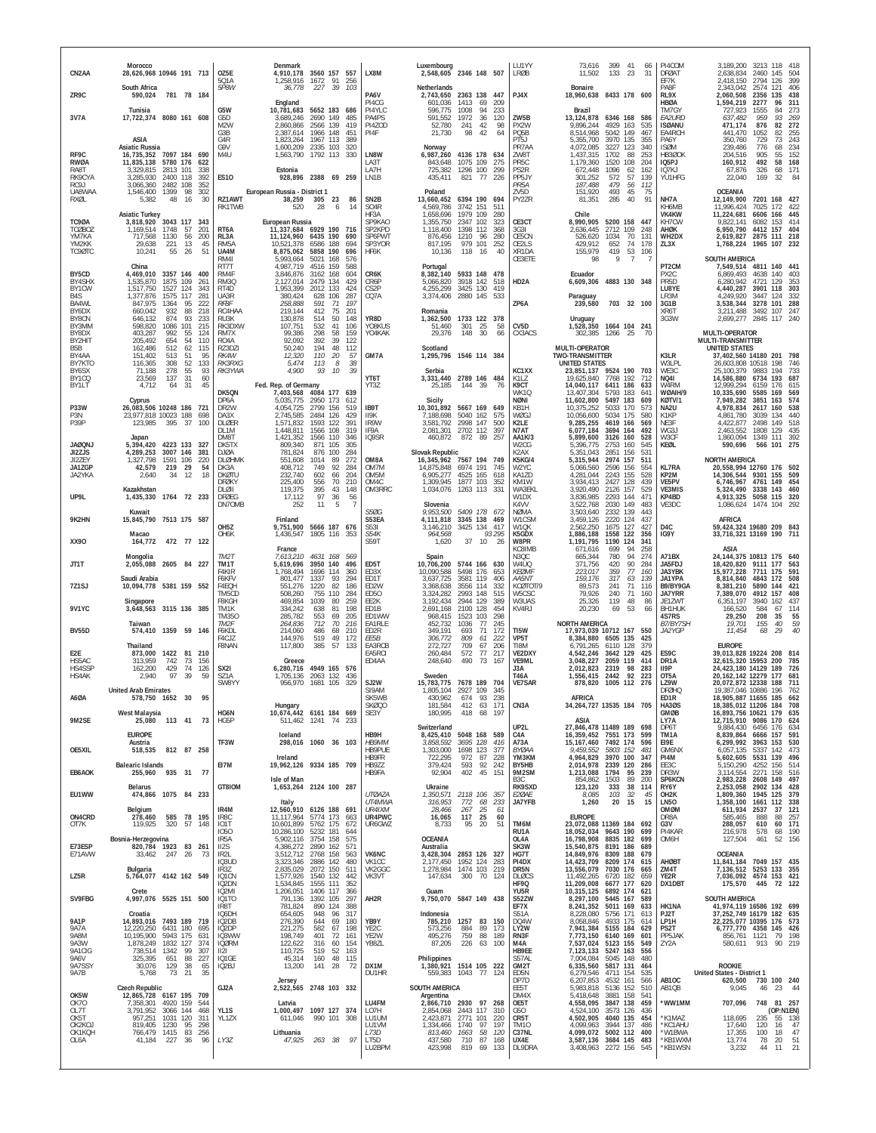| CN2AA                                              | Morocco<br>28,626,968 10946 191 713                                                                                                              |                          | OZ5E<br>501A                                           | Denmark                                                        | 4,910,178 3560 157 557<br>1,258,916 1672 91<br>256                                                                | LX8M                                                 | Luxembourg<br>2,548,605 2346 148 507                                  |                                                                  |                                       | <b>I UTYY</b><br><b>LRØB</b>                                | 73,616<br>11,502                                                                | 133 23                                       | 399 41                    | 66<br>31                        | PI4COM<br><b>DFØAT</b><br>EF7K                           | 3,189,200<br>2,638,834<br>2,418,150                                                                         | 3213 118<br>2460 145<br>2794                                 | - 418<br>504<br>399<br>126                                    |
|----------------------------------------------------|--------------------------------------------------------------------------------------------------------------------------------------------------|--------------------------|--------------------------------------------------------|----------------------------------------------------------------|-------------------------------------------------------------------------------------------------------------------|------------------------------------------------------|-----------------------------------------------------------------------|------------------------------------------------------------------|---------------------------------------|-------------------------------------------------------------|---------------------------------------------------------------------------------|----------------------------------------------|---------------------------|---------------------------------|----------------------------------------------------------|-------------------------------------------------------------------------------------------------------------|--------------------------------------------------------------|---------------------------------------------------------------|
| ZR9C                                               | South Africa<br>781 78 184<br>590,024                                                                                                            |                          | 5P8W                                                   | 36,778<br>England                                              | 227<br>39<br>103                                                                                                  | PA6V<br>PI4CG                                        | Netherlands<br>2,743,650 2363 138 447<br>601,036                      | 1413<br>69                                                       | 209                                   | PJ4X                                                        | Bonaire<br>18,960,638 8433 178 600                                              |                                              |                           |                                 | PA8F<br>RL9X<br><b>HBØA</b>                              | 2,343,042<br>2,060,508<br>1,594,219                                                                         | 2574<br>2356<br>2277                                         | 406<br>121<br>438<br>135<br>96<br>311                         |
| 3V7A                                               | Tunisia<br>17,722,374 8080 161 608<br>ASIA                                                                                                       |                          | G5W<br>G5D<br>M <sub>2</sub> W<br>G3B<br>G4R           | 10,781,683<br>3,689,246<br>2,860,866<br>2,387,614<br>1,823,264 | 5652 183<br>686<br>2690 149<br>485<br>2566 139<br>419<br>1966 148<br>451<br>1967 113<br>389                       | PI4YLC<br>PA4PS<br>PI4ZOD<br>PI4F                    | 596,775<br>591,552<br>52,780<br>21,730                                | 1008<br>94<br>1972<br>36<br>241<br>42<br>98<br>42                | 233<br>120<br>98<br>64                | ZW5B<br>PX2W<br>PQ5B<br>PT5J                                | Brazil<br>13, 124, 878 6346 168 586<br>9,896,244<br>8,514,968<br>5,355,700      | 4929 163<br>5042 149<br>3970 135             |                           | 535<br>467<br>355               | TM7GY<br>EA2URD<br><b>ISØANU</b><br>EA4RCH<br>PA6Y       | 727,923<br>637,482<br>471,174<br>441,470<br>350,760                                                         | 1555<br>959<br>876<br>1052<br>729                            | 273<br>84<br>93<br>269<br>272<br>82<br>82<br>255<br>243<br>73 |
| RF9C<br>RWØA<br>RA8T<br>RK9CYA                     | <b>Asiatic Russia</b><br>16,735,352 7097 184 690<br>11,835,138<br>5780 176 622<br>3,329,815<br>2813 101<br>2400 118<br>3,285,930                 | 338<br>392               | G9V<br>M4U<br><b>ES10</b>                              | 1,600,209<br>1,563,790<br>Estonia<br>928,896                   | 2335 103<br>320<br>1792 113<br>330<br>2388 69 259                                                                 | LN8W<br>LA3T<br>LA7H<br>LN1B                         | Norway<br>6,987,260<br>843,648<br>725,382<br>435,411                  | 4136 178 634<br>1075 109<br>1296 100<br>821 77                   | 275<br>299<br>226                     | PR7AA<br>7W8T<br>PR <sub>5</sub> C<br>PS2R<br>PP5JY         | 4,072,085<br>1,437,315<br>1,179,360<br>672,448<br>301,252                       | 3227 123<br>1702<br>1520<br>1096<br>572      | 88<br>108<br>62<br>57     | 340<br>253<br>204<br>162<br>139 | <b>ISØM</b><br><b>HB300K</b><br>IQ5PJ<br>IQ7KJ<br>YU1HFG | 239,486<br>204.516<br>160,912<br>67,876<br>22,040                                                           | 776<br>905<br>492<br>326<br>169                              | 234<br>68<br>152<br>55<br>58<br>168<br>68<br>171<br>32<br>84  |
| RC9J<br>UA8WAA<br>RXØL                             | 2482 108<br>3,066,360<br>1,546,400 1399<br>98<br>5,382<br>48<br>16                                                                               | 352<br>302<br>30         | European Russia - District 1<br>RZ1AWT<br>RK1TWB       | 38,259<br>520                                                  | 305 23<br>86<br>- 6<br>14                                                                                         | SN <sub>2</sub> B<br>SO <sub>4</sub> R               | Poland<br>13,660,452<br>4.569.786                                     | 6394 190 694<br>3742 151                                         | 511                                   | PR <sub>5</sub> A<br>ZV5D<br>PY2ZR                          | 187,488<br>151,920<br>81,351                                                    | 479<br>493<br>285                            | 56<br>45<br>40            | 112<br>75<br>91                 | NH7A<br>KH6MB                                            | <b>OCEANIA</b><br>12,149,900<br>11,996,424                                                                  | 7201 168 427<br>7025                                         | 172<br>422                                                    |
| TC9ØA<br><b>TCØBOZ</b><br>YM7KA<br>YM2KK<br>TC9ØTC | <b>Asiatic Turkey</b><br>3,818,920 3043 117 343<br>1,169,514<br>1748<br>57<br>717,568<br>1130<br>56<br>29,638<br>221<br>13<br>55<br>10,241<br>26 | 201<br>200<br>45<br>51   | RT <sub>6</sub> A<br>RL3A<br>RM <sub>5</sub> A<br>UA4M | European Russia<br>10,521,378                                  | 28<br>11,337,684 6929 190<br>716<br>11, 124, 960 6435 190<br>690<br>6586 188<br>694<br>8,875,062 5858 190<br>696  | HF3A<br>SP9KAO<br>SP2KPD<br>SP6PWT<br>SP3YOR<br>HF6K | 1,658,696<br>1,355,750<br>1,118,400<br>876,456<br>817,195<br>10,136   | 1979 109<br>2347 102<br>1398 112<br>1210 96<br>979 101<br>118 16 | 280<br>323<br>368<br>280<br>252<br>40 | CE3CT<br>3G3I<br>CE5CN<br>CE2LS<br>XR1DA                    | Chile<br>8,990,905<br>2.636.445<br>526,620<br>429,912<br>155,979                | 5200 158 447<br>2712<br>1034<br>652<br>419   | 109<br>70<br>74<br>53 106 | 248<br>131<br>178               | VK4KW<br>KH7CW<br>AHØK<br>WH2DX<br>ZL3X                  | 11.224.681<br>9,822,141<br>6,950,790<br>2,619,827<br>1,768,224                                              | 6606 166<br>6082<br>4412<br>2875 111 218<br>1965 107 232     | 445<br>153<br>414<br>157<br>404                               |
| BY5CD<br>BY4SHX                                    | China<br>4,469,010<br>3357 146<br>1875<br>1,535,870<br>109                                                                                       | 400<br>261               | RM4I<br>RT7T<br>RM4F<br>RM3Q                           | 5,993,664<br>4.987.719<br>3,846,876<br>2,127,014               | 5021 168<br>576<br>4516 159<br>588<br>3162 168<br>604<br>2479 134<br>429                                          | CR6K<br>CR6P                                         | Portugal<br>8,382,140<br>5,066,820                                    | 5933 148 478<br>3918 142                                         | 518                                   | CE3ETE<br>HD <sub>2</sub> A                                 | 98<br>Ecuador<br>6,609,306 4883 130 348                                         | 9                                            | $\overline{7}$            |                                 | PT <sub>2</sub> CM<br>PX2C<br>PR <sub>5</sub> D          | SOUTH AMERICA<br>7,549,514 4811 140 441<br>6,869,493<br>6,280,942                                           | 4638<br>4721                                                 | 140<br>403<br>353<br>129                                      |
| BY1CW<br>B4S<br>BA4WL<br>BY6DX                     | 1,517,750<br>1527<br>124<br>1,377,876<br>1575 117<br>95<br>847,975<br>1364<br>932<br>88<br>660,042                                               | 343<br>281<br>222<br>218 | RT4D<br>UA3R<br>RF8F<br>RC4HAA                         | 1,953,399<br>380,424<br>258,888<br>219,144                     | 2012 133<br>424<br>287<br>628 106<br>591<br>71<br>197<br>412<br>75<br>201                                         | CS <sub>2</sub> P<br>CQ7A                            | 4,255,299<br>3,374,406<br>Romania                                     | 3425 130<br>2880 145 533                                         | 419                                   | ZP6A                                                        | Paraguay<br>239,580                                                             | 703 32 100                                   |                           |                                 | LU8YE<br>LR3M<br>3G1B<br>XR6T                            | 4,440,287<br>4,249,920<br>3,538,344<br>3,211,488                                                            | 3901<br>3447<br>3278 101<br>3492                             | 303<br>118<br>124<br>332<br>288<br>247<br>107                 |
| BY8CN<br>BY3MM<br>BY8DX<br>BY2HIT                  | 874<br>93<br>646,132<br>101<br>598,820<br>1086<br>403,287<br>992<br>55<br>54<br>205,492<br>654                                                   | 233<br>215<br>124<br>110 | RU3K<br>RK3DXW<br>RM7X<br>RO <sub>4</sub> A            | 130,878<br>107,751<br>99,386<br>92,092                         | 514<br>50<br>148<br>532<br>106<br>41<br>159<br>298<br>58<br>39<br>392<br>122                                      | YR8D<br>YO8KUS<br>YO4KAK                             | 1,362,500<br>51,460<br>29,376                                         | 1733 122 378<br>301<br>25<br>148<br>30                           | 58<br>66                              | CV <sub>5</sub> D<br>CX3ACS                                 | Uruguay<br>1,528,350<br>302,385                                                 | 1664 104 241<br>1266 25                      |                           | - 70                            | 3G3W                                                     | 2,699,277 2845<br>MULTI-OPERATOR<br>MULTI-TRANSMITTER                                                       |                                                              | 117 240                                                       |
| B5B<br>BY4AA<br>BY7KTO                             | 512<br>62<br>162,486<br>151,402<br>513<br>51<br>52<br>116,365<br>308                                                                             | 115<br>95<br>133         | RZ3DZI<br>RK4W<br><b>RK3RXG</b>                        | 50,240<br>12,320<br>5,474                                      | 112<br>194<br>48<br>110<br>20<br>57<br>113<br>$\mathcal{B}$<br>38                                                 | GM7A                                                 | Scotland<br>1,295,796 1546 114 384                                    |                                                                  |                                       |                                                             | MULTI-OPERATOR<br>TWO-TRANSMITTER<br><b>UNITED STATES</b>                       |                                              |                           |                                 | K3LR<br>W3LPL                                            | <b>UNITED STATES</b><br>37,402,560 14180 201<br>26,603,808 10518 198                                        |                                                              | 798<br>746                                                    |
| BY6SX<br>BY1CQ<br>BY1LT                            | 55<br>71,188<br>278<br>23,569<br>137<br>31<br>4,712<br>64<br>31                                                                                  | 93<br>60<br>45           | RK3YWA<br>DK5QN                                        | 4,900<br>Fed. Rep. of Germany<br>7,403,568                     | 93<br>10<br>39<br>4084 177<br>639                                                                                 | YT6T<br>YT3Z                                         | Serbia<br>3.331.440 2789 146 484<br>25,185                            | 144 39                                                           | 76                                    | KC1XX<br>K117<br>K9CT<br>WK1Q                               | 23,851,137 9524 190<br>19.625.840 7768 192<br>14,040,117<br>13,407,304          | 6411 186<br>5793                             | 183                       | 703<br>712<br>633<br>641        | WE3C<br>NQ41<br>W4RM<br>WØAIH/9                          | 25.100.379<br>14,586,880<br>12,999,294<br>10,335,690                                                        | 9883<br>6734 193<br>6159 176<br>5585                         | 194<br>733<br>687<br>615<br>569<br>169                        |
| <b>P33W</b><br>P3N<br>P39P                         | Cyprus<br>26,083,506 10248 186<br>23,977,818 10023 188<br>395<br>37<br>123,985                                                                   | 721<br>698<br>100        | DP6A<br>DR <sub>2</sub> W<br>DA3X<br><b>DLØER</b>      | 5,035,775<br>4,054,725<br>2,745,585<br>1,571,832               | 2950 173<br>612<br>2799 156<br>519<br>2484 126<br>429<br>1593 122<br>391                                          | IB9T<br>II9K<br>IR9W                                 | Sicily<br>10.301.892 5667 169 649<br>7.188.698<br>3,581,792           | 5040 162<br>2998 147                                             | 575<br>500                            | NØNI<br>KB1H<br>WØGJ<br>K2LE                                | 11,602,800<br>10.375.252<br>10,056,600<br>9,285,255                             | 5497 183<br>5033 170<br>5034 175<br>4619 166 |                           | 609<br>573<br>580<br>569        | KØTV/1<br>NA2U<br>K1KP<br>NE3F                           | 7,949,282<br>4,978,834<br>4,861,780<br>4,422,877                                                            | 3851<br>2617<br>3039 134<br>2498                             | 574<br>163<br>538<br>160<br>440<br>149<br>518                 |
| <b>JAØQNJ</b>                                      | Japan<br>4223 133 327<br>5,394,420                                                                                                               |                          | DL1M<br>DM8T<br>DK5TX                                  | 1,448,811<br>1,421,352<br>809,340                              | 1566 108<br>319<br>1566 110<br>346<br>871<br>305<br>105                                                           | IF9A<br>IQ9SR                                        | 2,081,301<br>460,872                                                  | 2702 112<br>872 89                                               | 397<br>257                            | N7AT<br>AA1K/3<br>W <sub>2</sub> CG                         | 6,077,184<br>5,899,600<br>5,396,775                                             | 3694 164<br>3126 160<br>2753 160             |                           | 492<br>528<br>545               | WG3J<br>W3CF<br>KEØL                                     | 2,463,552<br>1,860,094<br>590,696                                                                           | 1808 129<br>1349 111                                         | 435<br>392<br>566 101 275                                     |
| JI2ZJS<br>JI2ZEY<br>JA1ZGP<br>JA2YKA               | 4,289,253<br>3007 146<br>1,327,798<br>1591 106<br>42,579<br>219<br>29<br>34<br>12<br>2,640                                                       | 381<br>220<br>54<br>18   | DJØA<br>DI ØHMK<br>DK3A<br><b>DKØTU</b>                | 781,824<br>551,608<br>408,712<br>232.740                       | 876<br>100<br>284<br>1014<br>272<br>89<br>749<br>92<br>284<br>602<br>204<br>66                                    | OM8A<br>OM7M<br>OM <sub>5</sub> M                    | Slovak Republic<br>16,345,962 7567 194 749<br>14,875,848<br>6,905,277 | 6974 191<br>4525 165                                             | 745<br>618                            | K <sub>2</sub> AX<br>K5KG/4<br>W2YC<br>KA1ZD                | 5,351,043<br>5,315,944<br>5,066,560<br>4,281,044                                | 2851 156<br>2974 157<br>2596 156<br>2243 155 |                           | 531<br>511<br>554<br>528        | <b>KL7RA</b><br>KP2M                                     | <b>NORTH AMERICA</b><br>20,558,994 12760 176 502<br>14,306,544 9301 155                                     |                                                              | 509                                                           |
| UP9L                                               | Kazakhstan<br>1,435,330 1764 72 233                                                                                                              |                          | <b>DFØKY</b><br>$DI$ $OII$<br><b>DFØEG</b><br>DN70MB   | 225,400<br>119,375<br>17,112<br>252                            | 556<br>70<br>210<br>395<br>43<br>148<br>97<br>$^{\rm 36}_{\rm 5}$<br>56<br>11                                     | OM4C<br>OM3RRC                                       | 1,309,945<br>1,034,076<br>Slovenia                                    | 1877 103<br>1263 113 331                                         | 352                                   | KM1W<br>WA3EKL<br>W1DX<br>K4VV                              | 3,934,413<br>3,920,490<br>3,836,985<br>3,522,768                                | 2427 128<br>2126 157<br>2293 144<br>2030 149 |                           | 439<br>529<br>471<br>483        | VE5PV<br>VE3MIS<br>KP4BD<br>VE3DC                        | 6,746,967<br>5,324,490<br>4,913,325<br>1,086,624                                                            | 4761<br>3338 143 460<br>5058 115 320<br>1474 104             | 149<br>454<br>292                                             |
| 9K2HN                                              | Kuwait<br>15,845,790 7513 175 587<br>Macao                                                                                                       |                          | OH <sub>5</sub> Z<br>OH6K                              | Finland<br>1,436,547                                           | 9,751,900 5666 187 676<br>1805 116<br>353                                                                         | S50G<br>S53EA<br>S531<br>S54K                        | 9,953,500<br>4,111,818<br>3,146,210<br>964,568                        | 5409 178 672<br>3345 138 469<br>3425 134 417                     | 93 295                                | NØMA<br>W1CSM<br>W1QK<br>K5GDX                              | 3,503,640<br>3,459,126<br>2,562,250<br>1,886,188                                | 2332 139<br>2220 124<br>1675 127<br>1558     | 122                       | 443<br>437<br>427<br>356        | D <sub>4C</sub><br>IG9Y                                  | <b>AFRICA</b><br>59,424,324 19680 209 843<br>33,716,321 13169 190 711                                       |                                                              |                                                               |
| XX90                                               | 472 77 122<br>164,772                                                                                                                            |                          | TM2T                                                   | France<br>7,613,210                                            | .569                                                                                                              | S59T                                                 | 1,620                                                                 | 10<br>37                                                         | 26                                    | W8PR<br>KC8IMB<br>N3QC                                      | 1,191,795<br>671,616                                                            | 1190 124<br>699<br>780                       | 94<br>94                  | 341<br>258                      | A71BX                                                    | ASIA                                                                                                        |                                                              | 640                                                           |
| JT1T                                               | Mongolia<br>2605 84 227<br>2,055,088<br>Saudi Arabia                                                                                             |                          | TM1T<br>F4KIR<br>F6KFV                                 | 5,619,696<br>1,768,494<br>801,477                              | 4631 168<br>3950 140<br>496<br>1696 114<br>360<br>1337<br>93<br>294                                               | ED5T<br>FD3X<br>ED1T                                 | Spain<br>10,706,200<br>10,090,588<br>3,637,725                        | 5744 166 630<br>5498 176<br>3581 119                             | 653<br>406                            | W4UQ<br>KFØMI<br>AA5NT                                      | 665,344<br>371,756<br>223,017<br>159,176                                        | 420<br>359<br>317                            | 90<br>77<br>63            | 274<br>284<br>160<br>139        | JA5FDJ<br>JA3YBK<br><b>JA1YPA</b>                        | 24, 144, 375 10813 175<br>18,420,820<br>15,977,228<br>8,814,840                                             | 9111<br>7711 175<br>4843 172                                 | 177<br>563<br>591<br>508                                      |
| 7Z1SJ                                              | 10,094,778 5381 159 552<br>Singapore                                                                                                             |                          | F4EOH<br>TM5CD<br><b>F8KGH</b>                         | 551.276<br>508,260<br>469,854                                  | 82<br>186<br>1220<br>755 110<br>284<br>1039<br>80<br>259                                                          | ED2W<br>ED50<br>EE2K                                 | 3,368,638<br>3,324,282<br>3,192,434                                   | 3556 114<br>2993 148<br>2944 129                                 | 332<br>515<br>389                     | KCØTOT/9<br>W5CSC<br>W3UAS                                  | 89,573<br>79,926<br>25,326                                                      | 241<br>240<br>119                            | 71<br>71<br>48            | 116<br>160<br>86                | B9/BY9GA<br><b>JA7YRR</b><br>JE1ZWT                      | 8,381,210<br>7,389,070<br>6,351,197                                                                         | 5890 144<br>4912 157<br>3940 162                             | 421<br>408<br>437                                             |
| <b>9V1YC</b>                                       | 3,648,563 3115 136 385<br>Taiwan                                                                                                                 |                          | TM1K<br>TM350<br>TM2F                                  | 334,242<br>285,782<br>264,836                                  | 638<br>81<br>198<br>553<br>69<br>205<br>712<br>70<br>216                                                          | ED1B<br>ED1WW<br>EA1RLE                              | 2,691,168<br>968,415<br>452,732                                       | 2100 128<br>1523<br>103<br>1036<br>77                            | 454<br>298<br>245                     | KV4RJ                                                       | 20,230<br><b>NORTH AMERICA</b>                                                  | 69                                           | 53                        | 66                              | BH1HUK<br>4S7RS<br>B7/BY7SH                              | 166,520<br>29,250<br>19,701                                                                                 | 584<br>208<br>155                                            | 114<br>67<br>35<br>55<br>59<br>40                             |
| <b>BV55D</b>                                       | 574,410 1359 59 146<br>Thailand                                                                                                                  |                          | F6KDL<br>F4CJZ<br>F8NAN                                | 214,060<br>144,976<br>117,800                                  | 486<br>68<br>210<br>519<br>49<br>172<br>385<br>57<br>133                                                          | ED2R<br>EE5B<br>EA3RCB                               | 349,191<br>306,772<br>272,727                                         | 71<br>693<br>809<br>61<br>709<br>67                              | 172<br>222<br>206                     | TI5W<br>VP5T<br>TI8M                                        | 17,973,039 10712 167 550<br>8,384,880 6505 135<br>6,791,265                     | 6110 128                                     |                           | 425<br>379                      | JA2YGP                                                   | 11,454<br><b>EUROPE</b>                                                                                     | 68                                                           | 40<br>29                                                      |
| E <sub>2</sub> E<br>HS5AC<br>HS4SSP<br>HS4AK       | 1422 81 210<br>873,000<br>313,959<br>742<br>73<br>429<br>162,200<br>74<br>2,940<br>97<br>39                                                      | 156<br>126<br>59         | SX <sub>2</sub> I<br>SZ1A                              | Greece<br>6,280,716<br>1,705,136                               | 4949 165<br>576<br>2063 132<br>436                                                                                | EA5RCI<br>ED4AA                                      | 260,484<br>248,640<br>Sweden                                          | 77<br>572<br>73<br>490                                           | 217<br>167                            | VE2DXY<br>VE9ML<br>J3A<br>T46A                              | 4,542,246<br>3,048,227<br>2,012,823<br>1,556,415                                | 3642 129<br>2059 119<br>2319<br>2442         | 98<br>92                  | 425<br>414<br>283<br>223        | ES9C<br>DR1A<br>II9P<br>OT5A                             | 39,013,828 19224 208<br>32,615,320 15953 200<br>24,423,180 14129 189<br>20, 162, 142 12279                  |                                                              | 814<br>785<br>726<br>177<br>681                               |
| A6ØA                                               | <b>United Arab Emirates</b><br>578,750 1652 30                                                                                                   |                          | <b>SW8YY</b>                                           | 956,970                                                        | 1681 105<br>329                                                                                                   | SJ2W<br>SI9AM<br>SK5WB<br>SKØQ0                      | 15.783.775 7678 189 704<br>1.805.104<br>430.962<br>181,584            | 2927 109<br>6/4 93 238<br>412 63                                 | 345<br>171                            | <b>VE7SAR</b><br>CN3A                                       | 878,820 1005 112<br>AFRICA<br>34,264,727 13535 184 705                          |                                              |                           | -276                            | LZ9W<br><b>DFØHQ</b><br><b>EDIR</b><br><b>HA30S</b>      | 20,072,872 12338 188<br>19,387,046 10886 196<br>18,905,887 11655 185<br>18,385,012 11206 184                |                                                              | 711<br>762<br>662<br>708                                      |
| 9M2SE                                              | <b>West Malaysia</b><br>25,080 113 41                                                                                                            | 73                       | HG6N<br>HG5P                                           | Hungary                                                        | 10,674,442 6161 184 669<br>511,462 1241 74<br>-233                                                                | SE3Y                                                 | 180,995<br>Switzerland                                                | 418<br>68                                                        | 197                                   | UP2L                                                        | ASIA<br>27,846,478 11489 189                                                    |                                              |                           | 698                             | <b>GMØB</b><br>LY7A<br>DP6T                              | 16,893,756 10621 179 635<br>12,715,910 9086 170 624<br>9.884.430                                            | 6456 176                                                     | 634                                                           |
| OE5XIL                                             | <b>EUROPE</b><br>Austria<br>812 87 258<br>518,535                                                                                                |                          | TF3W                                                   | Iceland                                                        | 298,016 1060 36 103                                                                                               | HB9H<br>HB9MM<br>HB9PUE                              | 8,425,410 5048 168 589<br>3.858.592 3695 128<br>1,303,000 1698 123    |                                                                  | 416<br>377                            | C4A<br>A73A<br>BYØAA                                        | 16,359,452 7551 173 599<br>15, 167, 460 7492 174 596<br>9,459,552               | 5803 152                                     |                           | 481                             | TM1A<br>E19E<br>GM6NX                                    | 8,839,864<br>6,299,992<br>6,057,135                                                                         | 6666 157 591<br>3963 153 530<br>5337 142                     | 473                                                           |
| EB6AOK                                             | <b>Balearic Islands</b><br>255,960 935 31                                                                                                        | 77                       | EI7M                                                   | Ireland                                                        | 19,962,126 9334 185 709                                                                                           | HB9FR<br>HB9ZZ<br>HB9FA                              | 722,295<br>379,424<br>92,904                                          | 972<br>87<br>92<br>593<br>402<br>45                              | 228<br>242<br>151                     | YM3KM<br>BY5HB<br>9M2SM                                     | 4,964,829<br>2,014,978<br>1,213,088                                             | 3970 100<br>2339 120<br>1794                 | 95                        | 347<br>286<br>239               | PI4M<br>EE3C<br>DR3W                                     | 5,602,605<br>5,150,290<br>3.114.554                                                                         | 5531<br>4252 156 514<br>2271 158                             | 139<br>496<br>516                                             |
| EU1WW                                              | Belarus<br>474,866 1075 84 233                                                                                                                   |                          | GT8IOM                                                 | Isle of Man                                                    | 1,653,264 2124 100 287                                                                                            | <b>UTØAZA</b><br>UT4MWA                              | Ukraine<br>1,350,571 2118 106 357<br>316,953                          | 772<br>68                                                        | 233                                   | B <sub>3</sub> C<br>RK9SXD<br><i>E20AE</i><br><b>JA7YFB</b> | 854,862<br>123,120<br>8,085<br>1,260                                            | 1503<br>333<br>103<br>20                     | 89<br>38<br>32<br>15      | 200<br>114<br>-45<br>15         | SP6KCN<br>RY6Y<br>OH <sub>2</sub> K<br><b>LN50</b>       | 2,983,228<br>2,253,058<br>1,809,360<br>1,358,100                                                            | 2608 149 497<br>2902 134 428<br>1945 125 379<br>1661 112 338 |                                                               |
| ON4CRD<br>OT7K                                     | Belgium<br>278,460<br>585<br>119,925<br>320<br>57                                                                                                | 78 195<br>148            | IR4M<br>IR <sub>8</sub> C<br>IO1T                      | Italy                                                          | 12,560,910 6126 188 691<br>11,117,964 5774 173<br>663<br>10,601,899 5762 175<br>672                               | UR4IXM<br>UR4PWC<br>UR6GWZ                           | 28,466<br>16,065<br>8,733                                             | 267<br>$\frac{25}{25}$<br>117<br>95<br>20                        | 61<br>60<br>51                        | TM6M                                                        | <b>EUROPE</b><br>23,072,088 11369 184 692                                       |                                              |                           |                                 | OMØM<br>DR8A<br>G3V                                      | 611,934<br>585,465<br>288,057                                                                               | 2537<br>888<br>610                                           | 37<br>121<br>88<br>257<br>60 171                              |
| E73ESP<br>E71AVW                                   | Bosnia-Herzegovina<br>820,784 1923 83 261<br>33,462<br>247 26                                                                                    | 73                       | 1050<br>IR <sub>5</sub> A<br>II2S<br>IR <sub>2</sub> L |                                                                | 10,286,100 5232 181<br>644<br>5,902,116 3754 158<br>575<br>4,386,272 2890 162<br>571<br>3,512,712 2768 158<br>563 | VK6NC                                                | <b>OCEANIA</b><br>Australia<br>3.428.304 2853 126 327                 |                                                                  |                                       | RU1A<br>OL4A<br>SK3W<br>HG7T                                | 18,052,034 9643 190<br>16,798,908 8835 182<br>15,540,875 8191 186<br>14,849,976 | 8835 182<br>8309 188 679                     |                           | 699<br>699<br>689               | PI4KAR<br>OM6H                                           | 216,978<br>127,504<br><b>OCEANIA</b>                                                                        | 578<br>461                                                   | 68<br>190<br>52 156                                           |
| LZ5R                                               | Bulgaria<br>5,764,077 4142 162 549                                                                                                               |                          | IQ3UD<br>IR3Z<br>IQ1CN                                 | 2,835,029<br>1,577,926                                         | 3,323,346 2886 142<br>480<br>2072 150<br>511<br>1540 132<br>442                                                   | VK1CC<br>VK2GGC<br>VK3VT                             | 2,177,450<br>1,278,984 1474 103<br>147,634                            | 1952 124<br>300<br>70                                            | 283<br>219<br>124                     | PI4DX<br>DR5N<br><b>DLØCS</b>                               | 14,423,709<br>13,556,079<br>11,492,265                                          | 8209 174<br>7030 176<br>6720 182             |                           | 615<br>665<br>659               | <b>AHØBT</b><br>ZM4T<br>YE2R                             | 11,841,184<br>7,136,512<br>7,036,092 4574 153 421                                                           | 7049 157 435<br>5253 133 355                                 |                                                               |
| SV9FBG                                             | Crete<br>4,997,076 5525 151 500                                                                                                                  |                          | IQ2DN<br>IQ2MI<br>IQ1TO<br>IR8T                        | 1,534,845<br>1,206,051<br>791,136<br>781,824                   | 1555 111<br>352<br>1406 117<br>1392 105<br>366<br>297<br>890 124<br>388                                           | AH2R                                                 | Guam<br>9,750,070 5847 149 438                                        |                                                                  |                                       | HF9Q<br>YU5R<br>S52ZW<br>EF7X                               | 11,209,008<br>10,315,125<br>8,297,100<br>8,241,352                              | 6677 177<br>6892 174<br>5445 167<br>5011 169 |                           | 620<br>621<br>589<br>633        | DX1DBT<br>HK1NA                                          | 175,570<br>SOUTH AMERICA<br>41,974,119 16586 192 699                                                        | 445                                                          | 72 122                                                        |
| <b>9A1P</b><br>9A7A<br>9A8M<br>9A3W                | Croatia<br>14,893,016 7493 189 719<br>12,220,250 6431 180<br>10,195,900 5943 175<br>1,878,249<br>1832 127                                        | 695<br>631<br>374        | IQ6DH<br>IQ2DB<br>IQ2DP<br>IQ3WW<br><b>IQØRM</b>       | 654,605<br>276,390<br>221,275<br>198,749<br>122,622            | 948<br>96<br>317<br>644<br>69<br>180<br>582<br>67<br>198<br>401<br>72<br>161<br>316<br>60<br>154                  | YB9Y<br>YE <sub>2</sub> C<br>YE2W<br>YB8ZL           | Indonesia<br>573,256<br>495,276<br>87,205                             | 785,210 1257 83 150<br>884<br>89<br>759<br>88<br>226 63 100      | 173<br>189                            | S51A<br>DQ4W<br>LY2W<br>RN3F<br>M4A                         | 8,228,080<br>8,058,846<br>7,941,384 5155 184<br>7,773,150 6140 169<br>7,537,024 | 5756 171<br>4933 175<br>5123 155             |                           | 613<br>614<br>629<br>601<br>549 | PJ2T<br>LP1H<br>PS2T<br>PP5JAK<br>ZY2A                   | 37,252,749 16179 182 635<br>22, 225, 077 10395 176 573<br>6,777,770 4358 145 426<br>856,761 1121<br>580,611 | 913                                                          | 79 198<br>90 219                                              |
| 9A1CIG<br>9A6V<br>9A7SSY                           | 738,514<br>1342<br>99<br>88<br>325,395<br>651<br>30,076<br>129<br>38<br>73<br>21<br>5,768                                                        | 307<br>227<br>65<br>35   | 12 <br>IQ1GE<br>IQ2BJ                                  | 110,725<br>45,314<br>13,200                                    | 519<br>52<br>163<br>160<br>48<br>115<br>141 28<br>72                                                              | DX1M<br>DU1HR                                        | Philippines<br>1,380,921 1514 105 222                                 | 559,383 1043 77 124                                              |                                       | HB9EE<br>S57AL<br>GM2T<br>ED5N                              | 7,123,133<br>7,004,084<br>6,335,560<br>6,279,546                                | 5247 163<br>5045 148<br>5817 131<br>4711 154 |                           | 556<br>480<br>464<br>535        |                                                          | ROOKIE<br>United States - District 1                                                                        |                                                              |                                                               |
| 9A7B<br>OK5W                                       | <b>Czech Republic</b><br>12,865,728 6167 195 709                                                                                                 |                          | GJ2A                                                   | Jersey                                                         | 2,522,565 2748 103 332                                                                                            |                                                      | <b>SOUTH AMERICA</b><br>Argentina                                     |                                                                  |                                       | DP7D<br>EE5T<br>DM4X                                        | 6,207,853<br>5,983,818<br>5,418,648                                             | 4532 161<br>5136 152<br>3881 158             |                           | 566<br>510<br>541               | AB1OC<br>AB1QB                                           | 620,500<br>9,045                                                                                            | 46                                                           | 730 100 240<br>23 44                                          |
| OK7O<br>OL7T<br>OK5T                               | (,358,301 4920 159<br>3,791,952<br>3066 144<br>957,251<br>1031 120                                                                               | 544<br>468<br>311        | YL1S<br>YL1ZX                                          | Latvia<br>611,046                                              | 1,000,497 1097 127 374<br>990 101<br>308                                                                          | LU4FM<br>LO7H<br>LU1UM                               | 2,866,710 2930 97 268<br>2,854,068<br>2,423,871                       | 2443 117<br>2771 101                                             | 310<br>220                            | OE5T<br>G5O<br>CR5T                                         | 4,558,095<br>4,524,100<br>4,502,905                                             | 3847 138<br>3573 126<br>4040 135 454         |                           | 459<br>436                      | *WW1MM<br>'K1MAZ                                         | 707,096<br>118,695                                                                                          |                                                              | 748 81 257<br>(OP:N1EN)<br>235 55 138                         |
| OK2KOJ<br>OK1KQH<br>OL6A                           | 819,405<br>1230<br>95<br>766,479 1415<br>83<br>41,184<br>227<br>36                                                                               | 298<br>256<br>96         | LY3Z                                                   | Lithuania<br>47,925                                            | 263 38<br>97                                                                                                      | LU1VM<br>L73D<br>LT5D<br>LU2BPM                      | 1,334,466<br>813,460<br>437,580<br>423,998                            | 1740<br>97<br>1663<br>58<br>87<br>710<br>819 69                  | 197<br>120<br>168<br>133              | TM <sub>10</sub><br>C37NL<br>UX4E<br>DL9DRA                 | 4,099,963<br>4,099,072 5002 112 400<br>3,587,136 3684 145<br>3,408,963 2272 156 | 3944 137                                     |                           | 486<br>483<br>545               | *KC1AHU<br>*W1BWA<br>*KB1WXM<br>*KB1WSN                  | 17,640<br>17,355<br>13,774<br>3,232                                                                         | 120<br>100<br>78<br>44                                       | 16<br>47<br>47<br>18<br>51<br>20<br>11 21                     |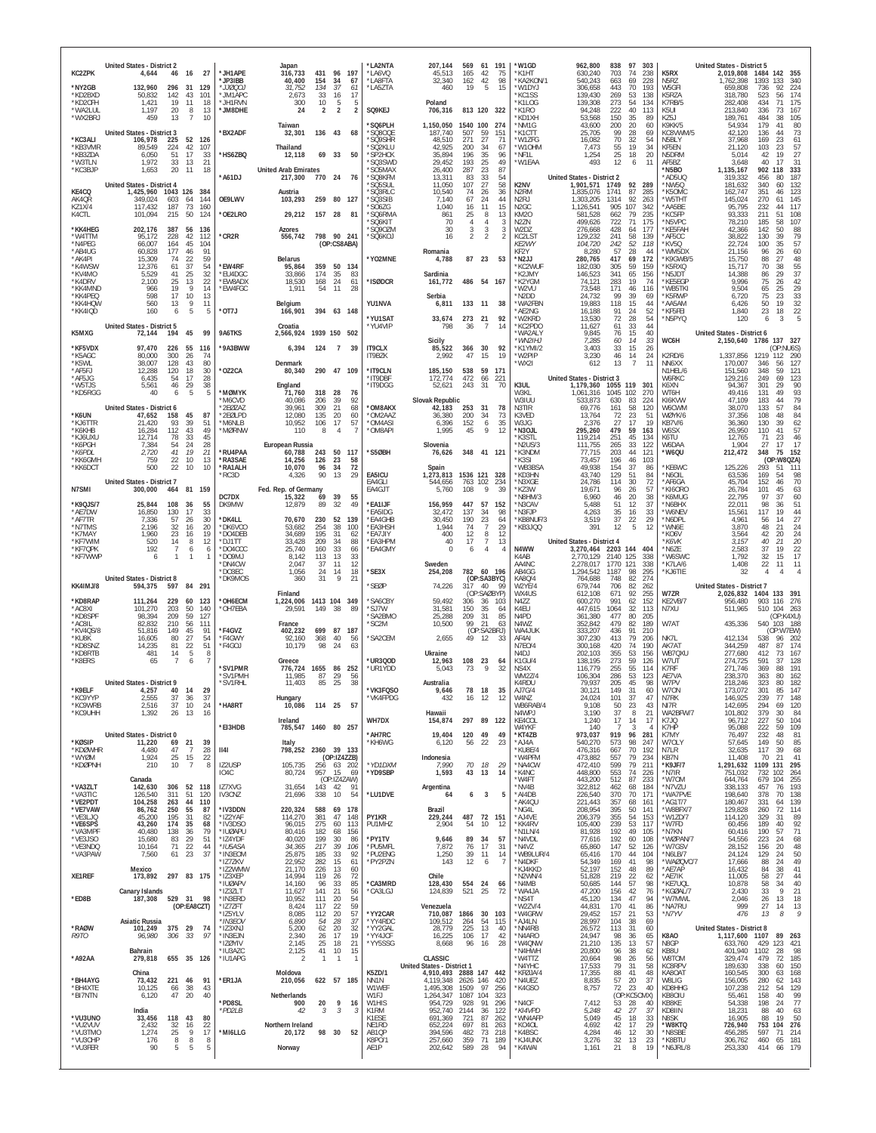| <b>KC2ZPK</b><br>*NY2GB<br>*KD2BXD<br>*KD2CFH<br>"WA2I UI<br>*WX2BRJ<br>*KC3ALI<br>*KB3VMR | United States - District 2<br>4,644<br>46<br>16<br>132,960<br>296<br>31<br>43<br>50,832<br>142<br>1,421<br>19<br>11<br>20<br>1.197<br>$\overline{8}$<br>$\overline{7}$<br>459<br>13<br><b>United States - District 3</b><br>106,978<br>225<br>52<br>42<br>89.549<br>224 | 27<br>*JH1APE<br>*JP3IBB<br>129<br>*JJ000J<br>101<br>* IM1APC<br>18<br>*JH1RVN<br>*JM8DHE<br>13<br>10<br>'BX2ADF<br>126<br>107 | Japan<br>316,733<br>431<br>96<br>197<br>40,400<br>154<br>34<br>-67<br>31,752<br>134<br>37<br>61<br>33<br>17<br>16<br>2,673<br>10<br>5<br>5<br>300<br>$\overline{2}$<br>$\overline{2}$<br>24<br>$\mathcal{P}$<br>Taiwan<br>32,301<br>136 43<br>-68<br>Thailand | *LA2NTA<br>*LA6VQ<br><b>LASETA</b><br>*LA5ZTA<br>SQ9KEJ<br>'SQ6PLH<br>SQ80QE<br>'SQ9SHR<br>'SQ2KLU | 207.144<br>569<br>45,513<br>165<br>32.340<br>162<br>460<br>19<br>Poland<br>706,316<br>1,150,050<br>187,740<br>507<br>48,510<br>271<br>42,925<br>200 | 61 191<br>42<br>75<br>98<br>42<br>5<br>15<br>813 120 322<br>1540 100<br>274<br>59<br>151<br>27<br>71<br>34<br>67 | *W1GD<br>*K1HT<br>*KA2KON/1<br>*W1DYJ<br>*KC1SS<br>*K1LOG<br>*K1RO<br>'KD1XH<br>*NM1G<br>*K1CTT<br>*W1ZFG<br>*W10HM | 962,800<br>630,240<br>540,243<br>306,658<br>139.430<br>139,308<br>94.248<br>53,568<br>43,600<br>25,705<br>16,082<br>7.473 | 97<br>838<br>303<br>703<br>74<br>238<br>663<br>69<br>228<br>443<br>70<br>193<br>269<br>53<br>138<br>273<br>54<br>134<br>40<br>113<br>222<br>150<br>35<br>89<br>20<br>200<br>60<br>99<br>28<br>69<br>70<br>32<br>54<br>19<br>34<br>55 | K5RX<br>N <sub>5</sub> RZ<br>W5GFI<br>K5RZA<br>K7RB/5<br>K5UL<br>KZ5J<br>K9KK/5<br>KC8VWM/5<br>N5BLY<br>KF5EN | <b>United States - District 5</b><br>2,019,808<br>1484<br>142<br>355<br>340<br>1,762,398<br>1393<br>133<br>659,808<br>736<br>92<br>224<br>318,780<br>174<br>523<br>56<br>282,408<br>434<br>71<br>175<br>213,840<br>73<br>167<br>336<br>38<br>105<br>189.761<br>484<br>54,934<br>80<br>179<br>41<br>73<br>42,120<br>136<br>44<br>37,968<br>169<br>23<br>61<br>57<br>103<br>23<br>21,120 |
|--------------------------------------------------------------------------------------------|-------------------------------------------------------------------------------------------------------------------------------------------------------------------------------------------------------------------------------------------------------------------------|--------------------------------------------------------------------------------------------------------------------------------|---------------------------------------------------------------------------------------------------------------------------------------------------------------------------------------------------------------------------------------------------------------|----------------------------------------------------------------------------------------------------|-----------------------------------------------------------------------------------------------------------------------------------------------------|------------------------------------------------------------------------------------------------------------------|---------------------------------------------------------------------------------------------------------------------|---------------------------------------------------------------------------------------------------------------------------|--------------------------------------------------------------------------------------------------------------------------------------------------------------------------------------------------------------------------------------|---------------------------------------------------------------------------------------------------------------|----------------------------------------------------------------------------------------------------------------------------------------------------------------------------------------------------------------------------------------------------------------------------------------------------------------------------------------------------------------------------------------|
| *KB3ZDA<br>*W3TLN<br>*KC3BJP<br>KE4CQ<br>AK4QR                                             | 17<br>6,050<br>51<br>1,972<br>33<br>13<br>20<br>11<br>1.653<br><b>United States - District 4</b><br>1,425,960 1043 126<br>349,024<br>603<br>64                                                                                                                          | 33<br>*HS6ZBQ<br>21<br>18<br>*A61DJ<br>384<br>144<br>OE9LWV                                                                    | 69 33<br>50<br>12.118<br><b>United Arab Emirates</b><br>770 24 76<br>217,300<br>Austria<br>103,293<br>259<br>80 127                                                                                                                                           | *SP2HCK<br>'SQ3SWD<br>'SO5MAX<br>*SO8KFM<br>*SQ5SUL<br>SQ3RLC<br>*SQ3SIB                           | 35,894<br>196<br>29,452<br>193<br>26,400<br>287<br>13.311<br>83<br>11,050<br>107<br>10,540<br>74<br>7,140<br>67                                     | 35<br>96<br>25<br>49<br>23<br>87<br>33<br>54<br>27<br>58<br>26<br>36<br>24<br>44                                 | *NF1L<br>*W1EAA<br>K2NV<br>N <sub>2</sub> RM<br>N <sub>2</sub> RJ                                                   | 1,254<br>493<br><b>United States - District 2</b><br>1,901,571<br>1,835,076<br>1,303,205                                  | 25<br>18<br>20<br>12<br>11<br>6<br>1749<br>92<br>289<br>87<br>1741<br>285<br>1314<br>92<br>263                                                                                                                                       | N5DRM<br>AF5BZ<br>*N5BO<br>*AD5UQ<br>*NW5Q<br>*K50MC<br>*W5THT                                                | 27<br>5,014<br>42<br>19<br>31<br>3,648<br>40<br>17<br>1,135,167<br>902<br>118<br>333<br>187<br>319,332<br>456<br>80<br>181,632<br>340<br>60<br>132<br>162,747<br>351<br>123<br>46<br>145,024<br>270<br>61<br>145                                                                                                                                                                       |
| <b>KZ1X/4</b><br>K4CTL<br>*KK4HEG<br>*W4TTM<br>*N4PEG<br>*AB4UG                            | 117,432<br>187<br>73<br>101,094<br>215<br>50<br>202,176<br>387<br>56<br>95,172<br>228<br>42<br>66,007<br>45<br>164<br>60,828<br>177<br>46                                                                                                                               | 160<br>124<br>*OE2LRO<br>136<br>112<br>'CR2R<br>104<br>91                                                                      | 29,212<br>157 28<br>- 81<br>Azores<br>798 90 241<br>556,742<br>(OP:CS8ABA)                                                                                                                                                                                    | 'SO6ZG<br>*SQ6RMA<br>'SQ6KIT<br>"SQ9OZM<br>*SQ6KOJ                                                 | 1,040<br>16<br>25<br>861<br>70<br>4<br>30<br>3<br>16<br>$\overline{2}$<br>Romania                                                                   | 11<br>15<br>8<br>13<br>4<br>3<br>3<br>3<br>$\mathcal{P}$<br>$\mathfrak{D}$                                       | N <sub>2</sub> GC<br><b>KM20</b><br>N <sub>2</sub> ZN<br>W2DZ<br>KC2LST<br>KE2WY<br>KF2Y                            | 1,126,541<br>581,528<br>499,626<br>276,668<br>129,232<br>104,720<br>8,280                                                 | 905<br>107<br>342<br>662<br>79<br>235<br>722<br>71<br>175<br>64<br>177<br>428<br>58<br>241<br>139<br>52<br>242<br>118<br>28<br>44<br>57                                                                                              | *AA5BE<br>*KC5FP<br>*N5VPC<br>*KE5FAH<br>*AF5CC<br>*KV5Q<br>*WM5DX                                            | 95,795<br>117<br>232<br>44<br>93,333<br>211<br>51<br>108<br>78,210<br>107<br>185<br>58<br>142<br>88<br>42,366<br>50<br>79<br>38,822<br>130<br>39<br>57<br>22,724<br>100<br>35<br>60<br>21,156<br>96<br>26                                                                                                                                                                              |
| *AK4PI<br>*K4WSW<br>*KV4MO<br>*K4DRV<br>*KK4MND<br>*KK4PEQ<br>*KK4HQW                      | 22<br>15.309<br>74<br>37<br>12,376<br>61<br>25<br>5,529<br>41<br>2,100<br>25<br>13<br>19<br>9<br>966<br>598<br>17<br>10<br>9<br>560                                                                                                                                     | 59<br>*EW4RF<br>54<br>$\frac{32}{22}$<br>*EU4DGC<br>*EW8ADX<br>14<br>*EW4FGC<br>13<br>11                                       | Belarus<br>95,864<br>359<br>50 134<br>33,866<br>174<br>35<br>83<br>18,530<br>168<br>24<br>61<br>1,911<br>54<br>11<br>28                                                                                                                                       | *YO2MNE<br>*ISØDCR<br>YU1NVA                                                                       | 87<br>4,788<br>Sardinia<br>486<br>161,772<br>Serbia                                                                                                 | 23<br>53<br>54 167<br>133 11 38                                                                                  | *N <sub>2JJ</sub><br>*KC2WUI<br>'K2JMY<br>*K2YGM<br>W2VU<br>*N2DD                                                   | 280,765<br>182,030<br>146,523<br>74,121<br>73.548<br>24,732<br>19.883                                                     | 69<br>172<br>417<br>59<br>305<br>159<br>341<br>65<br>156<br>283<br>19<br>74<br>171<br>46<br>116<br>99<br>39<br>69<br>118<br>44                                                                                                       | *K9GWB/5<br>*K5RXQ<br>*N5JDT<br>*KE5EGP<br>*WB5TKI<br>*K5RWP<br>*AA5AM                                        | 48<br>15,750<br>88<br>27<br>70<br>$\frac{55}{37}$<br>15,717<br>38<br>14,388<br>29<br>86<br>42<br>9,996<br>75<br>26<br>29<br>9.504<br>65<br>25<br>6,720<br>75<br>23<br>33<br>19<br>6.426<br>50                                                                                                                                                                                          |
| *KK4IQD                                                                                    | 13<br>160<br>6<br>5<br>United States - District 5                                                                                                                                                                                                                       | *OT7J<br>5                                                                                                                     | Belaium<br>166,901<br>394 63 148<br>Croatia                                                                                                                                                                                                                   | *YU1SAT<br>*YU4VIP                                                                                 | 6,811<br>273<br>33,674<br>36<br>798                                                                                                                 | 21<br>92<br>14<br>7                                                                                              | *WA2FBN<br>AE2NG<br>*W2KRD<br>*KC2PD0                                                                               | 16,188<br>13.530<br>11,627                                                                                                | 15<br>91<br>24<br>52<br>72<br>28<br>54<br>61<br>33<br>44                                                                                                                                                                             | *KF5FEI<br>*N5PYQ                                                                                             | $\begin{array}{c} 32 \\ 22 \end{array}$<br>1,840<br>23<br>18<br>5<br>3<br>120<br>6                                                                                                                                                                                                                                                                                                     |
| K5MXG<br>*KF5VDX                                                                           | 45<br>194<br>72,144<br>97,470<br>226<br>55<br>80.000<br>300                                                                                                                                                                                                             | 99<br>9A6TKS<br>116<br>'9A3BWW<br>74                                                                                           | 2,566,924 1939 150 502<br>6,394<br>124 7 39                                                                                                                                                                                                                   | <b>IT9CLX</b>                                                                                      | Sicily<br>85,522<br>366<br>47<br>2.992                                                                                                              | 30<br>92<br>15<br>19                                                                                             | WA2AI \<br>*WN2IHJ<br>*K1YMI/2<br>*W2PIP                                                                            | 9,845<br>7.285<br>3,403<br>3,230                                                                                          | $76\,$<br>$\frac{15}{14}$<br>40<br>60<br>33<br>33<br>15<br>26<br>24                                                                                                                                                                  | WC6H<br>K2RD/6                                                                                                | United States - District 6<br>137 327<br>2,150,640 1786<br>(OP:NU6S)<br>1,337,856 1219 112 290                                                                                                                                                                                                                                                                                         |
| *K5AGC<br>*K5WL<br>*AF5FJ<br>*AF5JG                                                        | 26<br>38.007<br>128<br>43<br>120<br>18<br>12.288<br>6,435<br>54<br>17                                                                                                                                                                                                   | 80<br>30<br>*OZ2CA<br>28                                                                                                       | Denmark<br>80,340<br>290 47 109                                                                                                                                                                                                                               | IT9BZK<br>*IT9CLN<br>*IT9DBF                                                                       | 538<br>185,150<br>172,774<br>472                                                                                                                    | 59<br>171<br>66<br>221                                                                                           | WX2I                                                                                                                | 612<br><b>United States - District 3</b>                                                                                  | 46<br>14<br>$\overline{7}$<br>13<br>11                                                                                                                                                                                               | NN6XX<br>N1HEL/6<br>W6RKC                                                                                     | 170,007<br>346<br>56<br>127<br>59<br>121<br>348<br>151,560<br>69<br>123<br>129,216<br>249                                                                                                                                                                                                                                                                                              |
| *W5TJS<br>*KD5RGG                                                                          | 46<br>29<br>5,561<br>6<br>5<br>40<br>United States - District 6                                                                                                                                                                                                         | 38<br>*MØMYK<br>M6CVD<br>2EØZAZ                                                                                                | England<br>318<br>28<br>76<br>71.760<br>206<br>39<br>92<br>40.086<br>39,961<br>309<br>21<br>68                                                                                                                                                                | *IT9DGG<br>*OM8AKX                                                                                 | 243<br>52,621<br>Slovak Republic<br>42,183<br>253                                                                                                   | 31<br>70<br>31<br>78                                                                                             | K3UL<br>W3KL<br>W3IUU<br>N3TIR                                                                                      | 1,179,360<br>1.061.316<br>533.873<br>69.776                                                                               | 119<br>1055<br>-301<br>1045<br>102<br>270<br>630<br>83<br>224<br>161<br>58<br>120                                                                                                                                                    | K6XN<br>WT6H<br>KI6KVW<br>W6CWM                                                                               | 90<br>29<br>94,367<br>301<br>49,416<br>131<br>49<br>93<br>79<br>47.109<br>183<br>44<br>38,070<br>133<br>57<br>84                                                                                                                                                                                                                                                                       |
| *K6UN<br>*KJ6TTR<br>*K6KHB                                                                 | 158<br>45<br>47,652<br>21,420<br>93<br>39<br>43<br>16,284<br>112                                                                                                                                                                                                        | *2EØLPD<br>87<br>51<br>*M6NLB<br>49<br>*MØRNW                                                                                  | 12.080<br>135<br>20<br>60<br>10,952<br>106<br>17<br>57<br>110<br>8<br>$\overline{4}$                                                                                                                                                                          | *OM2AAZ<br>*OM4ASI<br><b>OM8API</b>                                                                | 36.380<br>200<br>6,396<br>152<br>1,995<br>45                                                                                                        | 34<br>73<br>35<br>6<br>9<br>12                                                                                   | K3VED<br>W3JG<br>*N3OJL                                                                                             | 13,764<br>2.376<br>295,260                                                                                                | 23<br>51<br>72<br>17<br>27<br>19<br>479<br>59<br>163                                                                                                                                                                                 | WØYK/6<br><b>KB7V/6</b><br>W6SX                                                                               | 84<br>37,356<br>108<br>48<br>62<br>36,360<br>130<br>39<br>26,950<br>41<br>57<br>110                                                                                                                                                                                                                                                                                                    |
| *KJ6UXU<br>*K6PGH<br>*K6PDL<br>*KK6GMH                                                     | 12,714<br>78<br>33<br>54<br>24<br>7.384<br>79<br>41<br>2.720<br>10<br>759<br>22                                                                                                                                                                                         | 45<br>$\frac{28}{21}$<br>*RU4PAA<br>13<br>*RA3SAE                                                                              | European Russia<br>50 117<br>60,788<br>243<br>14,256<br>126<br>23<br>58                                                                                                                                                                                       | *S5ØBH                                                                                             | Slovenia<br>76,626                                                                                                                                  | 348 41 121                                                                                                       | 'K3STL<br>'N2US/3<br>*K3NDM<br>*K3SI                                                                                | 119,214<br>111,755<br>77.715<br>73,457                                                                                    | 251<br>45<br>134<br>$\frac{33}{44}$<br>265<br>122<br>121<br>203<br>196<br>46<br>103                                                                                                                                                  | K6TU<br>W6DAA<br>*W6QU                                                                                        | 12,765<br>71<br>23<br>46<br>1.904<br>27<br>17<br>17<br>75<br>348<br>152<br>212,472<br>(OP:W8QZA)                                                                                                                                                                                                                                                                                       |
| *KK6DCT                                                                                    | 22<br>500<br>10<br>United States - District 7                                                                                                                                                                                                                           | *RA1ALH<br>10<br>RC3D <sup>*</sup>                                                                                             | 72<br>96<br>10,070<br>34<br>90<br>13<br>29<br>4,326                                                                                                                                                                                                           | EA5ICU<br>EA4GLI                                                                                   | Spain<br>1,273,813<br>763<br>544,656                                                                                                                | 1536 121<br>328<br>102<br>234                                                                                    | 'WB3BSA<br>*KD3HN<br>*N3XGE                                                                                         | 49.938<br>43,740<br>24.786                                                                                                | 154<br>37<br>86<br>129<br>51<br>84<br>30<br>114<br>72                                                                                                                                                                                | *KE6WC<br>N6OIL*<br>*AF6GA                                                                                    | 125,226<br>293<br>51<br>111<br>63,536<br>169<br>54<br>98<br>70<br>45,704<br>152<br>46                                                                                                                                                                                                                                                                                                  |
| N7SMI<br>*K9QJS/7<br>*AE7DW                                                                | 300,000<br>464<br>81 159<br>25,844<br>108<br>36<br>130<br>17<br>16,850                                                                                                                                                                                                  | DC7DX<br>55<br>DK9MW<br>33                                                                                                     | Fed. Rep. of Germany<br>15,322<br>39<br>69<br>55<br>89<br>32<br>49<br>12.879                                                                                                                                                                                  | EA4GJT<br>*EA1IJF<br><b>EA5IDG</b>                                                                 | 5,760<br>108<br>447<br>156,959<br>32.472<br>137                                                                                                     | 9<br>39<br>57<br>152<br>34<br>98                                                                                 | *KZ3W<br>N8HM/3<br>'N3CAV<br>*N3EJP                                                                                 | 19,671<br>6.960<br>5,488<br>4,263                                                                                         | 96<br>26<br>57<br>20<br>$\begin{array}{c} 38 \\ 37 \end{array}$<br>46<br>51<br>12<br>35<br>16<br>33                                                                                                                                  | *KI6ORO<br>*K6MUG<br>*N6BHX<br>*W6NEV                                                                         | 26,784<br>101<br>45<br>63<br>60<br>37<br>22,795<br>97<br>22,011<br>98<br>36<br>51<br>117<br>19<br>44<br>15,561                                                                                                                                                                                                                                                                         |
| *AF7TR<br>*N7TMS<br>*K7MAY                                                                 | 57<br>26<br>7.336<br>2.196<br>32<br>16<br>1,960<br>23<br>16                                                                                                                                                                                                             | 30<br>*DK4LL<br>20<br>*DK6VCC<br>19<br>*DO4DEB                                                                                 | 70,670<br>230<br>52<br>139<br>254<br>38<br>100<br>53.682<br>34,689<br>195<br>31<br>62                                                                                                                                                                         | <b>EA4GHB</b><br><b>EA3HSH</b><br><b>EA7JIY</b>                                                    | 30,450<br>190<br>1.944<br>74<br>12<br>400                                                                                                           | 23<br>64<br>29<br>$\overline{7}$<br>8<br>12                                                                      | KB8NUF/3<br>KB3JQQ                                                                                                  | 3,519<br>391                                                                                                              | 37<br>$\frac{22}{5}$<br>29<br>12<br>12                                                                                                                                                                                               | *N6DPL<br>*WN6E<br>*KO6V                                                                                      | 27<br>4,961<br>14<br>56<br>24<br>3.870<br>48<br>21<br>24<br>3,564<br>42<br>20                                                                                                                                                                                                                                                                                                          |
| *KF7WIM<br>*KF7QPK<br>*KF7WWP                                                              | 14<br>8<br>520<br>192<br>$\overline{7}$<br>6<br>1<br>$\mathbf{1}$<br>6                                                                                                                                                                                                  | 12<br>*DJ1TT<br>*DO4CCC<br>6<br>*DO9MJ                                                                                         | 209<br>34<br>88<br>33,428<br>25,740<br>160<br>33<br>66<br>113<br>13<br>8.142                                                                                                                                                                                  | <b>EA3HPM</b><br>*EA4GMY                                                                           | 17<br>40<br>$\Omega$<br>6                                                                                                                           | 13<br>$\overline{7}$<br>$\overline{4}$<br>4                                                                      | N4WW<br>K4AB                                                                                                        | <b>United States - District 4</b><br>3,270,464 2203<br>2.770.129                                                          | 144<br>404<br>2140 125<br>338                                                                                                                                                                                                        | *K6VK<br>*N6ZE<br>'W6SWC                                                                                      | 20<br>40<br>21<br>3.157<br>2,583<br>37<br>19<br>22<br>17<br>1.792<br>15<br>32                                                                                                                                                                                                                                                                                                          |
|                                                                                            |                                                                                                                                                                                                                                                                         |                                                                                                                                |                                                                                                                                                                                                                                                               |                                                                                                    |                                                                                                                                                     |                                                                                                                  |                                                                                                                     |                                                                                                                           |                                                                                                                                                                                                                                      |                                                                                                               |                                                                                                                                                                                                                                                                                                                                                                                        |
| KK4IMJ/8                                                                                   | United States - District 8<br>594,375<br>597<br>84 291                                                                                                                                                                                                                  | *DN4CW<br>*DO3EC<br>*DK9MOS                                                                                                    | $\begin{array}{c} 33 \\ 12 \end{array}$<br>2,047<br>-37<br>11<br>1,056<br>24<br>14<br>18<br>31<br>9<br>21<br>360                                                                                                                                              | *SE3X<br>'SEØP                                                                                     | Sweden<br>254,208<br>782<br>74,226<br>317                                                                                                           | 60 196<br>(OP:SA3BYC)<br>40<br>- 99                                                                              | AA4NC<br>AB4GG<br>KA8Q/4<br>W2YE/4                                                                                  | 2,278,017<br>1,294,542<br>764,688<br>679,744                                                                              | 1770<br>338<br>121<br>1187<br>98<br>295<br>82<br>274<br>748<br>706<br>82<br>262                                                                                                                                                      | *K7LA/6<br>*KJ6TIE                                                                                            | $\overline{22}$<br>11<br>1,408<br>11<br>32<br>$\overline{4}$<br>United States - District 7                                                                                                                                                                                                                                                                                             |
| *KD8RAP<br>*AC8XI                                                                          | 111,264<br>229<br>60<br>101,270<br>203<br>50                                                                                                                                                                                                                            | 123<br><b>OH6ECM</b><br>*OH7EBA<br>140                                                                                         | Finland<br>1413 104 349<br>1,224,006<br>149<br>38<br>89<br>29,591                                                                                                                                                                                             | *SA6CBY<br>*SJ7W                                                                                   | 59.492<br>306<br>31,581<br>150                                                                                                                      | (OP:SAØBYP)<br>36<br>103<br>35<br>64                                                                             | WX4US<br>N4ZZ<br>K4EU                                                                                               | 612,108<br>600,270<br>447,615                                                                                             | 92<br>255<br>671<br>152<br>991<br>62<br>1064<br>32<br>113                                                                                                                                                                            | W7ZR<br>KE2VB/7<br>N7XU                                                                                       | 2,026,832<br>1404 133<br>391<br>956,480<br>903 116<br>276<br>511,965<br>510 104<br>263                                                                                                                                                                                                                                                                                                 |
| *KD8SPF<br>*AC8IL<br>*KV4QS/8<br>*KU8K                                                     | 209<br>59<br>98.394<br>210<br>82.832<br>56<br>51,816<br>149<br>45<br>80                                                                                                                                                                                                 | 127<br>111<br>91<br>*F4GVZ<br>54<br>*F4GWY                                                                                     | France<br>402,232<br>699<br>87<br>187                                                                                                                                                                                                                         | <i><b>SA2BMO</b></i><br>'SC2M                                                                      | 25,288<br>209<br>99<br>10,500<br>49                                                                                                                 | 31<br>85<br>21<br>63<br>(OP:SA2BRJ)<br>-33                                                                       | N4PD<br>N4W7<br>WA4JUK<br>AF4AI                                                                                     | 361,380<br>352,842<br>333,207                                                                                             | 477<br>80<br>205<br>479<br>82<br>189<br>436<br>91<br>210                                                                                                                                                                             | W7AT<br>NK71                                                                                                  | (OP:K4XU)<br>540 103 188<br>435,336<br>(OP:W7EW)<br>538                                                                                                                                                                                                                                                                                                                                |
| *KD8SNZ<br>*KD8RTB<br>*K8ERS                                                               | 27<br>16,605<br>14,235<br>81<br>22<br>5<br>481<br>14<br>65<br>7<br>6                                                                                                                                                                                                    | 51<br>*F4GOJ<br>-8                                                                                                             | 368<br>40<br>92,160<br>56<br>10,179<br>98<br>24<br>63<br>Greece                                                                                                                                                                                               | 'SA2CEM<br>UR3QOD*                                                                                 | 2,655<br>Ukraine<br>12,963<br>108                                                                                                                   | 12<br>23<br>-64                                                                                                  | N7EO/4<br>N <sub>4</sub> D <sub>J</sub><br>K1GU/4                                                                   | 307,230<br>300,168<br>202,103<br>138,195                                                                                  | 413<br>79<br>206<br>420<br>74<br>190<br>355<br>53<br>156<br>273<br>59<br>126                                                                                                                                                         | AK7AT<br>WB7QXU<br>W7UT                                                                                       | 412,134<br>96<br>202<br>344,259<br>487<br>87<br>174<br>277,680<br>412<br>73<br>167<br>274,725<br>591<br>37<br>128                                                                                                                                                                                                                                                                      |
|                                                                                            | <b>United States - District 9</b>                                                                                                                                                                                                                                       | 'SV1PMR<br>*SV1PMH<br>*SV1RHL                                                                                                  | 1655<br>776,724<br>86<br>252<br>87<br>29<br>56<br>11,985<br>11,403<br>85<br>25<br>38                                                                                                                                                                          | *UR1YDD                                                                                            | 73<br>5.043<br>Australia                                                                                                                            | 9<br>32                                                                                                          | NS <sub>4</sub> X<br>WM2Z/4<br>K4RDU                                                                                | 116,779<br>106,304<br>79,937                                                                                              | $\frac{55}{53}$<br>255<br>114<br>123<br>286<br>205<br>45<br>98                                                                                                                                                                       | K7RF<br>AE7VA<br>W7PV                                                                                         | 271,746<br>369<br>191<br>88<br>238,370<br>363<br>80<br>162<br>218,246<br>323<br>80<br>182                                                                                                                                                                                                                                                                                              |
| *K9ELF<br>'KC9YYP<br>*KC9WRB<br>*KC9UHH                                                    | 4.257<br>40<br>- 14<br>2.555<br>31<br>-30<br>37<br>$10$<br>2,516<br>26<br>13<br>1,392                                                                                                                                                                                   | - 29<br>ر ک<br>24<br>*HA8RT<br>16                                                                                              | Hungar<br>57<br>10,086<br>114 25                                                                                                                                                                                                                              | *VK3FQSO<br>VK4FPDG                                                                                | 9,646<br>432<br>10<br>Hawaii                                                                                                                        | 78 18<br>35<br>12<br>14                                                                                          | AJ7G/4<br>VV4NZ<br>WB6RAB/4<br>N4WPJ                                                                                | 30.121<br><b>24.024</b><br>9,108<br>3,190                                                                                 | 149<br>31<br>60<br>TU L<br>31<br>41<br>23<br>50<br>43<br>37<br>8<br>21                                                                                                                                                               | W70N<br>N7RK<br>NI7R<br>WA2BFW/7                                                                              | 147<br>173,072<br>301<br>85<br>148<br>146.925<br>239<br>$\prime$<br>142,695<br>294<br>69<br>120<br>101,802<br>30<br>84<br>379                                                                                                                                                                                                                                                          |
|                                                                                            | United States - District 0                                                                                                                                                                                                                                              | *EI3HDB                                                                                                                        | Ireland<br>785,547 1460 80 257                                                                                                                                                                                                                                | WH7DX<br>*AH7RC                                                                                    | 297<br>154,874<br>19,404                                                                                                                            | 89 122<br>120 49<br>49                                                                                           | KE4COL<br>W4YKF<br>*KT4ZB                                                                                           | 1,240<br>140<br>973,037                                                                                                   | 17<br>$\begin{array}{c} 14 \\ 3 \end{array}$<br>17<br>4<br>919<br>96<br>281                                                                                                                                                          | K7JQ<br>K7HP<br>K7MY                                                                                          | 104<br>96,712<br>227<br>50<br>109<br>95,088<br>222<br>59<br>81<br>76,497<br>232<br>48                                                                                                                                                                                                                                                                                                  |
| *KØSIP<br>*KDØWHR<br>*WYØM<br>*KDØPNH                                                      | 11,220<br>69<br>21<br>4.480<br>47<br>$\overline{7}$<br>25<br>1,924<br>15<br>10<br>$\overline{7}$<br>210                                                                                                                                                                 | 39<br>28<br>  4  <br>22<br>IZ2USP<br>8                                                                                         | Italy<br>798,252 2360 39 133<br>(OP:IZ4ZZB)<br>105,735                                                                                                                                                                                                        | *KH6WG<br>*YD1DXM                                                                                  | 6,120<br>56<br>Indonesia<br>70<br>7,990                                                                                                             | 22<br>23<br>18<br>29                                                                                             | *AJ4A<br>*KU8E/4<br>'W4PFM<br>*NA4CW                                                                                | 540,270<br>476,316<br>473,882                                                                                             | 573<br>98<br>247<br>70<br>192<br>667<br>557<br>79<br>234<br>79<br>599<br>211                                                                                                                                                         | W7OLY<br>N7LR<br>KB7N<br>*K9JF/7                                                                              | 85<br>57,645<br>149<br>50<br>117<br>39<br>68<br>32,635<br>11,408<br>70<br>21<br>41<br>1109 131 295                                                                                                                                                                                                                                                                                     |
| *VA3ZLT                                                                                    | Canada<br>306<br>142,630<br>52 118                                                                                                                                                                                                                                      | IO <sub>4</sub> C<br>IZ7XVG                                                                                                    | 256 63 202<br>80,724<br>957 15<br>69<br>(OP:IZ4ZAW)<br>143  42  91<br>31,654                                                                                                                                                                                  | *YD9SBP                                                                                            | 1,593<br>43<br>Argentina                                                                                                                            | 13<br>14                                                                                                         | *K4NC<br>*W4FT<br>*NV4B                                                                                             | 472,410<br>448,800<br>443,200<br>322,812                                                                                  | 553<br>74<br>226<br>87<br>233<br>512<br>68<br>184<br>462                                                                                                                                                                             | *N7IR<br>*W70M<br>*N7VZU                                                                                      | 1,291,632<br>751,032<br>732<br>102<br>264<br>644,764<br>255<br>193<br>679<br>104<br>338,133<br>457<br>76                                                                                                                                                                                                                                                                               |
| *VA3TIC<br>*VE2PDT<br>*VE7VAW<br>*VE3LJQ                                                   | 311<br>126,540<br>51<br>104,258<br>263<br>44<br>86,762<br>250<br>55<br>195<br>31<br>45,200                                                                                                                                                                              | 120<br><b>IV3CNZ</b><br>110<br>87<br>*IV3DDN<br>82<br>*IZ2YAF                                                                  | 338<br>54<br>21,696<br>10<br>220,324<br>588<br>69<br>178<br>381<br>114,270<br>47<br>148                                                                                                                                                                       | *LU1DVE<br>PY1KR                                                                                   | 64<br>6<br>Brazil<br>487<br>229,244                                                                                                                 | 3<br>5<br>72 151                                                                                                 | *AI4DB<br>*AK4QU<br>*NG4L<br>*AJ4VE                                                                                 | 226,540<br>221,443<br>208,954<br>206,379                                                                                  | 370<br>70<br>171<br>161<br>357<br>68<br>395<br>50<br>141<br>355<br>54<br>153                                                                                                                                                         | *WA7PVE<br>*AG1T/7<br>*W8BFX/7<br>*W1ZD/7                                                                     | 198,640<br>70<br>138<br>378<br>139<br>180,467<br>331<br>64<br>129,828<br>260<br>72<br>114<br>89<br>114,120<br>-31                                                                                                                                                                                                                                                                      |
| *VE6SPS<br>*VA3MPF<br>*VE3JSO                                                              | 35<br>43,260<br>174<br>40,480<br>138<br>36<br>29<br>15,680<br>83                                                                                                                                                                                                        | *IV3DSO<br>68<br>*IUØAPU<br>79<br>51<br>*IZ4YDF                                                                                | 96,015<br>275<br>60<br>113<br>182<br>80,416<br>68<br>156<br>40,020<br>199<br>30<br>86                                                                                                                                                                         | PU1MHZ<br>*PY1TV                                                                                   | 2,904<br>54<br>9,646<br>89                                                                                                                          | 10<br>12<br>34<br>57                                                                                             | *KK4RV<br>*N1LN/4<br>*N4VDL                                                                                         | 105,400<br>81,928<br>77,616                                                                                               | 53<br>117<br>239<br>49<br>192<br>105<br>192<br>60<br>108                                                                                                                                                                             | *W7FD<br>*N7KN<br>*WØPAN/7                                                                                    | 329<br>60,456<br>$\frac{92}{71}$<br>189<br>40<br>60,416<br>190<br>57<br>68<br>54,556<br>223<br>24                                                                                                                                                                                                                                                                                      |
| *VE3NDQ<br>*VA3PAW                                                                         | 71<br>22<br>10,164<br>7,560<br>61<br>23<br>Mexico                                                                                                                                                                                                                       | 44<br>*IU5ASA<br>37<br>*IN3EOM<br>*IZ7ZKV<br>*IZ2WMW                                                                           | 217<br>39<br>34,365<br>106<br>25,875<br>185<br>33<br>92<br>22,952<br>282<br>15<br>61<br>21,170<br>226<br>13<br>60                                                                                                                                             | *PU5MFL<br>*PU2ENG<br>*PY2PZN                                                                      | 76<br>7,872<br>1,250<br>39<br>12<br>143                                                                                                             | 17<br>31<br>11<br>14<br>$\overline{7}$<br>6                                                                      | *N4V7<br>*WB9LUR/4<br>*N4DKF<br>*KJ4KKD                                                                             | 65,860<br>65,416<br>54,349<br>52,197                                                                                      | 147<br>52<br>126<br>170<br>44<br>104<br>41<br>98<br>169<br>152<br>48<br>89                                                                                                                                                           | *W7GSV<br>*N6LB/7<br>*WAØQVC/7<br>*AE7AP                                                                      | $48\,$<br>28,152<br>156<br>20<br>24,124<br>129<br>24<br>50<br>49<br>17,666<br>88<br>24<br>41<br>16,432<br>84<br>38                                                                                                                                                                                                                                                                     |
| XE1REF                                                                                     | 297 83 175<br>173,892<br>Canary Islands                                                                                                                                                                                                                                 | *173XFP<br>*IUØAPV<br>'IZ3ZLT                                                                                                  | 14,994<br>119<br>26<br>72<br>14,160<br>96<br>33<br>85<br>141<br>21<br>56<br>11,627                                                                                                                                                                            | *CA3MRD<br>*CA3LGJ                                                                                 | Chile<br>128,430<br>554<br>124,839<br>521                                                                                                           | 24<br>66<br>25<br>72                                                                                             | *N2WN/4<br>*N4MB<br>*WA4JA                                                                                          | 51,828<br>50,685<br>47,200                                                                                                | 219<br>22<br>62<br>144<br>57<br>98<br>76<br>156                                                                                                                                                                                      | *AE7IK<br>*KE7UQL<br>*KGØAL/7                                                                                 | 11,005<br>58<br>27<br>44<br>40<br>10,878<br>58<br>34<br>2,430<br>9                                                                                                                                                                                                                                                                                                                     |
| *ED8B                                                                                      | 529 31 98<br>187,308<br>(OP:EA8CZT)                                                                                                                                                                                                                                     | *IN3ERD<br>*IZ7ZFT<br>'IZ5YLV                                                                                                  | 54<br>10,952<br>111<br>20<br>117<br>59<br>8,424<br>22<br>57<br>8,085<br>20<br>112                                                                                                                                                                             | *YY2CAR                                                                                            | Venezuela<br>710,087<br>1866                                                                                                                        | 30<br>103                                                                                                        | *NS4T<br>*W2ZV/4<br>*W4GRW                                                                                          | 45,120<br>44,831<br>29,452                                                                                                | $^{42}_{47}$<br>134<br>94<br>170<br>41<br>86<br>21<br>53<br>157                                                                                                                                                                      | *W7MWL<br>*NA7RU<br>*N7YV                                                                                     | $\substack{33 \\ 26}$<br>$^{21}_{18}$<br>13<br>2,046<br>999<br>27<br>13<br>14<br>$\overline{g}$<br>8<br>476<br>13                                                                                                                                                                                                                                                                      |
| *RAØW<br>R9TO                                                                              | <b>Asiatic Russia</b><br>375 29<br>101,249<br>96,980<br>306<br>33                                                                                                                                                                                                       | *IN3EOV<br>*IZ3XNJ<br>74<br>97<br>*IN3EJN<br>*IZØYIV                                                                           | 6,890<br>54<br>28<br>37<br>62<br>32<br>5,200<br>20<br>2,340<br>17<br>19<br>26<br>2,145<br>25<br>18<br>21                                                                                                                                                      | *YY4RDC<br>*YY2GAL<br>*YY4JCF<br>*YY5SSG                                                           | 109,512<br>264<br>225<br>28,779<br>16,225<br>106<br>8,668<br>96                                                                                     | 54<br>115<br>13<br>40<br>17<br>42<br>28<br>16                                                                    | *AJ4LN<br>*NN4RB<br>*N4ARO<br>*W4QNW                                                                                | 28,997<br>26,572<br>24,947<br>21,210                                                                                      | 38<br>69<br>104<br>31<br>113<br>60<br>98<br>36<br>65<br>13<br>135<br>57                                                                                                                                                              | K8AO<br>N8GP                                                                                                  | United States - District 8<br>1,117,600 1107<br>89 263<br>633,760<br>123<br>421<br>429                                                                                                                                                                                                                                                                                                 |
| *A92AA                                                                                     | Bahrain<br>655 35 126<br>279,818                                                                                                                                                                                                                                        | *IU3AZC<br>*IU1APG                                                                                                             | 2,125<br>41<br>10<br>15<br>$\overline{2}$<br>$\overline{1}$<br>-1<br>-1                                                                                                                                                                                       |                                                                                                    | CLASSIC<br>United States - District 1                                                                                                               |                                                                                                                  | *N4HWH<br>*W4TTZ<br>*N4YHC                                                                                          | 20,800<br>20,664<br>17,533                                                                                                | 96<br>38<br>62<br>98<br>26<br>56<br>79<br>31<br>58                                                                                                                                                                                   | KB8U<br>W8TOM<br>KC8RPV                                                                                       | 401,940<br>1102<br>28<br>98<br>329,474<br>479<br>72<br>185<br>189,630<br>338<br>60<br>150                                                                                                                                                                                                                                                                                              |
| *BH4AYG<br>*BH4XTE<br>*BI7NTN                                                              | China<br>73,432<br>221<br>46<br>10,125<br>38<br>66<br>47<br>20<br>6,120                                                                                                                                                                                                 | 91<br>*ER1JA<br>43<br>40                                                                                                       | Moldova<br>210,056<br>622 57 185<br>Netherlands                                                                                                                                                                                                               | K5ZD/1<br>NN1N<br>W1WEF<br>W1FJ                                                                    | 4,910,493 2888 147 442<br>4,119,348<br>1,495,308<br>1509<br>1,264,347<br>1087                                                                       | 2626 146<br>420<br>97<br>256<br>104<br>323                                                                       | *KFØJA/4<br>*N4UEZ<br>*K4GSO                                                                                        | 17,355<br>8,835<br>8,757                                                                                                  | 88<br>41<br>48<br>57<br>20<br>37<br>72<br>23<br>40<br>(OP:KC5CMX)                                                                                                                                                                    | KA8OAT<br>W8LIG<br>KD8HHG<br>KB80IU                                                                           | 160,545<br>168<br>300<br>63<br>156,005<br>280<br>62<br>143<br>129<br>107,238<br>212<br>54<br>55,461<br>158<br>40<br>99                                                                                                                                                                                                                                                                 |
| *VU3UNO                                                                                    | India<br>33,456<br>118<br>43                                                                                                                                                                                                                                            | *PD8SL<br>*PD2LB<br>80                                                                                                         | 20<br>9<br>900<br>16<br>42<br>3<br>3<br>-3                                                                                                                                                                                                                    | W1HIS<br>K1RM<br>K1ESE                                                                             | 954,729<br>928<br>952,740<br>2144<br>691,369<br>721                                                                                                 | 91<br>296<br>36<br>122<br>87<br>262                                                                              | *N4CF<br>*KI4VPD<br>*WN4AFP                                                                                         | 7,412<br>5,248<br>5,049                                                                                                   | 40<br>$\frac{28}{27}$<br>$\frac{53}{42}$<br>37<br>45<br>18<br>33                                                                                                                                                                     | KB8KE<br>KD8IIN<br>N8SK                                                                                       | 77<br>198<br>54,338<br>24<br>63<br>18,231<br>88<br>40<br>16,905<br>50<br>88<br>19                                                                                                                                                                                                                                                                                                      |
| *VU2VUV<br>*VU3TMO<br>*VU3CHP<br>*VU3FER                                                   | 2,432<br>32<br>16<br>25<br>9<br>1,274<br>8<br>8<br>176<br>90<br>5<br>5                                                                                                                                                                                                  | 22<br>17<br>*MI6LLG<br>8<br>5                                                                                                  | Northern Ireland<br>98 30<br>20,172<br>52<br>Norway                                                                                                                                                                                                           | NE1RD<br>AB1QP<br><b>K8PO/1</b><br>AE1P                                                            | 652,224<br>697<br>394,596<br>482<br>257,660<br>359<br>202,642<br>589                                                                                | 81<br>263<br>$^{73}_{71}$<br>218<br>189<br>28<br>94                                                              | *KO4OL<br>*K4BSC<br>*KJ4UNX<br>*K4WAI                                                                               | 4,692<br>4,284<br>3,276<br>1,161                                                                                          | 42<br>17<br>29<br>46<br>12<br>30<br>$13\,$<br>32<br>23<br>21<br>8<br>19                                                                                                                                                              | *W8KTQ<br>*N8SBE<br>*K8BTU<br>*N6JRL/8                                                                        | 753 104 276<br>726,940<br>456,285<br>597<br>71<br>214<br>65<br>306,762<br>460<br>181<br>253,330<br>414<br>66<br>179                                                                                                                                                                                                                                                                    |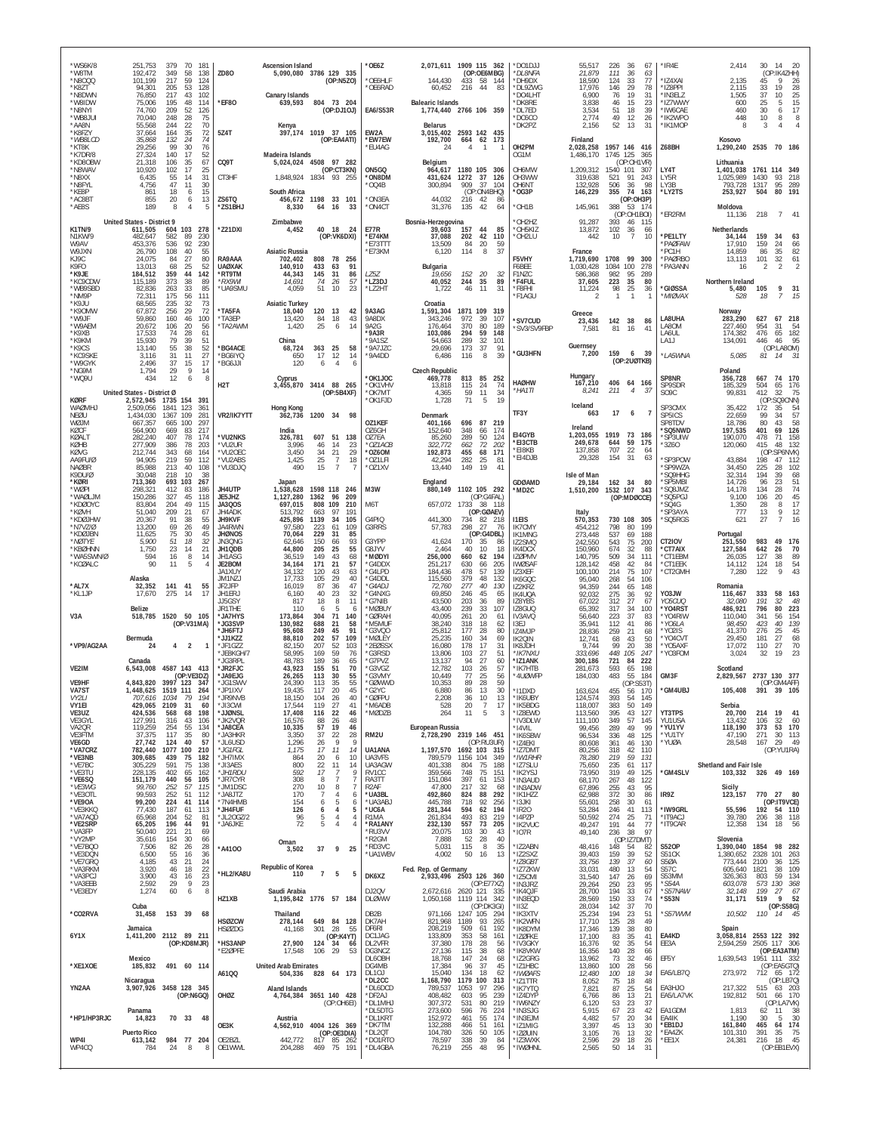| *WS6K/8<br>*W8TM<br>*N8000<br>*K8ZT<br>*N8DWN<br>*W8IDW       | 251,753<br>379<br>70<br>181<br>349<br>192,472<br>58<br>138<br>101.199<br>217<br>59<br>124<br>94,301<br>205<br>53<br>128<br>76.850<br>217<br>43<br>102<br>75,006<br>195<br>48<br>114                       | <b>ZD80</b><br>*EF80                                   | <b>Ascension Island</b><br>5,090,080 3786 129 335<br>(OP:N5ZO)<br>Canary Islands<br>639,593<br>804 73 204                                                           | $*$ OF67<br>*OE6HLF<br>*OE6RAD                | 2,071,611 1909 115 362<br>(OP:OE6MBG)<br>144.430<br>433 58 144<br>60,452<br>44<br>83<br>216<br><b>Balearic Islands</b>   | *DO1DJJ<br>*DL8NFA<br>*DH9DX<br>*DL9ZWG<br>*DO4LHT<br>*DK8RE | 55,517<br>21,879<br>18.590<br>17,976<br>6.900<br>3,838          | 226<br>36<br>67<br>111<br>36<br>63<br>77<br>124<br>-33<br>146<br>29<br>78<br>19<br>76<br>31<br>46<br>15<br>23               | *IR4E<br>*IZ4XAI<br>*IZ8PPI<br>*IN3ELZ<br>*IZ7WWY        | 2.414<br>30<br>14<br>- 20<br>(OP:IK4ZHH)<br>9<br>2.135<br>45<br>26<br>2,115<br>33<br>19<br>28<br>25<br>37<br>10<br>1.505<br>600<br>25<br>5<br>15                      |
|---------------------------------------------------------------|-----------------------------------------------------------------------------------------------------------------------------------------------------------------------------------------------------------|--------------------------------------------------------|---------------------------------------------------------------------------------------------------------------------------------------------------------------------|-----------------------------------------------|--------------------------------------------------------------------------------------------------------------------------|--------------------------------------------------------------|-----------------------------------------------------------------|-----------------------------------------------------------------------------------------------------------------------------|----------------------------------------------------------|-----------------------------------------------------------------------------------------------------------------------------------------------------------------------|
| *N8NYI<br>*WB8JUI<br>*AA8N<br>*K8FZY                          | 74.760<br>209<br>52<br>126<br>28<br>70.040<br>248<br>75<br>22<br>70<br>55,568<br>244<br>35<br>37,664<br>164<br>72                                                                                         | 5Z4T                                                   | (OP:DJ10J)<br>Kenva<br>397,174 1019 37 105                                                                                                                          | EA6/S53R<br>EW2A                              | 1,774,440 2766 106 359<br><b>Belarus</b><br>2593 142 435<br>3,015,402                                                    | *DL7ED<br>*DC6CO<br>*DK2PZ                                   | 3,534<br>2,774<br>2,156                                         | $\frac{51}{49}$<br>18<br>39<br>12<br>26<br>52<br>13<br>31                                                                   | *IW6CAE<br>*IK2WPO<br>*IK1MOP                            | 30<br>17<br>460<br>$6 \overline{6}$<br>10<br>8<br>8<br>448<br>8<br>3<br>$\overline{4}$                                                                                |
| *WB8LCD<br>*KT8K<br>*K7DR/8<br>*KD8OBW                        | 132<br>24<br>35,868<br>74<br>30<br>29,256<br>99<br>76<br>27,324<br>140<br>17<br>52<br>21,318<br>106<br>35<br>67                                                                                           | CQ9T                                                   | (OP:EA4ATI)<br>Madeira Islands<br>97 282<br>4508<br>5,024,024                                                                                                       | *EW7EW<br>*EU4AG                              | 192,700<br>664 62 173<br>24<br>$\overline{4}$<br>$\overline{1}$<br>Belgium                                               | OH2PM<br>OG1M                                                | Finland<br>2,028,258<br>1.486.170                               | 1957 146 416<br>1745 125<br>365<br>(OP:OH1VR)                                                                               | Z68BH                                                    | Kosovo<br>1,290,240 2535 70 186<br>Lithuania                                                                                                                          |
| *N8WAV<br>*N8XX<br>*N8FYL<br>*KE8P                            | 10,920<br>102<br>17<br>25<br>31<br>6,435<br>55<br>14<br>4,756<br>47<br>11<br>30<br>18<br>15<br>861<br>6                                                                                                   | CT3HF                                                  | (OP:CT3KN)<br>1,848,924<br>1834 93 255<br>South Africa                                                                                                              | ON5GQ<br>*ON8DM<br>$^{\star}$ OQ4B            | 964,617<br>1180 105 306<br>1272<br>37<br>431,624<br>126<br>300,894<br>909<br>37<br>104<br>(OP:ON4BHQ)                    | OH6MW<br>OH3WW<br>OH6NT<br>*OG3P                             | 1,209,312<br>319,638<br>132,928<br>146,229                      | 1540<br>101<br>307<br>91<br>243<br>521<br>506<br>36<br>98<br>74 163<br>355                                                  | LY4T<br>LY5R<br>LY3B<br>*LY2TS                           | 1761 114<br>349<br>1.401.038<br>1,025,989<br>93<br>1430<br>218<br>793,728<br>1317<br>95<br>289<br>253,927<br>80<br>191<br>504                                         |
| *AC8BT<br>*AE8S                                               | 855<br>20<br>13<br>6<br>189<br>8<br>$\overline{4}$<br>5                                                                                                                                                   | ZS6TQ<br>*ZS1BHJ                                       | 456,672<br>1198 33 101<br>8,330<br>33<br>64<br>16                                                                                                                   | *ON3EA<br>*ON4CT                              | 44,032<br>216<br>42<br>-86<br>31,376<br>42<br>135<br>64                                                                  | OH1B                                                         | 145,961                                                         | (OP:OH3P)<br>388<br>53 174<br>(OP:OH1BOI)                                                                                   | *ER2RM                                                   | Moldova<br>11,136<br>218<br>$\overline{7}$<br>41                                                                                                                      |
| K1TN/9<br>N1KW/9<br>W9AV                                      | <b>United States - District 9</b><br>103<br>278<br>611,505<br>604<br>582<br>482,647<br>89<br>230<br>92<br>230<br>453.376<br>536                                                                           | *Z21DXI                                                | <b>Zimbabwe</b><br>40 18<br>4,452<br>-24<br>(OP:VK6DXI)                                                                                                             | <b>E77R</b><br>*E74KM<br>*E73TTT              | Bosnia-Herzegovina<br>44<br>85<br>39,603<br>157<br>37,088<br>202<br>42<br>110<br>84<br>59<br>13,509<br>20                | OH2HZ<br>*OH5KIZ<br>*OH2LU                                   | 91.287<br>13,872<br>442                                         | 393<br>46 115<br>102<br>-36<br>66<br>10<br>7<br>10                                                                          | *PE1LTY<br>*PAØFAW                                       | Netherlands<br>159<br>34,144<br>34<br>63<br>159<br>24<br>17.910<br>66                                                                                                 |
| W9JXN<br>KJ9C<br>K9FO<br>*K9JE<br>*KC9CDW<br>*WB9SBD<br>*NM9P | 26,790<br>108<br>40<br>55<br>80<br>27<br>24.075<br>84<br>68<br>25<br>52<br>13,013<br>44<br>142<br>184,512<br>359<br>115,189<br>373<br>38<br>89<br>82,836<br>33<br>85<br>263<br>72,311<br>175<br>56<br>111 | RA9AAA<br><b>UAØXAK</b><br>*RT9TM<br>*RX9WI<br>*UA9SMU | <b>Asiatic Russia</b><br>808<br>702,402<br>78 256<br>91<br>140,910<br>433<br>63<br>145<br>31<br>86<br>44,343<br>14,691<br>74<br>26<br>57<br>4,059<br>51<br>10<br>23 | *E73KM<br>LZ5Z<br>*LZ3DJ<br>*LZ2HT            | 114<br>37<br>6,120<br>8<br>Bulgaria<br>20<br>19,656<br>152<br>32<br>40,052<br>244<br>35<br>89<br>46<br>11<br>31<br>1,722 | F5VHY<br>F6BEE<br>F1NZC<br>*F4FUL<br>*F8FHI<br>*F1AGU        | France<br>1,719,690<br>1,030,428<br>586.368<br>37,605<br>11,224 | 1708<br>99<br>300<br>1084<br>100<br>278<br>982<br>95<br>289<br>223<br>35<br>80<br>98<br>25<br>36<br>$\mathbf{1}$<br>1<br>-1 | *PC1H<br>*PAØRBO<br>'PA3ANN<br><b>'GIØSSA</b><br>*MIØVAX | 35<br>14,859<br>86<br>82<br>32<br>101<br>61<br>13,113<br>$\overline{2}$<br>16<br>$\mathcal{P}$<br>Northern Ireland<br>9<br>31<br>5,480<br>105<br>18<br>7<br>15<br>528 |
| *K9JU<br>*K90MW<br>*W9JF<br>*W9AEM                            | 68.565<br>235<br>32<br>73<br>67,872<br>256<br>29<br>72<br>160<br>46<br>100<br>59.860<br>20,672<br>106<br>20<br>56                                                                                         | *TA5FA<br>*TA3EP<br>*TA2AWM                            | <b>Asiatic Turkey</b><br>18,040<br>120<br>13<br>42<br>84<br>13,420<br>18<br>43<br>1,420<br>25<br>6<br>14                                                            | 9A3AG<br>9A8DX<br>9A2G                        | Croatia<br>1,591,304<br>1871<br>109<br>319<br>39<br>343,246<br>972<br>107<br>176,464<br>370<br>80<br>189                 | 'SV7CUD<br>SV3/SV9FBP                                        | Greece<br>23,436<br>7.581                                       | 142<br>- 38<br>86<br>81<br>16<br>41                                                                                         | LA8UHA<br>LA80M                                          | Norway<br>283,290<br>627<br>67 218<br>227,460<br>954<br>31<br>54                                                                                                      |
| *K9XB<br>*K9KM<br>*K9CS<br>*KC9SKE<br>*W9GYK                  | 28<br>17.533<br>74<br>61<br>79<br>15,930<br>39<br>51<br>13,140<br>55<br>38<br>52<br>27<br>31<br>11<br>3.116<br>37<br>17<br>2,496<br>15                                                                    | *BG4ACE<br>*BG6IYQ<br>*BG6JJI                          | China<br>68,724<br>363<br>25<br>58<br>17<br>12<br>14<br>650<br>120<br>$\overline{4}$<br>6                                                                           | *9A3R<br>*9A1SZ<br>*9A7JZC<br>*9A4DD          | 103,086<br>59<br>148<br>294<br>32<br>54,663<br>289<br>101<br>173<br>37<br>29,696<br>91<br>39<br>6,486<br>116<br>8        | <b>"GU3HFN</b>                                               | Guernsey<br>7,200                                               | 159<br>6<br>-39<br>(OP:2UØTKB)                                                                                              | LA6UL<br>LA1J<br>*LA5WNA                                 | 174.382<br>476<br>65<br>182<br>134,091<br>446<br>46<br>95<br>(OP:LA8OM)<br>5,085<br>81<br>31<br>14                                                                    |
| *NG9M<br>*WQ9U                                                | $\overline{9}$<br>29<br>14<br>1.794<br>12<br>434<br>6<br>8<br>United States - District Ø                                                                                                                  | H <sub>2</sub> T                                       | Cyprus<br>88 265<br>3,455,870 3414<br>(OP:5B4XF)                                                                                                                    | *OK1JOC<br>*OK1VHV<br>*OK7MT                  | <b>Czech Republic</b><br>469,778<br>813<br>85<br>252<br>24<br>115<br>74<br>13,818<br>59<br>11<br>34<br>4.365             | <b>HAØHW</b><br>*HA1TI                                       | Hungary<br>167,210<br>8.241                                     | 406<br>64 166<br>211<br>$\overline{4}$<br>-37                                                                               | SP8NR<br>SP9SDR<br>SO <sub>9</sub> C                     | Poland<br>356,728<br>667<br>74<br>170<br>65<br>504<br>176<br>185,329<br>99,831<br>412<br>32<br>75                                                                     |
| <b>KØRF</b><br>WAØMHJ<br>NFØU<br>WØJM                         | 2,572,945 1735 154<br>391<br>2,509,056<br>1841<br>123<br>361<br>1.434.030<br>1367 109<br>281<br>667,357<br>100<br>297<br>665                                                                              | VR2/IK7YTT                                             | Hong Kong<br>1200 34<br>98<br>362.736                                                                                                                               | *OK1FJD<br>OZ1KEF                             | 71<br>19<br>1,728<br>5<br>Denmark<br>401,166<br>696<br>87<br>219                                                         | TF3Y                                                         | Iceland<br>663                                                  | 17<br>$\overline{7}$<br>-6                                                                                                  | SP3CMX<br>SP5ICS<br>SP8TDV                               | (OP:SQ9CNN)<br>35,422<br>172<br>35<br>54<br>57<br>22,659<br>34<br>99<br>18,786<br>80<br>43<br>58                                                                      |
| KØCF<br>KØALT<br>KØHB<br><b>KØVG</b>                          | 564.900<br>217<br>669<br>83<br>282,240<br>407<br>78<br>174<br>277.909<br>78<br>203<br>386<br>212,744<br>164<br>343<br>68                                                                                  | *VU2NKS<br>*VU2UR<br>*VU2OEC                           | India<br>326,781<br>607<br>51 138<br>3.996<br>14<br>$^{23}_{29}$<br>46<br>3,450<br>21<br>-34                                                                        | 076GH<br>OZ7EA<br>$*OZ1ACB$<br>*0Z60M         | 348<br>152,640<br>174<br>66<br>85,260<br>289<br>50<br>124<br>322.772<br>72<br>202<br>662<br>68<br>192,873<br>455<br>171  | EI4GYB<br>*EI3CTB<br>*EI8KB                                  | Ireland<br>1,203,055<br>249,678<br>137,858                      | 1919<br>73<br>- 186<br>59<br>644<br>175<br>707<br>22<br>64                                                                  | 'SQ5NWD<br>'SP3UIW<br>*3Z60                              | 197,535<br>401<br>69<br>126<br>190,070<br>478<br>71<br>158<br>415<br>48<br>132<br>120,060<br>(OP:SP6NVK)                                                              |
| AA9FU/Ø<br><b>NAØBR</b><br>K9DU/Ø<br>*KØRI                    | 219<br>59<br>112<br>94,905<br>40<br>85,988<br>213<br>108<br>30,048<br>218<br>10<br>38<br>713,360<br>693 103<br>267                                                                                        | *VU2ABS<br>*VU3DJQ                                     | 25<br>18<br>1,425<br>$\overline{7}$<br>15<br>$\overline{7}$<br>490<br>-7                                                                                            | *OZ1LFI<br>*OZ1XV                             | 282<br>25<br>42,294<br>81<br>13,440<br>149<br>41<br>19                                                                   | *EI4DJB<br>GDØAMD                                            | 29,328<br>Isle of Man                                           | 154<br>31<br>63<br>162<br>34<br>-80                                                                                         | *SP3POW<br>'SP9WZA<br>'SQ9HHG<br>*SP5MBI                 | 43,884<br>198<br>47<br>112<br>102<br>34,450<br>225<br>28<br>32,314<br>194<br>39<br>68<br>96<br>23<br>51<br>14.726                                                     |
| *WØPI<br>*WAØLJM<br>*KDØOYC<br>*KØVH                          | 298,321<br>412<br>83<br>186<br>150,286<br>327<br>45<br>118<br>83,804<br>204<br>49<br>115<br>51.040<br>21<br>209                                                                                           | <b>JH4UTP</b><br>JE5JHZ<br>JA3QOS<br>JH4ADK            | Japan<br>1,538,628<br>1598 118<br>246<br>1362<br>1,127,280<br>96<br>209<br>697,015<br>808<br>109<br>210<br>513.792<br>97<br>191<br>663                              | M3W<br>M6T                                    | England<br>1102 105 292<br>880,149<br>(OP:G4FAL)<br>1733<br>657,072<br>38 118<br>(OP:GØAEV)                              | MD2C                                                         | 29,184<br>1,510,200                                             | 1532 107<br>343<br>(OP:MDØCCE)                                                                                              | 'SQ8JMZ<br>'SQ5PGJ<br>*SQ4G<br>'SP3AYA                   | 134<br>74<br>14,178<br>28<br>45<br>9,100<br>106<br>20<br>1,350<br>28<br>8<br>17<br>$\,$ 9<br>777<br>13<br>12                                                          |
| *KDØJHW<br>*N7VZ/Ø<br>*KDØJBN                                 | 67<br>20,367<br>91<br>38<br>55<br>49<br>13.200<br>69<br>26<br>75<br>30<br>45<br>11.625                                                                                                                    | JH9KVF<br>JA4RWN<br><b>JHØNOS</b>                      | 425,896<br>1139<br>34<br>105<br>97.580<br>223<br>109<br>61<br>70,064<br>229<br>31<br>85                                                                             | G4PIQ<br>G3RRS                                | 441,300<br>734<br>82 218<br>57,783<br>298<br>27<br>76<br>(OP:G4DBL)                                                      | <b>I1EIS</b><br><b>IK7CMY</b><br><b>IK1MNG</b>               | Italy<br>570,353<br>454.212<br>273,448                          | 730 108<br>305<br>798<br>80<br>199<br>537<br>69<br>188                                                                      | *SQ5RGS                                                  | 621<br>27<br>$\overline{7}$<br>16<br>Portugal                                                                                                                         |
| *NØTYF<br>*KBØHNN<br>*WA5SWN/Ø<br>*KCØALC                     | 51<br>18<br>32<br>5,900<br>23<br>1,750<br>14<br>21<br>$\frac{8}{5}$<br>594<br>16<br>14<br>90<br>11                                                                                                        | JN3ONG<br>JH1QDB<br>JH1ASG<br>JE2BOM                   | 150<br>93<br>62,646<br>66<br>44,800<br>205<br>25<br>55<br>36,519<br>149<br>43<br>68<br>21<br>57<br>34,164<br>171                                                    | G3YPP<br>G8JYV<br>*MØDYI<br>*G4DDX            | 41,624<br>170<br>35<br>-86<br>2,464<br>40<br>10<br>18<br>256,000<br>660<br>62<br>194<br>251,217<br>630<br>66<br>205      | IZ2SMQ<br>IK4DCX<br><b>IZØPMV</b><br><b>IWØSAF</b>           | 242,550<br>150,960<br>140.795<br>128,142                        | 543<br>75<br>200<br>674<br>32<br>88<br>509<br>34<br>111<br>458<br>42<br>84                                                  | CT2IOV<br>*CT7AIX<br>*CT1EBM<br>*CT1EEK                  | 251,550<br>983<br>49 176<br>127,584<br>642<br>26<br>70<br>127<br>$\begin{array}{c} 38 \\ 18 \end{array}$<br>$\frac{89}{54}$<br>26,035<br>124<br>14,112                |
| *AL7X<br>*KL1JP                                               | Alaska<br>141 41<br>32,352<br>55<br>275<br>17<br>17,670<br>-14                                                                                                                                            | JA1XUY<br>JM1NZJ<br>JF2JFP<br>JH1ER.                   | 34,132<br>120<br>43<br>63<br>29<br>17,733<br>105<br>40<br>16,019<br>87<br>36<br>47<br>40<br>23<br>32<br>6,160                                                       | *G4LPD<br>*G4DDL<br>*G4ADJ<br>*G4NXG          | 57<br>139<br>184,436<br>478<br>379<br>115,560<br>48<br>132<br>72,760<br>277<br>40<br>130<br>69,850<br>246<br>45<br>65    | IZ3XEF<br>IK6GQC<br>IZ2KRZ<br>IK4UQA                         | 100.100<br>95,040<br>94.359<br>92.032                           | 214<br>75<br>107<br>268<br>54<br>106<br>244<br>65<br>148<br>275<br>36<br>-92                                                | *CT2GMH<br>YO3JW                                         | 122<br>9<br>43<br>7,280<br>Romania<br>116,467<br>333<br>58<br>163                                                                                                     |
| V <sub>3</sub> A                                              | <b>Belize</b><br>1520 50 105<br>518,785<br>(OP:V31MA)                                                                                                                                                     | JJ5GSY<br>JR1THF<br>*JA7HYS<br>*JG3SVP                 | 817<br>11<br>18<br>8<br>110<br>6<br>-5<br>6<br>173,864<br>304<br>71<br>140<br>130,982<br>688<br>58<br>21                                                            | *G7NIB<br>*MØBUY<br>*GØRAH<br>*M5MUF          | 89<br>43,500<br>203<br>36<br>33<br>43,400<br>239<br>107<br>40,095<br>261<br>20<br>61<br>38,240<br>318<br>18<br>62        | IZ8YBS<br>IZ8GUQ<br>IV3AVQ<br>13EJ                           | 67,022<br>65,392<br>56,640<br>35,941                            | 27<br>312<br>67<br>34<br>317<br>100<br>37<br>223<br>83<br>41<br>112<br>-86                                                  | Y05CUQ<br>*Y04RST<br>*Y04RIW<br>*YO6LA                   | 32<br>32,080<br>191<br>48<br>80<br>223<br>486,921<br>796<br>110,040<br>341<br>56<br>154<br>98,450<br>139<br>423<br>40                                                 |
| *VP9/AG2AA                                                    | Bermuda<br>$\overline{4}$<br>$\overline{2}$<br>24<br>$\mathbf{1}$                                                                                                                                         | *JH6FTJ<br>*JJ1KZZ<br>*JF1GZZ<br>* IFRKGH/7            | 95,608<br>249<br>45<br>91<br>88,810<br>202<br>57<br>109<br>82,150<br>207<br>52<br>103<br>58.995<br>59<br>169<br>76                                                  | *G3VQO<br>*MØLEY<br>*2EØSSX<br>*G3RSD         | 25,812<br>177<br>28<br>80<br>34<br>25.235<br>160<br>69<br>16,080<br>178<br>17<br>31<br>13.806<br>27<br>103<br>51         | IZ4MJP<br>IK2QIN<br>IK8JDH<br>*IK7NXI)                       | 28,836<br>12.741<br>9,744<br>333,696                            | 21<br>259<br>68<br>68<br>43<br>50<br>99<br>20<br>38<br>448<br>105<br>247                                                    | 'YO2IS<br>*Y04CVT<br>*YO5AXF<br>'YO3FOM                  | 41,370<br>276<br>25<br>45<br>27<br>29.450<br>68<br>181<br>17,072<br>110<br>27<br>70<br>19<br>23<br>3,024<br>32                                                        |
| VE2IM<br>VE9HF                                                | Canada<br>4587 143 413<br>6.543.008<br>(OP:VE3DZ)<br>4,843,820<br>3997 123<br>347                                                                                                                         | *JG3RPL<br>*JR2FJC<br>*JA9EJG<br>*JG1SWV               | 48,783<br>189<br>36<br>65<br>43.923<br>155<br>70<br>51<br>26,265<br>113<br>30<br>55<br>55<br>24,390<br>113<br>35                                                    | *G7PVZ<br>*G3VG7<br>*G3VMY<br>*GØWWD          | 13,137<br>94<br>27<br>60<br>12.782<br>103<br>26<br>57<br>25<br>56<br>10.449<br>77<br>28<br>59<br>10,353<br>89            | *IZ1ANK<br>*IK7HTB<br>*4UØWFP                                | 300,186<br>281,673<br>184,030                                   | 721<br>84<br>222<br>65<br>593<br>198<br>483<br>55<br>184<br>(OP:S53T)                                                       | GM3F                                                     | Scotland<br>2737 130 377<br>2,829,567<br>(OP:GM4AFF)                                                                                                                  |
| VA7ST<br>VY2LI<br>VY1EI<br>VE3UZ                              | 1,448,625<br>1519 111<br>264<br>707,616<br>1034<br>79<br>194<br>429,065 2109<br>31<br>60<br>424,536<br>68<br>198<br>568                                                                                   | *JP1IXV<br>*JR9NVB<br>*JI3CWI<br>*JJØNSL               | 20<br>45<br>19,435<br>117<br>18,150<br>104<br>26<br>40<br>119<br>17,544<br>27<br>41<br>17,408<br>22<br>46<br>116                                                    | *G2YC<br><b>GØFPU</b><br>*M6ADB<br>*MØDZB     | 30<br>6,880<br>86<br>13<br>2,208<br>36<br>10<br>13<br>20<br>17<br>528<br>$\overline{7}$<br>11<br>5<br>264<br>3           | *I1DXD<br>IK6UBY<br>*IK5BDG<br>*IZ8EWD                       | 163,624<br>124.574<br>118,007<br>113,560                        | 455<br>170<br>56<br>393<br>54<br>145<br>50<br>149<br>383<br>395<br>43<br>127                                                | *GM4UBJ<br>YT3TPS                                        | 105,408<br>391 39 105<br>Serbia<br>20,700<br>214<br>19<br>41                                                                                                          |
| VE3GYL<br>VA2QR<br>VE3FTM                                     | 127,991<br>316<br>43<br>106<br>55<br>119,259<br>254<br>134<br>37,375<br>35<br>80<br>117                                                                                                                   | *JK2VQR<br>*JA8CEA<br>* JA3HKR                         | 16,576<br>88<br>26<br>48<br>10,335<br>57<br>19<br>46<br>3,350<br>37<br>22<br>28<br>9                                                                                | RM2U                                          | European Russia<br>2,728,290 2319 146 451<br>(OP:RU3UR)                                                                  | *IV3DLW<br>*I4VIL<br>*IK6SBW                                 | 111,100<br>99,456<br>96,534                                     | 349<br>57<br>145<br>289<br>49<br>99<br>48<br>336<br>125                                                                     | YU1USA<br>*YU1YV<br>*YU1TY                               | 32<br>106<br>60<br>13.432<br>118,190<br>373<br>53<br>170<br>47,190<br>271<br>30<br>113                                                                                |
| VE6GD<br>*VA7CRZ<br>*VE3NB<br>*VE7BC                          | 27,742<br>124<br>40<br>57<br>782,440<br>1077 100<br>210<br>309,685<br>439<br>75<br>182<br>75<br>138<br>305,229<br>591                                                                                     | *JL6USD<br>*JG1FGL<br>*JH7IMX<br>*JI3AES               | 1,296<br>26<br>9<br>1,175<br>17<br>11<br>14<br>864<br>20<br>10<br>6<br>800<br>22<br>11<br>14                                                                        | UA1ANA<br>UA3VFS<br>UA3AGW                    | 1,197,570 1692 103 315<br>789,579<br>1156 104<br>349<br>401,338<br>188<br>75<br>804                                      | *IZ4EKI<br>*IZ7DMT<br>*IW1RHR<br>*IZ7SLU                     | 80,608<br>80,256<br>78,280<br>75,650                            | 361<br>46<br>130<br>318<br>42<br>110<br>219<br>59<br>131<br>61<br>235<br>117                                                | *YUØA                                                    | 28,548<br>167<br>29<br>- 49<br>(OP:YU1RA)<br>Shetland and Fair Isle                                                                                                   |
| *VE3TU<br>*VE6SQ<br>*VE3WG<br>*VE3OTL                         | 228,135<br>402<br>65<br>162<br>151,179<br>440<br>105<br>56<br>99,760<br>252<br>57<br>115<br>99,593<br>252<br>51<br>112                                                                                    | *JH1RDU<br>* JR7CYR<br>*JM1DSC<br>JA8JTZ               | 592<br>17<br>$\overline{7}$<br>Q<br>308<br>$\overline{7}$<br>8<br>10<br>8<br>270<br>7<br>170<br>$\overline{7}$<br>$\overline{4}$<br>6                               | RV1CC<br>RA3TT<br>R <sub>2</sub> AF<br>*UA3BL | 359,566<br>748<br>75<br>151<br>151,084<br>397<br>61<br>153<br>47,800<br>217<br>-32<br>68<br>492,860<br>292<br>824<br>88  | *IK2YSJ<br>*IN3AUD<br>*IN3ADW<br>*IK1HZZ                     | 73,950<br>68,170<br>67,896<br>62,988                            | 319<br>49<br>125<br>267<br>48<br>122<br>255<br>43<br>95<br>372<br>30<br>86                                                  | *GM4SLV<br>IR9Z                                          | 103,332<br>326<br>49 169<br>Sicily<br>770 27<br>123,157<br>80                                                                                                         |
| *VE9OA<br>*VE3KKO<br>*VA7AQD<br>*VE2SRP                       | 99,200<br>41<br>224<br>114<br>77,430<br>187<br>61<br>113<br>65,968<br>81<br>204<br>52<br>65,205<br>196<br>44<br>91                                                                                        | *7N4HMB<br>*JH4FUF<br>*JL20GZ/2<br>*JA6JKE             | 154<br>5<br>6<br>6<br>126<br>$\overline{4}$<br>6<br>5<br>96<br>5<br>$\overline{4}$<br>4<br>72<br>5<br>$\overline{4}$                                                | *UA3ABJ<br>*UC6A<br>R1MA<br>*RA1ANY           | 92<br>718<br>256<br>445,788<br>594<br>194<br>281,344<br>62<br>261,834<br>493<br>83<br>219<br>232,130<br>557<br>73<br>205 | *I3JKI<br>*IR20<br>*I4PZP<br>*IK2VUC                         | 55,601<br>53,284<br>50,592<br>49,247                            | 258<br>30<br>61<br>246<br>41<br>113<br>274<br>25<br>71<br>191<br>44<br>77                                                   | *IW9GRL<br>*IT9ACJ<br>*IT9CAR                            | (OP:IT9VCE)<br>55,596<br>192 54 110<br>39,780<br>38<br>206<br>118<br>12,358<br>134<br>18<br>56                                                                        |
| *VA3FP<br>*VY2MP<br>*VE7BQO<br>*VE3DQN                        | 50,040<br>221<br>21<br>69<br>35,616<br>154<br>30<br>66<br>82<br>$26\,$<br>28<br>7,506<br>6,500<br>55<br>16<br>36                                                                                          | *A4100                                                 | Oman<br>37<br>9<br>25<br>3,502                                                                                                                                      | *RU3VV<br>*R2GM<br>*RD3VC<br>*UA1WBV          | 20,075<br>103<br>30<br>43<br>7,888<br>52<br>28<br>40<br>5,031<br>115<br>35<br>8<br>4,002<br>50<br>16<br>13               | *IO7R<br>*IZ2ABN<br>*IZ2SXZ                                  | 49,140<br>48,416<br>39,403                                      | 236<br>38<br>97<br>(OP:IZ7DMT)<br>54<br>148<br>82<br>159<br>39<br>52                                                        | <b>S520P</b><br>S51CK                                    | Slovenia<br>1,390,040<br>1854<br>98 282<br>1,380,652<br>2328<br>101<br>263                                                                                            |
| *VE7GRQ<br>*VA3RKM<br>*VA3PCJ<br>*VA3EEB                      | 4,185<br>43<br>21<br>24<br>3,920<br>46<br>18<br>22<br>$\frac{23}{23}$<br>3,900<br>43<br>16<br>29<br>9<br>2,592                                                                                            | *HL2/KA8U                                              | Republic of Korea<br>$\overline{7}$<br>110<br>5<br>5                                                                                                                | DK6XZ                                         | Fed. Rep. of Germany<br>2,933,496 2503 126 360<br>(OP:E77XZ)                                                             | *IZ8GBT<br>'IZ7ZKW<br>*IZ5CMI<br>*IN3JRZ                     | 33,756<br>33,031<br>31,540<br>29,264                            | 37<br>139<br>60<br>480<br>13<br>54<br>147<br>26<br>69<br>23<br>250<br>95                                                    | S5ØA<br>S57C<br>S53MM<br>$*$ S54A                        | 773,444<br>125<br>2100<br>-36<br>605,640<br>1821<br>38<br>109<br>59<br>134<br>326,363<br>803<br>603,078<br>573 130<br>368                                             |
| *VE3EDY                                                       | 60<br>1,274<br>6<br>8<br>Cuba                                                                                                                                                                             | HZ1XB                                                  | Saudi Arabia<br>1,195,842 1776 57 184                                                                                                                               | DJ20V<br><b>DLØWW</b>                         | 2,672,616<br>2620 121 335<br>1119 114 342<br>1,050,168<br>(OP:DK3GI)<br>971,166                                          | *IK4QJF<br>*IN3EQD<br>$*$ II3Z                               | 28,700<br>28,569<br>28,034                                      | 33<br>194<br>67<br>150<br>33<br>74<br>142<br>37<br>70                                                                       | *S57NAW<br>*S53N                                         | $rac{67}{52}$<br>32,148<br>199<br>27<br>$\frac{1}{9}$<br>519<br>31,171<br>(OP:SS8G)                                                                                   |
| *CO2RVA<br>6Y1X                                               | 153 39<br>31,458<br>68<br>Jamaica<br>1,411,200 2112 89 211                                                                                                                                                | <b>HSØZCW</b><br>HSØZDG                                | Thailand<br>649 84 128<br>278.144<br>301<br>41,168<br>-28<br>55<br>(OP:K4YT)                                                                                        | DB2B<br>DK7AH<br>DF6RI<br>DC1JAG              | 1247 105<br>294<br>821,968<br>265<br>1189<br>93<br>208,219<br>61<br>192<br>509<br>353<br>58<br>133,809<br>161            | *IK3XTV<br>*IK2WFN<br>*IK8DYM<br>*IZØFKE                     | 25,234<br>17.710<br>17,346<br>17,100                            | 194<br>23<br>51<br>125<br>28<br>49<br>38<br>80<br>139<br>83<br>35<br>41                                                     | *S57WVM<br>EA4KD                                         | 10,502<br>110 14 45<br>Spain<br>3,058,814<br>2553 122 392                                                                                                             |
| *XE1XOE                                                       | (OP:KD8MJR)<br>Mexico<br>185,832<br>491 60 114                                                                                                                                                            | *HS3ANP<br>*E2ØPFE                                     | 27,900<br>124<br>34<br>66<br>29<br>17,548<br>106<br>53<br><b>United Arab Emirates</b>                                                                               | DL2VFR<br>DG3NCZ<br>DL6OBH<br>DG4MB           | 37,380<br>178<br>28<br>56<br>27,136<br>115<br>38<br>68<br>24<br>68<br>18,768<br>147<br>17,384<br>96<br>37<br>45          | *IV3GKY<br>*IK8VKW<br>*IZ2GRG<br>*IZ1HBC                     | 16,376<br>16,356<br>13,962<br>13,860                            | 35<br>92<br>54<br>28<br>140<br>-66<br>73<br>32<br>46<br>28<br>100<br>56                                                     | EE3A<br>EF5Y                                             | 2505 117 306<br>2,594,259<br>(OP:EA3ATM)<br>1,639,543<br>1951 111 332<br>(OP:EA5GTQ)                                                                                  |
| YN2AA                                                         | Nicaragua<br>3,907,926 3458 128 345<br>(OP:N6GQ)                                                                                                                                                          | A61QQ<br>OHØZ                                          | 504,336<br>828 64 173<br><b>Aland Islands</b><br>4,764,384 3651 140 428                                                                                             | DI 10J<br>*DL2CC<br>*DL6DCD<br>*DF2AJ         | 15,040<br>134<br>18<br>62<br>1,168,790<br>1179 100<br>313<br>789,537<br>97<br>296<br>1053<br>239<br>408,482<br>603<br>95 | *IWØAFS<br>*IZ1TTR<br>*IK7YTO<br>*IZ4DYP                     | 12,480<br>8,052<br>7,821<br>6,766                               | 100<br>18<br>-34<br>75<br>18<br>48<br>87<br>25<br>54<br>86<br>13<br>21                                                      | EA5/LB7Q<br>EA3HJO<br>EA5/LA7VK                          | 712 65 172<br>273,972<br>(OP:LB7Q)<br>515 63 203<br>217,322<br>192,812<br>501<br>66<br>170                                                                            |
| *HP1/HP3RJC                                                   | Panama<br>14,823<br>70 33 48                                                                                                                                                                              | OE3K                                                   | (OP:OH6E1)<br>Austria<br>4,562,910<br>4004 126 369                                                                                                                  | *DL1MHJ<br>*DL5DTG<br>*DL1KRT<br>*DK7TM       | 307,372<br>531<br>80<br>219<br>224<br>273,600<br>596<br>76<br>152,972<br>174<br>461<br>55<br>132,288<br>51<br>466<br>161 | *IW6NZY<br>*IN3SJG<br>*IN3EJM<br>*IZ1MIG                     | 6,120<br>5,915<br>4,482<br>3,397                                | 53<br>23<br>37<br>67<br>23<br>42<br>57<br>20<br>34<br>45<br>13<br>30                                                        | EA1GDM<br>EA4IK<br>*EB1DJ                                | (OP:LA7VK)<br>1,813<br>38<br>62<br>11<br>30<br>1,190<br>30<br>5<br>174<br>161,840<br>465<br>64                                                                        |
| WP41<br>WP4CQ                                                 | <b>Puerto Rico</b><br>984<br>77 204<br>613,142<br>24<br>784<br>8<br>8                                                                                                                                     | OE2BZL<br>OE1WWL                                       | (OP:OE3DIA)<br>442,772<br>817 85 262<br>469 75 191<br>204,288                                                                                                       | *DL2QT<br>*DO1RTO<br>*DL4GBA                  | 104,780<br>326<br>50<br>105<br>78,597<br>39<br>84<br>338<br>255<br>48<br>95<br>76,219                                    | *IZØUIN<br>*IZ3WXK<br>*IWØHNL                                | 3,105<br>2,596<br>2,565                                         | 76<br>13<br>32<br>18<br>26<br>29<br>50<br>14<br>31                                                                          | *EA4ZK<br>*EE1X                                          | 35<br>75<br>101,310<br>391<br>45<br>24,381<br>216<br>18<br>(OP:EB1EVX)                                                                                                |